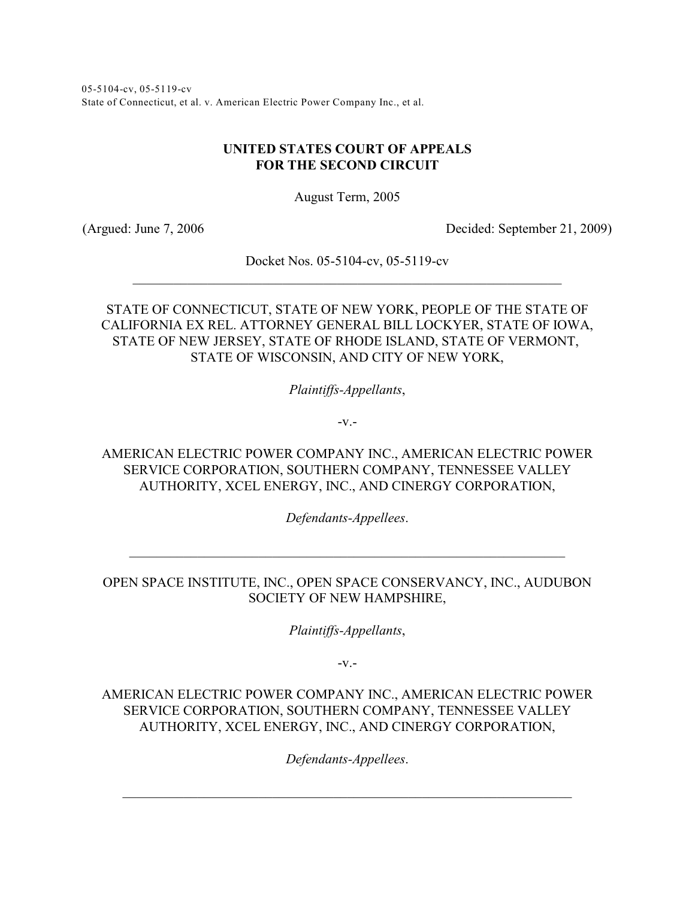05-5104-cv, 05-5119-cv State of Connecticut, et al. v. American Electric Power Company Inc., et al.

## **UNITED STATES COURT OF APPEALS FOR THE SECOND CIRCUIT**

August Term, 2005

(Argued: June 7, 2006 Decided: September 21, 2009)

Docket Nos. 05-5104-cv, 05-5119-cv \_\_\_\_\_\_\_\_\_\_\_\_\_\_\_\_\_\_\_\_\_\_\_\_\_\_\_\_\_\_\_\_\_\_\_\_\_\_\_\_\_\_\_\_\_\_\_\_\_\_\_\_\_\_\_\_\_\_\_\_\_\_\_

STATE OF CONNECTICUT, STATE OF NEW YORK, PEOPLE OF THE STATE OF CALIFORNIA EX REL. ATTORNEY GENERAL BILL LOCKYER, STATE OF IOWA, STATE OF NEW JERSEY, STATE OF RHODE ISLAND, STATE OF VERMONT, STATE OF WISCONSIN, AND CITY OF NEW YORK,

*Plaintiffs-Appellants*,

-v.-

AMERICAN ELECTRIC POWER COMPANY INC., AMERICAN ELECTRIC POWER SERVICE CORPORATION, SOUTHERN COMPANY, TENNESSEE VALLEY AUTHORITY, XCEL ENERGY, INC., AND CINERGY CORPORATION,

*Defendants-Appellees*.

\_\_\_\_\_\_\_\_\_\_\_\_\_\_\_\_\_\_\_\_\_\_\_\_\_\_\_\_\_\_\_\_\_\_\_\_\_\_\_\_\_\_\_\_\_\_\_\_\_\_\_\_\_\_\_\_\_\_\_\_\_\_\_\_

OPEN SPACE INSTITUTE, INC., OPEN SPACE CONSERVANCY, INC., AUDUBON SOCIETY OF NEW HAMPSHIRE,

*Plaintiffs-Appellants*,

-v.-

AMERICAN ELECTRIC POWER COMPANY INC., AMERICAN ELECTRIC POWER SERVICE CORPORATION, SOUTHERN COMPANY, TENNESSEE VALLEY AUTHORITY, XCEL ENERGY, INC., AND CINERGY CORPORATION,

*Defendants-Appellees*.

\_\_\_\_\_\_\_\_\_\_\_\_\_\_\_\_\_\_\_\_\_\_\_\_\_\_\_\_\_\_\_\_\_\_\_\_\_\_\_\_\_\_\_\_\_\_\_\_\_\_\_\_\_\_\_\_\_\_\_\_\_\_\_\_\_\_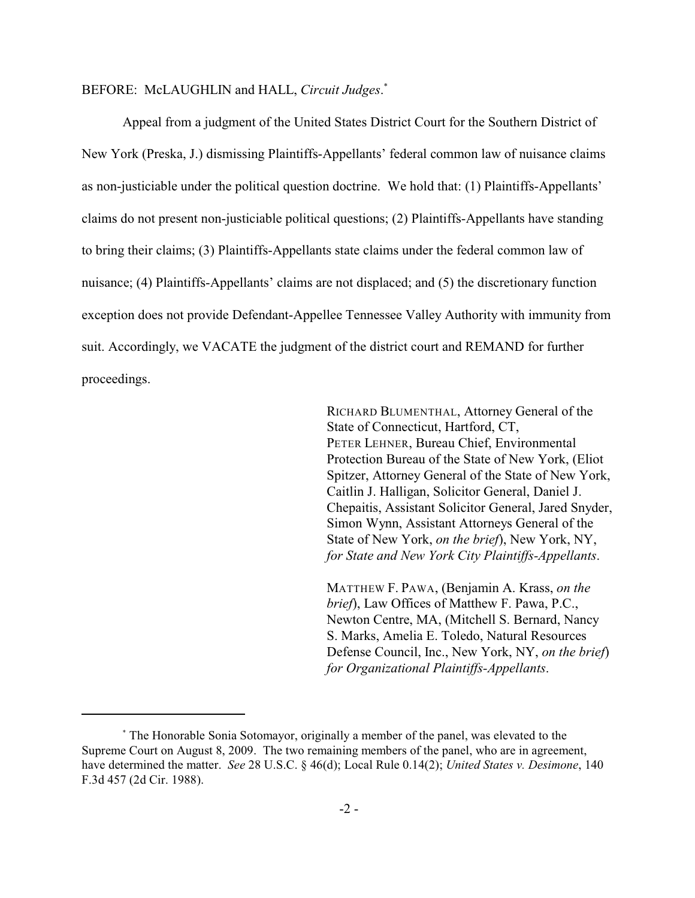## BEFORE: McLAUGHLIN and HALL, *Circuit Judges*. \*

Appeal from a judgment of the United States District Court for the Southern District of New York (Preska, J.) dismissing Plaintiffs-Appellants' federal common law of nuisance claims as non-justiciable under the political question doctrine. We hold that: (1) Plaintiffs-Appellants' claims do not present non-justiciable political questions; (2) Plaintiffs-Appellants have standing to bring their claims; (3) Plaintiffs-Appellants state claims under the federal common law of nuisance; (4) Plaintiffs-Appellants' claims are not displaced; and (5) the discretionary function exception does not provide Defendant-Appellee Tennessee Valley Authority with immunity from suit. Accordingly, we VACATE the judgment of the district court and REMAND for further proceedings.

> RICHARD BLUMENTHAL, Attorney General of the State of Connecticut, Hartford, CT, PETER LEHNER, Bureau Chief, Environmental Protection Bureau of the State of New York, (Eliot Spitzer, Attorney General of the State of New York, Caitlin J. Halligan, Solicitor General, Daniel J. Chepaitis, Assistant Solicitor General, Jared Snyder, Simon Wynn, Assistant Attorneys General of the State of New York, *on the brief*), New York, NY, *for State and New York City Plaintiffs-Appellants*.

> MATTHEW F. PAWA, (Benjamin A. Krass, *on the brief*), Law Offices of Matthew F. Pawa, P.C., Newton Centre, MA, (Mitchell S. Bernard, Nancy S. Marks, Amelia E. Toledo, Natural Resources Defense Council, Inc., New York, NY, *on the brief*) *for Organizational Plaintiffs-Appellants*.

The Honorable Sonia Sotomayor, originally a member of the panel, was elevated to the \* Supreme Court on August 8, 2009. The two remaining members of the panel, who are in agreement, have determined the matter. *See* 28 U.S.C. § 46(d); Local Rule 0.14(2); *United States v. Desimone*, 140 F.3d 457 (2d Cir. 1988).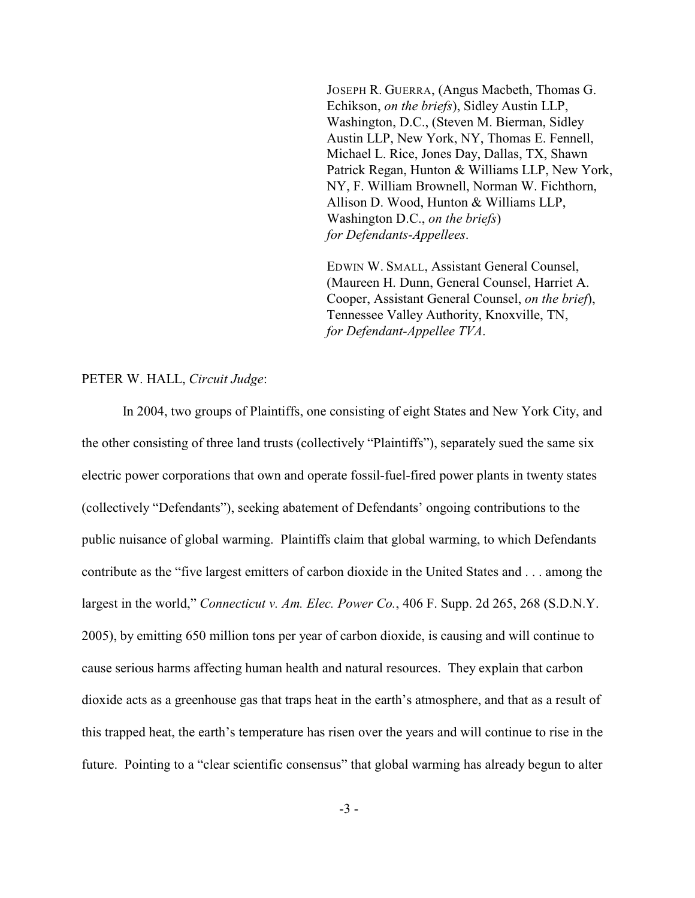JOSEPH R. GUERRA, (Angus Macbeth, Thomas G. Echikson, *on the briefs*), Sidley Austin LLP, Washington, D.C., (Steven M. Bierman, Sidley Austin LLP, New York, NY, Thomas E. Fennell, Michael L. Rice, Jones Day, Dallas, TX, Shawn Patrick Regan, Hunton & Williams LLP, New York, NY, F. William Brownell, Norman W. Fichthorn, Allison D. Wood, Hunton & Williams LLP, Washington D.C., *on the briefs*) *for Defendants-Appellees*.

EDWIN W. SMALL, Assistant General Counsel, (Maureen H. Dunn, General Counsel, Harriet A. Cooper, Assistant General Counsel, *on the brief*), Tennessee Valley Authority, Knoxville, TN, *for Defendant-Appellee TVA*.

#### PETER W. HALL, *Circuit Judge*:

In 2004, two groups of Plaintiffs, one consisting of eight States and New York City, and the other consisting of three land trusts (collectively "Plaintiffs"), separately sued the same six electric power corporations that own and operate fossil-fuel-fired power plants in twenty states (collectively "Defendants"), seeking abatement of Defendants' ongoing contributions to the public nuisance of global warming. Plaintiffs claim that global warming, to which Defendants contribute as the "five largest emitters of carbon dioxide in the United States and . . . among the largest in the world," *Connecticut v. Am. Elec. Power Co.*, 406 F. Supp. 2d 265, 268 (S.D.N.Y. 2005), by emitting 650 million tons per year of carbon dioxide, is causing and will continue to cause serious harms affecting human health and natural resources. They explain that carbon dioxide acts as a greenhouse gas that traps heat in the earth's atmosphere, and that as a result of this trapped heat, the earth's temperature has risen over the years and will continue to rise in the future. Pointing to a "clear scientific consensus" that global warming has already begun to alter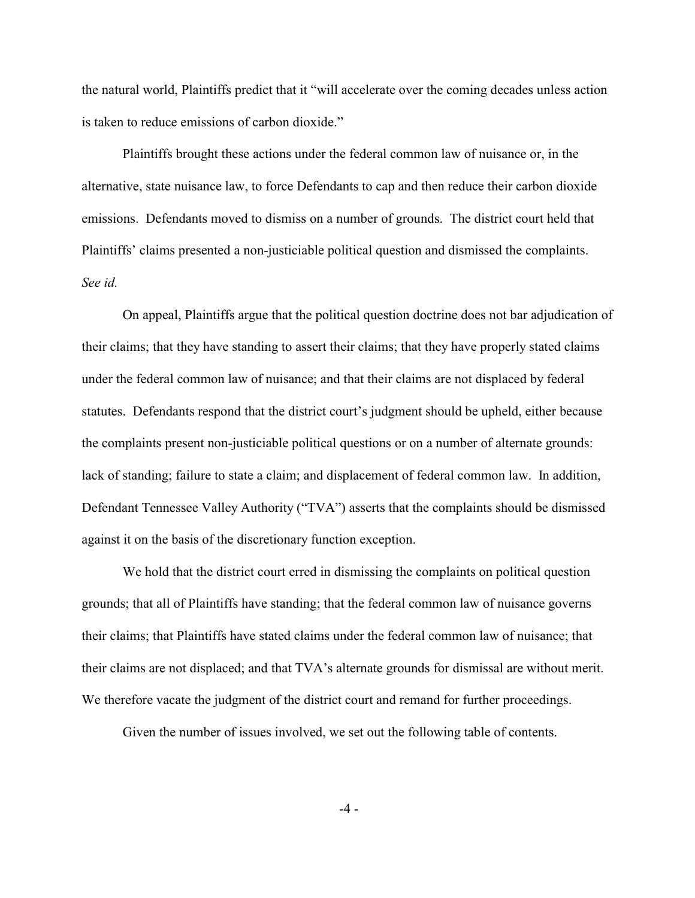the natural world, Plaintiffs predict that it "will accelerate over the coming decades unless action is taken to reduce emissions of carbon dioxide."

Plaintiffs brought these actions under the federal common law of nuisance or, in the alternative, state nuisance law, to force Defendants to cap and then reduce their carbon dioxide emissions. Defendants moved to dismiss on a number of grounds. The district court held that Plaintiffs' claims presented a non-justiciable political question and dismissed the complaints. *See id.*

On appeal, Plaintiffs argue that the political question doctrine does not bar adjudication of their claims; that they have standing to assert their claims; that they have properly stated claims under the federal common law of nuisance; and that their claims are not displaced by federal statutes. Defendants respond that the district court's judgment should be upheld, either because the complaints present non-justiciable political questions or on a number of alternate grounds: lack of standing; failure to state a claim; and displacement of federal common law. In addition, Defendant Tennessee Valley Authority ("TVA") asserts that the complaints should be dismissed against it on the basis of the discretionary function exception.

We hold that the district court erred in dismissing the complaints on political question grounds; that all of Plaintiffs have standing; that the federal common law of nuisance governs their claims; that Plaintiffs have stated claims under the federal common law of nuisance; that their claims are not displaced; and that TVA's alternate grounds for dismissal are without merit. We therefore vacate the judgment of the district court and remand for further proceedings.

Given the number of issues involved, we set out the following table of contents.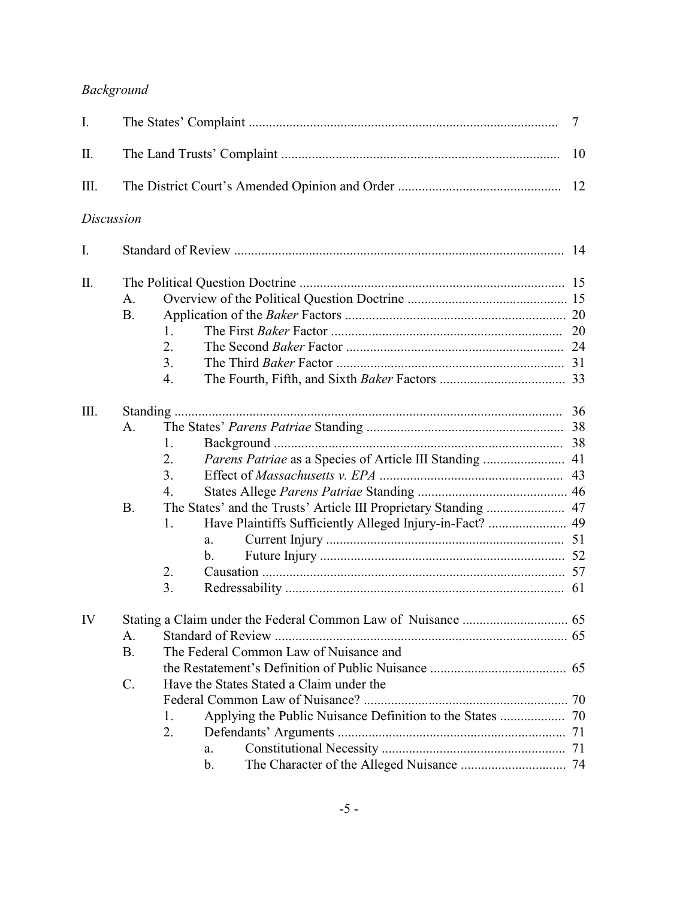# *Background*

| I.                |                          | $7\phantom{.0}$                                                                                                                    |  |  |
|-------------------|--------------------------|------------------------------------------------------------------------------------------------------------------------------------|--|--|
| Π.                | 10                       |                                                                                                                                    |  |  |
| Ш.                |                          | 12                                                                                                                                 |  |  |
| <b>Discussion</b> |                          |                                                                                                                                    |  |  |
| I.                |                          |                                                                                                                                    |  |  |
| Π.                | A.<br><b>B.</b>          | 1.<br>2.<br>3.<br>4.                                                                                                               |  |  |
| Ш.                | A.<br><b>B.</b>          | 1.<br>2.<br>3.<br>4.<br>The States' and the Trusts' Article III Proprietary Standing  47<br>1.<br>a.<br>$\mathbf{b}$ .<br>2.<br>3. |  |  |
| IV                | А.<br><b>B.</b><br>$C$ . | The Federal Common Law of Nuisance and<br>Have the States Stated a Claim under the<br>1.<br>2.<br>a.<br>b.                         |  |  |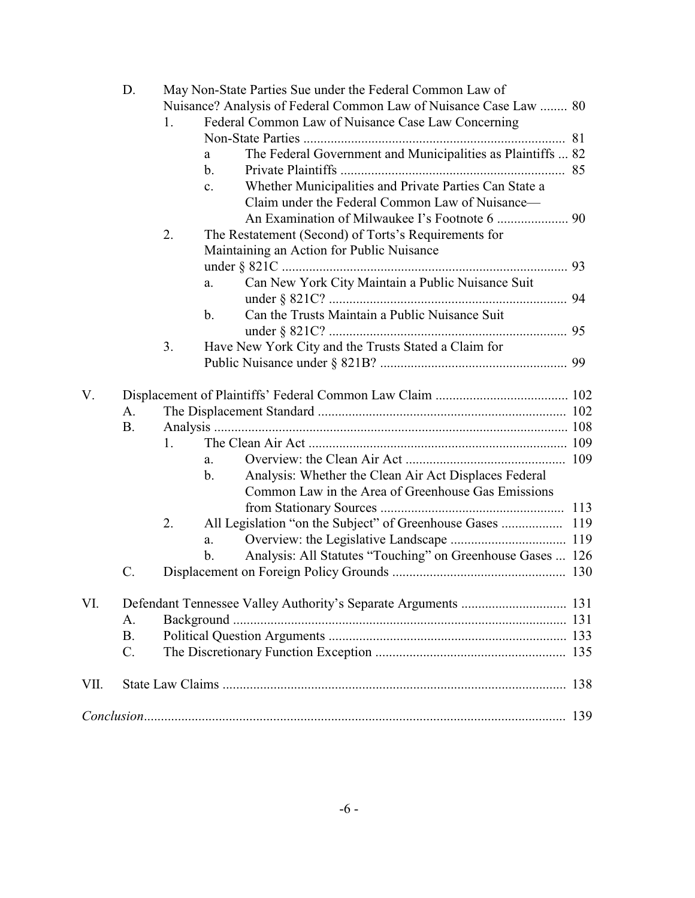|      | D.        | May Non-State Parties Sue under the Federal Common Law of                                                                   |  |
|------|-----------|-----------------------------------------------------------------------------------------------------------------------------|--|
|      |           | Nuisance? Analysis of Federal Common Law of Nuisance Case Law  80                                                           |  |
|      |           | Federal Common Law of Nuisance Case Law Concerning<br>1.                                                                    |  |
|      |           |                                                                                                                             |  |
|      |           | The Federal Government and Municipalities as Plaintiffs  82<br>a<br>$\mathbf b$ .                                           |  |
|      |           |                                                                                                                             |  |
|      |           | Whether Municipalities and Private Parties Can State a<br>$\mathbf{c}$ .<br>Claim under the Federal Common Law of Nuisance— |  |
|      |           |                                                                                                                             |  |
|      |           | The Restatement (Second) of Torts's Requirements for<br>2.                                                                  |  |
|      |           | Maintaining an Action for Public Nuisance                                                                                   |  |
|      |           |                                                                                                                             |  |
|      |           | Can New York City Maintain a Public Nuisance Suit<br>a.                                                                     |  |
|      |           |                                                                                                                             |  |
|      |           | Can the Trusts Maintain a Public Nuisance Suit<br>$\mathbf{b}$ .                                                            |  |
|      |           |                                                                                                                             |  |
|      |           | Have New York City and the Trusts Stated a Claim for<br>3.                                                                  |  |
|      |           |                                                                                                                             |  |
|      |           |                                                                                                                             |  |
| V.   |           |                                                                                                                             |  |
|      | А.        |                                                                                                                             |  |
|      | <b>B.</b> |                                                                                                                             |  |
|      |           | 1.                                                                                                                          |  |
|      |           | a.                                                                                                                          |  |
|      |           | Analysis: Whether the Clean Air Act Displaces Federal<br>b.                                                                 |  |
|      |           | Common Law in the Area of Greenhouse Gas Emissions                                                                          |  |
|      |           |                                                                                                                             |  |
|      |           | All Legislation "on the Subject" of Greenhouse Gases  119<br>2.                                                             |  |
|      |           | a.                                                                                                                          |  |
|      |           | Analysis: All Statutes "Touching" on Greenhouse Gases  126<br>$\mathbf b$ .                                                 |  |
|      | C.        |                                                                                                                             |  |
| VI.  |           | Defendant Tennessee Valley Authority's Separate Arguments  131                                                              |  |
|      | А.        |                                                                                                                             |  |
|      | <b>B.</b> |                                                                                                                             |  |
|      | C.        |                                                                                                                             |  |
|      |           |                                                                                                                             |  |
| VII. |           |                                                                                                                             |  |
|      |           |                                                                                                                             |  |
|      |           |                                                                                                                             |  |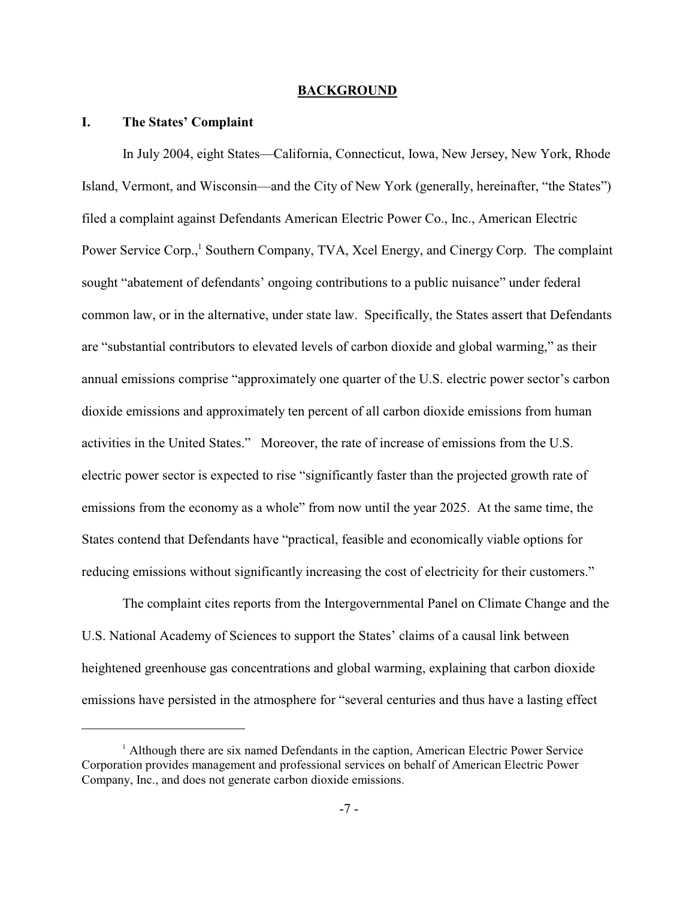#### **BACKGROUND**

#### **I. The States' Complaint**

In July 2004, eight States—California, Connecticut, Iowa, New Jersey, New York, Rhode Island, Vermont, and Wisconsin—and the City of New York (generally, hereinafter, "the States") filed a complaint against Defendants American Electric Power Co., Inc., American Electric Power Service Corp.,<sup>1</sup> Southern Company, TVA, Xcel Energy, and Cinergy Corp. The complaint sought "abatement of defendants' ongoing contributions to a public nuisance" under federal common law, or in the alternative, under state law. Specifically, the States assert that Defendants are "substantial contributors to elevated levels of carbon dioxide and global warming," as their annual emissions comprise "approximately one quarter of the U.S. electric power sector's carbon dioxide emissions and approximately ten percent of all carbon dioxide emissions from human activities in the United States." Moreover, the rate of increase of emissions from the U.S. electric power sector is expected to rise "significantly faster than the projected growth rate of emissions from the economy as a whole" from now until the year 2025. At the same time, the States contend that Defendants have "practical, feasible and economically viable options for reducing emissions without significantly increasing the cost of electricity for their customers."

The complaint cites reports from the Intergovernmental Panel on Climate Change and the U.S. National Academy of Sciences to support the States' claims of a causal link between heightened greenhouse gas concentrations and global warming, explaining that carbon dioxide emissions have persisted in the atmosphere for "several centuries and thus have a lasting effect

<sup>&</sup>lt;sup>1</sup> Although there are six named Defendants in the caption, American Electric Power Service Corporation provides management and professional services on behalf of American Electric Power Company, Inc., and does not generate carbon dioxide emissions.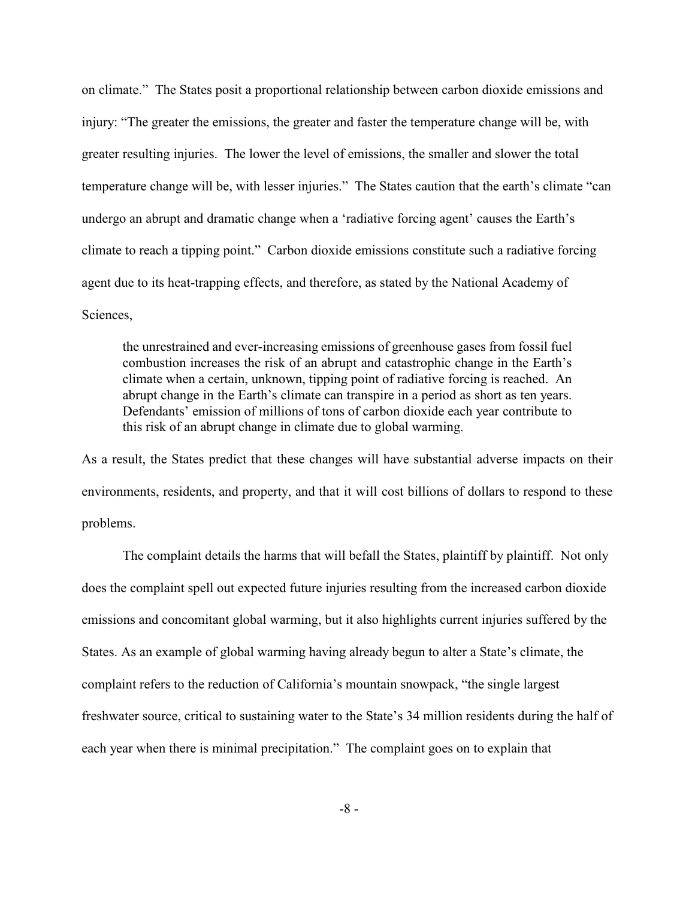on climate." The States posit a proportional relationship between carbon dioxide emissions and injury: "The greater the emissions, the greater and faster the temperature change will be, with greater resulting injuries. The lower the level of emissions, the smaller and slower the total temperature change will be, with lesser injuries." The States caution that the earth's climate "can undergo an abrupt and dramatic change when a 'radiative forcing agent' causes the Earth's climate to reach a tipping point." Carbon dioxide emissions constitute such a radiative forcing agent due to its heat-trapping effects, and therefore, as stated by the National Academy of Sciences,

the unrestrained and ever-increasing emissions of greenhouse gases from fossil fuel combustion increases the risk of an abrupt and catastrophic change in the Earth's climate when a certain, unknown, tipping point of radiative forcing is reached. An abrupt change in the Earth's climate can transpire in a period as short as ten years. Defendants' emission of millions of tons of carbon dioxide each year contribute to this risk of an abrupt change in climate due to global warming.

As a result, the States predict that these changes will have substantial adverse impacts on their environments, residents, and property, and that it will cost billions of dollars to respond to these problems.

The complaint details the harms that will befall the States, plaintiff by plaintiff. Not only does the complaint spell out expected future injuries resulting from the increased carbon dioxide emissions and concomitant global warming, but it also highlights current injuries suffered by the States. As an example of global warming having already begun to alter a State's climate, the complaint refers to the reduction of California's mountain snowpack, "the single largest freshwater source, critical to sustaining water to the State's 34 million residents during the half of each year when there is minimal precipitation." The complaint goes on to explain that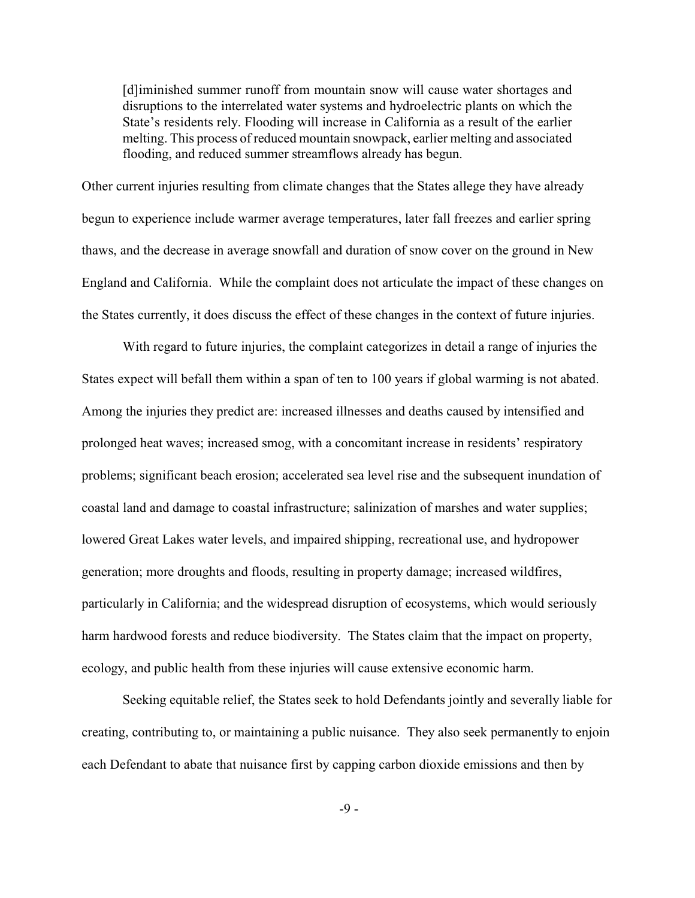[d]iminished summer runoff from mountain snow will cause water shortages and disruptions to the interrelated water systems and hydroelectric plants on which the State's residents rely. Flooding will increase in California as a result of the earlier melting. This process of reduced mountain snowpack, earlier melting and associated flooding, and reduced summer streamflows already has begun.

Other current injuries resulting from climate changes that the States allege they have already begun to experience include warmer average temperatures, later fall freezes and earlier spring thaws, and the decrease in average snowfall and duration of snow cover on the ground in New England and California. While the complaint does not articulate the impact of these changes on the States currently, it does discuss the effect of these changes in the context of future injuries.

With regard to future injuries, the complaint categorizes in detail a range of injuries the States expect will befall them within a span of ten to 100 years if global warming is not abated. Among the injuries they predict are: increased illnesses and deaths caused by intensified and prolonged heat waves; increased smog, with a concomitant increase in residents' respiratory problems; significant beach erosion; accelerated sea level rise and the subsequent inundation of coastal land and damage to coastal infrastructure; salinization of marshes and water supplies; lowered Great Lakes water levels, and impaired shipping, recreational use, and hydropower generation; more droughts and floods, resulting in property damage; increased wildfires, particularly in California; and the widespread disruption of ecosystems, which would seriously harm hardwood forests and reduce biodiversity. The States claim that the impact on property, ecology, and public health from these injuries will cause extensive economic harm.

Seeking equitable relief, the States seek to hold Defendants jointly and severally liable for creating, contributing to, or maintaining a public nuisance. They also seek permanently to enjoin each Defendant to abate that nuisance first by capping carbon dioxide emissions and then by

-9 -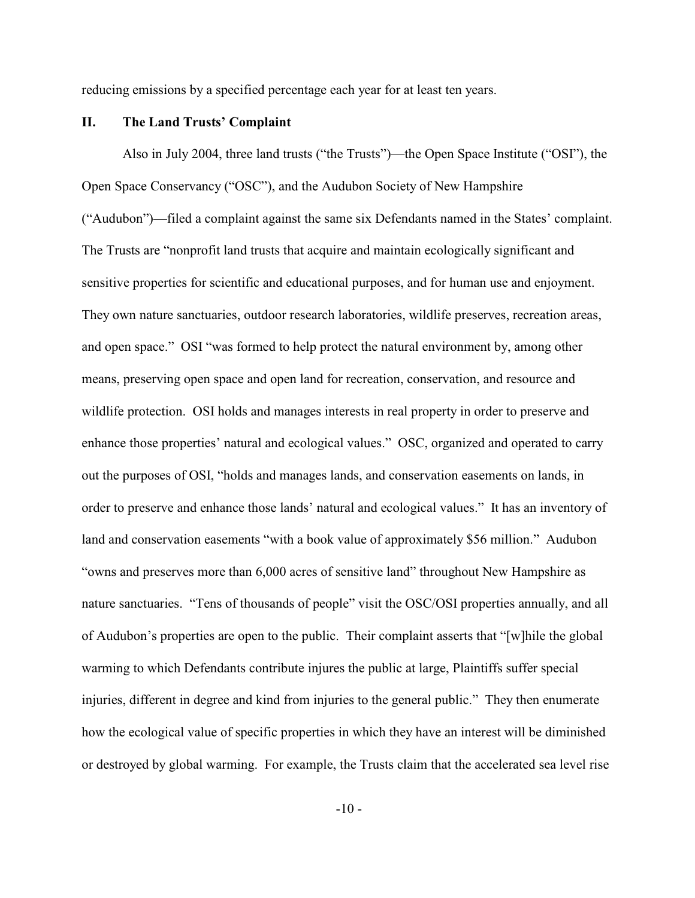reducing emissions by a specified percentage each year for at least ten years.

#### **II. The Land Trusts' Complaint**

Also in July 2004, three land trusts ("the Trusts")—the Open Space Institute ("OSI"), the Open Space Conservancy ("OSC"), and the Audubon Society of New Hampshire ("Audubon")—filed a complaint against the same six Defendants named in the States' complaint. The Trusts are "nonprofit land trusts that acquire and maintain ecologically significant and sensitive properties for scientific and educational purposes, and for human use and enjoyment. They own nature sanctuaries, outdoor research laboratories, wildlife preserves, recreation areas, and open space." OSI "was formed to help protect the natural environment by, among other means, preserving open space and open land for recreation, conservation, and resource and wildlife protection. OSI holds and manages interests in real property in order to preserve and enhance those properties' natural and ecological values." OSC, organized and operated to carry out the purposes of OSI, "holds and manages lands, and conservation easements on lands, in order to preserve and enhance those lands' natural and ecological values." It has an inventory of land and conservation easements "with a book value of approximately \$56 million." Audubon "owns and preserves more than 6,000 acres of sensitive land" throughout New Hampshire as nature sanctuaries. "Tens of thousands of people" visit the OSC/OSI properties annually, and all of Audubon's properties are open to the public. Their complaint asserts that "[w]hile the global warming to which Defendants contribute injures the public at large, Plaintiffs suffer special injuries, different in degree and kind from injuries to the general public." They then enumerate how the ecological value of specific properties in which they have an interest will be diminished or destroyed by global warming. For example, the Trusts claim that the accelerated sea level rise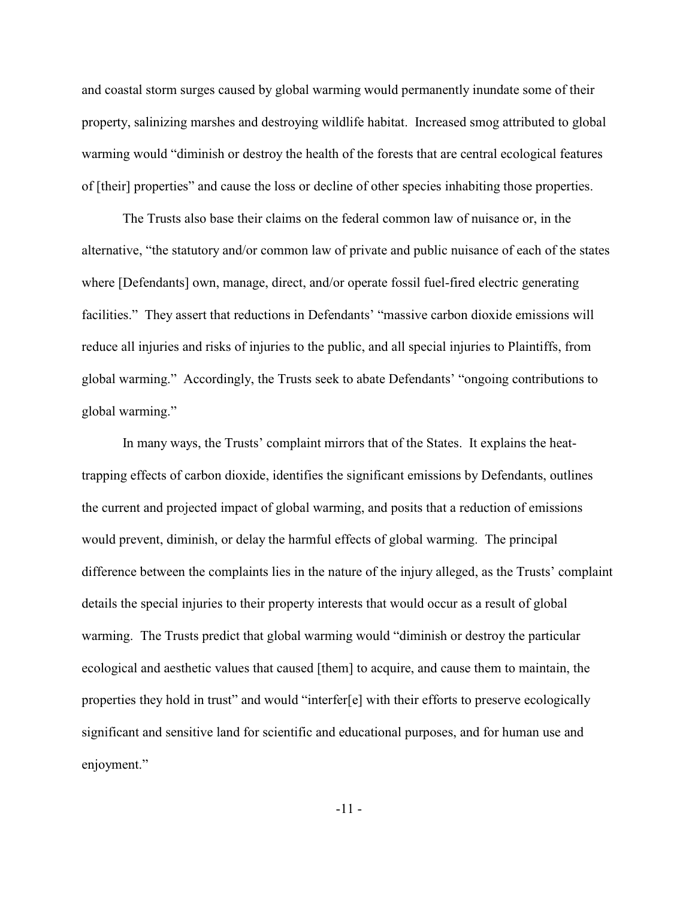and coastal storm surges caused by global warming would permanently inundate some of their property, salinizing marshes and destroying wildlife habitat. Increased smog attributed to global warming would "diminish or destroy the health of the forests that are central ecological features of [their] properties" and cause the loss or decline of other species inhabiting those properties.

The Trusts also base their claims on the federal common law of nuisance or, in the alternative, "the statutory and/or common law of private and public nuisance of each of the states where [Defendants] own, manage, direct, and/or operate fossil fuel-fired electric generating facilities." They assert that reductions in Defendants' "massive carbon dioxide emissions will reduce all injuries and risks of injuries to the public, and all special injuries to Plaintiffs, from global warming." Accordingly, the Trusts seek to abate Defendants' "ongoing contributions to global warming."

In many ways, the Trusts' complaint mirrors that of the States. It explains the heattrapping effects of carbon dioxide, identifies the significant emissions by Defendants, outlines the current and projected impact of global warming, and posits that a reduction of emissions would prevent, diminish, or delay the harmful effects of global warming. The principal difference between the complaints lies in the nature of the injury alleged, as the Trusts' complaint details the special injuries to their property interests that would occur as a result of global warming. The Trusts predict that global warming would "diminish or destroy the particular ecological and aesthetic values that caused [them] to acquire, and cause them to maintain, the properties they hold in trust" and would "interfer[e] with their efforts to preserve ecologically significant and sensitive land for scientific and educational purposes, and for human use and enjoyment."

-11 -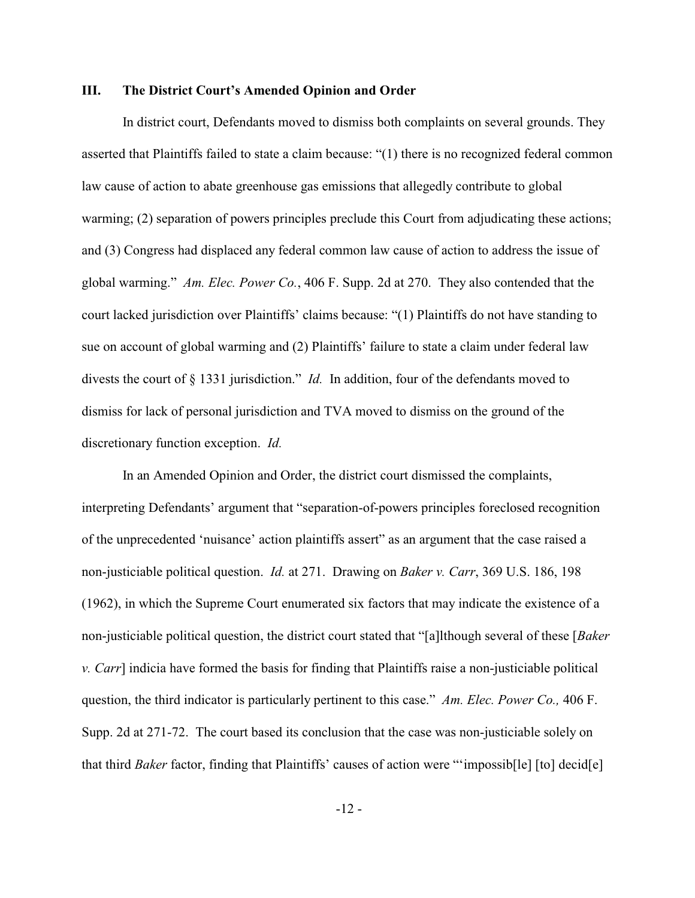#### **III. The District Court's Amended Opinion and Order**

In district court, Defendants moved to dismiss both complaints on several grounds. They asserted that Plaintiffs failed to state a claim because: "(1) there is no recognized federal common law cause of action to abate greenhouse gas emissions that allegedly contribute to global warming; (2) separation of powers principles preclude this Court from adjudicating these actions; and (3) Congress had displaced any federal common law cause of action to address the issue of global warming." *Am. Elec. Power Co.*, 406 F. Supp. 2d at 270. They also contended that the court lacked jurisdiction over Plaintiffs' claims because: "(1) Plaintiffs do not have standing to sue on account of global warming and (2) Plaintiffs' failure to state a claim under federal law divests the court of § 1331 jurisdiction." *Id.* In addition, four of the defendants moved to dismiss for lack of personal jurisdiction and TVA moved to dismiss on the ground of the discretionary function exception. *Id.*

In an Amended Opinion and Order, the district court dismissed the complaints, interpreting Defendants' argument that "separation-of-powers principles foreclosed recognition of the unprecedented 'nuisance' action plaintiffs assert" as an argument that the case raised a non-justiciable political question. *Id.* at 271. Drawing on *Baker v. Carr*, 369 U.S. 186, 198 (1962), in which the Supreme Court enumerated six factors that may indicate the existence of a non-justiciable political question, the district court stated that "[a]lthough several of these [*Baker v. Carr*] indicia have formed the basis for finding that Plaintiffs raise a non-justiciable political question, the third indicator is particularly pertinent to this case." *Am. Elec. Power Co.,* 406 F. Supp. 2d at 271-72. The court based its conclusion that the case was non-justiciable solely on that third *Baker* factor, finding that Plaintiffs' causes of action were "'impossib[le] [to] decid[e]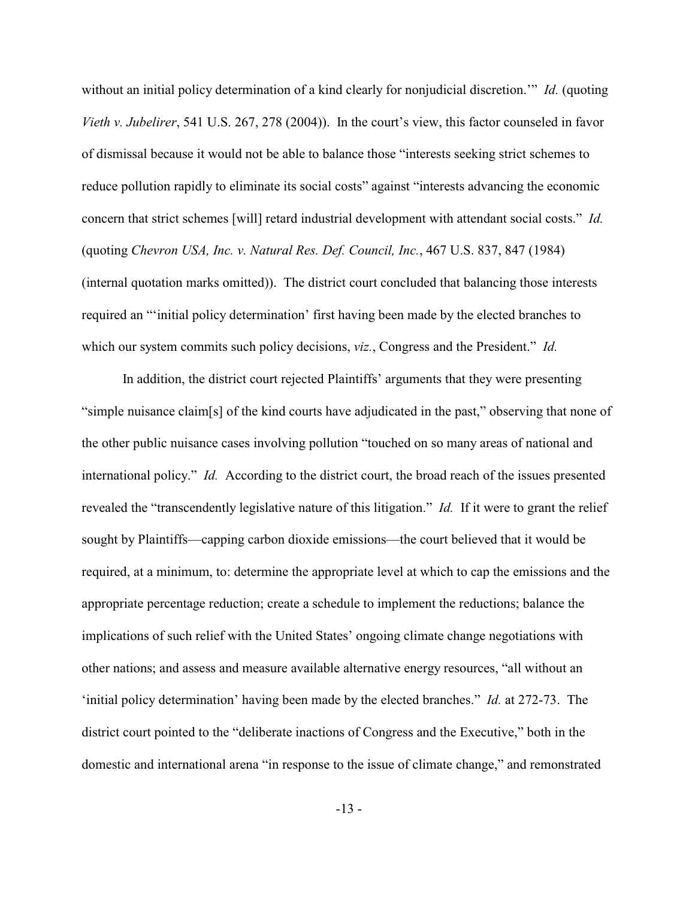without an initial policy determination of a kind clearly for nonjudicial discretion.'" *Id.* (quoting *Vieth v. Jubelirer*, 541 U.S. 267, 278 (2004)). In the court's view, this factor counseled in favor of dismissal because it would not be able to balance those "interests seeking strict schemes to reduce pollution rapidly to eliminate its social costs" against "interests advancing the economic concern that strict schemes [will] retard industrial development with attendant social costs." *Id.* (quoting *Chevron USA, Inc. v. Natural Res. Def. Council, Inc.*, 467 U.S. 837, 847 (1984) (internal quotation marks omitted)). The district court concluded that balancing those interests required an "'initial policy determination' first having been made by the elected branches to which our system commits such policy decisions, *viz.*, Congress and the President." *Id.*

In addition, the district court rejected Plaintiffs' arguments that they were presenting "simple nuisance claim[s] of the kind courts have adjudicated in the past," observing that none of the other public nuisance cases involving pollution "touched on so many areas of national and international policy." *Id.* According to the district court, the broad reach of the issues presented revealed the "transcendently legislative nature of this litigation." *Id.* If it were to grant the relief sought by Plaintiffs—capping carbon dioxide emissions—the court believed that it would be required, at a minimum, to: determine the appropriate level at which to cap the emissions and the appropriate percentage reduction; create a schedule to implement the reductions; balance the implications of such relief with the United States' ongoing climate change negotiations with other nations; and assess and measure available alternative energy resources, "all without an 'initial policy determination' having been made by the elected branches." *Id.* at 272-73. The district court pointed to the "deliberate inactions of Congress and the Executive," both in the domestic and international arena "in response to the issue of climate change," and remonstrated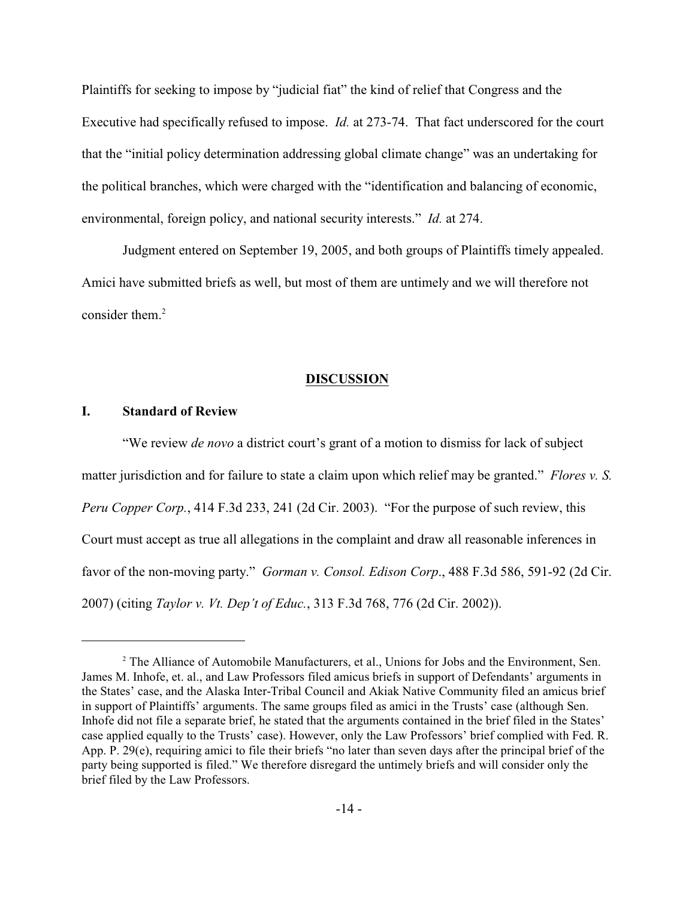Plaintiffs for seeking to impose by "judicial fiat" the kind of relief that Congress and the Executive had specifically refused to impose. *Id.* at 273-74. That fact underscored for the court that the "initial policy determination addressing global climate change" was an undertaking for the political branches, which were charged with the "identification and balancing of economic, environmental, foreign policy, and national security interests." *Id.* at 274.

Judgment entered on September 19, 2005, and both groups of Plaintiffs timely appealed. Amici have submitted briefs as well, but most of them are untimely and we will therefore not consider them $<sup>2</sup>$ </sup>

#### **DISCUSSION**

## **I. Standard of Review**

"We review *de novo* a district court's grant of a motion to dismiss for lack of subject matter jurisdiction and for failure to state a claim upon which relief may be granted." *Flores v. S. Peru Copper Corp.*, 414 F.3d 233, 241 (2d Cir. 2003). "For the purpose of such review, this Court must accept as true all allegations in the complaint and draw all reasonable inferences in favor of the non-moving party." *Gorman v. Consol. Edison Corp*., 488 F.3d 586, 591-92 (2d Cir. 2007) (citing *Taylor v. Vt. Dep't of Educ.*, 313 F.3d 768, 776 (2d Cir. 2002)).

 $2^2$  The Alliance of Automobile Manufacturers, et al., Unions for Jobs and the Environment, Sen. James M. Inhofe, et. al., and Law Professors filed amicus briefs in support of Defendants' arguments in the States' case, and the Alaska Inter-Tribal Council and Akiak Native Community filed an amicus brief in support of Plaintiffs' arguments. The same groups filed as amici in the Trusts' case (although Sen. Inhofe did not file a separate brief, he stated that the arguments contained in the brief filed in the States' case applied equally to the Trusts' case). However, only the Law Professors' brief complied with Fed. R. App. P. 29(e), requiring amici to file their briefs "no later than seven days after the principal brief of the party being supported is filed." We therefore disregard the untimely briefs and will consider only the brief filed by the Law Professors.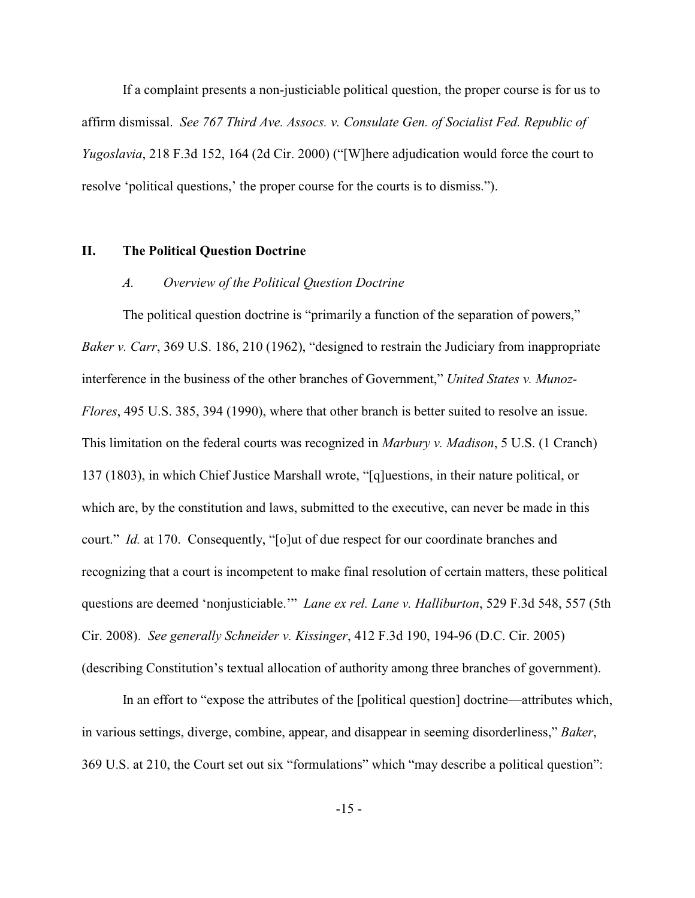If a complaint presents a non-justiciable political question, the proper course is for us to affirm dismissal. *See 767 Third Ave. Assocs. v. Consulate Gen. of Socialist Fed. Republic of Yugoslavia*, 218 F.3d 152, 164 (2d Cir. 2000) ("[W]here adjudication would force the court to resolve 'political questions,' the proper course for the courts is to dismiss.").

## **II. The Political Question Doctrine**

## *A. Overview of the Political Question Doctrine*

The political question doctrine is "primarily a function of the separation of powers," *Baker v. Carr*, 369 U.S. 186, 210 (1962), "designed to restrain the Judiciary from inappropriate interference in the business of the other branches of Government," *United States v. Munoz-Flores*, 495 U.S. 385, 394 (1990), where that other branch is better suited to resolve an issue. This limitation on the federal courts was recognized in *Marbury v. Madison*, 5 U.S. (1 Cranch) 137 (1803), in which Chief Justice Marshall wrote, "[q]uestions, in their nature political, or which are, by the constitution and laws, submitted to the executive, can never be made in this court." *Id.* at 170. Consequently, "[o]ut of due respect for our coordinate branches and recognizing that a court is incompetent to make final resolution of certain matters, these political questions are deemed 'nonjusticiable.'" *Lane ex rel. Lane v. Halliburton*, 529 F.3d 548, 557 (5th Cir. 2008). *See generally Schneider v. Kissinger*, 412 F.3d 190, 194-96 (D.C. Cir. 2005) (describing Constitution's textual allocation of authority among three branches of government).

In an effort to "expose the attributes of the [political question] doctrine—attributes which, in various settings, diverge, combine, appear, and disappear in seeming disorderliness," *Baker*, 369 U.S. at 210, the Court set out six "formulations" which "may describe a political question":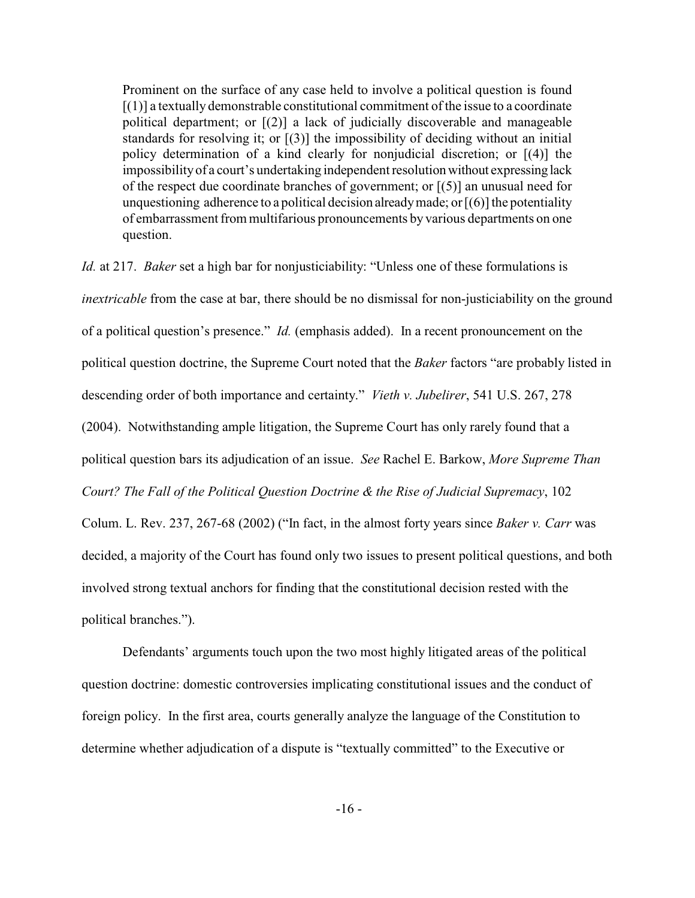Prominent on the surface of any case held to involve a political question is found  $[(1)]$  a textually demonstrable constitutional commitment of the issue to a coordinate political department; or [(2)] a lack of judicially discoverable and manageable standards for resolving it; or [(3)] the impossibility of deciding without an initial policy determination of a kind clearly for nonjudicial discretion; or [(4)] the impossibility of a court's undertaking independent resolution without expressing lack of the respect due coordinate branches of government; or [(5)] an unusual need for unquestioning adherence to a political decision already made; or  $[(6)]$  the potentiality of embarrassment from multifarious pronouncements by various departments on one question.

*Id.* at 217. *Baker* set a high bar for nonjusticiability: "Unless one of these formulations is *inextricable* from the case at bar, there should be no dismissal for non-justiciability on the ground of a political question's presence." *Id.* (emphasis added). In a recent pronouncement on the political question doctrine, the Supreme Court noted that the *Baker* factors "are probably listed in descending order of both importance and certainty." *Vieth v. Jubelirer*, 541 U.S. 267, 278 (2004). Notwithstanding ample litigation, the Supreme Court has only rarely found that a political question bars its adjudication of an issue. *See* Rachel E. Barkow, *More Supreme Than Court? The Fall of the Political Question Doctrine & the Rise of Judicial Supremacy*, 102 Colum. L. Rev. 237, 267-68 (2002) ("In fact, in the almost forty years since *Baker v. Carr* was decided, a majority of the Court has found only two issues to present political questions, and both involved strong textual anchors for finding that the constitutional decision rested with the political branches.").

Defendants' arguments touch upon the two most highly litigated areas of the political question doctrine: domestic controversies implicating constitutional issues and the conduct of foreign policy. In the first area, courts generally analyze the language of the Constitution to determine whether adjudication of a dispute is "textually committed" to the Executive or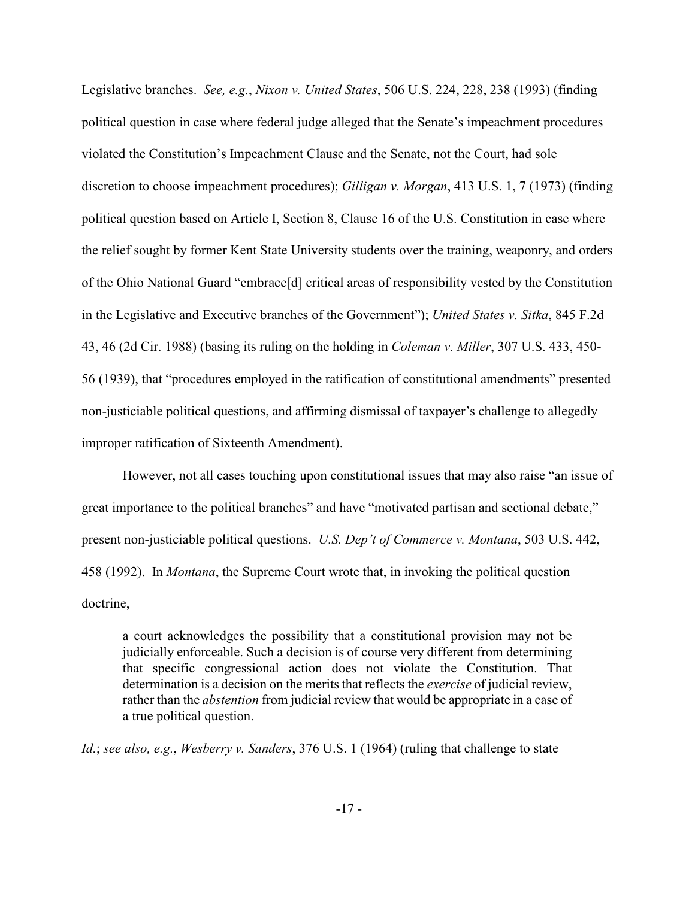Legislative branches. *See, e.g.*, *Nixon v. United States*, 506 U.S. 224, 228, 238 (1993) (finding political question in case where federal judge alleged that the Senate's impeachment procedures violated the Constitution's Impeachment Clause and the Senate, not the Court, had sole discretion to choose impeachment procedures); *Gilligan v. Morgan*, 413 U.S. 1, 7 (1973) (finding political question based on Article I, Section 8, Clause 16 of the U.S. Constitution in case where the relief sought by former Kent State University students over the training, weaponry, and orders of the Ohio National Guard "embrace[d] critical areas of responsibility vested by the Constitution in the Legislative and Executive branches of the Government"); *United States v. Sitka*, 845 F.2d 43, 46 (2d Cir. 1988) (basing its ruling on the holding in *Coleman v. Miller*, 307 U.S. 433, 450- 56 (1939), that "procedures employed in the ratification of constitutional amendments" presented non-justiciable political questions, and affirming dismissal of taxpayer's challenge to allegedly improper ratification of Sixteenth Amendment).

However, not all cases touching upon constitutional issues that may also raise "an issue of great importance to the political branches" and have "motivated partisan and sectional debate," present non-justiciable political questions. *U.S. Dep't of Commerce v. Montana*, 503 U.S. 442, 458 (1992). In *Montana*, the Supreme Court wrote that, in invoking the political question doctrine,

a court acknowledges the possibility that a constitutional provision may not be judicially enforceable. Such a decision is of course very different from determining that specific congressional action does not violate the Constitution. That determination is a decision on the merits that reflects the *exercise* of judicial review, rather than the *abstention* from judicial review that would be appropriate in a case of a true political question.

*Id.*; *see also, e.g.*, *Wesberry v. Sanders*, 376 U.S. 1 (1964) (ruling that challenge to state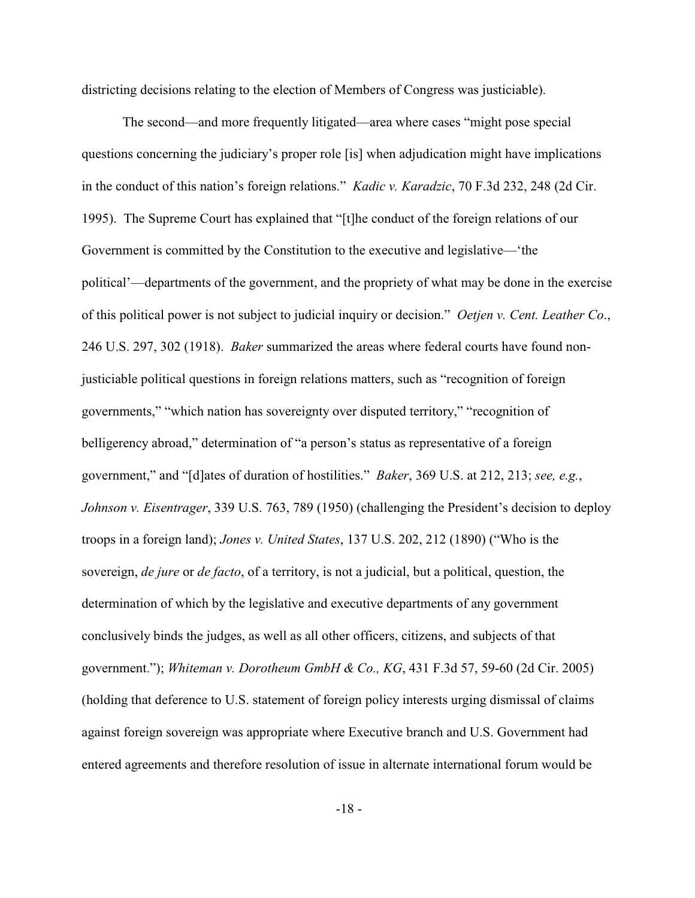districting decisions relating to the election of Members of Congress was justiciable).

The second—and more frequently litigated—area where cases "might pose special questions concerning the judiciary's proper role [is] when adjudication might have implications in the conduct of this nation's foreign relations." *Kadic v. Karadzic*, 70 F.3d 232, 248 (2d Cir. 1995). The Supreme Court has explained that "[t]he conduct of the foreign relations of our Government is committed by the Constitution to the executive and legislative—'the political'—departments of the government, and the propriety of what may be done in the exercise of this political power is not subject to judicial inquiry or decision." *Oetjen v. Cent. Leather Co*., 246 U.S. 297, 302 (1918). *Baker* summarized the areas where federal courts have found nonjusticiable political questions in foreign relations matters, such as "recognition of foreign governments," "which nation has sovereignty over disputed territory," "recognition of belligerency abroad," determination of "a person's status as representative of a foreign government," and "[d]ates of duration of hostilities." *Baker*, 369 U.S. at 212, 213; *see, e.g.*, *Johnson v. Eisentrager*, 339 U.S. 763, 789 (1950) (challenging the President's decision to deploy troops in a foreign land); *Jones v. United States*, 137 U.S. 202, 212 (1890) ("Who is the sovereign, *de jure* or *de facto*, of a territory, is not a judicial, but a political, question, the determination of which by the legislative and executive departments of any government conclusively binds the judges, as well as all other officers, citizens, and subjects of that government."); *Whiteman v. Dorotheum GmbH & Co., KG*, 431 F.3d 57, 59-60 (2d Cir. 2005) (holding that deference to U.S. statement of foreign policy interests urging dismissal of claims against foreign sovereign was appropriate where Executive branch and U.S. Government had entered agreements and therefore resolution of issue in alternate international forum would be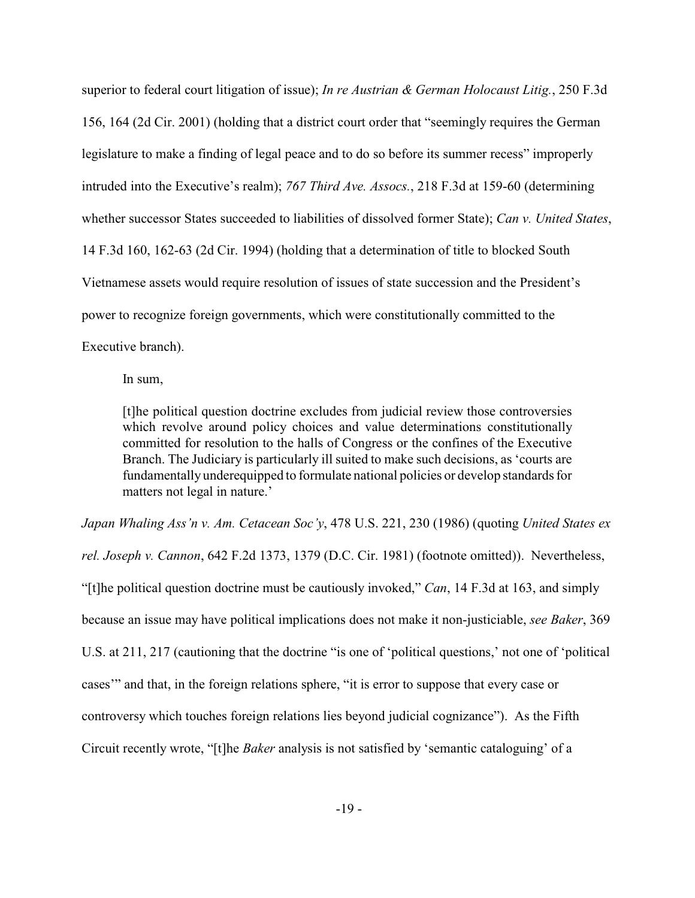superior to federal court litigation of issue); *In re Austrian & German Holocaust Litig.*, 250 F.3d 156, 164 (2d Cir. 2001) (holding that a district court order that "seemingly requires the German legislature to make a finding of legal peace and to do so before its summer recess" improperly intruded into the Executive's realm); *767 Third Ave. Assocs.*, 218 F.3d at 159-60 (determining whether successor States succeeded to liabilities of dissolved former State); *Can v. United States*, 14 F.3d 160, 162-63 (2d Cir. 1994) (holding that a determination of title to blocked South Vietnamese assets would require resolution of issues of state succession and the President's power to recognize foreign governments, which were constitutionally committed to the Executive branch).

In sum,

[t]he political question doctrine excludes from judicial review those controversies which revolve around policy choices and value determinations constitutionally committed for resolution to the halls of Congress or the confines of the Executive Branch. The Judiciary is particularly ill suited to make such decisions, as 'courts are fundamentally underequipped to formulate national policies or develop standards for matters not legal in nature.'

*Japan Whaling Ass'n v. Am. Cetacean Soc'y*, 478 U.S. 221, 230 (1986) (quoting *United States ex rel. Joseph v. Cannon*, 642 F.2d 1373, 1379 (D.C. Cir. 1981) (footnote omitted)). Nevertheless, "[t]he political question doctrine must be cautiously invoked," *Can*, 14 F.3d at 163, and simply because an issue may have political implications does not make it non-justiciable, *see Baker*, 369 U.S. at 211, 217 (cautioning that the doctrine "is one of 'political questions,' not one of 'political cases'" and that, in the foreign relations sphere, "it is error to suppose that every case or controversy which touches foreign relations lies beyond judicial cognizance"). As the Fifth Circuit recently wrote, "[t]he *Baker* analysis is not satisfied by 'semantic cataloguing' of a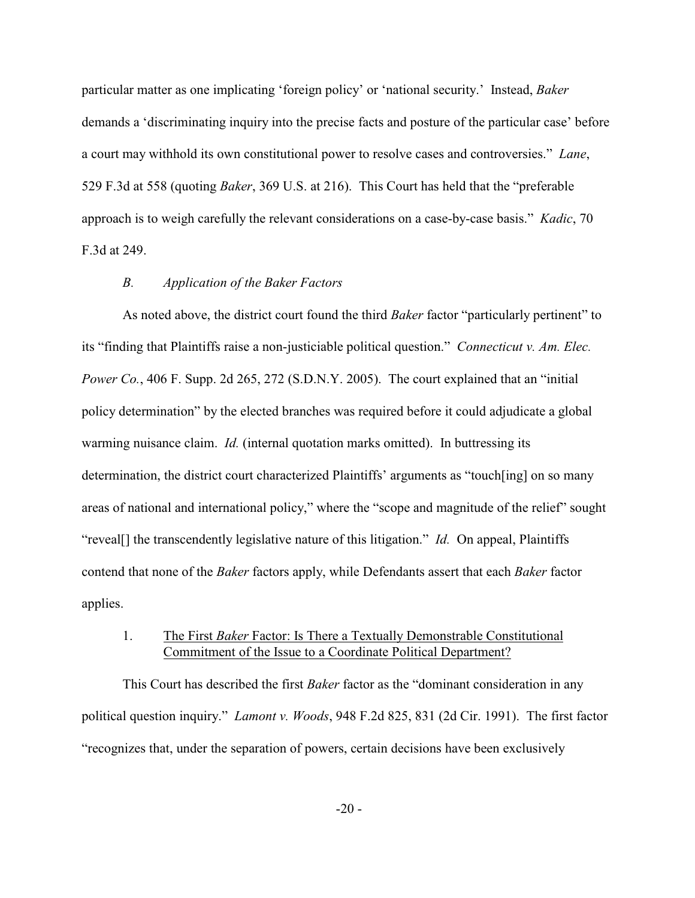particular matter as one implicating 'foreign policy' or 'national security.' Instead, *Baker* demands a 'discriminating inquiry into the precise facts and posture of the particular case' before a court may withhold its own constitutional power to resolve cases and controversies." *Lane*, 529 F.3d at 558 (quoting *Baker*, 369 U.S. at 216). This Court has held that the "preferable approach is to weigh carefully the relevant considerations on a case-by-case basis." *Kadic*, 70 F.3d at 249.

### *B. Application of the Baker Factors*

As noted above, the district court found the third *Baker* factor "particularly pertinent" to its "finding that Plaintiffs raise a non-justiciable political question." *Connecticut v. Am. Elec. Power Co.*, 406 F. Supp. 2d 265, 272 (S.D.N.Y. 2005). The court explained that an "initial policy determination" by the elected branches was required before it could adjudicate a global warming nuisance claim. *Id.* (internal quotation marks omitted). In buttressing its determination, the district court characterized Plaintiffs' arguments as "touch[ing] on so many areas of national and international policy," where the "scope and magnitude of the relief" sought "reveal[] the transcendently legislative nature of this litigation." *Id.* On appeal, Plaintiffs contend that none of the *Baker* factors apply, while Defendants assert that each *Baker* factor applies.

# 1. The First *Baker* Factor: Is There a Textually Demonstrable Constitutional Commitment of the Issue to a Coordinate Political Department?

This Court has described the first *Baker* factor as the "dominant consideration in any political question inquiry." *Lamont v. Woods*, 948 F.2d 825, 831 (2d Cir. 1991). The first factor "recognizes that, under the separation of powers, certain decisions have been exclusively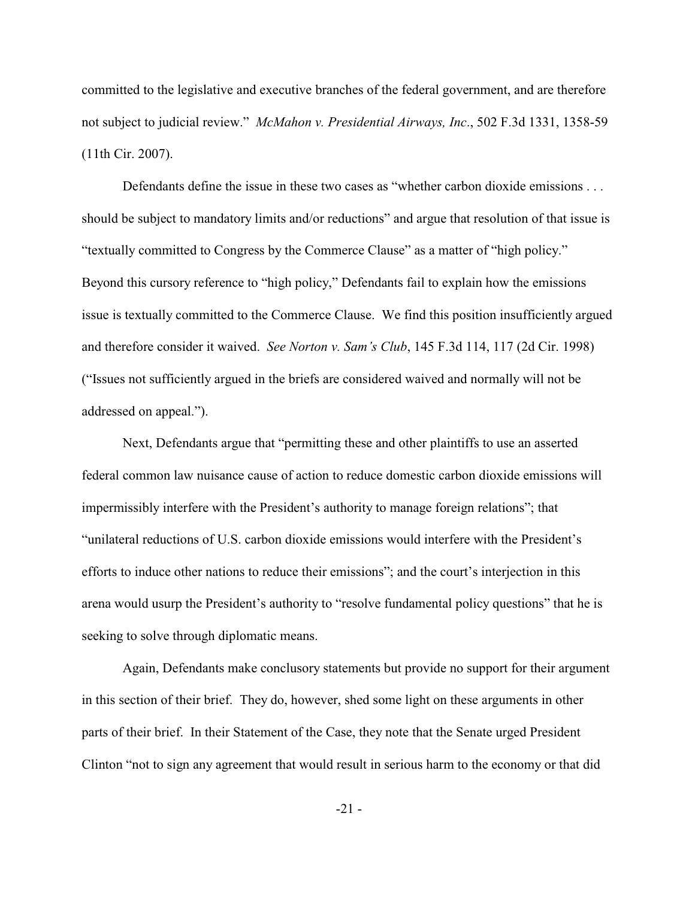committed to the legislative and executive branches of the federal government, and are therefore not subject to judicial review." *McMahon v. Presidential Airways, Inc*., 502 F.3d 1331, 1358-59 (11th Cir. 2007).

Defendants define the issue in these two cases as "whether carbon dioxide emissions . . . should be subject to mandatory limits and/or reductions" and argue that resolution of that issue is "textually committed to Congress by the Commerce Clause" as a matter of "high policy." Beyond this cursory reference to "high policy," Defendants fail to explain how the emissions issue is textually committed to the Commerce Clause. We find this position insufficiently argued and therefore consider it waived. *See Norton v. Sam's Club*, 145 F.3d 114, 117 (2d Cir. 1998) ("Issues not sufficiently argued in the briefs are considered waived and normally will not be addressed on appeal.").

Next, Defendants argue that "permitting these and other plaintiffs to use an asserted federal common law nuisance cause of action to reduce domestic carbon dioxide emissions will impermissibly interfere with the President's authority to manage foreign relations"; that "unilateral reductions of U.S. carbon dioxide emissions would interfere with the President's efforts to induce other nations to reduce their emissions"; and the court's interjection in this arena would usurp the President's authority to "resolve fundamental policy questions" that he is seeking to solve through diplomatic means.

Again, Defendants make conclusory statements but provide no support for their argument in this section of their brief. They do, however, shed some light on these arguments in other parts of their brief. In their Statement of the Case, they note that the Senate urged President Clinton "not to sign any agreement that would result in serious harm to the economy or that did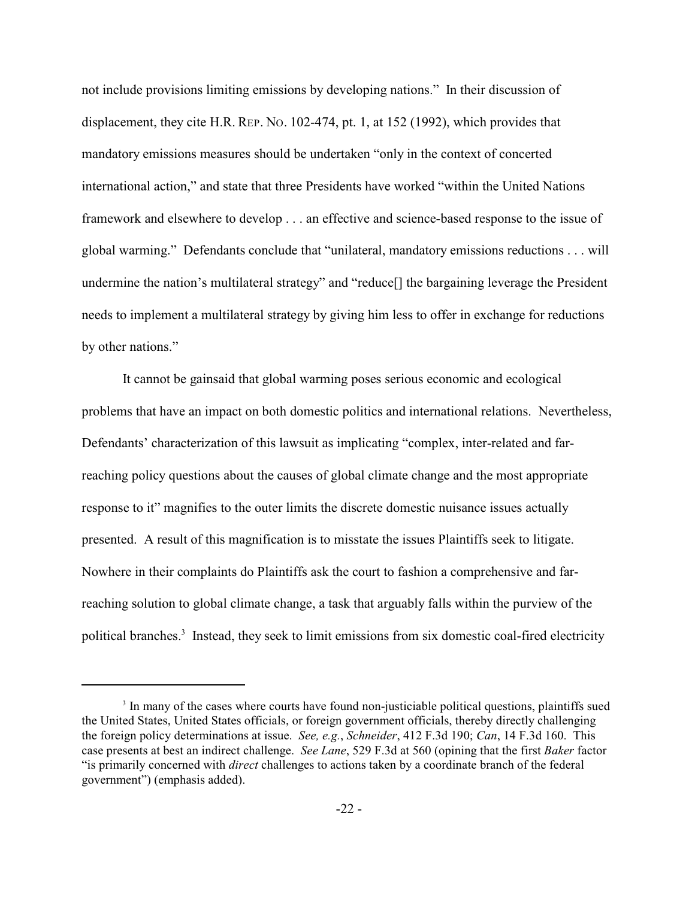not include provisions limiting emissions by developing nations." In their discussion of displacement, they cite H.R. REP. NO. 102-474, pt. 1, at 152 (1992), which provides that mandatory emissions measures should be undertaken "only in the context of concerted international action," and state that three Presidents have worked "within the United Nations framework and elsewhere to develop . . . an effective and science-based response to the issue of global warming." Defendants conclude that "unilateral, mandatory emissions reductions . . . will undermine the nation's multilateral strategy" and "reduce[] the bargaining leverage the President needs to implement a multilateral strategy by giving him less to offer in exchange for reductions by other nations."

It cannot be gainsaid that global warming poses serious economic and ecological problems that have an impact on both domestic politics and international relations. Nevertheless, Defendants' characterization of this lawsuit as implicating "complex, inter-related and farreaching policy questions about the causes of global climate change and the most appropriate response to it" magnifies to the outer limits the discrete domestic nuisance issues actually presented. A result of this magnification is to misstate the issues Plaintiffs seek to litigate. Nowhere in their complaints do Plaintiffs ask the court to fashion a comprehensive and farreaching solution to global climate change, a task that arguably falls within the purview of the political branches.<sup>3</sup> Instead, they seek to limit emissions from six domestic coal-fired electricity

<sup>&</sup>lt;sup>3</sup> In many of the cases where courts have found non-justiciable political questions, plaintiffs sued the United States, United States officials, or foreign government officials, thereby directly challenging the foreign policy determinations at issue. *See, e.g.*, *Schneider*, 412 F.3d 190; *Can*, 14 F.3d 160. This case presents at best an indirect challenge. *See Lane*, 529 F.3d at 560 (opining that the first *Baker* factor "is primarily concerned with *direct* challenges to actions taken by a coordinate branch of the federal government") (emphasis added).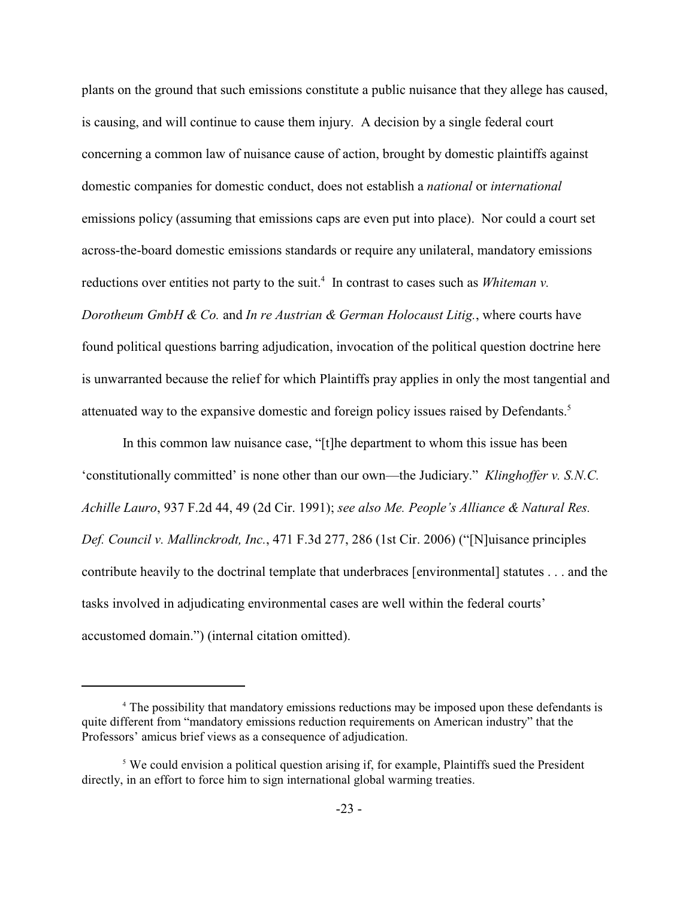plants on the ground that such emissions constitute a public nuisance that they allege has caused, is causing, and will continue to cause them injury. A decision by a single federal court concerning a common law of nuisance cause of action, brought by domestic plaintiffs against domestic companies for domestic conduct, does not establish a *national* or *international* emissions policy (assuming that emissions caps are even put into place). Nor could a court set across-the-board domestic emissions standards or require any unilateral, mandatory emissions reductions over entities not party to the suit.<sup>4</sup> In contrast to cases such as *Whiteman v*. *Dorotheum GmbH & Co.* and *In re Austrian & German Holocaust Litig.*, where courts have found political questions barring adjudication, invocation of the political question doctrine here is unwarranted because the relief for which Plaintiffs pray applies in only the most tangential and attenuated way to the expansive domestic and foreign policy issues raised by Defendants.<sup>5</sup>

In this common law nuisance case, "[t]he department to whom this issue has been 'constitutionally committed' is none other than our own—the Judiciary." *Klinghoffer v. S.N.C. Achille Lauro*, 937 F.2d 44, 49 (2d Cir. 1991); *see also Me. People's Alliance & Natural Res. Def. Council v. Mallinckrodt, Inc.*, 471 F.3d 277, 286 (1st Cir. 2006) ("[N]uisance principles contribute heavily to the doctrinal template that underbraces [environmental] statutes . . . and the tasks involved in adjudicating environmental cases are well within the federal courts' accustomed domain.") (internal citation omitted).

<sup>&</sup>lt;sup>4</sup> The possibility that mandatory emissions reductions may be imposed upon these defendants is quite different from "mandatory emissions reduction requirements on American industry" that the Professors' amicus brief views as a consequence of adjudication.

 $\delta$  We could envision a political question arising if, for example, Plaintiffs sued the President directly, in an effort to force him to sign international global warming treaties.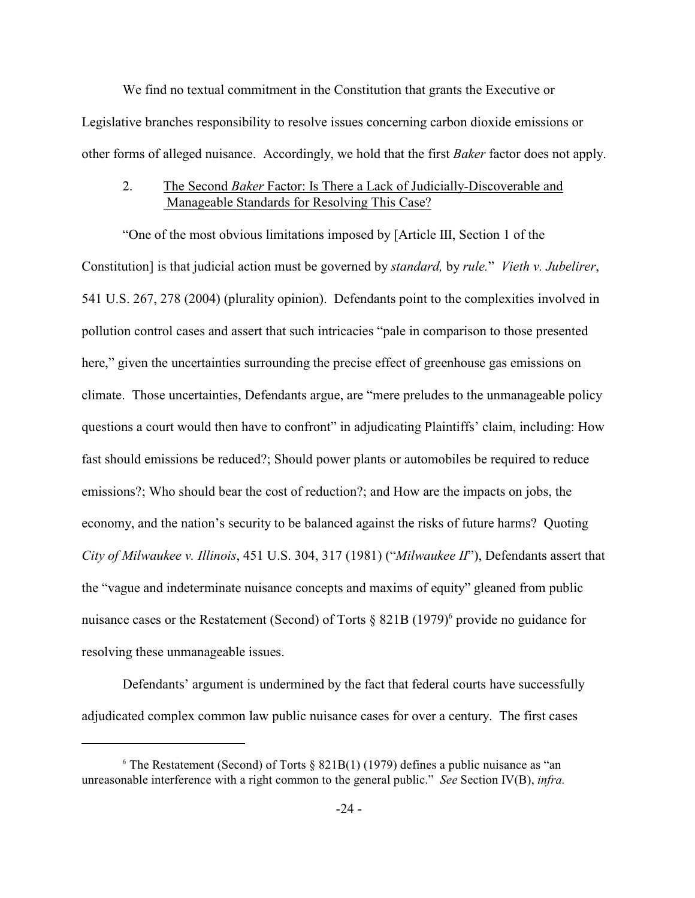We find no textual commitment in the Constitution that grants the Executive or Legislative branches responsibility to resolve issues concerning carbon dioxide emissions or other forms of alleged nuisance. Accordingly, we hold that the first *Baker* factor does not apply.

## 2. The Second *Baker* Factor: Is There a Lack of Judicially-Discoverable and Manageable Standards for Resolving This Case?

"One of the most obvious limitations imposed by [Article III, Section 1 of the Constitution] is that judicial action must be governed by *standard,* by *rule.*" *Vieth v. Jubelirer*, 541 U.S. 267, 278 (2004) (plurality opinion). Defendants point to the complexities involved in pollution control cases and assert that such intricacies "pale in comparison to those presented here," given the uncertainties surrounding the precise effect of greenhouse gas emissions on climate. Those uncertainties, Defendants argue, are "mere preludes to the unmanageable policy questions a court would then have to confront" in adjudicating Plaintiffs' claim, including: How fast should emissions be reduced?; Should power plants or automobiles be required to reduce emissions?; Who should bear the cost of reduction?; and How are the impacts on jobs, the economy, and the nation's security to be balanced against the risks of future harms? Quoting *City of Milwaukee v. Illinois*, 451 U.S. 304, 317 (1981) ("*Milwaukee II*"), Defendants assert that the "vague and indeterminate nuisance concepts and maxims of equity" gleaned from public nuisance cases or the Restatement (Second) of Torts  $\S$  821B (1979)<sup>6</sup> provide no guidance for resolving these unmanageable issues.

Defendants' argument is undermined by the fact that federal courts have successfully adjudicated complex common law public nuisance cases for over a century. The first cases

 $6$  The Restatement (Second) of Torts  $8821B(1)$  (1979) defines a public nuisance as "an unreasonable interference with a right common to the general public." *See* Section IV(B), *infra.*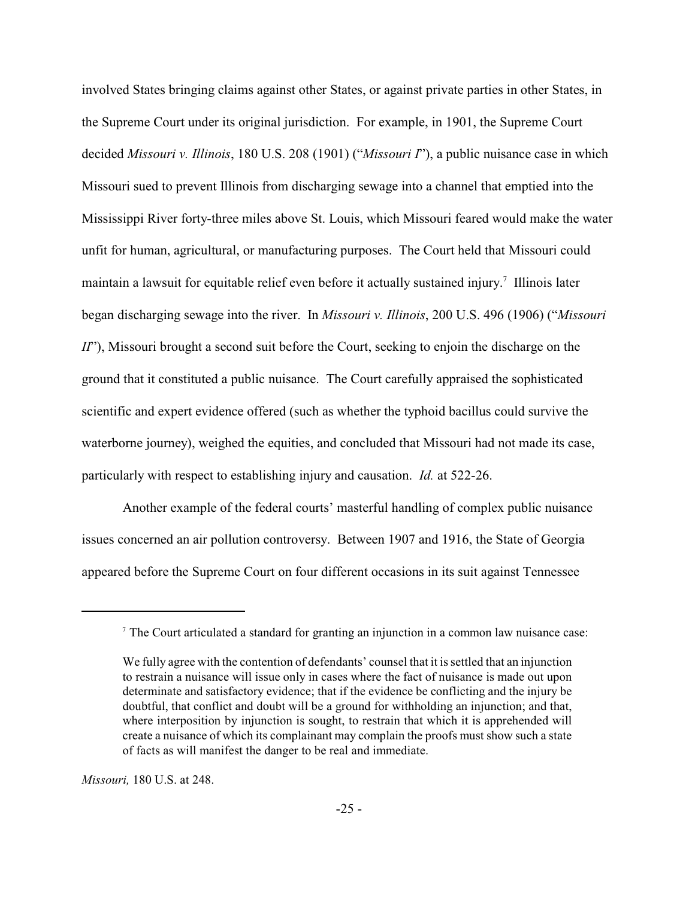involved States bringing claims against other States, or against private parties in other States, in the Supreme Court under its original jurisdiction. For example, in 1901, the Supreme Court decided *Missouri v. Illinois*, 180 U.S. 208 (1901) ("*Missouri I*"), a public nuisance case in which Missouri sued to prevent Illinois from discharging sewage into a channel that emptied into the Mississippi River forty-three miles above St. Louis, which Missouri feared would make the water unfit for human, agricultural, or manufacturing purposes. The Court held that Missouri could maintain a lawsuit for equitable relief even before it actually sustained injury.<sup>7</sup> Illinois later began discharging sewage into the river. In *Missouri v. Illinois*, 200 U.S. 496 (1906) ("*Missouri II*"), Missouri brought a second suit before the Court, seeking to enjoin the discharge on the ground that it constituted a public nuisance. The Court carefully appraised the sophisticated scientific and expert evidence offered (such as whether the typhoid bacillus could survive the waterborne journey), weighed the equities, and concluded that Missouri had not made its case, particularly with respect to establishing injury and causation. *Id.* at 522-26.

Another example of the federal courts' masterful handling of complex public nuisance issues concerned an air pollution controversy. Between 1907 and 1916, the State of Georgia appeared before the Supreme Court on four different occasions in its suit against Tennessee

*Missouri,* 180 U.S. at 248.

 $\alpha$  The Court articulated a standard for granting an injunction in a common law nuisance case:

We fully agree with the contention of defendants' counsel that it is settled that an injunction to restrain a nuisance will issue only in cases where the fact of nuisance is made out upon determinate and satisfactory evidence; that if the evidence be conflicting and the injury be doubtful, that conflict and doubt will be a ground for withholding an injunction; and that, where interposition by injunction is sought, to restrain that which it is apprehended will create a nuisance of which its complainant may complain the proofs must show such a state of facts as will manifest the danger to be real and immediate.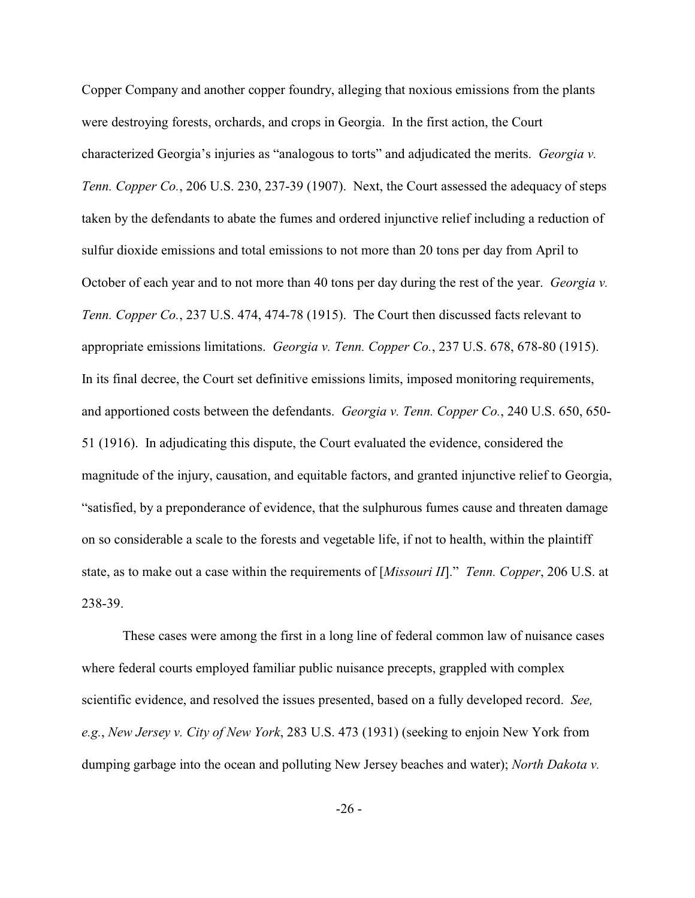Copper Company and another copper foundry, alleging that noxious emissions from the plants were destroying forests, orchards, and crops in Georgia. In the first action, the Court characterized Georgia's injuries as "analogous to torts" and adjudicated the merits. *Georgia v. Tenn. Copper Co.*, 206 U.S. 230, 237-39 (1907). Next, the Court assessed the adequacy of steps taken by the defendants to abate the fumes and ordered injunctive relief including a reduction of sulfur dioxide emissions and total emissions to not more than 20 tons per day from April to October of each year and to not more than 40 tons per day during the rest of the year. *Georgia v. Tenn. Copper Co.*, 237 U.S. 474, 474-78 (1915). The Court then discussed facts relevant to appropriate emissions limitations. *Georgia v. Tenn. Copper Co.*, 237 U.S. 678, 678-80 (1915). In its final decree, the Court set definitive emissions limits, imposed monitoring requirements, and apportioned costs between the defendants. *Georgia v. Tenn. Copper Co.*, 240 U.S. 650, 650- 51 (1916). In adjudicating this dispute, the Court evaluated the evidence, considered the magnitude of the injury, causation, and equitable factors, and granted injunctive relief to Georgia, "satisfied, by a preponderance of evidence, that the sulphurous fumes cause and threaten damage on so considerable a scale to the forests and vegetable life, if not to health, within the plaintiff state, as to make out a case within the requirements of [*Missouri II*]." *Tenn. Copper*, 206 U.S. at 238-39.

These cases were among the first in a long line of federal common law of nuisance cases where federal courts employed familiar public nuisance precepts, grappled with complex scientific evidence, and resolved the issues presented, based on a fully developed record. *See, e.g.*, *New Jersey v. City of New York*, 283 U.S. 473 (1931) (seeking to enjoin New York from dumping garbage into the ocean and polluting New Jersey beaches and water); *North Dakota v.*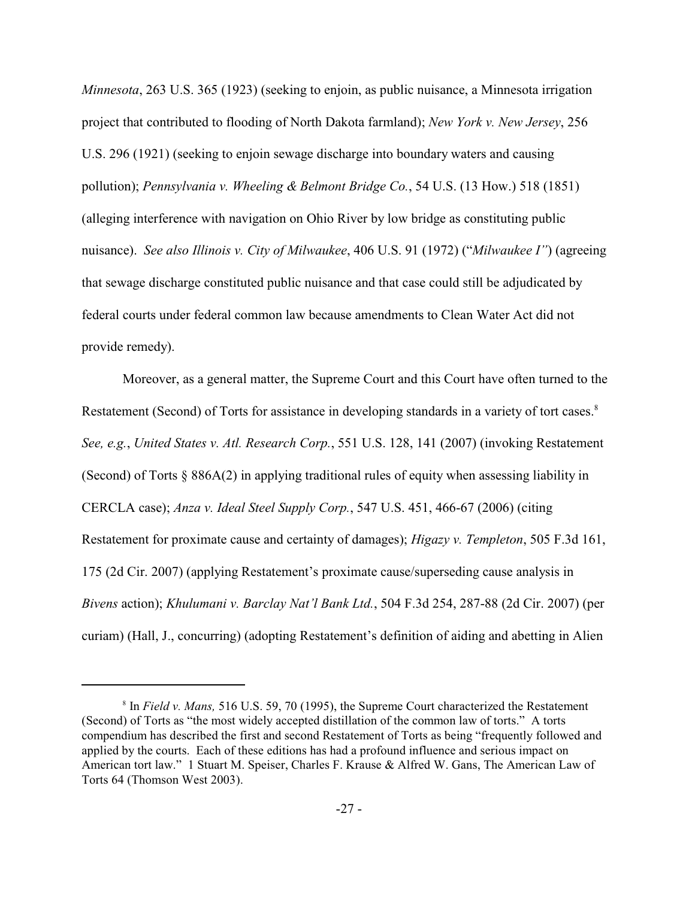*Minnesota*, 263 U.S. 365 (1923) (seeking to enjoin, as public nuisance, a Minnesota irrigation project that contributed to flooding of North Dakota farmland); *New York v. New Jersey*, 256 U.S. 296 (1921) (seeking to enjoin sewage discharge into boundary waters and causing pollution); *Pennsylvania v. Wheeling & Belmont Bridge Co.*, 54 U.S. (13 How.) 518 (1851) (alleging interference with navigation on Ohio River by low bridge as constituting public nuisance). *See also Illinois v. City of Milwaukee*, 406 U.S. 91 (1972) ("*Milwaukee I"*) (agreeing that sewage discharge constituted public nuisance and that case could still be adjudicated by federal courts under federal common law because amendments to Clean Water Act did not provide remedy).

Moreover, as a general matter, the Supreme Court and this Court have often turned to the Restatement (Second) of Torts for assistance in developing standards in a variety of tort cases.<sup>8</sup> *See, e.g.*, *United States v. Atl. Research Corp.*, 551 U.S. 128, 141 (2007) (invoking Restatement (Second) of Torts § 886A(2) in applying traditional rules of equity when assessing liability in CERCLA case); *Anza v. Ideal Steel Supply Corp.*, 547 U.S. 451, 466-67 (2006) (citing Restatement for proximate cause and certainty of damages); *Higazy v. Templeton*, 505 F.3d 161, 175 (2d Cir. 2007) (applying Restatement's proximate cause/superseding cause analysis in *Bivens* action); *Khulumani v. Barclay Nat'l Bank Ltd.*, 504 F.3d 254, 287-88 (2d Cir. 2007) (per curiam) (Hall, J., concurring) (adopting Restatement's definition of aiding and abetting in Alien

<sup>&</sup>lt;sup>8</sup> In *Field v. Mans*, 516 U.S. 59, 70 (1995), the Supreme Court characterized the Restatement (Second) of Torts as "the most widely accepted distillation of the common law of torts." A torts compendium has described the first and second Restatement of Torts as being "frequently followed and applied by the courts. Each of these editions has had a profound influence and serious impact on American tort law." 1 Stuart M. Speiser, Charles F. Krause & Alfred W. Gans, The American Law of Torts 64 (Thomson West 2003).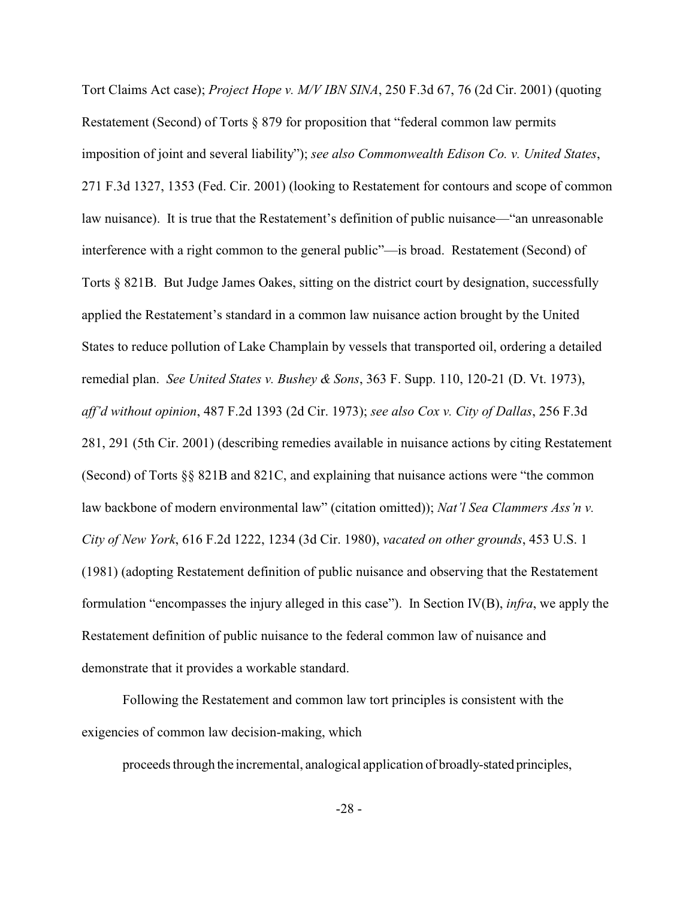Tort Claims Act case); *Project Hope v. M/V IBN SINA*, 250 F.3d 67, 76 (2d Cir. 2001) (quoting Restatement (Second) of Torts § 879 for proposition that "federal common law permits imposition of joint and several liability"); *see also Commonwealth Edison Co. v. United States*, 271 F.3d 1327, 1353 (Fed. Cir. 2001) (looking to Restatement for contours and scope of common law nuisance). It is true that the Restatement's definition of public nuisance—"an unreasonable interference with a right common to the general public"—is broad. Restatement (Second) of Torts § 821B. But Judge James Oakes, sitting on the district court by designation, successfully applied the Restatement's standard in a common law nuisance action brought by the United States to reduce pollution of Lake Champlain by vessels that transported oil, ordering a detailed remedial plan. *See United States v. Bushey & Sons*, 363 F. Supp. 110, 120-21 (D. Vt. 1973), *aff'd without opinion*, 487 F.2d 1393 (2d Cir. 1973); *see also Cox v. City of Dallas*, 256 F.3d 281, 291 (5th Cir. 2001) (describing remedies available in nuisance actions by citing Restatement (Second) of Torts §§ 821B and 821C, and explaining that nuisance actions were "the common law backbone of modern environmental law" (citation omitted)); *Nat'l Sea Clammers Ass'n v. City of New York*, 616 F.2d 1222, 1234 (3d Cir. 1980), *vacated on other grounds*, 453 U.S. 1 (1981) (adopting Restatement definition of public nuisance and observing that the Restatement formulation "encompasses the injury alleged in this case"). In Section IV(B), *infra*, we apply the Restatement definition of public nuisance to the federal common law of nuisance and demonstrate that it provides a workable standard.

Following the Restatement and common law tort principles is consistent with the exigencies of common law decision-making, which

proceeds through the incremental, analogical application of broadly-stated principles,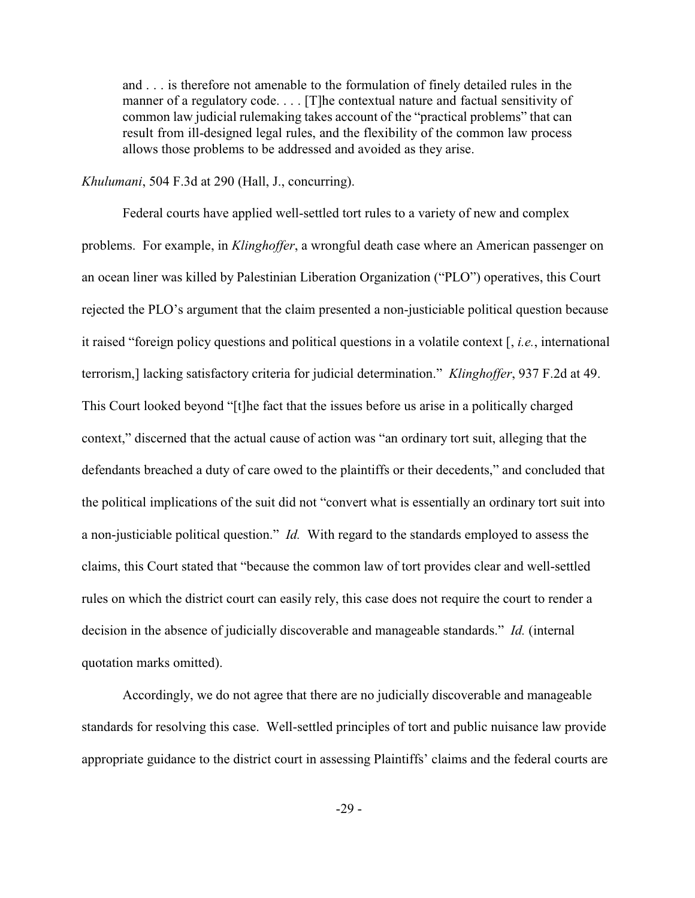and . . . is therefore not amenable to the formulation of finely detailed rules in the manner of a regulatory code.... [The contextual nature and factual sensitivity of common law judicial rulemaking takes account of the "practical problems" that can result from ill-designed legal rules, and the flexibility of the common law process allows those problems to be addressed and avoided as they arise.

*Khulumani*, 504 F.3d at 290 (Hall, J., concurring).

Federal courts have applied well-settled tort rules to a variety of new and complex problems. For example, in *Klinghoffer*, a wrongful death case where an American passenger on an ocean liner was killed by Palestinian Liberation Organization ("PLO") operatives, this Court rejected the PLO's argument that the claim presented a non-justiciable political question because it raised "foreign policy questions and political questions in a volatile context [, *i.e.*, international terrorism,] lacking satisfactory criteria for judicial determination." *Klinghoffer*, 937 F.2d at 49. This Court looked beyond "[t]he fact that the issues before us arise in a politically charged context," discerned that the actual cause of action was "an ordinary tort suit, alleging that the defendants breached a duty of care owed to the plaintiffs or their decedents," and concluded that the political implications of the suit did not "convert what is essentially an ordinary tort suit into a non-justiciable political question." *Id.* With regard to the standards employed to assess the claims, this Court stated that "because the common law of tort provides clear and well-settled rules on which the district court can easily rely, this case does not require the court to render a decision in the absence of judicially discoverable and manageable standards." *Id.* (internal quotation marks omitted).

Accordingly, we do not agree that there are no judicially discoverable and manageable standards for resolving this case. Well-settled principles of tort and public nuisance law provide appropriate guidance to the district court in assessing Plaintiffs' claims and the federal courts are

-29 -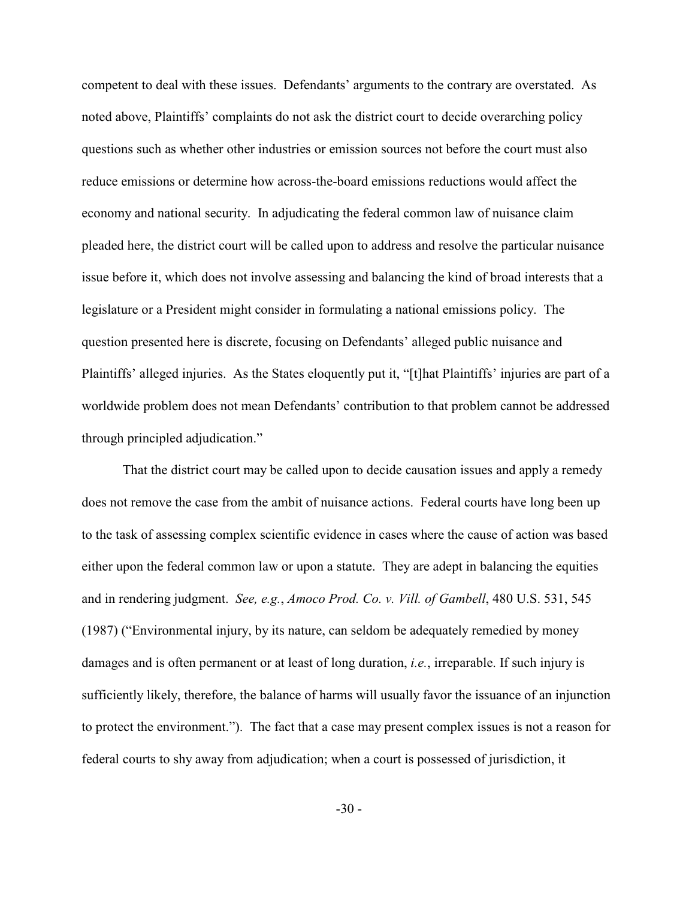competent to deal with these issues. Defendants' arguments to the contrary are overstated. As noted above, Plaintiffs' complaints do not ask the district court to decide overarching policy questions such as whether other industries or emission sources not before the court must also reduce emissions or determine how across-the-board emissions reductions would affect the economy and national security. In adjudicating the federal common law of nuisance claim pleaded here, the district court will be called upon to address and resolve the particular nuisance issue before it, which does not involve assessing and balancing the kind of broad interests that a legislature or a President might consider in formulating a national emissions policy. The question presented here is discrete, focusing on Defendants' alleged public nuisance and Plaintiffs' alleged injuries. As the States eloquently put it, "[t]hat Plaintiffs' injuries are part of a worldwide problem does not mean Defendants' contribution to that problem cannot be addressed through principled adjudication."

That the district court may be called upon to decide causation issues and apply a remedy does not remove the case from the ambit of nuisance actions. Federal courts have long been up to the task of assessing complex scientific evidence in cases where the cause of action was based either upon the federal common law or upon a statute. They are adept in balancing the equities and in rendering judgment. *See, e.g.*, *Amoco Prod. Co. v. Vill. of Gambell*, 480 U.S. 531, 545 (1987) ("Environmental injury, by its nature, can seldom be adequately remedied by money damages and is often permanent or at least of long duration, *i.e.*, irreparable. If such injury is sufficiently likely, therefore, the balance of harms will usually favor the issuance of an injunction to protect the environment."). The fact that a case may present complex issues is not a reason for federal courts to shy away from adjudication; when a court is possessed of jurisdiction, it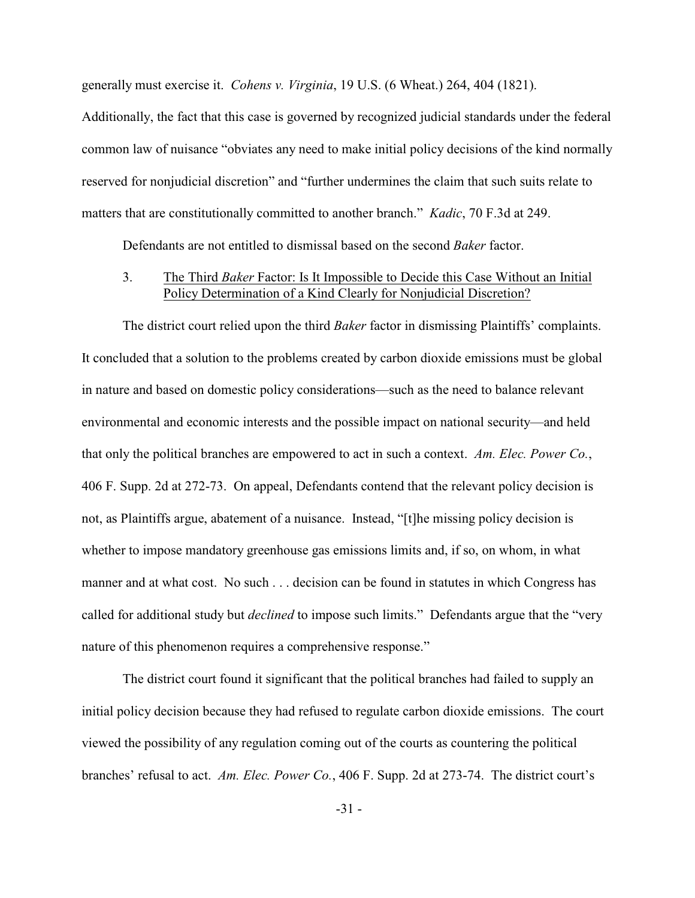generally must exercise it. *Cohens v. Virginia*, 19 U.S. (6 Wheat.) 264, 404 (1821).

Additionally, the fact that this case is governed by recognized judicial standards under the federal common law of nuisance "obviates any need to make initial policy decisions of the kind normally reserved for nonjudicial discretion" and "further undermines the claim that such suits relate to matters that are constitutionally committed to another branch." *Kadic*, 70 F.3d at 249.

Defendants are not entitled to dismissal based on the second *Baker* factor.

## 3. The Third *Baker* Factor: Is It Impossible to Decide this Case Without an Initial Policy Determination of a Kind Clearly for Nonjudicial Discretion?

The district court relied upon the third *Baker* factor in dismissing Plaintiffs' complaints. It concluded that a solution to the problems created by carbon dioxide emissions must be global in nature and based on domestic policy considerations—such as the need to balance relevant environmental and economic interests and the possible impact on national security—and held that only the political branches are empowered to act in such a context. *Am. Elec. Power Co.*, 406 F. Supp. 2d at 272-73. On appeal, Defendants contend that the relevant policy decision is not, as Plaintiffs argue, abatement of a nuisance. Instead, "[t]he missing policy decision is whether to impose mandatory greenhouse gas emissions limits and, if so, on whom, in what manner and at what cost. No such . . . decision can be found in statutes in which Congress has called for additional study but *declined* to impose such limits." Defendants argue that the "very nature of this phenomenon requires a comprehensive response."

The district court found it significant that the political branches had failed to supply an initial policy decision because they had refused to regulate carbon dioxide emissions. The court viewed the possibility of any regulation coming out of the courts as countering the political branches' refusal to act. *Am. Elec. Power Co.*, 406 F. Supp. 2d at 273-74. The district court's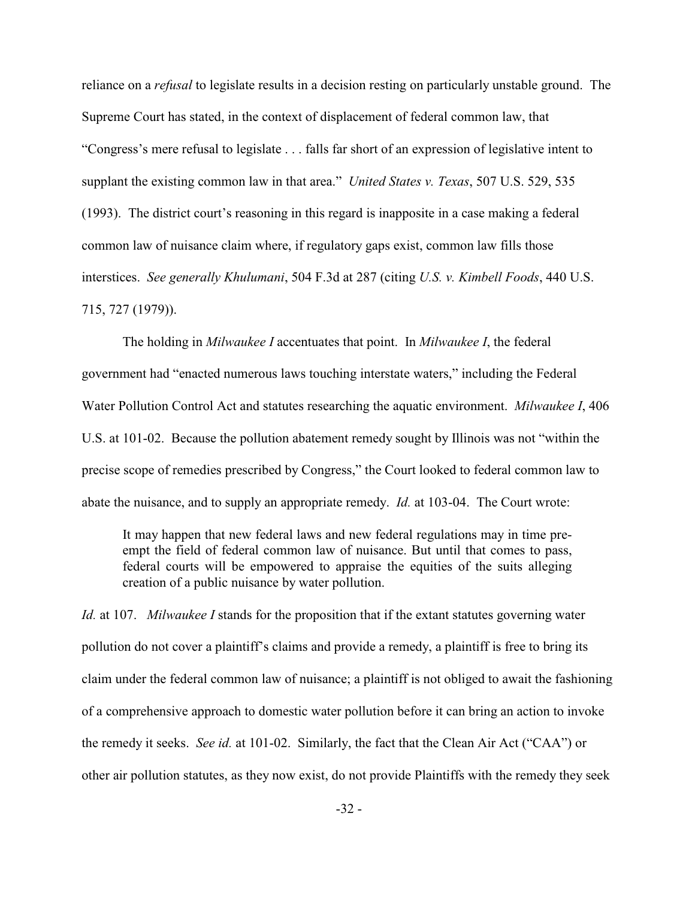reliance on a *refusal* to legislate results in a decision resting on particularly unstable ground. The Supreme Court has stated, in the context of displacement of federal common law, that "Congress's mere refusal to legislate . . . falls far short of an expression of legislative intent to supplant the existing common law in that area." *United States v. Texas*, 507 U.S. 529, 535 (1993). The district court's reasoning in this regard is inapposite in a case making a federal common law of nuisance claim where, if regulatory gaps exist, common law fills those interstices. *See generally Khulumani*, 504 F.3d at 287 (citing *U.S. v. Kimbell Foods*, 440 U.S. 715, 727 (1979)).

The holding in *Milwaukee I* accentuates that point. In *Milwaukee I*, the federal government had "enacted numerous laws touching interstate waters," including the Federal Water Pollution Control Act and statutes researching the aquatic environment. *Milwaukee I*, 406 U.S. at 101-02. Because the pollution abatement remedy sought by Illinois was not "within the precise scope of remedies prescribed by Congress," the Court looked to federal common law to abate the nuisance, and to supply an appropriate remedy. *Id.* at 103-04. The Court wrote:

It may happen that new federal laws and new federal regulations may in time preempt the field of federal common law of nuisance. But until that comes to pass, federal courts will be empowered to appraise the equities of the suits alleging creation of a public nuisance by water pollution.

*Id.* at 107. *Milwaukee I* stands for the proposition that if the extant statutes governing water pollution do not cover a plaintiff's claims and provide a remedy, a plaintiff is free to bring its claim under the federal common law of nuisance; a plaintiff is not obliged to await the fashioning of a comprehensive approach to domestic water pollution before it can bring an action to invoke the remedy it seeks. *See id.* at 101-02. Similarly, the fact that the Clean Air Act ("CAA") or other air pollution statutes, as they now exist, do not provide Plaintiffs with the remedy they seek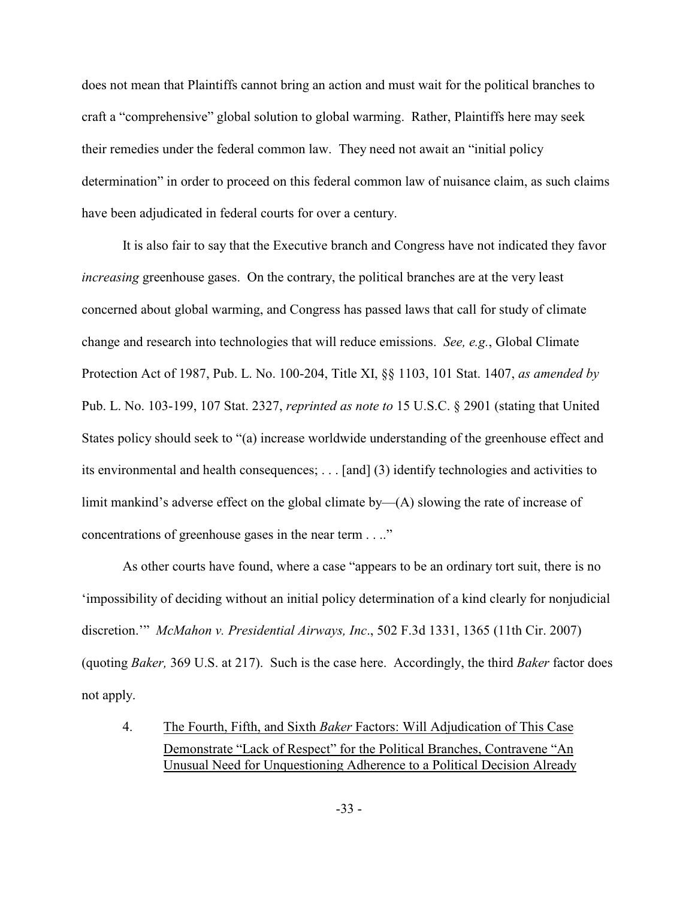does not mean that Plaintiffs cannot bring an action and must wait for the political branches to craft a "comprehensive" global solution to global warming. Rather, Plaintiffs here may seek their remedies under the federal common law. They need not await an "initial policy determination" in order to proceed on this federal common law of nuisance claim, as such claims have been adjudicated in federal courts for over a century.

It is also fair to say that the Executive branch and Congress have not indicated they favor *increasing* greenhouse gases. On the contrary, the political branches are at the very least concerned about global warming, and Congress has passed laws that call for study of climate change and research into technologies that will reduce emissions. *See, e.g.*, Global Climate Protection Act of 1987, Pub. L. No. 100-204, Title XI, §§ 1103, 101 Stat. 1407, *as amended by* Pub. L. No. 103-199, 107 Stat. 2327, *reprinted as note to* 15 U.S.C. § 2901 (stating that United States policy should seek to "(a) increase worldwide understanding of the greenhouse effect and its environmental and health consequences; . . . [and] (3) identify technologies and activities to limit mankind's adverse effect on the global climate by—(A) slowing the rate of increase of concentrations of greenhouse gases in the near term . . .."

As other courts have found, where a case "appears to be an ordinary tort suit, there is no 'impossibility of deciding without an initial policy determination of a kind clearly for nonjudicial discretion.'" *McMahon v. Presidential Airways, Inc*., 502 F.3d 1331, 1365 (11th Cir. 2007) (quoting *Baker,* 369 U.S. at 217). Such is the case here. Accordingly, the third *Baker* factor does not apply.

4. The Fourth, Fifth, and Sixth *Baker* Factors: Will Adjudication of This Case Demonstrate "Lack of Respect" for the Political Branches, Contravene "An Unusual Need for Unquestioning Adherence to a Political Decision Already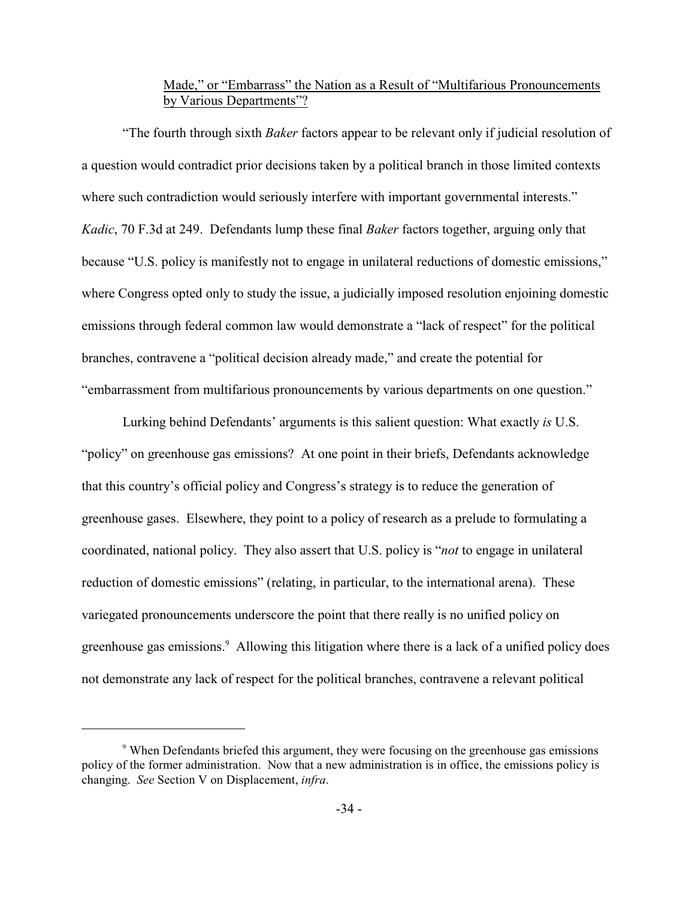# Made," or "Embarrass" the Nation as a Result of "Multifarious Pronouncements by Various Departments"?

"The fourth through sixth *Baker* factors appear to be relevant only if judicial resolution of a question would contradict prior decisions taken by a political branch in those limited contexts where such contradiction would seriously interfere with important governmental interests." *Kadic*, 70 F.3d at 249. Defendants lump these final *Baker* factors together, arguing only that because "U.S. policy is manifestly not to engage in unilateral reductions of domestic emissions," where Congress opted only to study the issue, a judicially imposed resolution enjoining domestic emissions through federal common law would demonstrate a "lack of respect" for the political branches, contravene a "political decision already made," and create the potential for "embarrassment from multifarious pronouncements by various departments on one question."

Lurking behind Defendants' arguments is this salient question: What exactly *is* U.S. "policy" on greenhouse gas emissions? At one point in their briefs, Defendants acknowledge that this country's official policy and Congress's strategy is to reduce the generation of greenhouse gases. Elsewhere, they point to a policy of research as a prelude to formulating a coordinated, national policy. They also assert that U.S. policy is "*not* to engage in unilateral reduction of domestic emissions" (relating, in particular, to the international arena). These variegated pronouncements underscore the point that there really is no unified policy on greenhouse gas emissions.<sup>9</sup> Allowing this litigation where there is a lack of a unified policy does not demonstrate any lack of respect for the political branches, contravene a relevant political

When Defendants briefed this argument, they were focusing on the greenhouse gas emissions <sup>9</sup> policy of the former administration. Now that a new administration is in office, the emissions policy is changing. *See* Section V on Displacement, *infra*.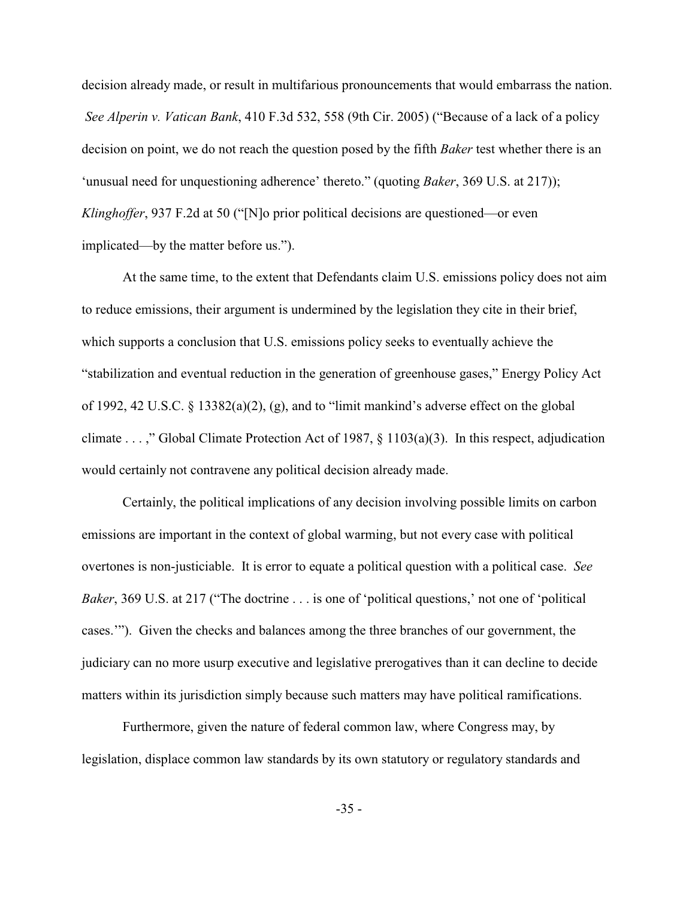decision already made, or result in multifarious pronouncements that would embarrass the nation.  *See Alperin v. Vatican Bank*, 410 F.3d 532, 558 (9th Cir. 2005) ("Because of a lack of a policy decision on point, we do not reach the question posed by the fifth *Baker* test whether there is an 'unusual need for unquestioning adherence' thereto." (quoting *Baker*, 369 U.S. at 217)); *Klinghoffer*, 937 F.2d at 50 ("[N]o prior political decisions are questioned—or even implicated—by the matter before us.").

At the same time, to the extent that Defendants claim U.S. emissions policy does not aim to reduce emissions, their argument is undermined by the legislation they cite in their brief, which supports a conclusion that U.S. emissions policy seeks to eventually achieve the "stabilization and eventual reduction in the generation of greenhouse gases," Energy Policy Act of 1992, 42 U.S.C. § 13382(a)(2), (g), and to "limit mankind's adverse effect on the global climate . . . ," Global Climate Protection Act of 1987, § 1103(a)(3). In this respect, adjudication would certainly not contravene any political decision already made.

Certainly, the political implications of any decision involving possible limits on carbon emissions are important in the context of global warming, but not every case with political overtones is non-justiciable. It is error to equate a political question with a political case. *See Baker*, 369 U.S. at 217 ("The doctrine . . . is one of 'political questions,' not one of 'political cases.'"). Given the checks and balances among the three branches of our government, the judiciary can no more usurp executive and legislative prerogatives than it can decline to decide matters within its jurisdiction simply because such matters may have political ramifications.

Furthermore, given the nature of federal common law, where Congress may, by legislation, displace common law standards by its own statutory or regulatory standards and

 $-35 -$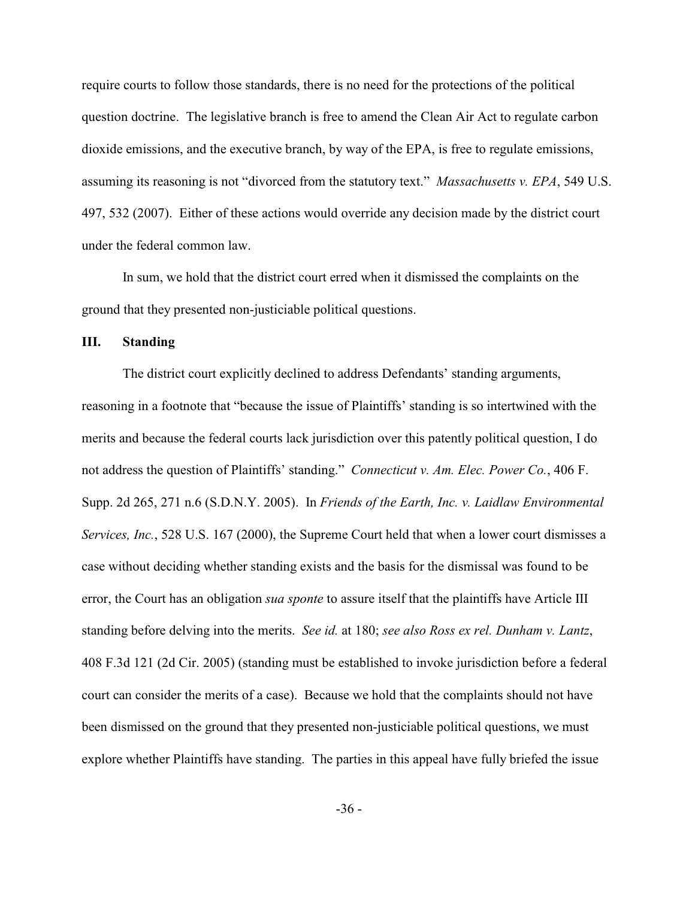require courts to follow those standards, there is no need for the protections of the political question doctrine. The legislative branch is free to amend the Clean Air Act to regulate carbon dioxide emissions, and the executive branch, by way of the EPA, is free to regulate emissions, assuming its reasoning is not "divorced from the statutory text." *Massachusetts v. EPA*, 549 U.S. 497, 532 (2007). Either of these actions would override any decision made by the district court under the federal common law.

In sum, we hold that the district court erred when it dismissed the complaints on the ground that they presented non-justiciable political questions.

#### **III. Standing**

The district court explicitly declined to address Defendants' standing arguments, reasoning in a footnote that "because the issue of Plaintiffs' standing is so intertwined with the merits and because the federal courts lack jurisdiction over this patently political question, I do not address the question of Plaintiffs' standing." *Connecticut v. Am. Elec. Power Co.*, 406 F. Supp. 2d 265, 271 n.6 (S.D.N.Y. 2005). In *Friends of the Earth, Inc. v. Laidlaw Environmental Services, Inc.*, 528 U.S. 167 (2000), the Supreme Court held that when a lower court dismisses a case without deciding whether standing exists and the basis for the dismissal was found to be error, the Court has an obligation *sua sponte* to assure itself that the plaintiffs have Article III standing before delving into the merits. *See id.* at 180; *see also Ross ex rel. Dunham v. Lantz*, 408 F.3d 121 (2d Cir. 2005) (standing must be established to invoke jurisdiction before a federal court can consider the merits of a case). Because we hold that the complaints should not have been dismissed on the ground that they presented non-justiciable political questions, we must explore whether Plaintiffs have standing. The parties in this appeal have fully briefed the issue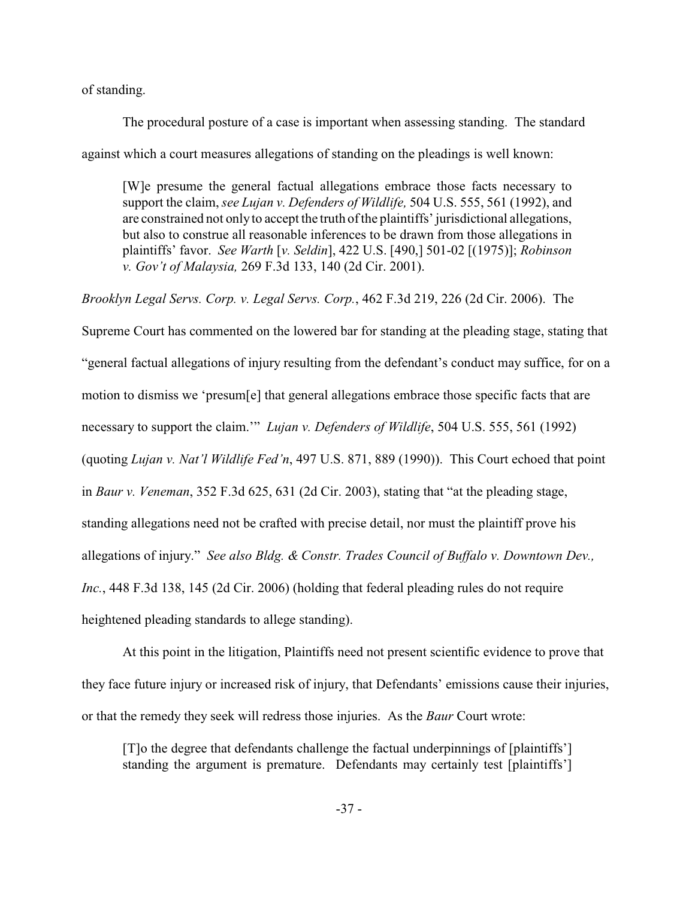of standing.

The procedural posture of a case is important when assessing standing. The standard against which a court measures allegations of standing on the pleadings is well known:

[W]e presume the general factual allegations embrace those facts necessary to support the claim, *see Lujan v. Defenders of Wildlife,* 504 U.S. 555, 561 (1992), and are constrained not only to accept the truth ofthe plaintiffs' jurisdictional allegations, but also to construe all reasonable inferences to be drawn from those allegations in plaintiffs' favor. *See Warth* [*v. Seldin*], 422 U.S. [490,] 501-02 [(1975)]; *Robinson v. Gov't of Malaysia,* 269 F.3d 133, 140 (2d Cir. 2001).

*Brooklyn Legal Servs. Corp. v. Legal Servs. Corp.*, 462 F.3d 219, 226 (2d Cir. 2006). The

Supreme Court has commented on the lowered bar for standing at the pleading stage, stating that "general factual allegations of injury resulting from the defendant's conduct may suffice, for on a motion to dismiss we 'presum[e] that general allegations embrace those specific facts that are necessary to support the claim.'" *Lujan v. Defenders of Wildlife*, 504 U.S. 555, 561 (1992) (quoting *Lujan v. Nat'l Wildlife Fed'n*, 497 U.S. 871, 889 (1990)). This Court echoed that point in *Baur v. Veneman*, 352 F.3d 625, 631 (2d Cir. 2003), stating that "at the pleading stage, standing allegations need not be crafted with precise detail, nor must the plaintiff prove his allegations of injury." *See also Bldg. & Constr. Trades Council of Buffalo v. Downtown Dev., Inc.*, 448 F.3d 138, 145 (2d Cir. 2006) (holding that federal pleading rules do not require heightened pleading standards to allege standing).

At this point in the litigation, Plaintiffs need not present scientific evidence to prove that they face future injury or increased risk of injury, that Defendants' emissions cause their injuries, or that the remedy they seek will redress those injuries. As the *Baur* Court wrote:

[T]o the degree that defendants challenge the factual underpinnings of [plaintiffs'] standing the argument is premature. Defendants may certainly test [plaintiffs']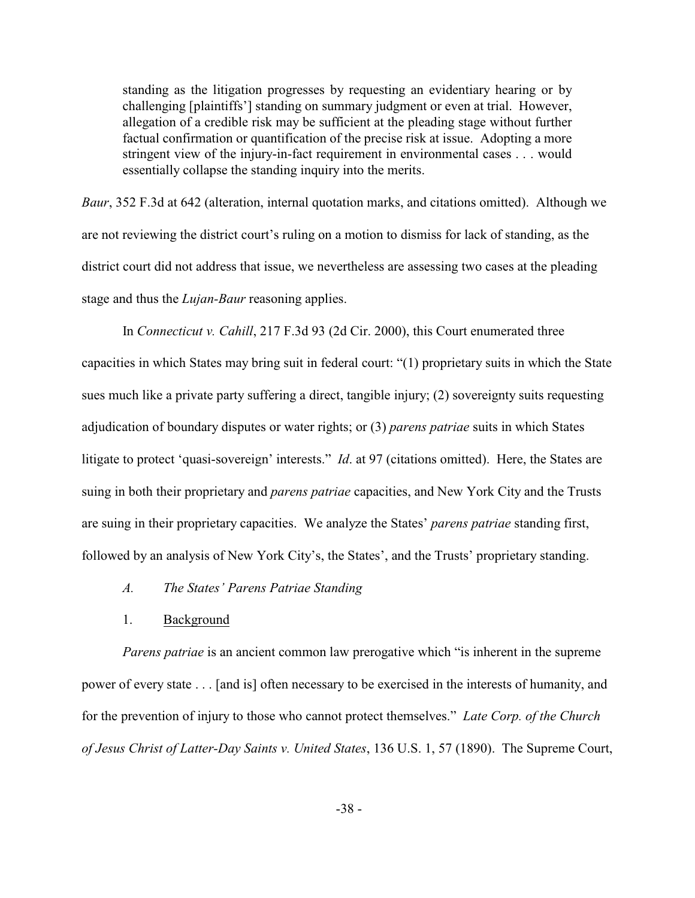standing as the litigation progresses by requesting an evidentiary hearing or by challenging [plaintiffs'] standing on summary judgment or even at trial. However, allegation of a credible risk may be sufficient at the pleading stage without further factual confirmation or quantification of the precise risk at issue. Adopting a more stringent view of the injury-in-fact requirement in environmental cases . . . would essentially collapse the standing inquiry into the merits.

*Baur*, 352 F.3d at 642 (alteration, internal quotation marks, and citations omitted). Although we are not reviewing the district court's ruling on a motion to dismiss for lack of standing, as the district court did not address that issue, we nevertheless are assessing two cases at the pleading stage and thus the *Lujan-Baur* reasoning applies.

In *Connecticut v. Cahill*, 217 F.3d 93 (2d Cir. 2000), this Court enumerated three capacities in which States may bring suit in federal court: "(1) proprietary suits in which the State sues much like a private party suffering a direct, tangible injury; (2) sovereignty suits requesting adjudication of boundary disputes or water rights; or (3) *parens patriae* suits in which States litigate to protect 'quasi-sovereign' interests." *Id*. at 97 (citations omitted). Here, the States are suing in both their proprietary and *parens patriae* capacities, and New York City and the Trusts are suing in their proprietary capacities. We analyze the States' *parens patriae* standing first, followed by an analysis of New York City's, the States', and the Trusts' proprietary standing.

- *A. The States' Parens Patriae Standing*
- 1. Background

*Parens patriae* is an ancient common law prerogative which "is inherent in the supreme power of every state . . . [and is] often necessary to be exercised in the interests of humanity, and for the prevention of injury to those who cannot protect themselves." *Late Corp. of the Church of Jesus Christ of Latter-Day Saints v. United States*, 136 U.S. 1, 57 (1890). The Supreme Court,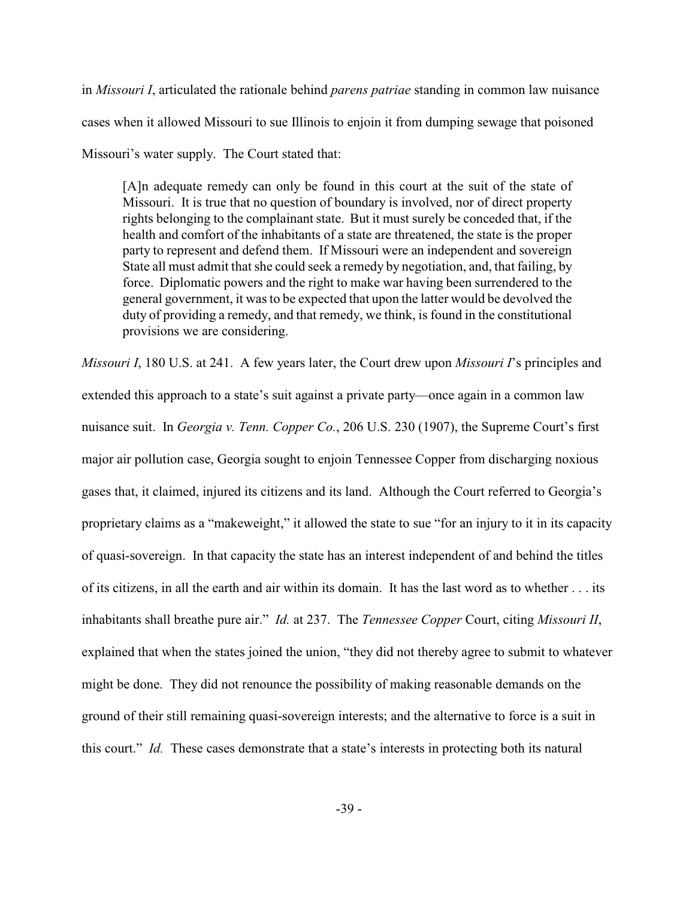in *Missouri I*, articulated the rationale behind *parens patriae* standing in common law nuisance cases when it allowed Missouri to sue Illinois to enjoin it from dumping sewage that poisoned Missouri's water supply. The Court stated that:

[A]n adequate remedy can only be found in this court at the suit of the state of Missouri. It is true that no question of boundary is involved, nor of direct property rights belonging to the complainant state. But it must surely be conceded that, if the health and comfort of the inhabitants of a state are threatened, the state is the proper party to represent and defend them. If Missouri were an independent and sovereign State all must admit that she could seek a remedy by negotiation, and, that failing, by force. Diplomatic powers and the right to make war having been surrendered to the general government, it was to be expected that upon the latter would be devolved the duty of providing a remedy, and that remedy, we think, is found in the constitutional provisions we are considering.

*Missouri I*, 180 U.S. at 241. A few years later, the Court drew upon *Missouri I*'s principles and extended this approach to a state's suit against a private party—once again in a common law nuisance suit. In *Georgia v. Tenn. Copper Co.*, 206 U.S. 230 (1907), the Supreme Court's first major air pollution case, Georgia sought to enjoin Tennessee Copper from discharging noxious gases that, it claimed, injured its citizens and its land. Although the Court referred to Georgia's proprietary claims as a "makeweight," it allowed the state to sue "for an injury to it in its capacity of quasi-sovereign. In that capacity the state has an interest independent of and behind the titles of its citizens, in all the earth and air within its domain. It has the last word as to whether . . . its inhabitants shall breathe pure air." *Id.* at 237. The *Tennessee Copper* Court, citing *Missouri II*, explained that when the states joined the union, "they did not thereby agree to submit to whatever might be done. They did not renounce the possibility of making reasonable demands on the ground of their still remaining quasi-sovereign interests; and the alternative to force is a suit in this court." *Id.* These cases demonstrate that a state's interests in protecting both its natural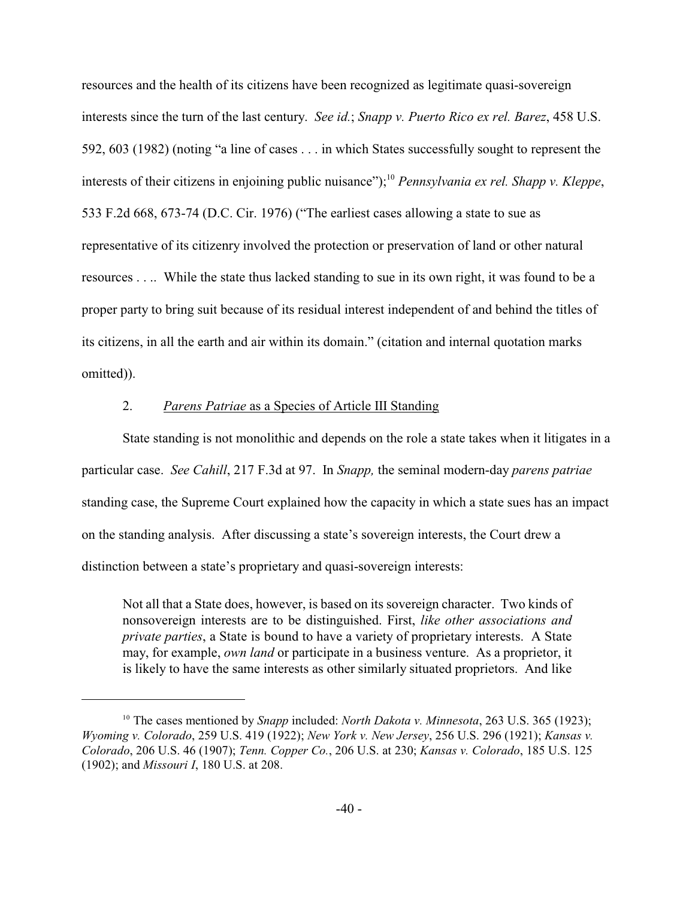resources and the health of its citizens have been recognized as legitimate quasi-sovereign interests since the turn of the last century. *See id.*; *Snapp v. Puerto Rico ex rel. Barez*, 458 U.S. 592, 603 (1982) (noting "a line of cases . . . in which States successfully sought to represent the interests of their citizens in enjoining public nuisance"); *Pennsylvania ex rel. Shapp v. Kleppe*, 10 533 F.2d 668, 673-74 (D.C. Cir. 1976) ("The earliest cases allowing a state to sue as representative of its citizenry involved the protection or preservation of land or other natural resources . . .. While the state thus lacked standing to sue in its own right, it was found to be a proper party to bring suit because of its residual interest independent of and behind the titles of its citizens, in all the earth and air within its domain." (citation and internal quotation marks omitted)).

# 2. *Parens Patriae* as a Species of Article III Standing

State standing is not monolithic and depends on the role a state takes when it litigates in a particular case. *See Cahill*, 217 F.3d at 97. In *Snapp,* the seminal modern-day *parens patriae* standing case, the Supreme Court explained how the capacity in which a state sues has an impact on the standing analysis. After discussing a state's sovereign interests, the Court drew a distinction between a state's proprietary and quasi-sovereign interests:

Not all that a State does, however, is based on its sovereign character. Two kinds of nonsovereign interests are to be distinguished. First, *like other associations and private parties*, a State is bound to have a variety of proprietary interests. A State may, for example, *own land* or participate in a business venture. As a proprietor, it is likely to have the same interests as other similarly situated proprietors. And like

<sup>&</sup>lt;sup>10</sup> The cases mentioned by *Snapp* included: *North Dakota v. Minnesota*, 263 U.S. 365 (1923); *Wyoming v. Colorado*, 259 U.S. 419 (1922); *New York v. New Jersey*, 256 U.S. 296 (1921); *Kansas v. Colorado*, 206 U.S. 46 (1907); *Tenn. Copper Co.*, 206 U.S. at 230; *Kansas v. Colorado*, 185 U.S. 125 (1902); and *Missouri I*, 180 U.S. at 208.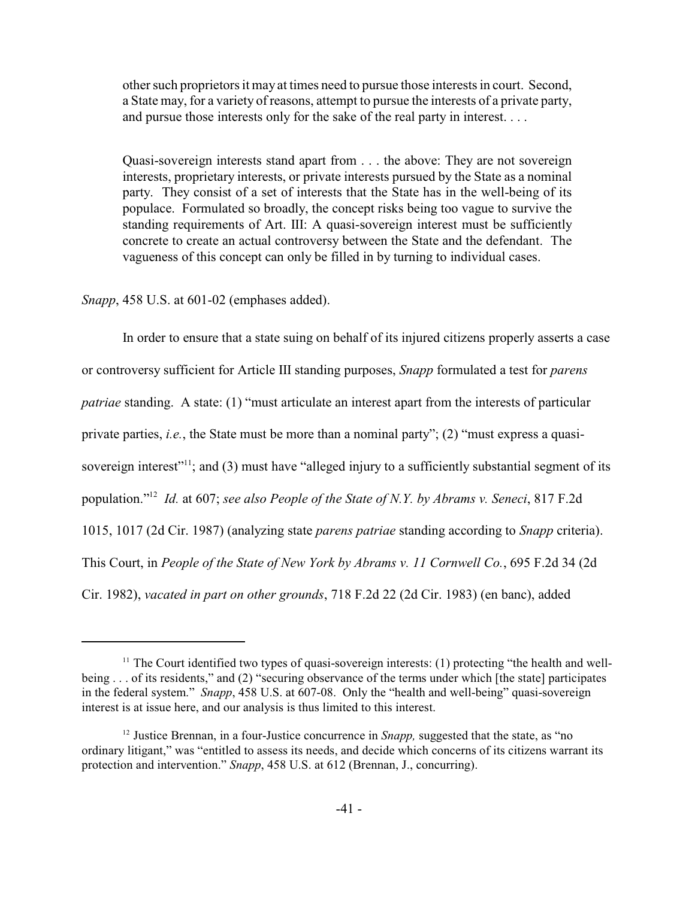other such proprietors it may at times need to pursue those interests in court. Second, a State may, for a variety of reasons, attempt to pursue the interests of a private party, and pursue those interests only for the sake of the real party in interest. . . .

Quasi-sovereign interests stand apart from . . . the above: They are not sovereign interests, proprietary interests, or private interests pursued by the State as a nominal party. They consist of a set of interests that the State has in the well-being of its populace. Formulated so broadly, the concept risks being too vague to survive the standing requirements of Art. III: A quasi-sovereign interest must be sufficiently concrete to create an actual controversy between the State and the defendant. The vagueness of this concept can only be filled in by turning to individual cases.

## *Snapp*, 458 U.S. at 601-02 (emphases added).

In order to ensure that a state suing on behalf of its injured citizens properly asserts a case or controversy sufficient for Article III standing purposes, *Snapp* formulated a test for *parens patriae* standing. A state: (1) "must articulate an interest apart from the interests of particular private parties, *i.e.*, the State must be more than a nominal party"; (2) "must express a quasisovereign interest<sup> $11$ </sup>; and (3) must have "alleged injury to a sufficiently substantial segment of its population." *Id.* at 607; *see also People of the State of N.Y. by Abrams v. Seneci*, 817 F.2d <sup>12</sup> 1015, 1017 (2d Cir. 1987) (analyzing state *parens patriae* standing according to *Snapp* criteria). This Court, in *People of the State of New York by Abrams v. 11 Cornwell Co.*, 695 F.2d 34 (2d Cir. 1982), *vacated in part on other grounds*, 718 F.2d 22 (2d Cir. 1983) (en banc), added

 $11$  The Court identified two types of quasi-sovereign interests: (1) protecting "the health and wellbeing . . . of its residents," and (2) "securing observance of the terms under which [the state] participates in the federal system." *Snapp*, 458 U.S. at 607-08. Only the "health and well-being" quasi-sovereign interest is at issue here, and our analysis is thus limited to this interest.

 $12$  Justice Brennan, in a four-Justice concurrence in *Snapp*, suggested that the state, as "no ordinary litigant," was "entitled to assess its needs, and decide which concerns of its citizens warrant its protection and intervention." *Snapp*, 458 U.S. at 612 (Brennan, J., concurring).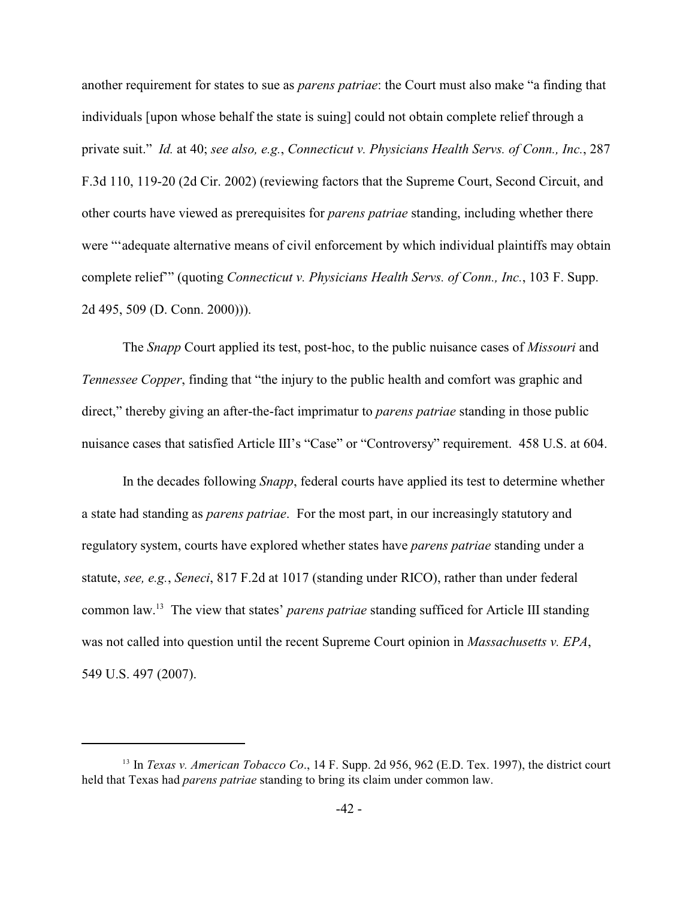another requirement for states to sue as *parens patriae*: the Court must also make "a finding that individuals [upon whose behalf the state is suing] could not obtain complete relief through a private suit." *Id.* at 40; *see also, e.g.*, *Connecticut v. Physicians Health Servs. of Conn., Inc.*, 287 F.3d 110, 119-20 (2d Cir. 2002) (reviewing factors that the Supreme Court, Second Circuit, and other courts have viewed as prerequisites for *parens patriae* standing, including whether there were "'adequate alternative means of civil enforcement by which individual plaintiffs may obtain complete relief'" (quoting *Connecticut v. Physicians Health Servs. of Conn., Inc.*, 103 F. Supp. 2d 495, 509 (D. Conn. 2000))).

The *Snapp* Court applied its test, post-hoc, to the public nuisance cases of *Missouri* and *Tennessee Copper*, finding that "the injury to the public health and comfort was graphic and direct," thereby giving an after-the-fact imprimatur to *parens patriae* standing in those public nuisance cases that satisfied Article III's "Case" or "Controversy" requirement. 458 U.S. at 604.

In the decades following *Snapp*, federal courts have applied its test to determine whether a state had standing as *parens patriae*. For the most part, in our increasingly statutory and regulatory system, courts have explored whether states have *parens patriae* standing under a statute, *see, e.g.*, *Seneci*, 817 F.2d at 1017 (standing under RICO), rather than under federal common law.<sup>13</sup> The view that states' *parens patriae* standing sufficed for Article III standing was not called into question until the recent Supreme Court opinion in *Massachusetts v. EPA*, 549 U.S. 497 (2007).

<sup>&</sup>lt;sup>13</sup> In *Texas v. American Tobacco Co.*, 14 F. Supp. 2d 956, 962 (E.D. Tex. 1997), the district court held that Texas had *parens patriae* standing to bring its claim under common law.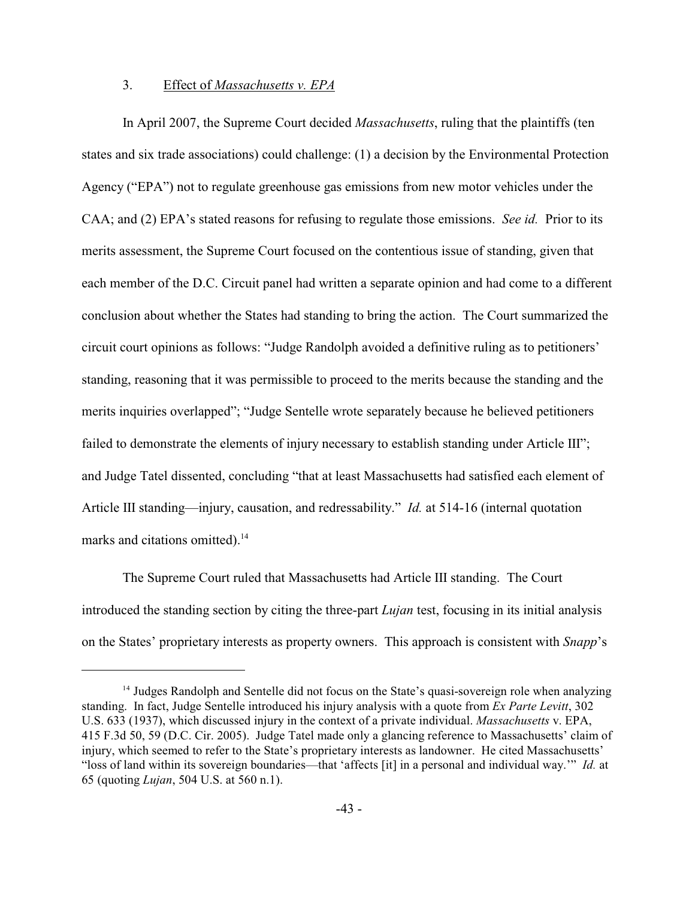## 3. Effect of *Massachusetts v. EPA*

In April 2007, the Supreme Court decided *Massachusetts*, ruling that the plaintiffs (ten states and six trade associations) could challenge: (1) a decision by the Environmental Protection Agency ("EPA") not to regulate greenhouse gas emissions from new motor vehicles under the CAA; and (2) EPA's stated reasons for refusing to regulate those emissions. *See id.* Prior to its merits assessment, the Supreme Court focused on the contentious issue of standing, given that each member of the D.C. Circuit panel had written a separate opinion and had come to a different conclusion about whether the States had standing to bring the action. The Court summarized the circuit court opinions as follows: "Judge Randolph avoided a definitive ruling as to petitioners' standing, reasoning that it was permissible to proceed to the merits because the standing and the merits inquiries overlapped"; "Judge Sentelle wrote separately because he believed petitioners failed to demonstrate the elements of injury necessary to establish standing under Article III"; and Judge Tatel dissented, concluding "that at least Massachusetts had satisfied each element of Article III standing—injury, causation, and redressability." *Id.* at 514-16 (internal quotation marks and citations omitted). $^{14}$ 

The Supreme Court ruled that Massachusetts had Article III standing. The Court introduced the standing section by citing the three-part *Lujan* test, focusing in its initial analysis on the States' proprietary interests as property owners. This approach is consistent with *Snapp*'s

 $<sup>14</sup>$  Judges Randolph and Sentelle did not focus on the State's quasi-sovereign role when analyzing</sup> standing. In fact, Judge Sentelle introduced his injury analysis with a quote from *Ex Parte Levitt*, 302 U.S. 633 (1937), which discussed injury in the context of a private individual. *Massachusetts* v. EPA, 415 F.3d 50, 59 (D.C. Cir. 2005). Judge Tatel made only a glancing reference to Massachusetts' claim of injury, which seemed to refer to the State's proprietary interests as landowner. He cited Massachusetts' "loss of land within its sovereign boundaries—that 'affects [it] in a personal and individual way.'" *Id.* at 65 (quoting *Lujan*, 504 U.S. at 560 n.1).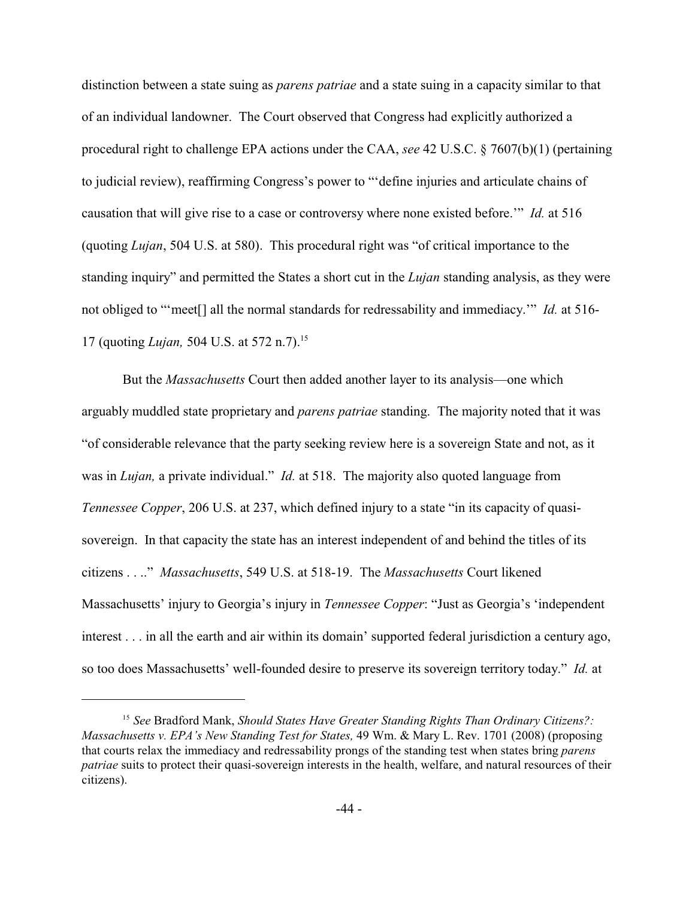distinction between a state suing as *parens patriae* and a state suing in a capacity similar to that of an individual landowner. The Court observed that Congress had explicitly authorized a procedural right to challenge EPA actions under the CAA, *see* 42 U.S.C. § 7607(b)(1) (pertaining to judicial review), reaffirming Congress's power to "'define injuries and articulate chains of causation that will give rise to a case or controversy where none existed before.'" *Id.* at 516 (quoting *Lujan*, 504 U.S. at 580). This procedural right was "of critical importance to the standing inquiry" and permitted the States a short cut in the *Lujan* standing analysis, as they were not obliged to "'meet[] all the normal standards for redressability and immediacy.'" *Id.* at 516- 17 (quoting *Lujan,* 504 U.S. at 572 n.7).<sup>15</sup>

But the *Massachusetts* Court then added another layer to its analysis—one which arguably muddled state proprietary and *parens patriae* standing. The majority noted that it was "of considerable relevance that the party seeking review here is a sovereign State and not, as it was in *Lujan,* a private individual." *Id.* at 518. The majority also quoted language from *Tennessee Copper*, 206 U.S. at 237, which defined injury to a state "in its capacity of quasisovereign. In that capacity the state has an interest independent of and behind the titles of its citizens . . .." *Massachusetts*, 549 U.S. at 518-19. The *Massachusetts* Court likened Massachusetts' injury to Georgia's injury in *Tennessee Copper*: "Just as Georgia's 'independent interest . . . in all the earth and air within its domain' supported federal jurisdiction a century ago, so too does Massachusetts' well-founded desire to preserve its sovereign territory today." *Id.* at

<sup>&</sup>lt;sup>15</sup> See Bradford Mank, *Should States Have Greater Standing Rights Than Ordinary Citizens?: Massachusetts v. EPA's New Standing Test for States,* 49 Wm. & Mary L. Rev. 1701 (2008) (proposing that courts relax the immediacy and redressability prongs of the standing test when states bring *parens patriae* suits to protect their quasi-sovereign interests in the health, welfare, and natural resources of their citizens).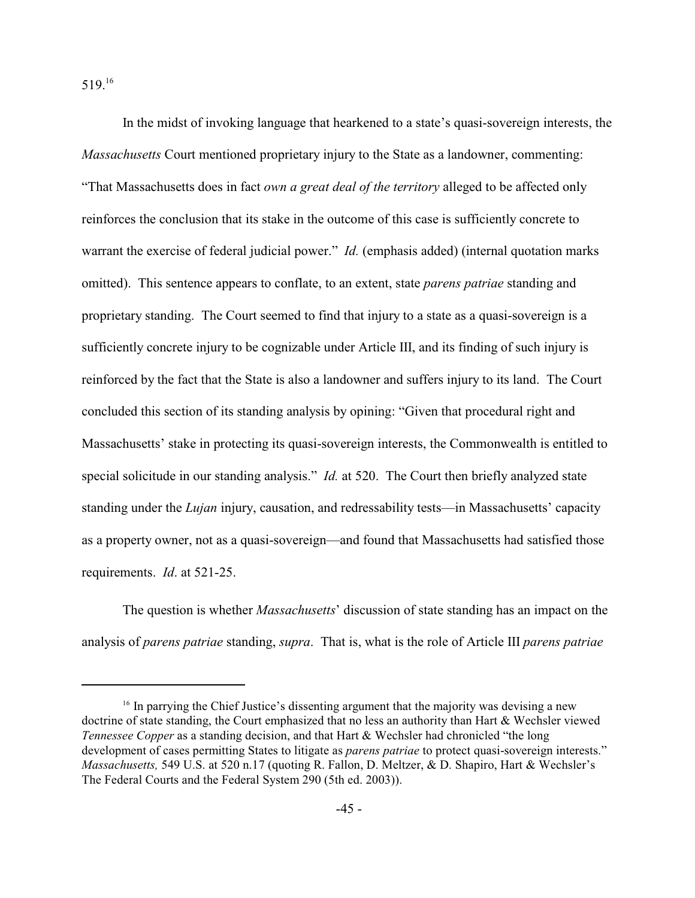519.<sup>16</sup>

In the midst of invoking language that hearkened to a state's quasi-sovereign interests, the *Massachusetts* Court mentioned proprietary injury to the State as a landowner, commenting: "That Massachusetts does in fact *own a great deal of the territory* alleged to be affected only reinforces the conclusion that its stake in the outcome of this case is sufficiently concrete to warrant the exercise of federal judicial power." *Id.* (emphasis added) (internal quotation marks omitted). This sentence appears to conflate, to an extent, state *parens patriae* standing and proprietary standing. The Court seemed to find that injury to a state as a quasi-sovereign is a sufficiently concrete injury to be cognizable under Article III, and its finding of such injury is reinforced by the fact that the State is also a landowner and suffers injury to its land. The Court concluded this section of its standing analysis by opining: "Given that procedural right and Massachusetts' stake in protecting its quasi-sovereign interests, the Commonwealth is entitled to special solicitude in our standing analysis." *Id.* at 520. The Court then briefly analyzed state standing under the *Lujan* injury, causation, and redressability tests—in Massachusetts' capacity as a property owner, not as a quasi-sovereign—and found that Massachusetts had satisfied those requirements. *Id*. at 521-25.

The question is whether *Massachusetts*' discussion of state standing has an impact on the analysis of *parens patriae* standing, *supra*. That is, what is the role of Article III *parens patriae*

 $16$  In parrying the Chief Justice's dissenting argument that the majority was devising a new doctrine of state standing, the Court emphasized that no less an authority than Hart & Wechsler viewed *Tennessee Copper* as a standing decision, and that Hart & Wechsler had chronicled "the long development of cases permitting States to litigate as *parens patriae* to protect quasi-sovereign interests." *Massachusetts,* 549 U.S. at 520 n.17 (quoting R. Fallon, D. Meltzer, & D. Shapiro, Hart & Wechsler's The Federal Courts and the Federal System 290 (5th ed. 2003)).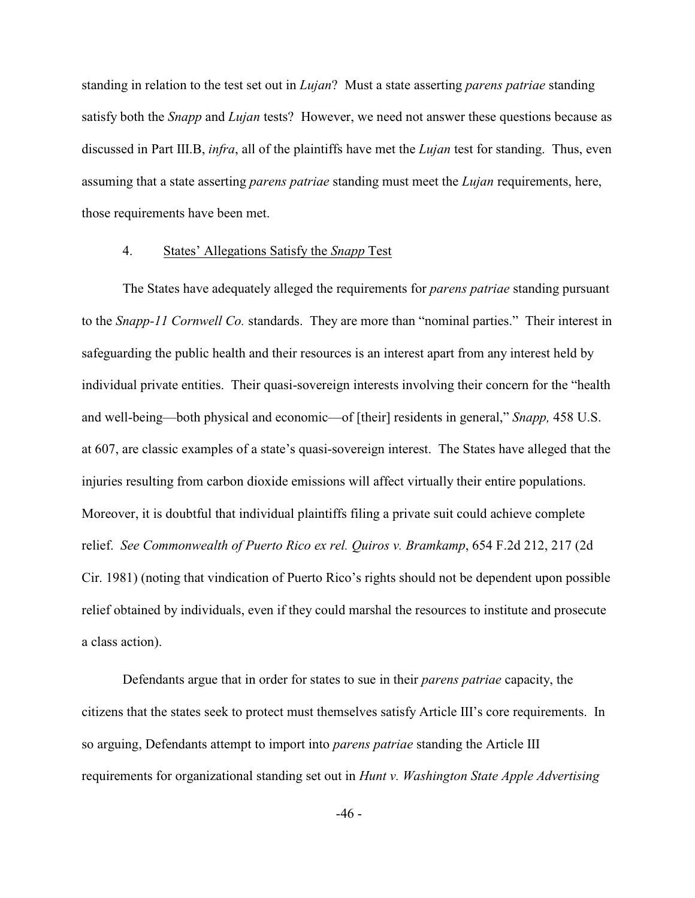standing in relation to the test set out in *Lujan*? Must a state asserting *parens patriae* standing satisfy both the *Snapp* and *Lujan* tests? However, we need not answer these questions because as discussed in Part III.B, *infra*, all of the plaintiffs have met the *Lujan* test for standing. Thus, even assuming that a state asserting *parens patriae* standing must meet the *Lujan* requirements, here, those requirements have been met.

# 4. States' Allegations Satisfy the *Snapp* Test

The States have adequately alleged the requirements for *parens patriae* standing pursuant to the *Snapp-11 Cornwell Co.* standards. They are more than "nominal parties." Their interest in safeguarding the public health and their resources is an interest apart from any interest held by individual private entities. Their quasi-sovereign interests involving their concern for the "health and well-being—both physical and economic—of [their] residents in general," *Snapp,* 458 U.S. at 607, are classic examples of a state's quasi-sovereign interest. The States have alleged that the injuries resulting from carbon dioxide emissions will affect virtually their entire populations. Moreover, it is doubtful that individual plaintiffs filing a private suit could achieve complete relief. *See Commonwealth of Puerto Rico ex rel. Quiros v. Bramkamp*, 654 F.2d 212, 217 (2d Cir. 1981) (noting that vindication of Puerto Rico's rights should not be dependent upon possible relief obtained by individuals, even if they could marshal the resources to institute and prosecute a class action).

Defendants argue that in order for states to sue in their *parens patriae* capacity, the citizens that the states seek to protect must themselves satisfy Article III's core requirements. In so arguing, Defendants attempt to import into *parens patriae* standing the Article III requirements for organizational standing set out in *Hunt v. Washington State Apple Advertising*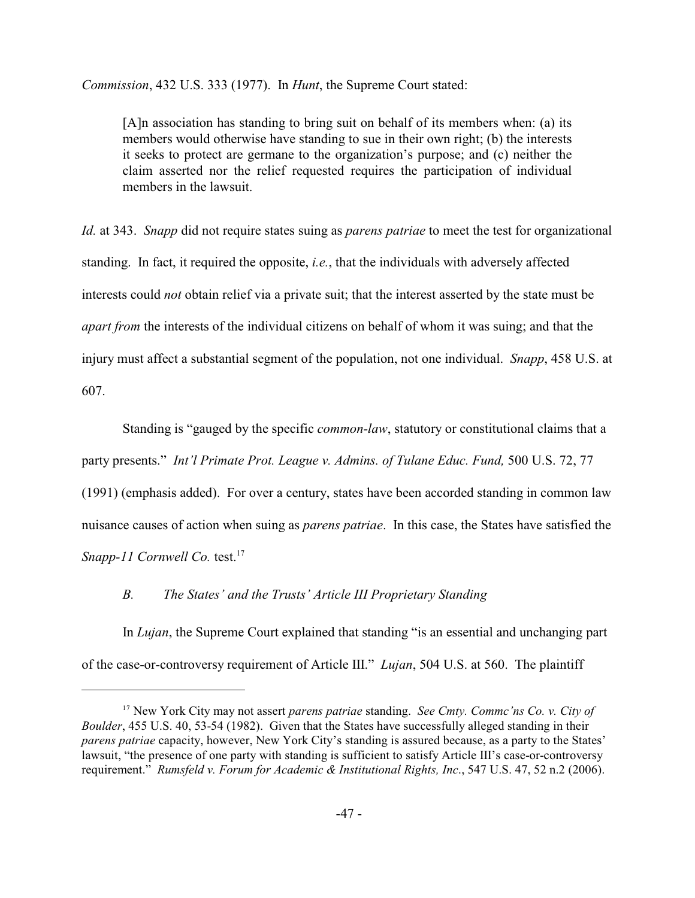*Commission*, 432 U.S. 333 (1977). In *Hunt*, the Supreme Court stated:

[A]n association has standing to bring suit on behalf of its members when: (a) its members would otherwise have standing to sue in their own right; (b) the interests it seeks to protect are germane to the organization's purpose; and (c) neither the claim asserted nor the relief requested requires the participation of individual members in the lawsuit.

*Id.* at 343. *Snapp* did not require states suing as *parens patriae* to meet the test for organizational standing. In fact, it required the opposite, *i.e.*, that the individuals with adversely affected interests could *not* obtain relief via a private suit; that the interest asserted by the state must be *apart from* the interests of the individual citizens on behalf of whom it was suing; and that the injury must affect a substantial segment of the population, not one individual. *Snapp*, 458 U.S. at 607.

Standing is "gauged by the specific *common-law*, statutory or constitutional claims that a party presents." *Int'l Primate Prot. League v. Admins. of Tulane Educ. Fund,* 500 U.S. 72, 77 (1991) (emphasis added). For over a century, states have been accorded standing in common law nuisance causes of action when suing as *parens patriae*. In this case, the States have satisfied the

*Snapp-11 Cornwell Co.* test.<sup>17</sup>

# *B. The States' and the Trusts' Article III Proprietary Standing*

In *Lujan*, the Supreme Court explained that standing "is an essential and unchanging part of the case-or-controversy requirement of Article III." *Lujan*, 504 U.S. at 560. The plaintiff

<sup>&</sup>lt;sup>17</sup> New York City may not assert *parens patriae* standing. See Cmty. Commc'ns Co. v. City of *Boulder*, 455 U.S. 40, 53-54 (1982). Given that the States have successfully alleged standing in their *parens patriae* capacity, however, New York City's standing is assured because, as a party to the States' lawsuit, "the presence of one party with standing is sufficient to satisfy Article III's case-or-controversy requirement." *Rumsfeld v. Forum for Academic & Institutional Rights, Inc*., 547 U.S. 47, 52 n.2 (2006).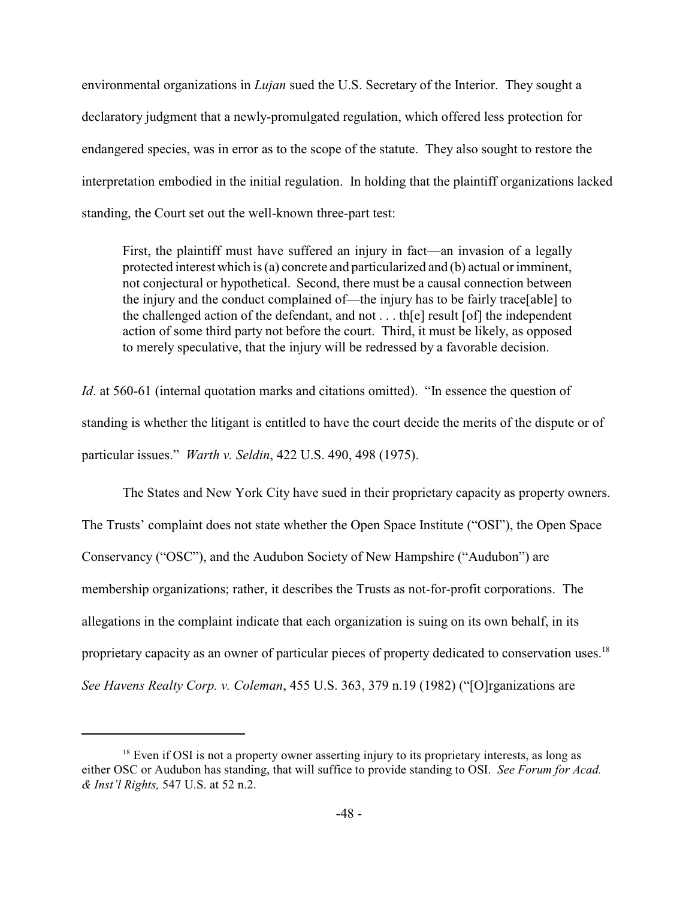environmental organizations in *Lujan* sued the U.S. Secretary of the Interior. They sought a declaratory judgment that a newly-promulgated regulation, which offered less protection for endangered species, was in error as to the scope of the statute. They also sought to restore the interpretation embodied in the initial regulation. In holding that the plaintiff organizations lacked standing, the Court set out the well-known three-part test:

First, the plaintiff must have suffered an injury in fact—an invasion of a legally protected interest which is (a) concrete and particularized and (b) actual or imminent, not conjectural or hypothetical. Second, there must be a causal connection between the injury and the conduct complained of—the injury has to be fairly trace[able] to the challenged action of the defendant, and not . . . th[e] result [of] the independent action of some third party not before the court. Third, it must be likely, as opposed to merely speculative, that the injury will be redressed by a favorable decision.

*Id.* at 560-61 (internal quotation marks and citations omitted). "In essence the question of standing is whether the litigant is entitled to have the court decide the merits of the dispute or of particular issues." *Warth v. Seldin*, 422 U.S. 490, 498 (1975).

The States and New York City have sued in their proprietary capacity as property owners. The Trusts' complaint does not state whether the Open Space Institute ("OSI"), the Open Space Conservancy ("OSC"), and the Audubon Society of New Hampshire ("Audubon") are membership organizations; rather, it describes the Trusts as not-for-profit corporations. The allegations in the complaint indicate that each organization is suing on its own behalf, in its proprietary capacity as an owner of particular pieces of property dedicated to conservation uses.<sup>18</sup> *See Havens Realty Corp. v. Coleman*, 455 U.S. 363, 379 n.19 (1982) ("[O]rganizations are

 $18$  Even if OSI is not a property owner asserting injury to its proprietary interests, as long as either OSC or Audubon has standing, that will suffice to provide standing to OSI. *See Forum for Acad. & Inst'l Rights,* 547 U.S. at 52 n.2.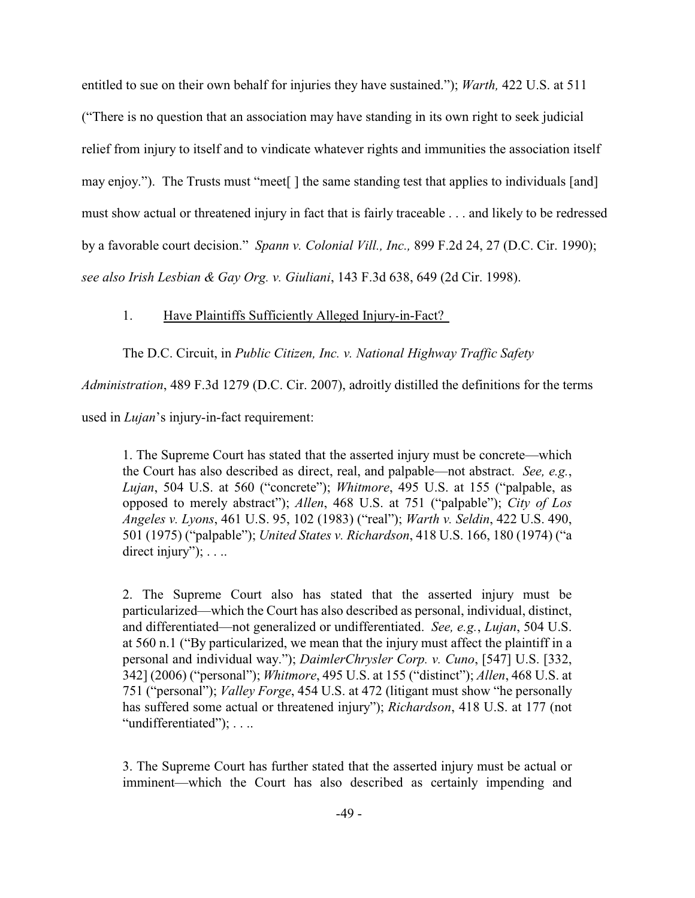entitled to sue on their own behalf for injuries they have sustained."); *Warth,* 422 U.S. at 511

("There is no question that an association may have standing in its own right to seek judicial relief from injury to itself and to vindicate whatever rights and immunities the association itself may enjoy."). The Trusts must "meet[ ] the same standing test that applies to individuals [and] must show actual or threatened injury in fact that is fairly traceable . . . and likely to be redressed by a favorable court decision." *Spann v. Colonial Vill., Inc.,* 899 F.2d 24, 27 (D.C. Cir. 1990); *see also Irish Lesbian & Gay Org. v. Giuliani*, 143 F.3d 638, 649 (2d Cir. 1998).

# 1. Have Plaintiffs Sufficiently Alleged Injury-in-Fact?

The D.C. Circuit, in *Public Citizen, Inc. v. National Highway Traffic Safety*

*Administration*, 489 F.3d 1279 (D.C. Cir. 2007), adroitly distilled the definitions for the terms

used in *Lujan*'s injury-in-fact requirement:

1. The Supreme Court has stated that the asserted injury must be concrete—which the Court has also described as direct, real, and palpable—not abstract. *See, e.g.*, *Lujan*, 504 U.S. at 560 ("concrete"); *Whitmore*, 495 U.S. at 155 ("palpable, as opposed to merely abstract"); *Allen*, 468 U.S. at 751 ("palpable"); *City of Los Angeles v. Lyons*, 461 U.S. 95, 102 (1983) ("real"); *Warth v. Seldin*, 422 U.S. 490, 501 (1975) ("palpable"); *United States v. Richardson*, 418 U.S. 166, 180 (1974) ("a direct injury");  $\dots$ 

2. The Supreme Court also has stated that the asserted injury must be particularized—which the Court has also described as personal, individual, distinct, and differentiated—not generalized or undifferentiated. *See, e.g.*, *Lujan*, 504 U.S. at 560 n.1 ("By particularized, we mean that the injury must affect the plaintiff in a personal and individual way."); *DaimlerChrysler Corp. v. Cuno*, [547] U.S. [332, 342] (2006) ("personal"); *Whitmore*, 495 U.S. at 155 ("distinct"); *Allen*, 468 U.S. at 751 ("personal"); *Valley Forge*, 454 U.S. at 472 (litigant must show "he personally has suffered some actual or threatened injury"); *Richardson*, 418 U.S. at 177 (not "undifferentiated"); . . ..

3. The Supreme Court has further stated that the asserted injury must be actual or imminent—which the Court has also described as certainly impending and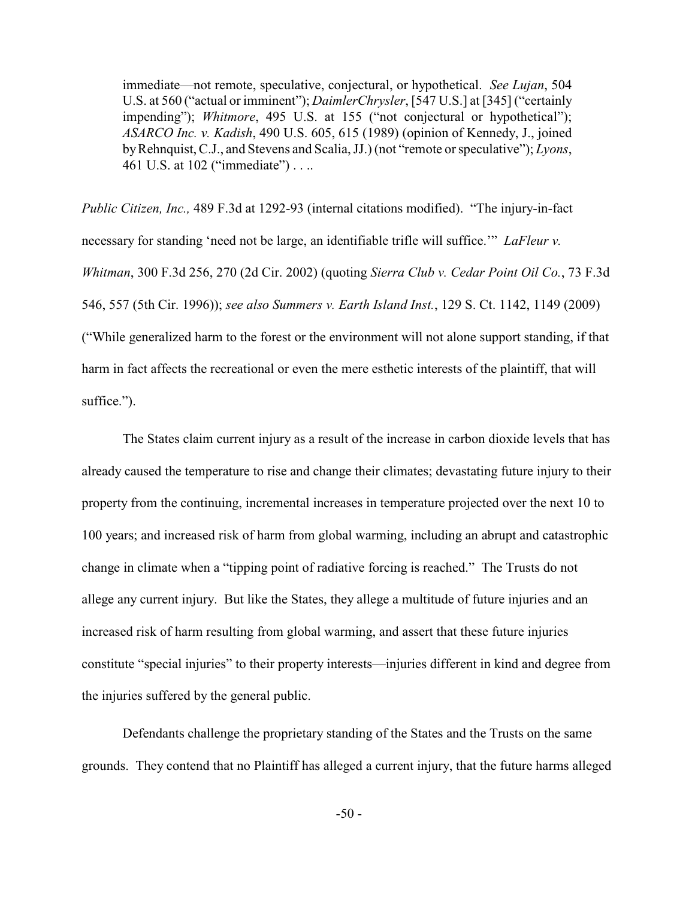immediate—not remote, speculative, conjectural, or hypothetical. *See Lujan*, 504 U.S. at 560 ("actual or imminent"); *DaimlerChrysler*, [547 U.S.] at [345] ("certainly impending"); *Whitmore*, 495 U.S. at 155 ("not conjectural or hypothetical"); *ASARCO Inc. v. Kadish*, 490 U.S. 605, 615 (1989) (opinion of Kennedy, J., joined byRehnquist, C.J., and Stevens and Scalia, JJ.) (not "remote or speculative"); *Lyons*, 461 U.S. at 102 ("immediate") . . ..

*Public Citizen, Inc.,* 489 F.3d at 1292-93 (internal citations modified). "The injury-in-fact necessary for standing 'need not be large, an identifiable trifle will suffice.'" *LaFleur v. Whitman*, 300 F.3d 256, 270 (2d Cir. 2002) (quoting *Sierra Club v. Cedar Point Oil Co.*, 73 F.3d 546, 557 (5th Cir. 1996)); *see also Summers v. Earth Island Inst.*, 129 S. Ct. 1142, 1149 (2009) ("While generalized harm to the forest or the environment will not alone support standing, if that harm in fact affects the recreational or even the mere esthetic interests of the plaintiff, that will suffice.").

The States claim current injury as a result of the increase in carbon dioxide levels that has already caused the temperature to rise and change their climates; devastating future injury to their property from the continuing, incremental increases in temperature projected over the next 10 to 100 years; and increased risk of harm from global warming, including an abrupt and catastrophic change in climate when a "tipping point of radiative forcing is reached." The Trusts do not allege any current injury. But like the States, they allege a multitude of future injuries and an increased risk of harm resulting from global warming, and assert that these future injuries constitute "special injuries" to their property interests—injuries different in kind and degree from the injuries suffered by the general public.

Defendants challenge the proprietary standing of the States and the Trusts on the same grounds. They contend that no Plaintiff has alleged a current injury, that the future harms alleged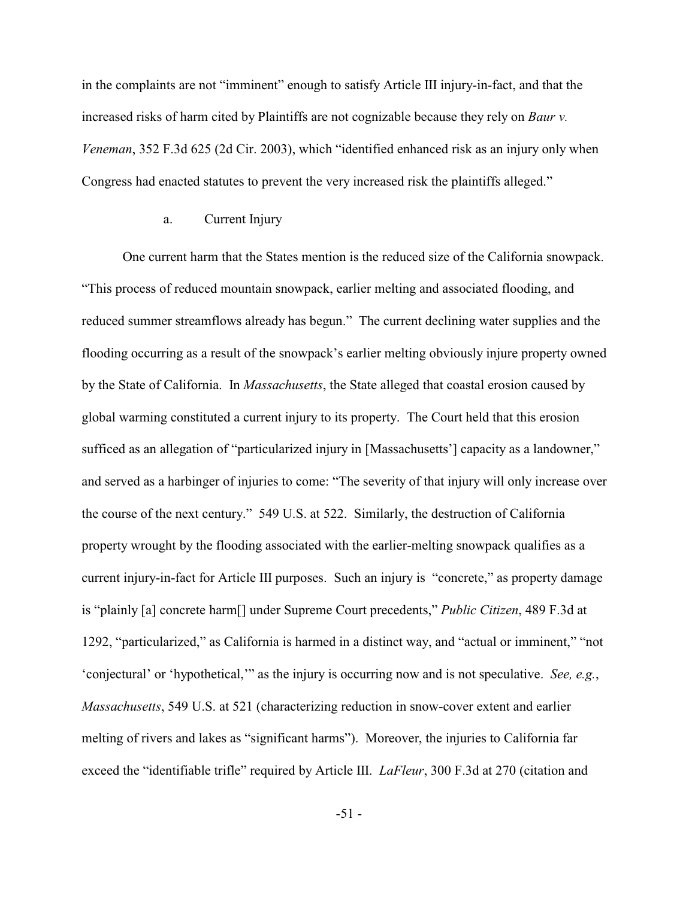in the complaints are not "imminent" enough to satisfy Article III injury-in-fact, and that the increased risks of harm cited by Plaintiffs are not cognizable because they rely on *Baur v. Veneman*, 352 F.3d 625 (2d Cir. 2003), which "identified enhanced risk as an injury only when Congress had enacted statutes to prevent the very increased risk the plaintiffs alleged."

#### a. Current Injury

One current harm that the States mention is the reduced size of the California snowpack. "This process of reduced mountain snowpack, earlier melting and associated flooding, and reduced summer streamflows already has begun." The current declining water supplies and the flooding occurring as a result of the snowpack's earlier melting obviously injure property owned by the State of California. In *Massachusetts*, the State alleged that coastal erosion caused by global warming constituted a current injury to its property. The Court held that this erosion sufficed as an allegation of "particularized injury in [Massachusetts'] capacity as a landowner," and served as a harbinger of injuries to come: "The severity of that injury will only increase over the course of the next century." 549 U.S. at 522. Similarly, the destruction of California property wrought by the flooding associated with the earlier-melting snowpack qualifies as a current injury-in-fact for Article III purposes. Such an injury is "concrete," as property damage is "plainly [a] concrete harm[] under Supreme Court precedents," *Public Citizen*, 489 F.3d at 1292, "particularized," as California is harmed in a distinct way, and "actual or imminent," "not 'conjectural' or 'hypothetical,'" as the injury is occurring now and is not speculative. *See, e.g.*, *Massachusetts*, 549 U.S. at 521 (characterizing reduction in snow-cover extent and earlier melting of rivers and lakes as "significant harms"). Moreover, the injuries to California far exceed the "identifiable trifle" required by Article III. *LaFleur*, 300 F.3d at 270 (citation and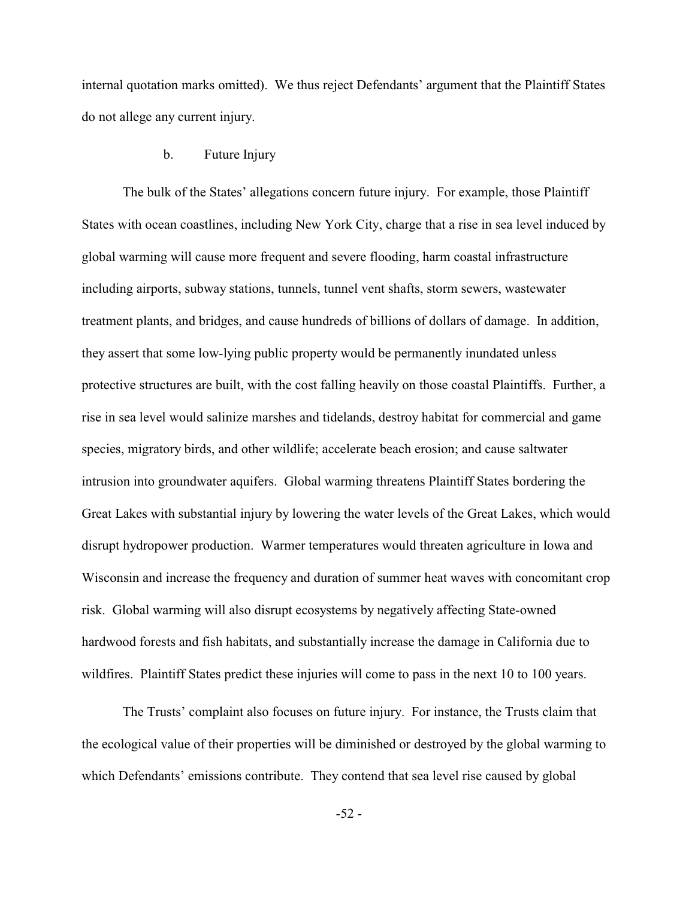internal quotation marks omitted). We thus reject Defendants' argument that the Plaintiff States do not allege any current injury.

## b. Future Injury

The bulk of the States' allegations concern future injury. For example, those Plaintiff States with ocean coastlines, including New York City, charge that a rise in sea level induced by global warming will cause more frequent and severe flooding, harm coastal infrastructure including airports, subway stations, tunnels, tunnel vent shafts, storm sewers, wastewater treatment plants, and bridges, and cause hundreds of billions of dollars of damage. In addition, they assert that some low-lying public property would be permanently inundated unless protective structures are built, with the cost falling heavily on those coastal Plaintiffs. Further, a rise in sea level would salinize marshes and tidelands, destroy habitat for commercial and game species, migratory birds, and other wildlife; accelerate beach erosion; and cause saltwater intrusion into groundwater aquifers. Global warming threatens Plaintiff States bordering the Great Lakes with substantial injury by lowering the water levels of the Great Lakes, which would disrupt hydropower production. Warmer temperatures would threaten agriculture in Iowa and Wisconsin and increase the frequency and duration of summer heat waves with concomitant crop risk. Global warming will also disrupt ecosystems by negatively affecting State-owned hardwood forests and fish habitats, and substantially increase the damage in California due to wildfires. Plaintiff States predict these injuries will come to pass in the next 10 to 100 years.

The Trusts' complaint also focuses on future injury. For instance, the Trusts claim that the ecological value of their properties will be diminished or destroyed by the global warming to which Defendants' emissions contribute. They contend that sea level rise caused by global

 $-52 -$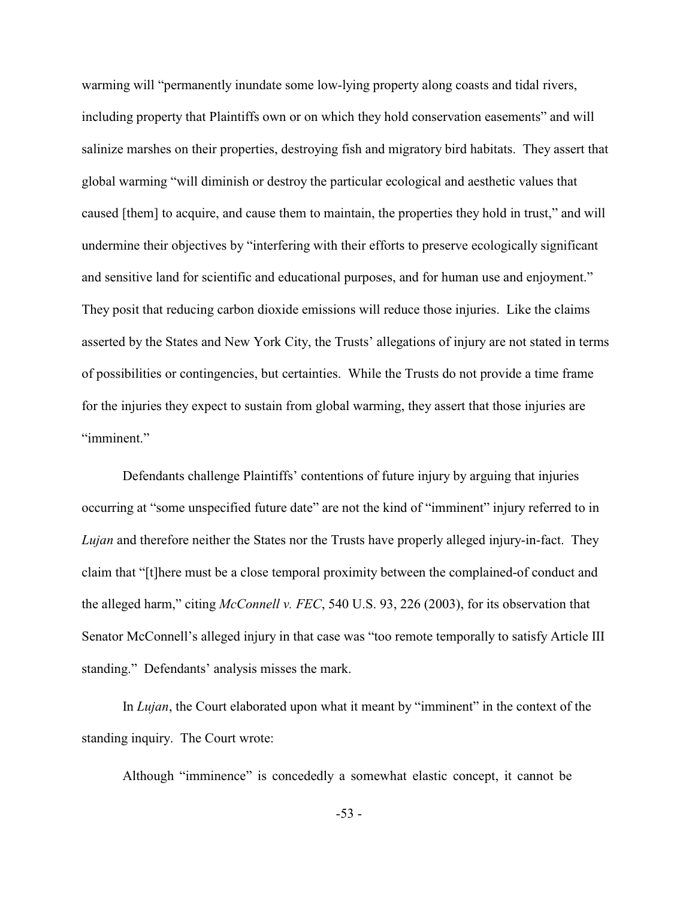warming will "permanently inundate some low-lying property along coasts and tidal rivers, including property that Plaintiffs own or on which they hold conservation easements" and will salinize marshes on their properties, destroying fish and migratory bird habitats. They assert that global warming "will diminish or destroy the particular ecological and aesthetic values that caused [them] to acquire, and cause them to maintain, the properties they hold in trust," and will undermine their objectives by "interfering with their efforts to preserve ecologically significant and sensitive land for scientific and educational purposes, and for human use and enjoyment." They posit that reducing carbon dioxide emissions will reduce those injuries. Like the claims asserted by the States and New York City, the Trusts' allegations of injury are not stated in terms of possibilities or contingencies, but certainties. While the Trusts do not provide a time frame for the injuries they expect to sustain from global warming, they assert that those injuries are "imminent."

Defendants challenge Plaintiffs' contentions of future injury by arguing that injuries occurring at "some unspecified future date" are not the kind of "imminent" injury referred to in *Lujan* and therefore neither the States nor the Trusts have properly alleged injury-in-fact. They claim that "[t]here must be a close temporal proximity between the complained-of conduct and the alleged harm," citing *McConnell v. FEC*, 540 U.S. 93, 226 (2003), for its observation that Senator McConnell's alleged injury in that case was "too remote temporally to satisfy Article III standing." Defendants' analysis misses the mark.

In *Lujan*, the Court elaborated upon what it meant by "imminent" in the context of the standing inquiry. The Court wrote:

Although "imminence" is concededly a somewhat elastic concept, it cannot be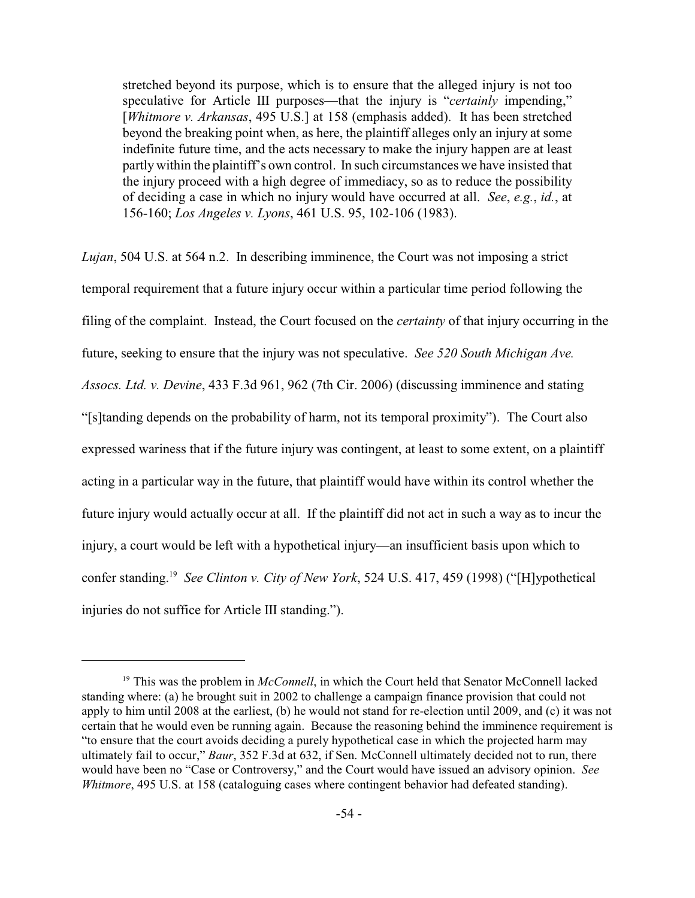stretched beyond its purpose, which is to ensure that the alleged injury is not too speculative for Article III purposes—that the injury is "*certainly* impending," [*Whitmore v. Arkansas*, 495 U.S.] at 158 (emphasis added). It has been stretched beyond the breaking point when, as here, the plaintiff alleges only an injury at some indefinite future time, and the acts necessary to make the injury happen are at least partly within the plaintiff's own control. In such circumstances we have insisted that the injury proceed with a high degree of immediacy, so as to reduce the possibility of deciding a case in which no injury would have occurred at all. *See*, *e.g.*, *id.*, at 156-160; *Los Angeles v. Lyons*, 461 U.S. 95, 102-106 (1983).

*Lujan*, 504 U.S. at 564 n.2. In describing imminence, the Court was not imposing a strict temporal requirement that a future injury occur within a particular time period following the filing of the complaint. Instead, the Court focused on the *certainty* of that injury occurring in the future, seeking to ensure that the injury was not speculative. *See 520 South Michigan Ave. Assocs. Ltd. v. Devine*, 433 F.3d 961, 962 (7th Cir. 2006) (discussing imminence and stating "[s]tanding depends on the probability of harm, not its temporal proximity"). The Court also expressed wariness that if the future injury was contingent, at least to some extent, on a plaintiff acting in a particular way in the future, that plaintiff would have within its control whether the future injury would actually occur at all. If the plaintiff did not act in such a way as to incur the injury, a court would be left with a hypothetical injury—an insufficient basis upon which to confer standing.<sup>19</sup> See Clinton v. City of New York, 524 U.S. 417, 459 (1998) ("[H]ypothetical injuries do not suffice for Article III standing.").

 $19$  This was the problem in *McConnell*, in which the Court held that Senator McConnell lacked standing where: (a) he brought suit in 2002 to challenge a campaign finance provision that could not apply to him until 2008 at the earliest, (b) he would not stand for re-election until 2009, and (c) it was not certain that he would even be running again. Because the reasoning behind the imminence requirement is "to ensure that the court avoids deciding a purely hypothetical case in which the projected harm may ultimately fail to occur," *Baur*, 352 F.3d at 632, if Sen. McConnell ultimately decided not to run, there would have been no "Case or Controversy," and the Court would have issued an advisory opinion. *See Whitmore*, 495 U.S. at 158 (cataloguing cases where contingent behavior had defeated standing).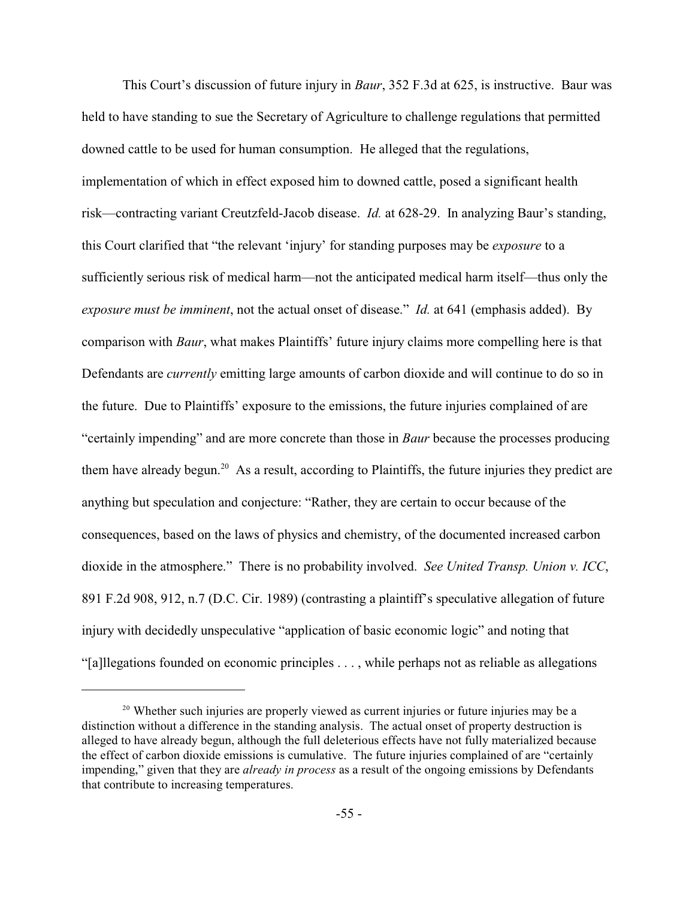This Court's discussion of future injury in *Baur*, 352 F.3d at 625, is instructive. Baur was held to have standing to sue the Secretary of Agriculture to challenge regulations that permitted downed cattle to be used for human consumption. He alleged that the regulations, implementation of which in effect exposed him to downed cattle, posed a significant health risk—contracting variant Creutzfeld-Jacob disease. *Id.* at 628-29. In analyzing Baur's standing, this Court clarified that "the relevant 'injury' for standing purposes may be *exposure* to a sufficiently serious risk of medical harm—not the anticipated medical harm itself—thus only the *exposure must be imminent*, not the actual onset of disease." *Id.* at 641 (emphasis added). By comparison with *Baur*, what makes Plaintiffs' future injury claims more compelling here is that Defendants are *currently* emitting large amounts of carbon dioxide and will continue to do so in the future. Due to Plaintiffs' exposure to the emissions, the future injuries complained of are "certainly impending" and are more concrete than those in *Baur* because the processes producing them have already begun.<sup>20</sup> As a result, according to Plaintiffs, the future injuries they predict are anything but speculation and conjecture: "Rather, they are certain to occur because of the consequences, based on the laws of physics and chemistry, of the documented increased carbon dioxide in the atmosphere." There is no probability involved. *See United Transp. Union v. ICC*, 891 F.2d 908, 912, n.7 (D.C. Cir. 1989) (contrasting a plaintiff's speculative allegation of future injury with decidedly unspeculative "application of basic economic logic" and noting that "[a]llegations founded on economic principles . . . , while perhaps not as reliable as allegations

<sup>&</sup>lt;sup>20</sup> Whether such injuries are properly viewed as current injuries or future injuries may be a distinction without a difference in the standing analysis. The actual onset of property destruction is alleged to have already begun, although the full deleterious effects have not fully materialized because the effect of carbon dioxide emissions is cumulative. The future injuries complained of are "certainly impending," given that they are *already in process* as a result of the ongoing emissions by Defendants that contribute to increasing temperatures.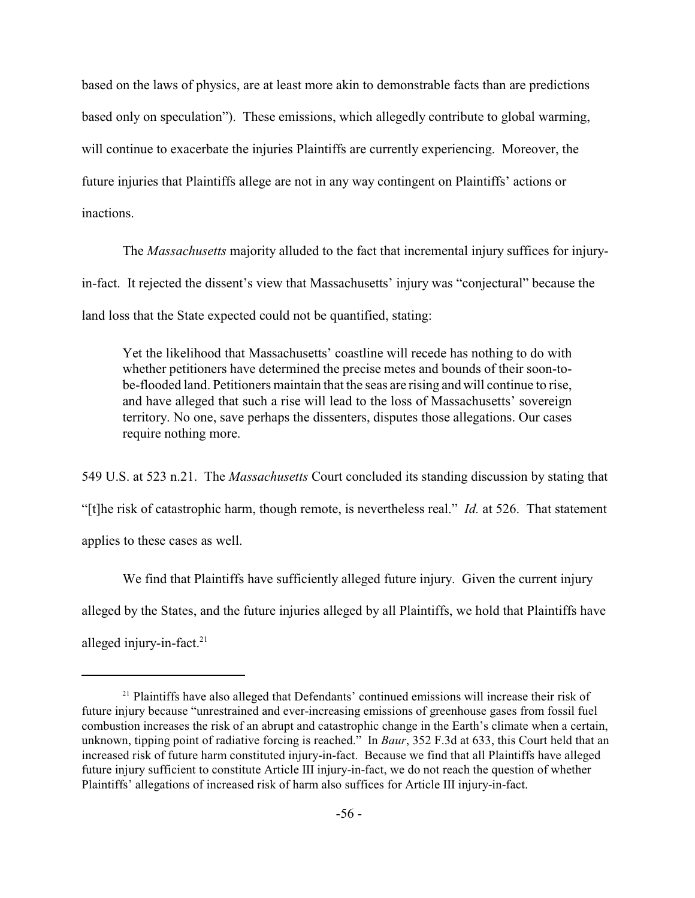based on the laws of physics, are at least more akin to demonstrable facts than are predictions based only on speculation"). These emissions, which allegedly contribute to global warming, will continue to exacerbate the injuries Plaintiffs are currently experiencing. Moreover, the future injuries that Plaintiffs allege are not in any way contingent on Plaintiffs' actions or inactions.

The *Massachusetts* majority alluded to the fact that incremental injury suffices for injuryin-fact. It rejected the dissent's view that Massachusetts' injury was "conjectural" because the land loss that the State expected could not be quantified, stating:

Yet the likelihood that Massachusetts' coastline will recede has nothing to do with whether petitioners have determined the precise metes and bounds of their soon-tobe-flooded land. Petitioners maintain that the seas are rising and will continue to rise, and have alleged that such a rise will lead to the loss of Massachusetts' sovereign territory. No one, save perhaps the dissenters, disputes those allegations. Our cases require nothing more.

549 U.S. at 523 n.21. The *Massachusetts* Court concluded its standing discussion by stating that "[t]he risk of catastrophic harm, though remote, is nevertheless real." *Id.* at 526. That statement applies to these cases as well.

We find that Plaintiffs have sufficiently alleged future injury. Given the current injury alleged by the States, and the future injuries alleged by all Plaintiffs, we hold that Plaintiffs have alleged injury-in-fact. $21$ 

 $21$  Plaintiffs have also alleged that Defendants' continued emissions will increase their risk of future injury because "unrestrained and ever-increasing emissions of greenhouse gases from fossil fuel combustion increases the risk of an abrupt and catastrophic change in the Earth's climate when a certain, unknown, tipping point of radiative forcing is reached." In *Baur*, 352 F.3d at 633, this Court held that an increased risk of future harm constituted injury-in-fact. Because we find that all Plaintiffs have alleged future injury sufficient to constitute Article III injury-in-fact, we do not reach the question of whether Plaintiffs' allegations of increased risk of harm also suffices for Article III injury-in-fact.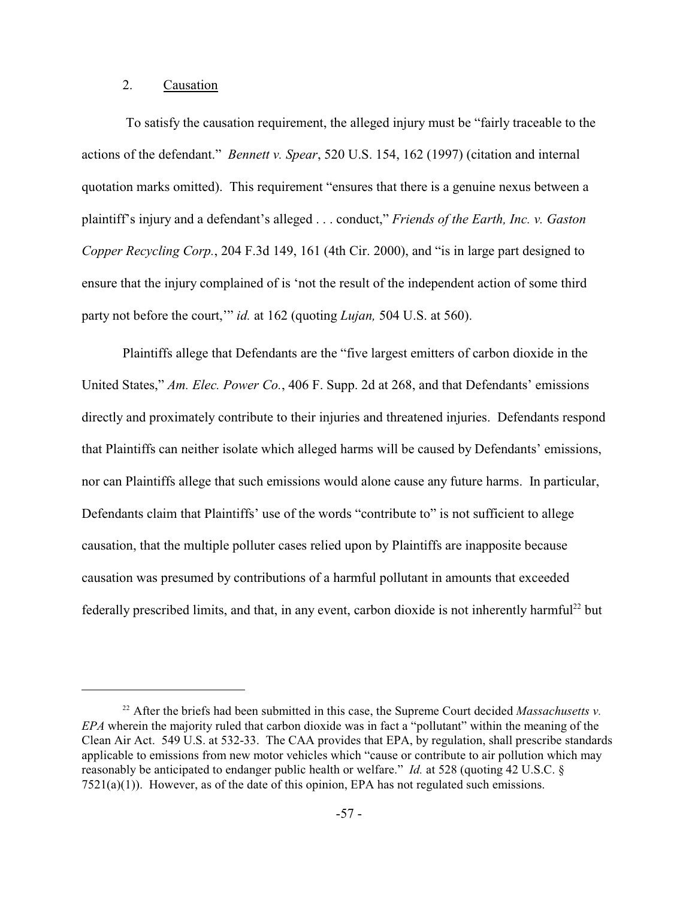## 2. Causation

 To satisfy the causation requirement, the alleged injury must be "fairly traceable to the actions of the defendant." *Bennett v. Spear*, 520 U.S. 154, 162 (1997) (citation and internal quotation marks omitted). This requirement "ensures that there is a genuine nexus between a plaintiff's injury and a defendant's alleged . . . conduct," *Friends of the Earth, Inc. v. Gaston Copper Recycling Corp.*, 204 F.3d 149, 161 (4th Cir. 2000), and "is in large part designed to ensure that the injury complained of is 'not the result of the independent action of some third party not before the court,'" *id.* at 162 (quoting *Lujan,* 504 U.S. at 560).

Plaintiffs allege that Defendants are the "five largest emitters of carbon dioxide in the United States," *Am. Elec. Power Co.*, 406 F. Supp. 2d at 268, and that Defendants' emissions directly and proximately contribute to their injuries and threatened injuries. Defendants respond that Plaintiffs can neither isolate which alleged harms will be caused by Defendants' emissions, nor can Plaintiffs allege that such emissions would alone cause any future harms. In particular, Defendants claim that Plaintiffs' use of the words "contribute to" is not sufficient to allege causation, that the multiple polluter cases relied upon by Plaintiffs are inapposite because causation was presumed by contributions of a harmful pollutant in amounts that exceeded federally prescribed limits, and that, in any event, carbon dioxide is not inherently harmful<sup>22</sup> but

<sup>&</sup>lt;sup>22</sup> After the briefs had been submitted in this case, the Supreme Court decided *Massachusetts v*. *EPA* wherein the majority ruled that carbon dioxide was in fact a "pollutant" within the meaning of the Clean Air Act. 549 U.S. at 532-33. The CAA provides that EPA, by regulation, shall prescribe standards applicable to emissions from new motor vehicles which "cause or contribute to air pollution which may reasonably be anticipated to endanger public health or welfare." *Id.* at 528 (quoting 42 U.S.C. §  $7521(a)(1)$ ). However, as of the date of this opinion, EPA has not regulated such emissions.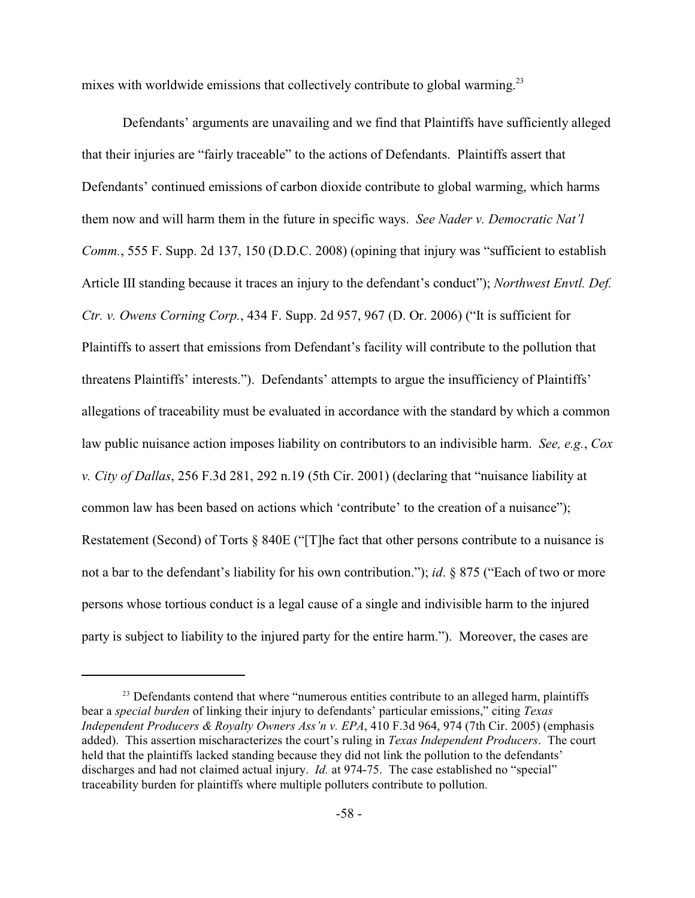mixes with worldwide emissions that collectively contribute to global warming.<sup>23</sup>

Defendants' arguments are unavailing and we find that Plaintiffs have sufficiently alleged that their injuries are "fairly traceable" to the actions of Defendants. Plaintiffs assert that Defendants' continued emissions of carbon dioxide contribute to global warming, which harms them now and will harm them in the future in specific ways. *See Nader v. Democratic Nat'l Comm.*, 555 F. Supp. 2d 137, 150 (D.D.C. 2008) (opining that injury was "sufficient to establish Article III standing because it traces an injury to the defendant's conduct"); *Northwest Envtl. Def. Ctr. v. Owens Corning Corp.*, 434 F. Supp. 2d 957, 967 (D. Or. 2006) ("It is sufficient for Plaintiffs to assert that emissions from Defendant's facility will contribute to the pollution that threatens Plaintiffs' interests."). Defendants' attempts to argue the insufficiency of Plaintiffs' allegations of traceability must be evaluated in accordance with the standard by which a common law public nuisance action imposes liability on contributors to an indivisible harm. *See, e.g.*, *Cox v. City of Dallas*, 256 F.3d 281, 292 n.19 (5th Cir. 2001) (declaring that "nuisance liability at common law has been based on actions which 'contribute' to the creation of a nuisance"); Restatement (Second) of Torts § 840E ("[T]he fact that other persons contribute to a nuisance is not a bar to the defendant's liability for his own contribution."); *id*. § 875 ("Each of two or more persons whose tortious conduct is a legal cause of a single and indivisible harm to the injured party is subject to liability to the injured party for the entire harm."). Moreover, the cases are

 $2<sup>23</sup>$  Defendants contend that where "numerous entities contribute to an alleged harm, plaintiffs bear a *special burden* of linking their injury to defendants' particular emissions," citing *Texas Independent Producers & Royalty Owners Ass'n v. EPA*, 410 F.3d 964, 974 (7th Cir. 2005) (emphasis added). This assertion mischaracterizes the court's ruling in *Texas Independent Producers*. The court held that the plaintiffs lacked standing because they did not link the pollution to the defendants' discharges and had not claimed actual injury. *Id.* at 974-75. The case established no "special" traceability burden for plaintiffs where multiple polluters contribute to pollution.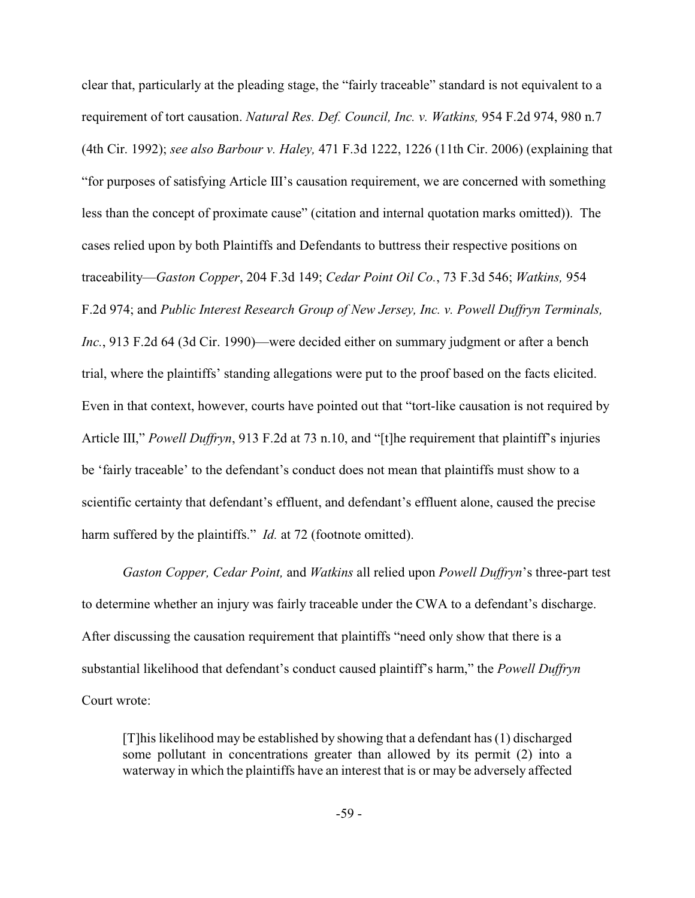clear that, particularly at the pleading stage, the "fairly traceable" standard is not equivalent to a requirement of tort causation. *Natural Res. Def. Council, Inc. v. Watkins,* 954 F.2d 974, 980 n.7 (4th Cir. 1992); *see also Barbour v. Haley,* 471 F.3d 1222, 1226 (11th Cir. 2006) (explaining that "for purposes of satisfying Article III's causation requirement, we are concerned with something less than the concept of proximate cause" (citation and internal quotation marks omitted)). The cases relied upon by both Plaintiffs and Defendants to buttress their respective positions on traceability—*Gaston Copper*, 204 F.3d 149; *Cedar Point Oil Co.*, 73 F.3d 546; *Watkins,* 954 F.2d 974; and *Public Interest Research Group of New Jersey, Inc. v. Powell Duffryn Terminals, Inc.*, 913 F.2d 64 (3d Cir. 1990)—were decided either on summary judgment or after a bench trial, where the plaintiffs' standing allegations were put to the proof based on the facts elicited. Even in that context, however, courts have pointed out that "tort-like causation is not required by Article III," *Powell Duffryn*, 913 F.2d at 73 n.10, and "[t]he requirement that plaintiff's injuries be 'fairly traceable' to the defendant's conduct does not mean that plaintiffs must show to a scientific certainty that defendant's effluent, and defendant's effluent alone, caused the precise harm suffered by the plaintiffs." *Id.* at 72 (footnote omitted).

*Gaston Copper, Cedar Point,* and *Watkins* all relied upon *Powell Duffryn*'s three-part test to determine whether an injury was fairly traceable under the CWA to a defendant's discharge. After discussing the causation requirement that plaintiffs "need only show that there is a substantial likelihood that defendant's conduct caused plaintiff's harm," the *Powell Duffryn* Court wrote:

[T]his likelihood may be established by showing that a defendant has (1) discharged some pollutant in concentrations greater than allowed by its permit (2) into a waterway in which the plaintiffs have an interest that is or may be adversely affected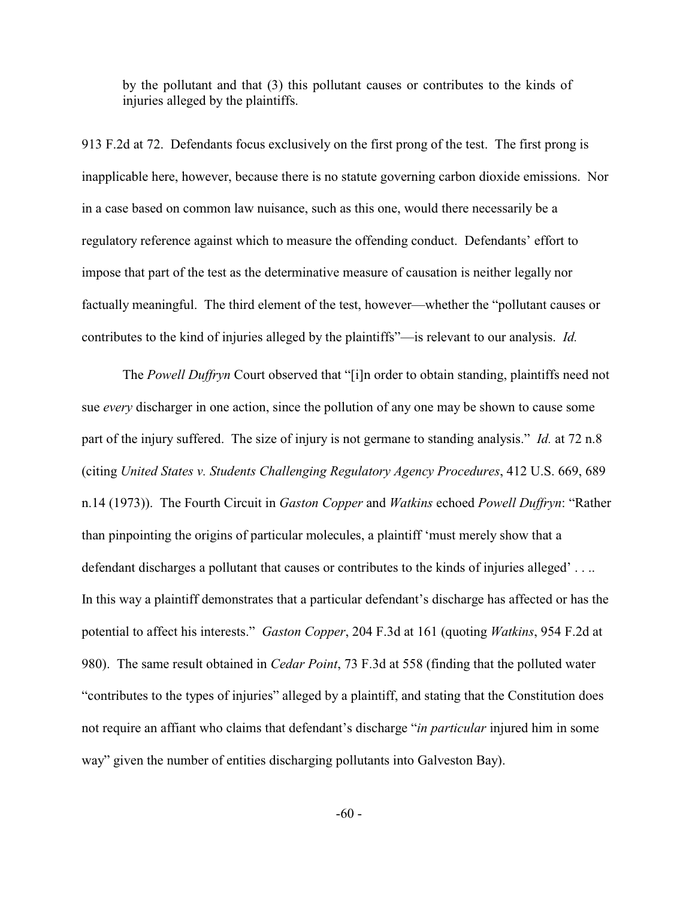by the pollutant and that (3) this pollutant causes or contributes to the kinds of injuries alleged by the plaintiffs.

913 F.2d at 72. Defendants focus exclusively on the first prong of the test. The first prong is inapplicable here, however, because there is no statute governing carbon dioxide emissions. Nor in a case based on common law nuisance, such as this one, would there necessarily be a regulatory reference against which to measure the offending conduct. Defendants' effort to impose that part of the test as the determinative measure of causation is neither legally nor factually meaningful. The third element of the test, however—whether the "pollutant causes or contributes to the kind of injuries alleged by the plaintiffs"—is relevant to our analysis. *Id.*

The *Powell Duffryn* Court observed that "[i]n order to obtain standing, plaintiffs need not sue *every* discharger in one action, since the pollution of any one may be shown to cause some part of the injury suffered. The size of injury is not germane to standing analysis." *Id.* at 72 n.8 (citing *United States v. Students Challenging Regulatory Agency Procedures*, 412 U.S. 669, 689 n.14 (1973)). The Fourth Circuit in *Gaston Copper* and *Watkins* echoed *Powell Duffryn*: "Rather than pinpointing the origins of particular molecules, a plaintiff 'must merely show that a defendant discharges a pollutant that causes or contributes to the kinds of injuries alleged' . . .. In this way a plaintiff demonstrates that a particular defendant's discharge has affected or has the potential to affect his interests." *Gaston Copper*, 204 F.3d at 161 (quoting *Watkins*, 954 F.2d at 980). The same result obtained in *Cedar Point*, 73 F.3d at 558 (finding that the polluted water "contributes to the types of injuries" alleged by a plaintiff, and stating that the Constitution does not require an affiant who claims that defendant's discharge "*in particular* injured him in some way" given the number of entities discharging pollutants into Galveston Bay).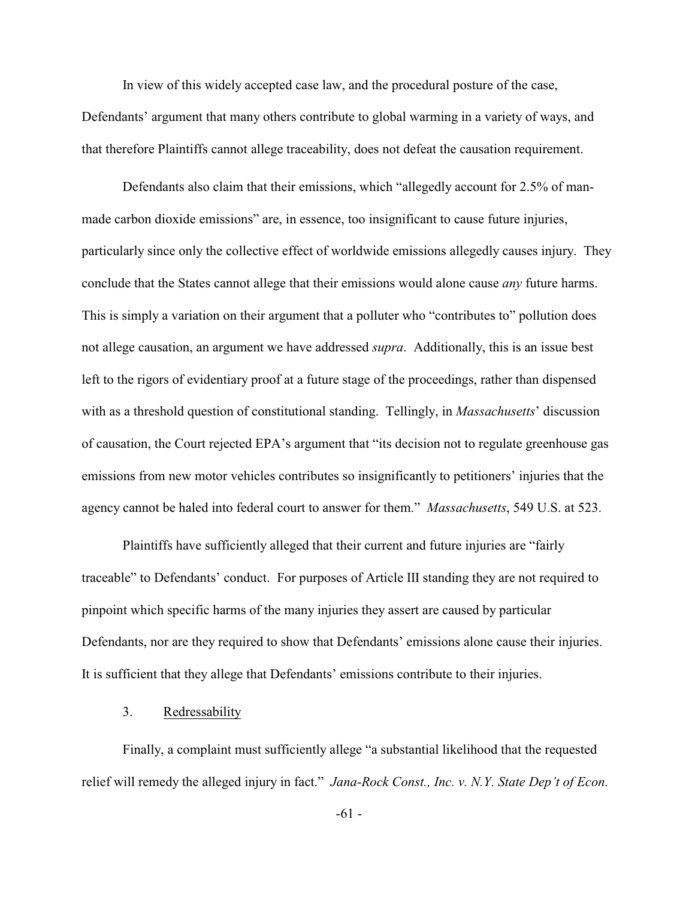In view of this widely accepted case law, and the procedural posture of the case, Defendants' argument that many others contribute to global warming in a variety of ways, and that therefore Plaintiffs cannot allege traceability, does not defeat the causation requirement.

Defendants also claim that their emissions, which "allegedly account for 2.5% of manmade carbon dioxide emissions" are, in essence, too insignificant to cause future injuries, particularly since only the collective effect of worldwide emissions allegedly causes injury. They conclude that the States cannot allege that their emissions would alone cause *any* future harms. This is simply a variation on their argument that a polluter who "contributes to" pollution does not allege causation, an argument we have addressed *supra*. Additionally, this is an issue best left to the rigors of evidentiary proof at a future stage of the proceedings, rather than dispensed with as a threshold question of constitutional standing. Tellingly, in *Massachusetts*' discussion of causation, the Court rejected EPA's argument that "its decision not to regulate greenhouse gas emissions from new motor vehicles contributes so insignificantly to petitioners' injuries that the agency cannot be haled into federal court to answer for them." *Massachusetts*, 549 U.S. at 523.

Plaintiffs have sufficiently alleged that their current and future injuries are "fairly traceable" to Defendants' conduct. For purposes of Article III standing they are not required to pinpoint which specific harms of the many injuries they assert are caused by particular Defendants, nor are they required to show that Defendants' emissions alone cause their injuries. It is sufficient that they allege that Defendants' emissions contribute to their injuries.

3. Redressability

Finally, a complaint must sufficiently allege "a substantial likelihood that the requested relief will remedy the alleged injury in fact." *Jana-Rock Const., Inc. v. N.Y. State Dep't of Econ.*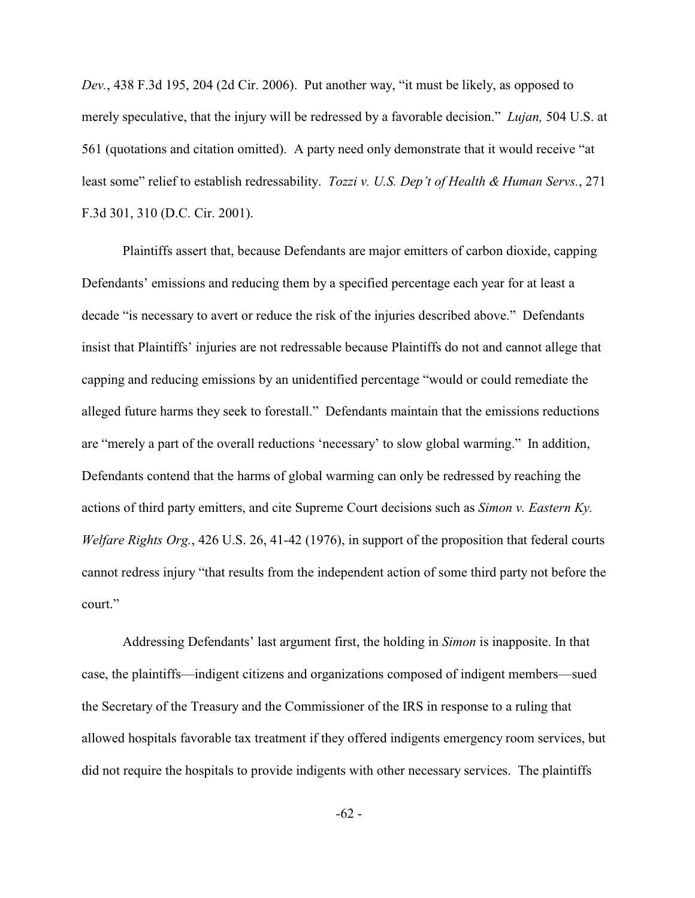*Dev.*, 438 F.3d 195, 204 (2d Cir. 2006). Put another way, "it must be likely, as opposed to merely speculative, that the injury will be redressed by a favorable decision." *Lujan,* 504 U.S. at 561 (quotations and citation omitted). A party need only demonstrate that it would receive "at least some" relief to establish redressability. *Tozzi v. U.S. Dep't of Health & Human Servs.*, 271 F.3d 301, 310 (D.C. Cir. 2001).

Plaintiffs assert that, because Defendants are major emitters of carbon dioxide, capping Defendants' emissions and reducing them by a specified percentage each year for at least a decade "is necessary to avert or reduce the risk of the injuries described above." Defendants insist that Plaintiffs' injuries are not redressable because Plaintiffs do not and cannot allege that capping and reducing emissions by an unidentified percentage "would or could remediate the alleged future harms they seek to forestall." Defendants maintain that the emissions reductions are "merely a part of the overall reductions 'necessary' to slow global warming." In addition, Defendants contend that the harms of global warming can only be redressed by reaching the actions of third party emitters, and cite Supreme Court decisions such as *Simon v. Eastern Ky. Welfare Rights Org.*, 426 U.S. 26, 41-42 (1976), in support of the proposition that federal courts cannot redress injury "that results from the independent action of some third party not before the court."

Addressing Defendants' last argument first, the holding in *Simon* is inapposite. In that case, the plaintiffs—indigent citizens and organizations composed of indigent members—sued the Secretary of the Treasury and the Commissioner of the IRS in response to a ruling that allowed hospitals favorable tax treatment if they offered indigents emergency room services, but did not require the hospitals to provide indigents with other necessary services. The plaintiffs

-62 -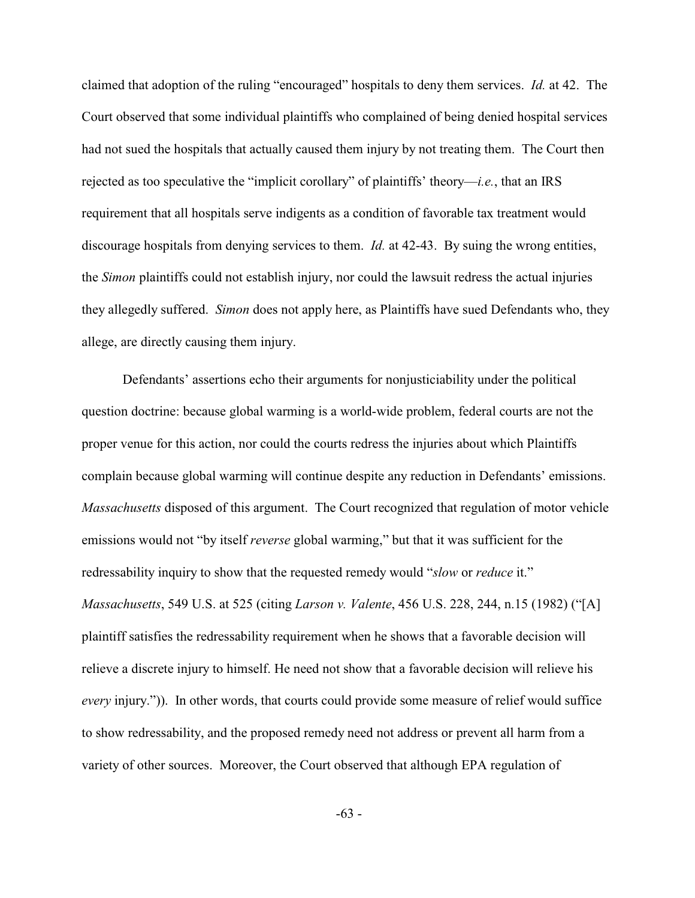claimed that adoption of the ruling "encouraged" hospitals to deny them services. *Id.* at 42. The Court observed that some individual plaintiffs who complained of being denied hospital services had not sued the hospitals that actually caused them injury by not treating them. The Court then rejected as too speculative the "implicit corollary" of plaintiffs' theory—*i.e.*, that an IRS requirement that all hospitals serve indigents as a condition of favorable tax treatment would discourage hospitals from denying services to them. *Id.* at 42-43. By suing the wrong entities, the *Simon* plaintiffs could not establish injury, nor could the lawsuit redress the actual injuries they allegedly suffered. *Simon* does not apply here, as Plaintiffs have sued Defendants who, they allege, are directly causing them injury.

Defendants' assertions echo their arguments for nonjusticiability under the political question doctrine: because global warming is a world-wide problem, federal courts are not the proper venue for this action, nor could the courts redress the injuries about which Plaintiffs complain because global warming will continue despite any reduction in Defendants' emissions. *Massachusetts* disposed of this argument. The Court recognized that regulation of motor vehicle emissions would not "by itself *reverse* global warming," but that it was sufficient for the redressability inquiry to show that the requested remedy would "*slow* or *reduce* it." *Massachusetts*, 549 U.S. at 525 (citing *Larson v. Valente*, 456 U.S. 228, 244, n.15 (1982) ("[A] plaintiff satisfies the redressability requirement when he shows that a favorable decision will relieve a discrete injury to himself. He need not show that a favorable decision will relieve his *every* injury.")). In other words, that courts could provide some measure of relief would suffice to show redressability, and the proposed remedy need not address or prevent all harm from a variety of other sources. Moreover, the Court observed that although EPA regulation of

-63 -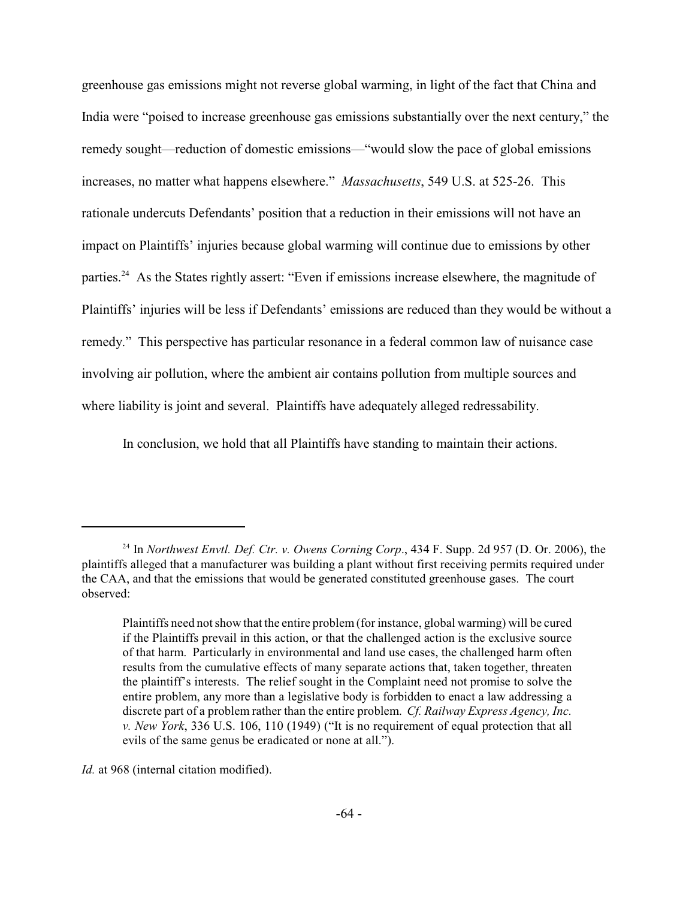greenhouse gas emissions might not reverse global warming, in light of the fact that China and India were "poised to increase greenhouse gas emissions substantially over the next century," the remedy sought—reduction of domestic emissions—"would slow the pace of global emissions increases, no matter what happens elsewhere." *Massachusetts*, 549 U.S. at 525-26. This rationale undercuts Defendants' position that a reduction in their emissions will not have an impact on Plaintiffs' injuries because global warming will continue due to emissions by other parties.<sup>24</sup> As the States rightly assert: "Even if emissions increase elsewhere, the magnitude of Plaintiffs' injuries will be less if Defendants' emissions are reduced than they would be without a remedy." This perspective has particular resonance in a federal common law of nuisance case involving air pollution, where the ambient air contains pollution from multiple sources and where liability is joint and several. Plaintiffs have adequately alleged redressability.

In conclusion, we hold that all Plaintiffs have standing to maintain their actions.

*Id.* at 968 (internal citation modified).

 $^{24}$  In *Northwest Envtl. Def. Ctr. v. Owens Corning Corp.*, 434 F. Supp. 2d 957 (D. Or. 2006), the plaintiffs alleged that a manufacturer was building a plant without first receiving permits required under the CAA, and that the emissions that would be generated constituted greenhouse gases. The court observed:

Plaintiffs need not show that the entire problem (for instance, global warming) will be cured if the Plaintiffs prevail in this action, or that the challenged action is the exclusive source of that harm. Particularly in environmental and land use cases, the challenged harm often results from the cumulative effects of many separate actions that, taken together, threaten the plaintiff's interests. The relief sought in the Complaint need not promise to solve the entire problem, any more than a legislative body is forbidden to enact a law addressing a discrete part of a problem rather than the entire problem. *Cf. Railway Express Agency, Inc. v. New York*, 336 U.S. 106, 110 (1949) ("It is no requirement of equal protection that all evils of the same genus be eradicated or none at all.").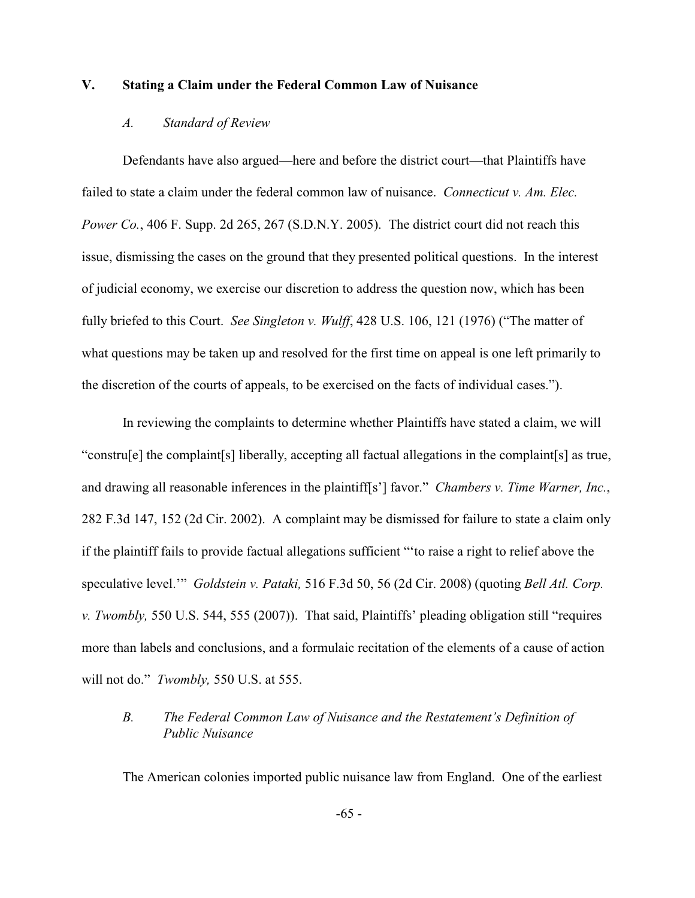#### **V. Stating a Claim under the Federal Common Law of Nuisance**

#### *A. Standard of Review*

Defendants have also argued—here and before the district court—that Plaintiffs have failed to state a claim under the federal common law of nuisance. *Connecticut v. Am. Elec. Power Co.*, 406 F. Supp. 2d 265, 267 (S.D.N.Y. 2005). The district court did not reach this issue, dismissing the cases on the ground that they presented political questions. In the interest of judicial economy, we exercise our discretion to address the question now, which has been fully briefed to this Court. *See Singleton v. Wulff*, 428 U.S. 106, 121 (1976) ("The matter of what questions may be taken up and resolved for the first time on appeal is one left primarily to the discretion of the courts of appeals, to be exercised on the facts of individual cases.").

In reviewing the complaints to determine whether Plaintiffs have stated a claim, we will "constru[e] the complaint[s] liberally, accepting all factual allegations in the complaint[s] as true, and drawing all reasonable inferences in the plaintiff[s'] favor." *Chambers v. Time Warner, Inc.*, 282 F.3d 147, 152 (2d Cir. 2002). A complaint may be dismissed for failure to state a claim only if the plaintiff fails to provide factual allegations sufficient "'to raise a right to relief above the speculative level.'" *Goldstein v. Pataki,* 516 F.3d 50, 56 (2d Cir. 2008) (quoting *Bell Atl. Corp. v. Twombly,* 550 U.S. 544, 555 (2007)). That said, Plaintiffs' pleading obligation still "requires more than labels and conclusions, and a formulaic recitation of the elements of a cause of action will not do." *Twombly,* 550 U.S. at 555.

# *B. The Federal Common Law of Nuisance and the Restatement's Definition of Public Nuisance*

The American colonies imported public nuisance law from England. One of the earliest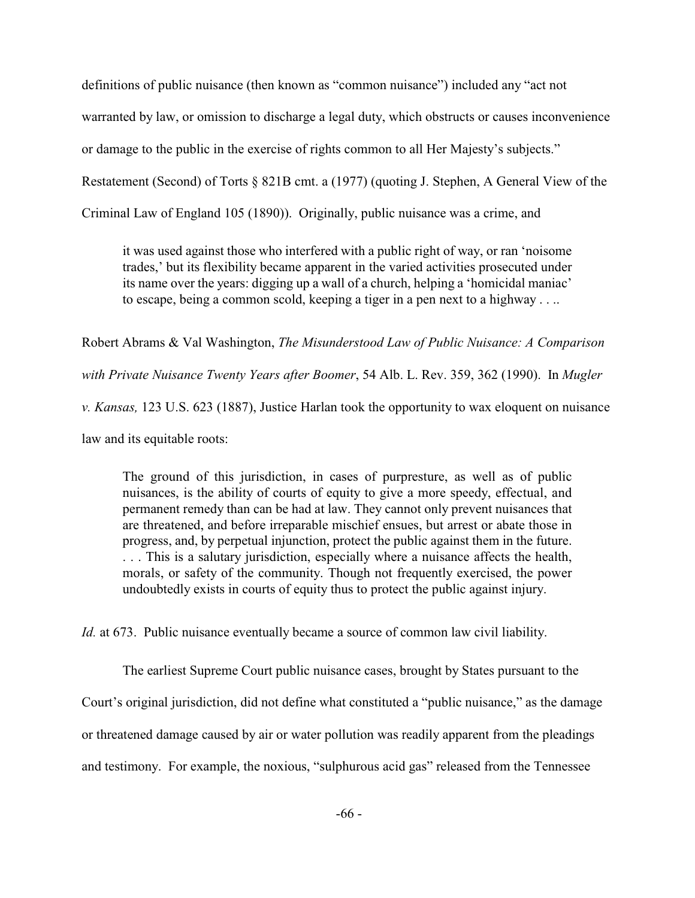definitions of public nuisance (then known as "common nuisance") included any "act not warranted by law, or omission to discharge a legal duty, which obstructs or causes inconvenience or damage to the public in the exercise of rights common to all Her Majesty's subjects." Restatement (Second) of Torts § 821B cmt. a (1977) (quoting J. Stephen, A General View of the Criminal Law of England 105 (1890)). Originally, public nuisance was a crime, and

it was used against those who interfered with a public right of way, or ran 'noisome trades,' but its flexibility became apparent in the varied activities prosecuted under its name over the years: digging up a wall of a church, helping a 'homicidal maniac' to escape, being a common scold, keeping a tiger in a pen next to a highway . . ..

Robert Abrams & Val Washington, *The Misunderstood Law of Public Nuisance: A Comparison*

*with Private Nuisance Twenty Years after Boomer*, 54 Alb. L. Rev. 359, 362 (1990). In *Mugler*

*v. Kansas,* 123 U.S. 623 (1887), Justice Harlan took the opportunity to wax eloquent on nuisance

law and its equitable roots:

The ground of this jurisdiction, in cases of purpresture, as well as of public nuisances, is the ability of courts of equity to give a more speedy, effectual, and permanent remedy than can be had at law. They cannot only prevent nuisances that are threatened, and before irreparable mischief ensues, but arrest or abate those in progress, and, by perpetual injunction, protect the public against them in the future. . . . This is a salutary jurisdiction, especially where a nuisance affects the health, morals, or safety of the community. Though not frequently exercised, the power undoubtedly exists in courts of equity thus to protect the public against injury.

*Id.* at 673. Public nuisance eventually became a source of common law civil liability.

The earliest Supreme Court public nuisance cases, brought by States pursuant to the Court's original jurisdiction, did not define what constituted a "public nuisance," as the damage or threatened damage caused by air or water pollution was readily apparent from the pleadings and testimony. For example, the noxious, "sulphurous acid gas" released from the Tennessee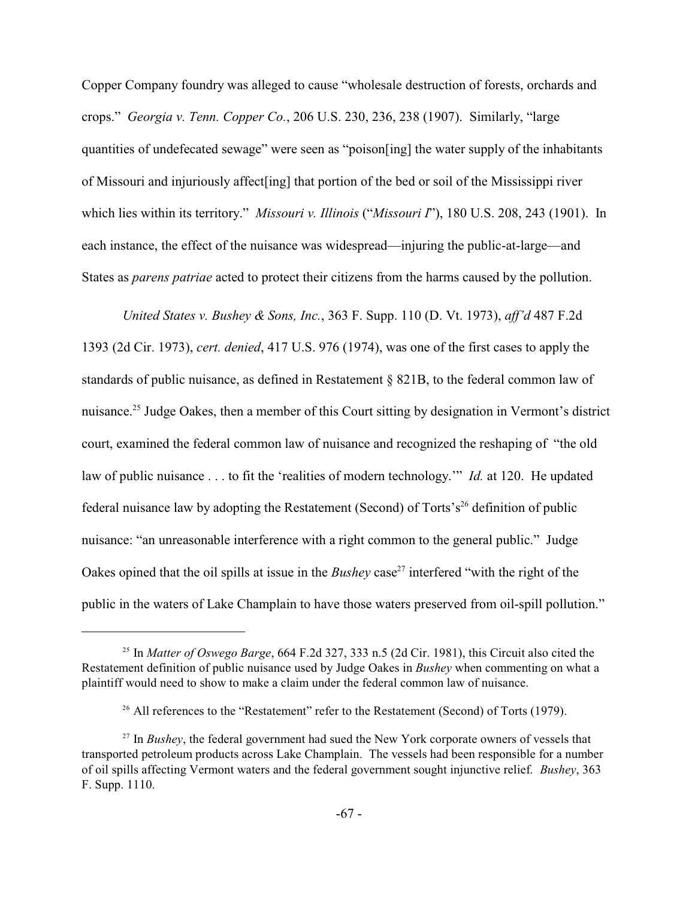Copper Company foundry was alleged to cause "wholesale destruction of forests, orchards and crops." *Georgia v. Tenn. Copper Co.*, 206 U.S. 230, 236, 238 (1907). Similarly, "large quantities of undefecated sewage" were seen as "poison[ing] the water supply of the inhabitants of Missouri and injuriously affect[ing] that portion of the bed or soil of the Mississippi river which lies within its territory." *Missouri v. Illinois* ("*Missouri I*"), 180 U.S. 208, 243 (1901). In each instance, the effect of the nuisance was widespread—injuring the public-at-large—and States as *parens patriae* acted to protect their citizens from the harms caused by the pollution.

*United States v. Bushey & Sons, Inc.*, 363 F. Supp. 110 (D. Vt. 1973), *aff'd* 487 F.2d 1393 (2d Cir. 1973), *cert. denied*, 417 U.S. 976 (1974), was one of the first cases to apply the standards of public nuisance, as defined in Restatement § 821B, to the federal common law of nuisance.<sup>25</sup> Judge Oakes, then a member of this Court sitting by designation in Vermont's district court, examined the federal common law of nuisance and recognized the reshaping of "the old law of public nuisance . . . to fit the 'realities of modern technology.'" *Id.* at 120. He updated federal nuisance law by adopting the Restatement (Second) of Torts's<sup>26</sup> definition of public nuisance: "an unreasonable interference with a right common to the general public." Judge Oakes opined that the oil spills at issue in the *Bushey* case<sup>27</sup> interfered "with the right of the public in the waters of Lake Champlain to have those waters preserved from oil-spill pollution."

 $^{25}$  In *Matter of Oswego Barge*, 664 F.2d 327, 333 n.5 (2d Cir. 1981), this Circuit also cited the Restatement definition of public nuisance used by Judge Oakes in *Bushey* when commenting on what a plaintiff would need to show to make a claim under the federal common law of nuisance.

<sup>&</sup>lt;sup>26</sup> All references to the "Restatement" refer to the Restatement (Second) of Torts (1979).

<sup>&</sup>lt;sup>27</sup> In *Bushey*, the federal government had sued the New York corporate owners of vessels that transported petroleum products across Lake Champlain. The vessels had been responsible for a number of oil spills affecting Vermont waters and the federal government sought injunctive relief*. Bushey*, 363 F. Supp. 1110.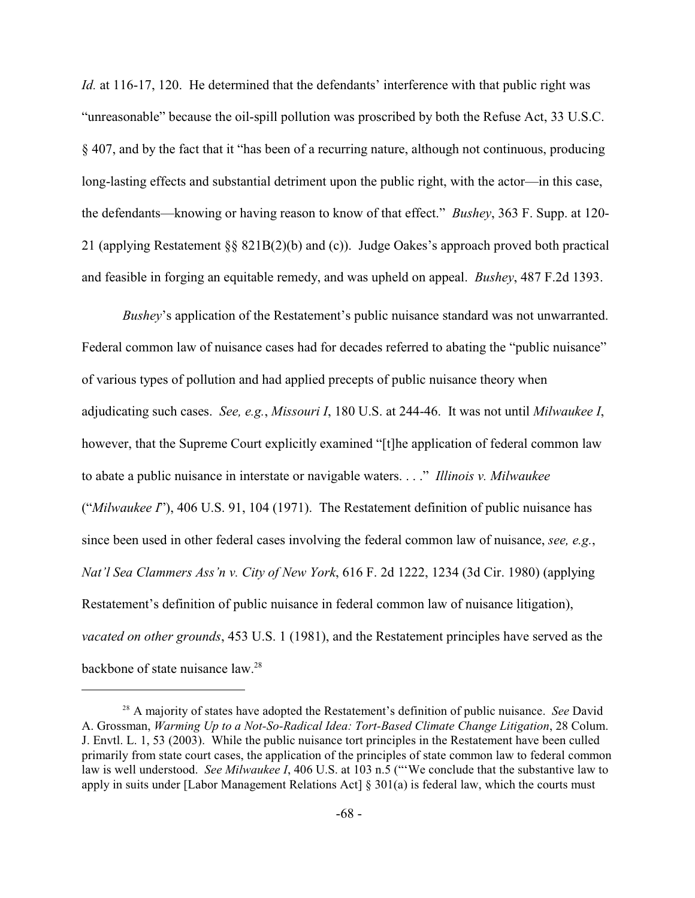*Id.* at 116-17, 120. He determined that the defendants' interference with that public right was "unreasonable" because the oil-spill pollution was proscribed by both the Refuse Act, 33 U.S.C. § 407, and by the fact that it "has been of a recurring nature, although not continuous, producing long-lasting effects and substantial detriment upon the public right, with the actor—in this case, the defendants—knowing or having reason to know of that effect." *Bushey*, 363 F. Supp. at 120- 21 (applying Restatement §§ 821B(2)(b) and (c)). Judge Oakes's approach proved both practical and feasible in forging an equitable remedy, and was upheld on appeal. *Bushey*, 487 F.2d 1393.

*Bushey*'s application of the Restatement's public nuisance standard was not unwarranted. Federal common law of nuisance cases had for decades referred to abating the "public nuisance" of various types of pollution and had applied precepts of public nuisance theory when adjudicating such cases. *See, e.g.*, *Missouri I*, 180 U.S. at 244-46. It was not until *Milwaukee I*, however, that the Supreme Court explicitly examined "[t]he application of federal common law to abate a public nuisance in interstate or navigable waters. . . ." *Illinois v. Milwaukee* ("*Milwaukee I*"), 406 U.S. 91, 104 (1971). The Restatement definition of public nuisance has since been used in other federal cases involving the federal common law of nuisance, *see, e.g.*, *Nat'l Sea Clammers Ass'n v. City of New York*, 616 F. 2d 1222, 1234 (3d Cir. 1980) (applying Restatement's definition of public nuisance in federal common law of nuisance litigation), *vacated on other grounds*, 453 U.S. 1 (1981), and the Restatement principles have served as the backbone of state nuisance law.28

<sup>&</sup>lt;sup>28</sup> A majority of states have adopted the Restatement's definition of public nuisance. *See* David A. Grossman, *Warming Up to a Not-So-Radical Idea: Tort-Based Climate Change Litigation*, 28 Colum. J. Envtl. L. 1, 53 (2003). While the public nuisance tort principles in the Restatement have been culled primarily from state court cases, the application of the principles of state common law to federal common law is well understood. *See Milwaukee I*, 406 U.S. at 103 n.5 ("'We conclude that the substantive law to apply in suits under [Labor Management Relations Act] § 301(a) is federal law, which the courts must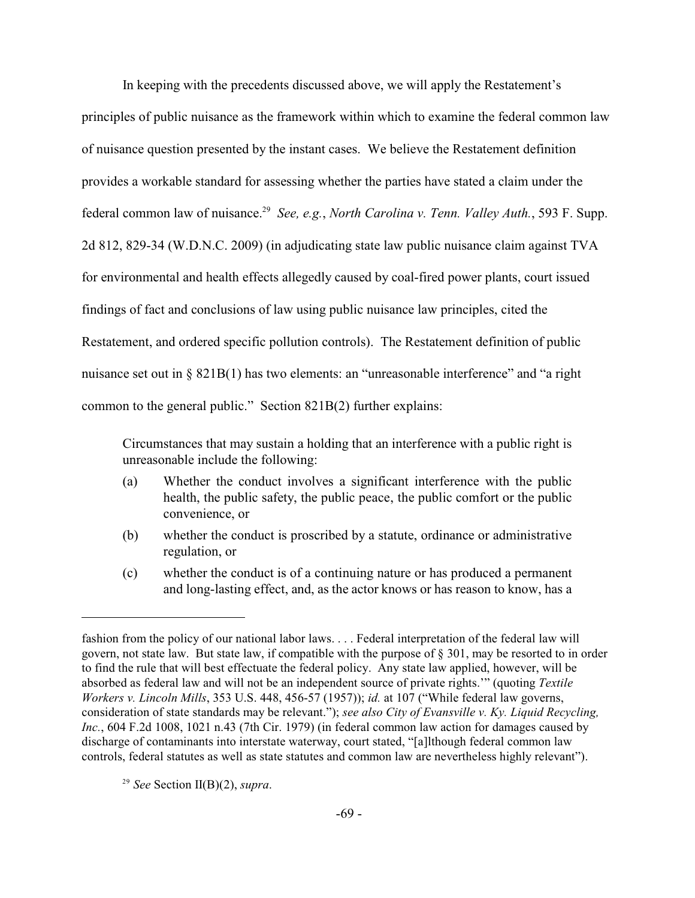In keeping with the precedents discussed above, we will apply the Restatement's

principles of public nuisance as the framework within which to examine the federal common law of nuisance question presented by the instant cases. We believe the Restatement definition provides a workable standard for assessing whether the parties have stated a claim under the federal common law of nuisance.<sup>29</sup> See, e.g., *North Carolina v. Tenn. Valley Auth.*, 593 F. Supp. 2d 812, 829-34 (W.D.N.C. 2009) (in adjudicating state law public nuisance claim against TVA for environmental and health effects allegedly caused by coal-fired power plants, court issued findings of fact and conclusions of law using public nuisance law principles, cited the Restatement, and ordered specific pollution controls). The Restatement definition of public nuisance set out in § 821B(1) has two elements: an "unreasonable interference" and "a right common to the general public." Section 821B(2) further explains:

Circumstances that may sustain a holding that an interference with a public right is unreasonable include the following:

- (a) Whether the conduct involves a significant interference with the public health, the public safety, the public peace, the public comfort or the public convenience, or
- (b) whether the conduct is proscribed by a statute, ordinance or administrative regulation, or
- (c) whether the conduct is of a continuing nature or has produced a permanent and long-lasting effect, and, as the actor knows or has reason to know, has a

fashion from the policy of our national labor laws. . . . Federal interpretation of the federal law will govern, not state law. But state law, if compatible with the purpose of  $\S 301$ , may be resorted to in order to find the rule that will best effectuate the federal policy. Any state law applied, however, will be absorbed as federal law and will not be an independent source of private rights.'" (quoting *Textile Workers v. Lincoln Mills*, 353 U.S. 448, 456-57 (1957)); *id.* at 107 ("While federal law governs, consideration of state standards may be relevant."); *see also City of Evansville v. Ky. Liquid Recycling, Inc.*, 604 F.2d 1008, 1021 n.43 (7th Cir. 1979) (in federal common law action for damages caused by discharge of contaminants into interstate waterway, court stated, "[a]lthough federal common law controls, federal statutes as well as state statutes and common law are nevertheless highly relevant").

<sup>&</sup>lt;sup>29</sup> See Section II(B)(2), *supra*.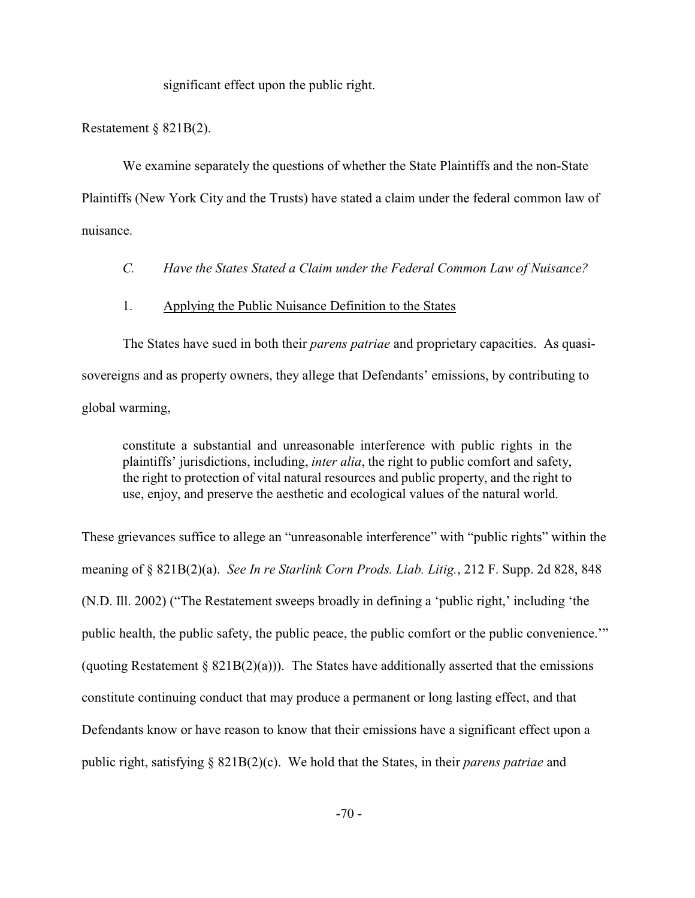significant effect upon the public right.

## Restatement § 821B(2).

We examine separately the questions of whether the State Plaintiffs and the non-State Plaintiffs (New York City and the Trusts) have stated a claim under the federal common law of nuisance.

# *C. Have the States Stated a Claim under the Federal Common Law of Nuisance?*

## 1. Applying the Public Nuisance Definition to the States

The States have sued in both their *parens patriae* and proprietary capacities. As quasisovereigns and as property owners, they allege that Defendants' emissions, by contributing to global warming,

constitute a substantial and unreasonable interference with public rights in the plaintiffs' jurisdictions, including, *inter alia*, the right to public comfort and safety, the right to protection of vital natural resources and public property, and the right to use, enjoy, and preserve the aesthetic and ecological values of the natural world.

These grievances suffice to allege an "unreasonable interference" with "public rights" within the meaning of § 821B(2)(a). *See In re Starlink Corn Prods. Liab. Litig.*, 212 F. Supp. 2d 828, 848 (N.D. Ill. 2002) ("The Restatement sweeps broadly in defining a 'public right,' including 'the public health, the public safety, the public peace, the public comfort or the public convenience.'" (quoting Restatement  $\S 821B(2)(a)$ )). The States have additionally asserted that the emissions constitute continuing conduct that may produce a permanent or long lasting effect, and that Defendants know or have reason to know that their emissions have a significant effect upon a public right, satisfying § 821B(2)(c). We hold that the States, in their *parens patriae* and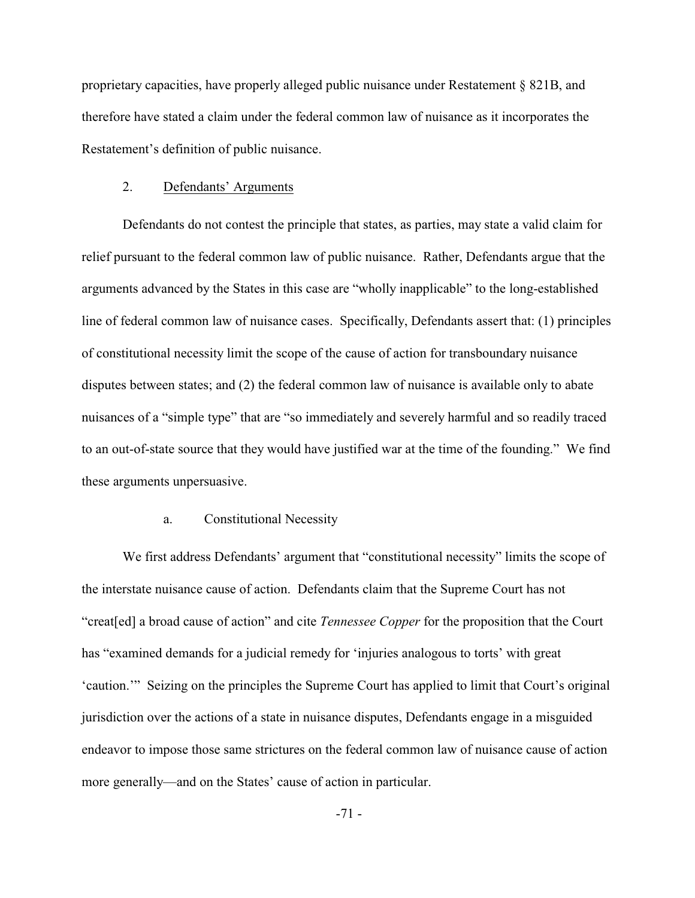proprietary capacities, have properly alleged public nuisance under Restatement § 821B, and therefore have stated a claim under the federal common law of nuisance as it incorporates the Restatement's definition of public nuisance.

# 2. Defendants' Arguments

Defendants do not contest the principle that states, as parties, may state a valid claim for relief pursuant to the federal common law of public nuisance. Rather, Defendants argue that the arguments advanced by the States in this case are "wholly inapplicable" to the long-established line of federal common law of nuisance cases. Specifically, Defendants assert that: (1) principles of constitutional necessity limit the scope of the cause of action for transboundary nuisance disputes between states; and (2) the federal common law of nuisance is available only to abate nuisances of a "simple type" that are "so immediately and severely harmful and so readily traced to an out-of-state source that they would have justified war at the time of the founding." We find these arguments unpersuasive.

## a. Constitutional Necessity

We first address Defendants' argument that "constitutional necessity" limits the scope of the interstate nuisance cause of action. Defendants claim that the Supreme Court has not "creat[ed] a broad cause of action" and cite *Tennessee Copper* for the proposition that the Court has "examined demands for a judicial remedy for 'injuries analogous to torts' with great 'caution.'" Seizing on the principles the Supreme Court has applied to limit that Court's original jurisdiction over the actions of a state in nuisance disputes, Defendants engage in a misguided endeavor to impose those same strictures on the federal common law of nuisance cause of action more generally—and on the States' cause of action in particular.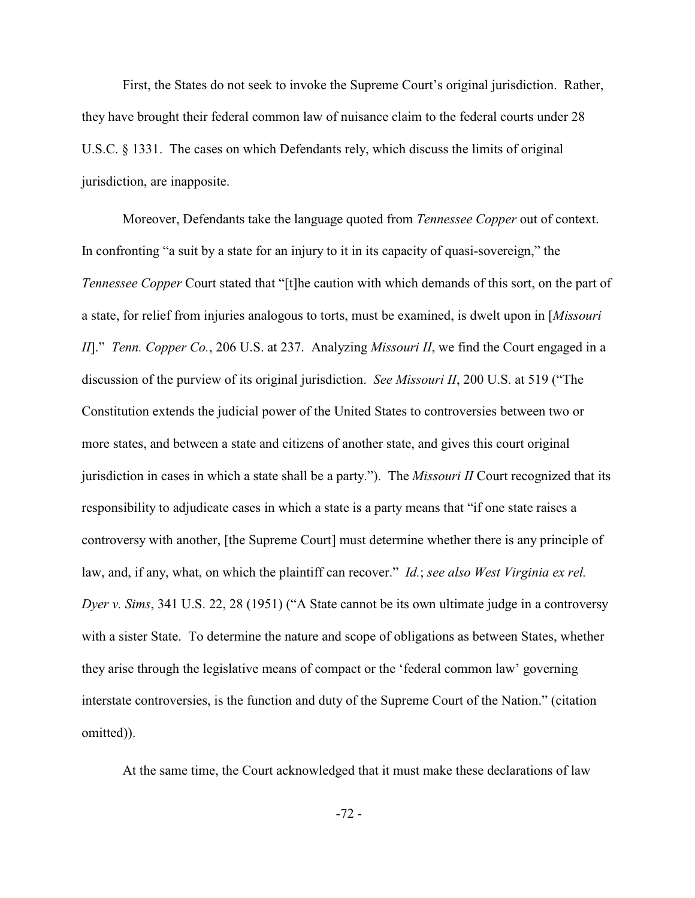First, the States do not seek to invoke the Supreme Court's original jurisdiction. Rather, they have brought their federal common law of nuisance claim to the federal courts under 28 U.S.C. § 1331. The cases on which Defendants rely, which discuss the limits of original jurisdiction, are inapposite.

Moreover, Defendants take the language quoted from *Tennessee Copper* out of context. In confronting "a suit by a state for an injury to it in its capacity of quasi-sovereign," the *Tennessee Copper* Court stated that "[t]he caution with which demands of this sort, on the part of a state, for relief from injuries analogous to torts, must be examined, is dwelt upon in [*Missouri II*]." *Tenn. Copper Co.*, 206 U.S. at 237. Analyzing *Missouri II*, we find the Court engaged in a discussion of the purview of its original jurisdiction. *See Missouri II*, 200 U.S. at 519 ("The Constitution extends the judicial power of the United States to controversies between two or more states, and between a state and citizens of another state, and gives this court original jurisdiction in cases in which a state shall be a party."). The *Missouri II* Court recognized that its responsibility to adjudicate cases in which a state is a party means that "if one state raises a controversy with another, [the Supreme Court] must determine whether there is any principle of law, and, if any, what, on which the plaintiff can recover." *Id.*; *see also West Virginia ex rel. Dyer v. Sims*, 341 U.S. 22, 28 (1951) ("A State cannot be its own ultimate judge in a controversy with a sister State. To determine the nature and scope of obligations as between States, whether they arise through the legislative means of compact or the 'federal common law' governing interstate controversies, is the function and duty of the Supreme Court of the Nation." (citation omitted)).

At the same time, the Court acknowledged that it must make these declarations of law

-72 -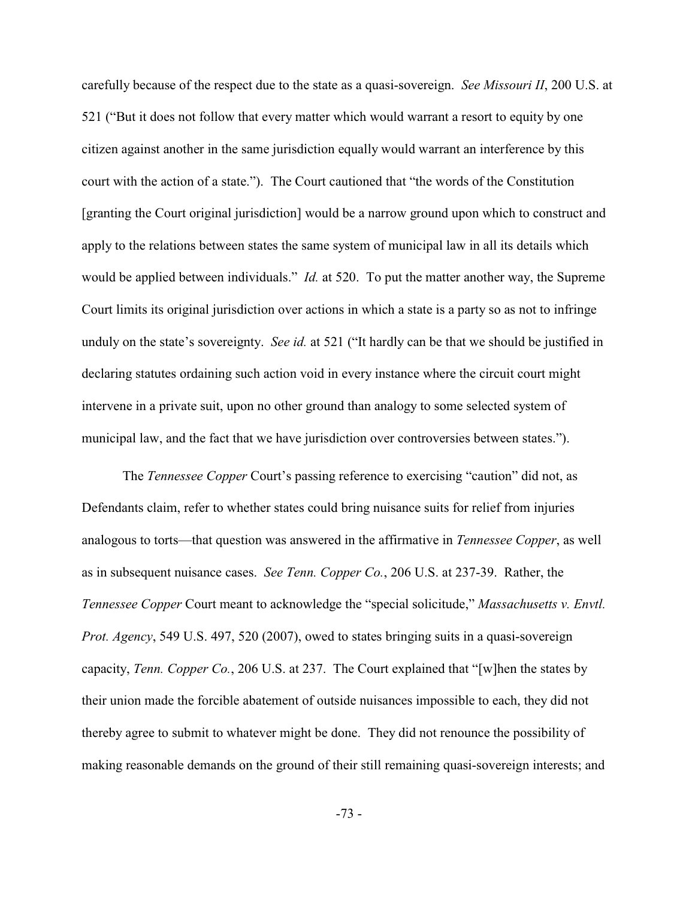carefully because of the respect due to the state as a quasi-sovereign. *See Missouri II*, 200 U.S. at 521 ("But it does not follow that every matter which would warrant a resort to equity by one citizen against another in the same jurisdiction equally would warrant an interference by this court with the action of a state."). The Court cautioned that "the words of the Constitution [granting the Court original jurisdiction] would be a narrow ground upon which to construct and apply to the relations between states the same system of municipal law in all its details which would be applied between individuals." *Id.* at 520. To put the matter another way, the Supreme Court limits its original jurisdiction over actions in which a state is a party so as not to infringe unduly on the state's sovereignty. *See id.* at 521 ("It hardly can be that we should be justified in declaring statutes ordaining such action void in every instance where the circuit court might intervene in a private suit, upon no other ground than analogy to some selected system of municipal law, and the fact that we have jurisdiction over controversies between states.").

The *Tennessee Copper* Court's passing reference to exercising "caution" did not, as Defendants claim, refer to whether states could bring nuisance suits for relief from injuries analogous to torts—that question was answered in the affirmative in *Tennessee Copper*, as well as in subsequent nuisance cases. *See Tenn. Copper Co.*, 206 U.S. at 237-39. Rather, the *Tennessee Copper* Court meant to acknowledge the "special solicitude," *Massachusetts v. Envtl. Prot. Agency*, 549 U.S. 497, 520 (2007), owed to states bringing suits in a quasi-sovereign capacity, *Tenn. Copper Co.*, 206 U.S. at 237. The Court explained that "[w]hen the states by their union made the forcible abatement of outside nuisances impossible to each, they did not thereby agree to submit to whatever might be done. They did not renounce the possibility of making reasonable demands on the ground of their still remaining quasi-sovereign interests; and

-73 -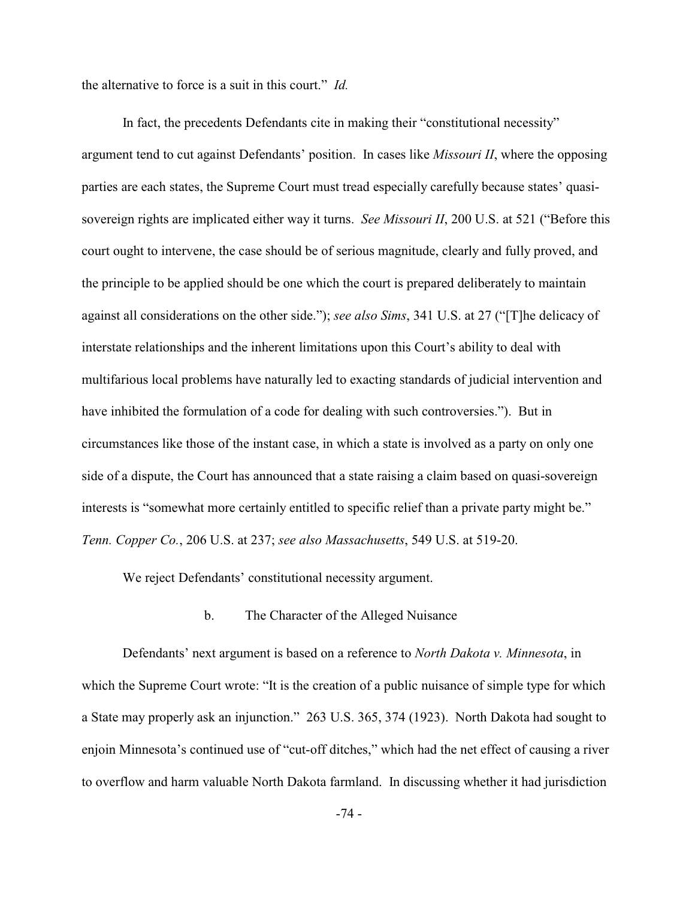the alternative to force is a suit in this court." *Id.* 

In fact, the precedents Defendants cite in making their "constitutional necessity" argument tend to cut against Defendants' position. In cases like *Missouri II*, where the opposing parties are each states, the Supreme Court must tread especially carefully because states' quasisovereign rights are implicated either way it turns. *See Missouri II*, 200 U.S. at 521 ("Before this court ought to intervene, the case should be of serious magnitude, clearly and fully proved, and the principle to be applied should be one which the court is prepared deliberately to maintain against all considerations on the other side."); *see also Sims*, 341 U.S. at 27 ("[T]he delicacy of interstate relationships and the inherent limitations upon this Court's ability to deal with multifarious local problems have naturally led to exacting standards of judicial intervention and have inhibited the formulation of a code for dealing with such controversies."). But in circumstances like those of the instant case, in which a state is involved as a party on only one side of a dispute, the Court has announced that a state raising a claim based on quasi-sovereign interests is "somewhat more certainly entitled to specific relief than a private party might be." *Tenn. Copper Co.*, 206 U.S. at 237; *see also Massachusetts*, 549 U.S. at 519-20.

We reject Defendants' constitutional necessity argument.

#### b. The Character of the Alleged Nuisance

Defendants' next argument is based on a reference to *North Dakota v. Minnesota*, in which the Supreme Court wrote: "It is the creation of a public nuisance of simple type for which a State may properly ask an injunction." 263 U.S. 365, 374 (1923). North Dakota had sought to enjoin Minnesota's continued use of "cut-off ditches," which had the net effect of causing a river to overflow and harm valuable North Dakota farmland. In discussing whether it had jurisdiction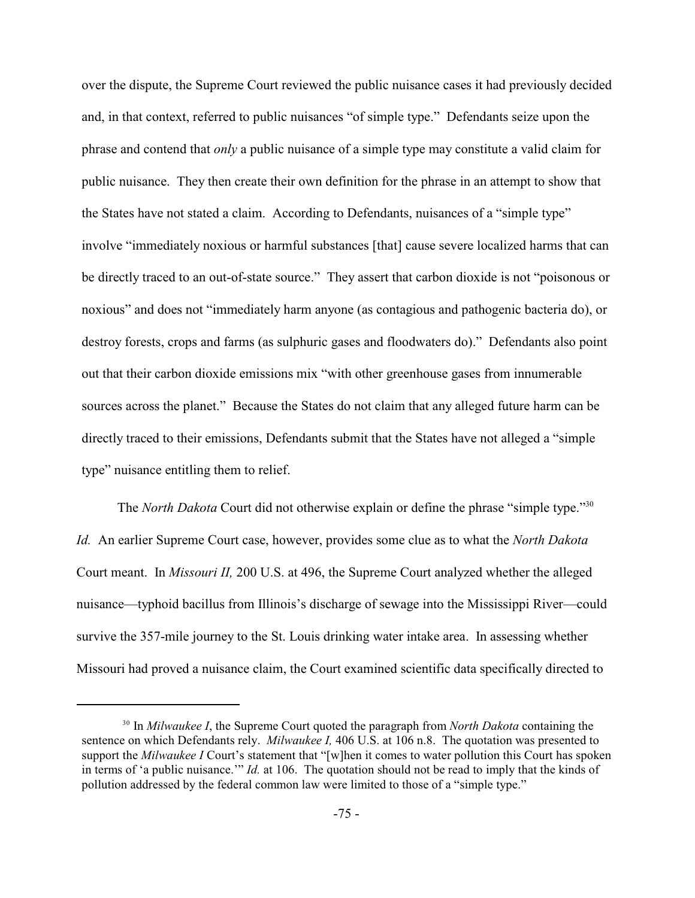over the dispute, the Supreme Court reviewed the public nuisance cases it had previously decided and, in that context, referred to public nuisances "of simple type." Defendants seize upon the phrase and contend that *only* a public nuisance of a simple type may constitute a valid claim for public nuisance. They then create their own definition for the phrase in an attempt to show that the States have not stated a claim. According to Defendants, nuisances of a "simple type" involve "immediately noxious or harmful substances [that] cause severe localized harms that can be directly traced to an out-of-state source." They assert that carbon dioxide is not "poisonous or noxious" and does not "immediately harm anyone (as contagious and pathogenic bacteria do), or destroy forests, crops and farms (as sulphuric gases and floodwaters do)." Defendants also point out that their carbon dioxide emissions mix "with other greenhouse gases from innumerable sources across the planet." Because the States do not claim that any alleged future harm can be directly traced to their emissions, Defendants submit that the States have not alleged a "simple type" nuisance entitling them to relief.

The *North Dakota* Court did not otherwise explain or define the phrase "simple type."<sup>30</sup> *Id.* An earlier Supreme Court case, however, provides some clue as to what the *North Dakota* Court meant. In *Missouri II,* 200 U.S. at 496, the Supreme Court analyzed whether the alleged nuisance—typhoid bacillus from Illinois's discharge of sewage into the Mississippi River—could survive the 357-mile journey to the St. Louis drinking water intake area. In assessing whether Missouri had proved a nuisance claim, the Court examined scientific data specifically directed to

<sup>&</sup>lt;sup>30</sup> In *Milwaukee I*, the Supreme Court quoted the paragraph from *North Dakota* containing the sentence on which Defendants rely. *Milwaukee I,* 406 U.S. at 106 n.8. The quotation was presented to support the *Milwaukee I* Court's statement that "[w]hen it comes to water pollution this Court has spoken in terms of 'a public nuisance.'" *Id.* at 106. The quotation should not be read to imply that the kinds of pollution addressed by the federal common law were limited to those of a "simple type."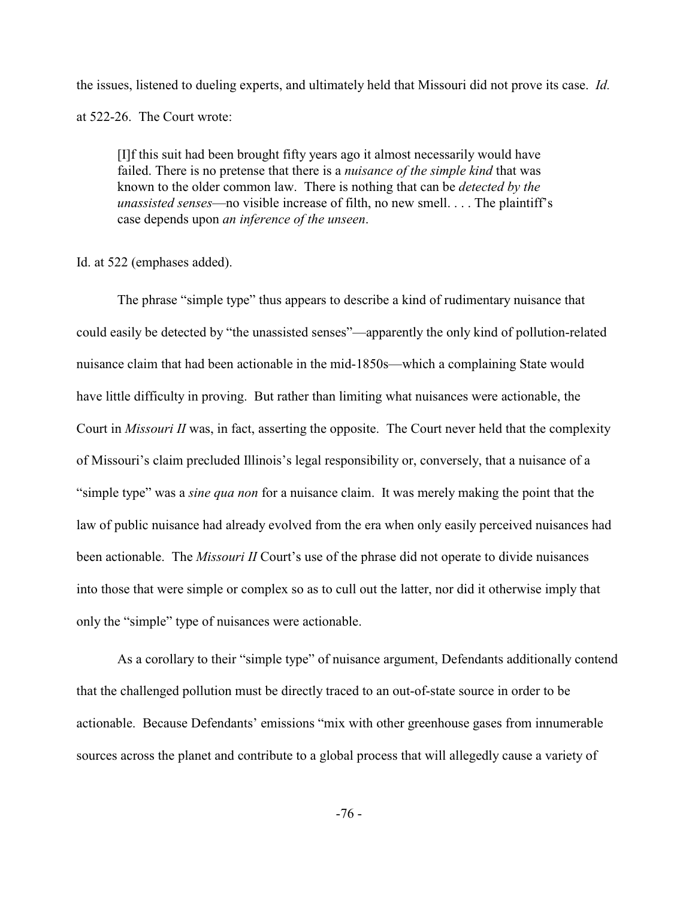the issues, listened to dueling experts, and ultimately held that Missouri did not prove its case. *Id.* at 522-26. The Court wrote:

[I]f this suit had been brought fifty years ago it almost necessarily would have failed. There is no pretense that there is a *nuisance of the simple kind* that was known to the older common law. There is nothing that can be *detected by the unassisted senses*—no visible increase of filth, no new smell. . . . The plaintiff's case depends upon *an inference of the unseen*.

### Id. at 522 (emphases added).

The phrase "simple type" thus appears to describe a kind of rudimentary nuisance that could easily be detected by "the unassisted senses"—apparently the only kind of pollution-related nuisance claim that had been actionable in the mid-1850s—which a complaining State would have little difficulty in proving. But rather than limiting what nuisances were actionable, the Court in *Missouri II* was, in fact, asserting the opposite. The Court never held that the complexity of Missouri's claim precluded Illinois's legal responsibility or, conversely, that a nuisance of a "simple type" was a *sine qua non* for a nuisance claim. It was merely making the point that the law of public nuisance had already evolved from the era when only easily perceived nuisances had been actionable. The *Missouri II* Court's use of the phrase did not operate to divide nuisances into those that were simple or complex so as to cull out the latter, nor did it otherwise imply that only the "simple" type of nuisances were actionable.

As a corollary to their "simple type" of nuisance argument, Defendants additionally contend that the challenged pollution must be directly traced to an out-of-state source in order to be actionable. Because Defendants' emissions "mix with other greenhouse gases from innumerable sources across the planet and contribute to a global process that will allegedly cause a variety of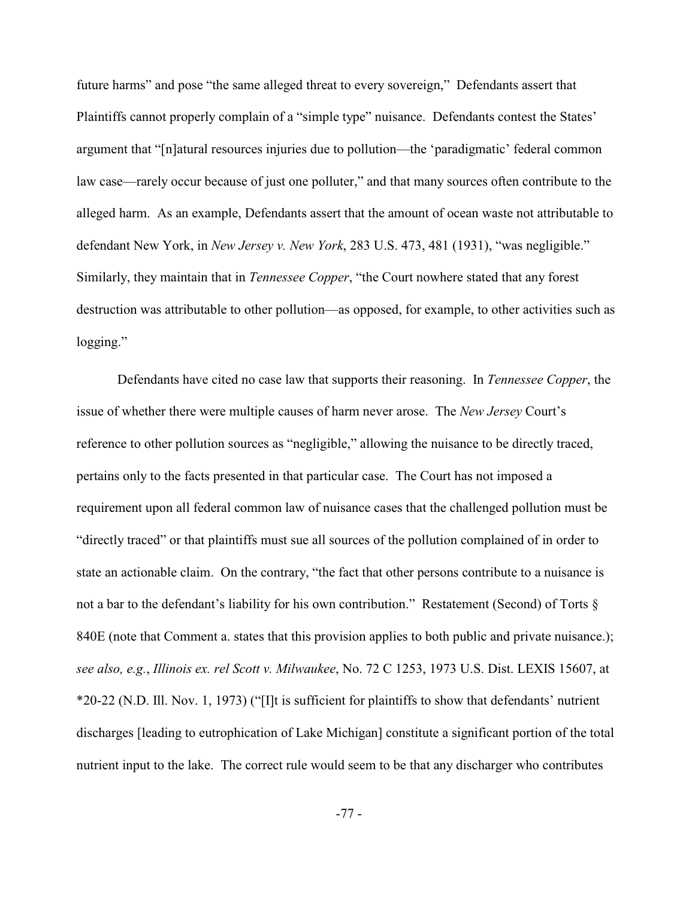future harms" and pose "the same alleged threat to every sovereign," Defendants assert that Plaintiffs cannot properly complain of a "simple type" nuisance. Defendants contest the States' argument that "[n]atural resources injuries due to pollution—the 'paradigmatic' federal common law case—rarely occur because of just one polluter," and that many sources often contribute to the alleged harm. As an example, Defendants assert that the amount of ocean waste not attributable to defendant New York, in *New Jersey v. New York*, 283 U.S. 473, 481 (1931), "was negligible." Similarly, they maintain that in *Tennessee Copper*, "the Court nowhere stated that any forest destruction was attributable to other pollution—as opposed, for example, to other activities such as logging."

Defendants have cited no case law that supports their reasoning. In *Tennessee Copper*, the issue of whether there were multiple causes of harm never arose. The *New Jersey* Court's reference to other pollution sources as "negligible," allowing the nuisance to be directly traced, pertains only to the facts presented in that particular case. The Court has not imposed a requirement upon all federal common law of nuisance cases that the challenged pollution must be "directly traced" or that plaintiffs must sue all sources of the pollution complained of in order to state an actionable claim. On the contrary, "the fact that other persons contribute to a nuisance is not a bar to the defendant's liability for his own contribution." Restatement (Second) of Torts § 840E (note that Comment a. states that this provision applies to both public and private nuisance.); *see also, e.g.*, *Illinois ex. rel Scott v. Milwaukee*, No. 72 C 1253, 1973 U.S. Dist. LEXIS 15607, at \*20-22 (N.D. Ill. Nov. 1, 1973) ("[I]t is sufficient for plaintiffs to show that defendants' nutrient discharges [leading to eutrophication of Lake Michigan] constitute a significant portion of the total nutrient input to the lake. The correct rule would seem to be that any discharger who contributes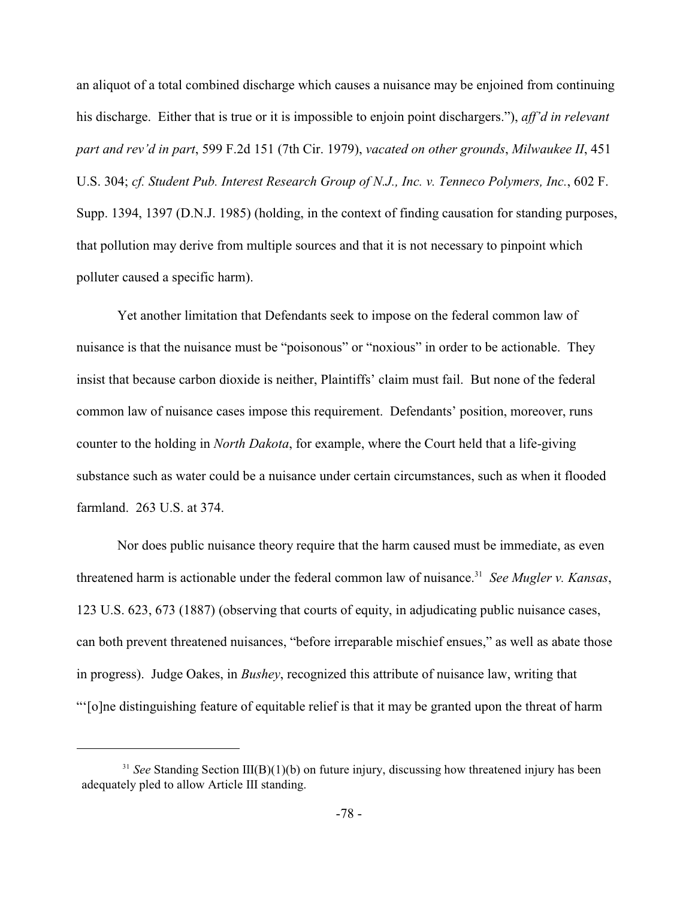an aliquot of a total combined discharge which causes a nuisance may be enjoined from continuing his discharge. Either that is true or it is impossible to enjoin point dischargers."), *aff'd in relevant part and rev'd in part*, 599 F.2d 151 (7th Cir. 1979), *vacated on other grounds*, *Milwaukee II*, 451 U.S. 304; *cf. Student Pub. Interest Research Group of N.J., Inc. v. Tenneco Polymers, Inc.*, 602 F. Supp. 1394, 1397 (D.N.J. 1985) (holding, in the context of finding causation for standing purposes, that pollution may derive from multiple sources and that it is not necessary to pinpoint which polluter caused a specific harm).

Yet another limitation that Defendants seek to impose on the federal common law of nuisance is that the nuisance must be "poisonous" or "noxious" in order to be actionable. They insist that because carbon dioxide is neither, Plaintiffs' claim must fail. But none of the federal common law of nuisance cases impose this requirement. Defendants' position, moreover, runs counter to the holding in *North Dakota*, for example, where the Court held that a life-giving substance such as water could be a nuisance under certain circumstances, such as when it flooded farmland. 263 U.S. at 374.

Nor does public nuisance theory require that the harm caused must be immediate, as even threatened harm is actionable under the federal common law of nuisance.<sup>31</sup> See Mugler v. Kansas, 123 U.S. 623, 673 (1887) (observing that courts of equity, in adjudicating public nuisance cases, can both prevent threatened nuisances, "before irreparable mischief ensues," as well as abate those in progress). Judge Oakes, in *Bushey*, recognized this attribute of nuisance law, writing that "'[o]ne distinguishing feature of equitable relief is that it may be granted upon the threat of harm

<sup>&</sup>lt;sup>31</sup> See Standing Section III(B)(1)(b) on future injury, discussing how threatened injury has been adequately pled to allow Article III standing.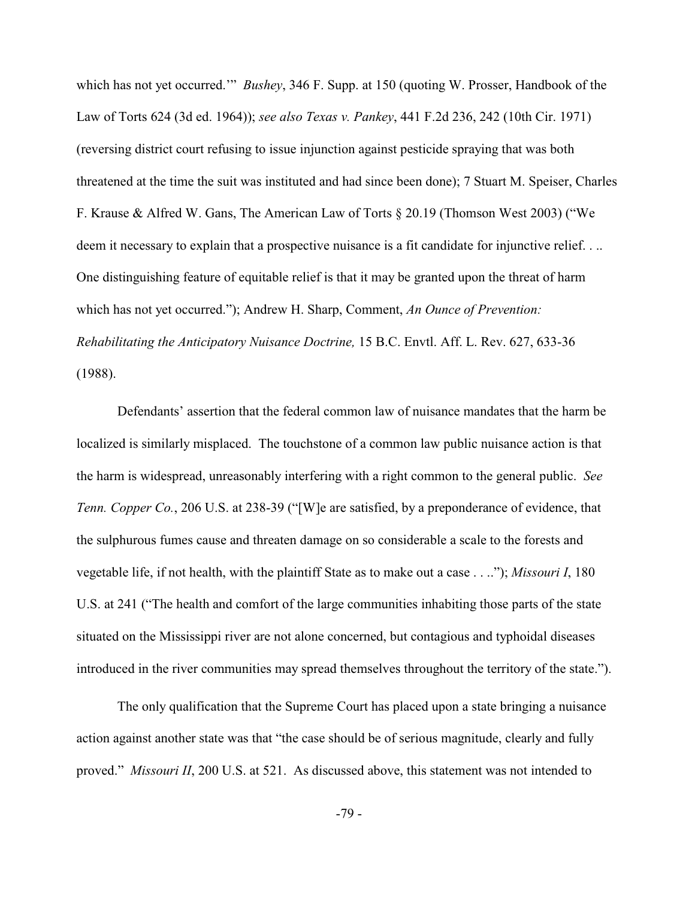which has not yet occurred.'" *Bushey*, 346 F. Supp. at 150 (quoting W. Prosser, Handbook of the Law of Torts 624 (3d ed. 1964)); *see also Texas v. Pankey*, 441 F.2d 236, 242 (10th Cir. 1971) (reversing district court refusing to issue injunction against pesticide spraying that was both threatened at the time the suit was instituted and had since been done); 7 Stuart M. Speiser, Charles F. Krause & Alfred W. Gans, The American Law of Torts § 20.19 (Thomson West 2003) ("We deem it necessary to explain that a prospective nuisance is a fit candidate for injunctive relief. . .. One distinguishing feature of equitable relief is that it may be granted upon the threat of harm which has not yet occurred."); Andrew H. Sharp, Comment, *An Ounce of Prevention: Rehabilitating the Anticipatory Nuisance Doctrine,* 15 B.C. Envtl. Aff. L. Rev. 627, 633-36 (1988).

Defendants' assertion that the federal common law of nuisance mandates that the harm be localized is similarly misplaced. The touchstone of a common law public nuisance action is that the harm is widespread, unreasonably interfering with a right common to the general public. *See Tenn. Copper Co.*, 206 U.S. at 238-39 ("[W]e are satisfied, by a preponderance of evidence, that the sulphurous fumes cause and threaten damage on so considerable a scale to the forests and vegetable life, if not health, with the plaintiff State as to make out a case . . .."); *Missouri I*, 180 U.S. at 241 ("The health and comfort of the large communities inhabiting those parts of the state situated on the Mississippi river are not alone concerned, but contagious and typhoidal diseases introduced in the river communities may spread themselves throughout the territory of the state.").

The only qualification that the Supreme Court has placed upon a state bringing a nuisance action against another state was that "the case should be of serious magnitude, clearly and fully proved." *Missouri II*, 200 U.S. at 521. As discussed above, this statement was not intended to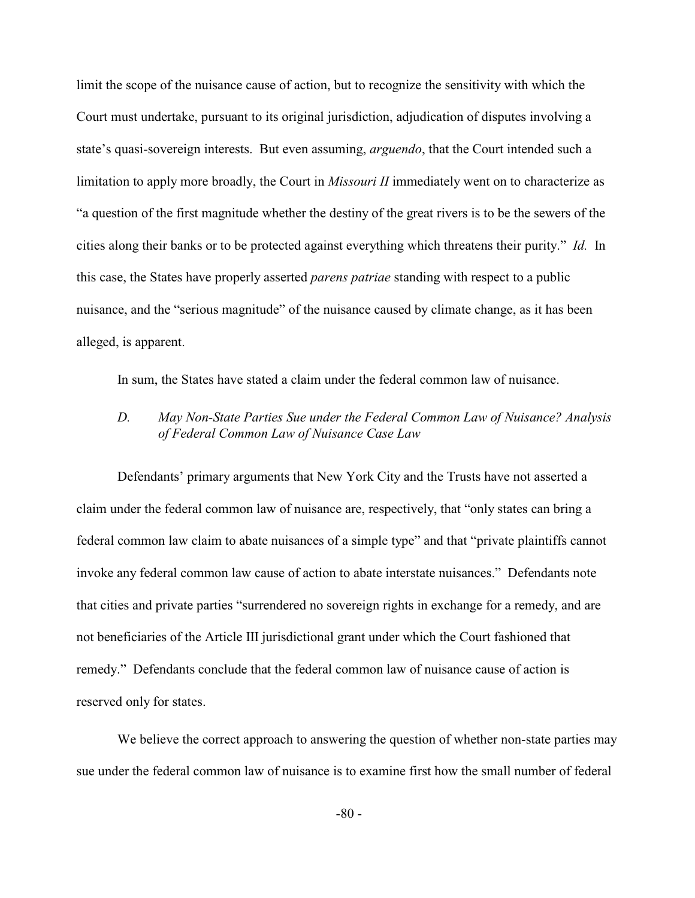limit the scope of the nuisance cause of action, but to recognize the sensitivity with which the Court must undertake, pursuant to its original jurisdiction, adjudication of disputes involving a state's quasi-sovereign interests. But even assuming, *arguendo*, that the Court intended such a limitation to apply more broadly, the Court in *Missouri II* immediately went on to characterize as "a question of the first magnitude whether the destiny of the great rivers is to be the sewers of the cities along their banks or to be protected against everything which threatens their purity." *Id.* In this case, the States have properly asserted *parens patriae* standing with respect to a public nuisance, and the "serious magnitude" of the nuisance caused by climate change, as it has been alleged, is apparent.

In sum, the States have stated a claim under the federal common law of nuisance.

# *D. May Non-State Parties Sue under the Federal Common Law of Nuisance? Analysis of Federal Common Law of Nuisance Case Law*

Defendants' primary arguments that New York City and the Trusts have not asserted a claim under the federal common law of nuisance are, respectively, that "only states can bring a federal common law claim to abate nuisances of a simple type" and that "private plaintiffs cannot invoke any federal common law cause of action to abate interstate nuisances." Defendants note that cities and private parties "surrendered no sovereign rights in exchange for a remedy, and are not beneficiaries of the Article III jurisdictional grant under which the Court fashioned that remedy." Defendants conclude that the federal common law of nuisance cause of action is reserved only for states.

We believe the correct approach to answering the question of whether non-state parties may sue under the federal common law of nuisance is to examine first how the small number of federal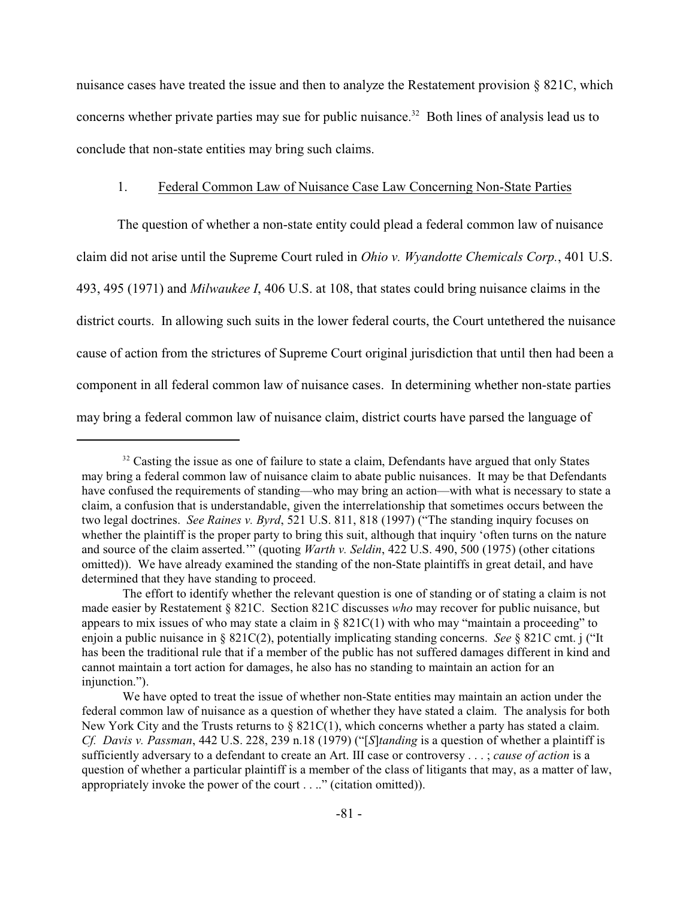nuisance cases have treated the issue and then to analyze the Restatement provision § 821C, which concerns whether private parties may sue for public nuisance.<sup>32</sup> Both lines of analysis lead us to conclude that non-state entities may bring such claims.

## 1. Federal Common Law of Nuisance Case Law Concerning Non-State Parties

The question of whether a non-state entity could plead a federal common law of nuisance claim did not arise until the Supreme Court ruled in *Ohio v. Wyandotte Chemicals Corp.*, 401 U.S. 493, 495 (1971) and *Milwaukee I*, 406 U.S. at 108, that states could bring nuisance claims in the district courts. In allowing such suits in the lower federal courts, the Court untethered the nuisance cause of action from the strictures of Supreme Court original jurisdiction that until then had been a component in all federal common law of nuisance cases. In determining whether non-state parties may bring a federal common law of nuisance claim, district courts have parsed the language of

 $32$  Casting the issue as one of failure to state a claim, Defendants have argued that only States may bring a federal common law of nuisance claim to abate public nuisances. It may be that Defendants have confused the requirements of standing—who may bring an action—with what is necessary to state a claim, a confusion that is understandable, given the interrelationship that sometimes occurs between the two legal doctrines. *See Raines v. Byrd*, 521 U.S. 811, 818 (1997) ("The standing inquiry focuses on whether the plaintiff is the proper party to bring this suit, although that inquiry 'often turns on the nature and source of the claim asserted.'" (quoting *Warth v. Seldin*, 422 U.S. 490, 500 (1975) (other citations omitted)). We have already examined the standing of the non-State plaintiffs in great detail, and have determined that they have standing to proceed.

The effort to identify whether the relevant question is one of standing or of stating a claim is not made easier by Restatement § 821C. Section 821C discusses *who* may recover for public nuisance, but appears to mix issues of who may state a claim in § 821C(1) with who may "maintain a proceeding" to enjoin a public nuisance in § 821C(2), potentially implicating standing concerns. *See* § 821C cmt. j ("It has been the traditional rule that if a member of the public has not suffered damages different in kind and cannot maintain a tort action for damages, he also has no standing to maintain an action for an injunction.").

We have opted to treat the issue of whether non-State entities may maintain an action under the federal common law of nuisance as a question of whether they have stated a claim. The analysis for both New York City and the Trusts returns to § 821C(1), which concerns whether a party has stated a claim. *Cf. Davis v. Passman*, 442 U.S. 228, 239 n.18 (1979) ("[*S*]*tanding* is a question of whether a plaintiff is sufficiently adversary to a defendant to create an Art. III case or controversy . . . ; *cause of action* is a question of whether a particular plaintiff is a member of the class of litigants that may, as a matter of law, appropriately invoke the power of the court . . .." (citation omitted)).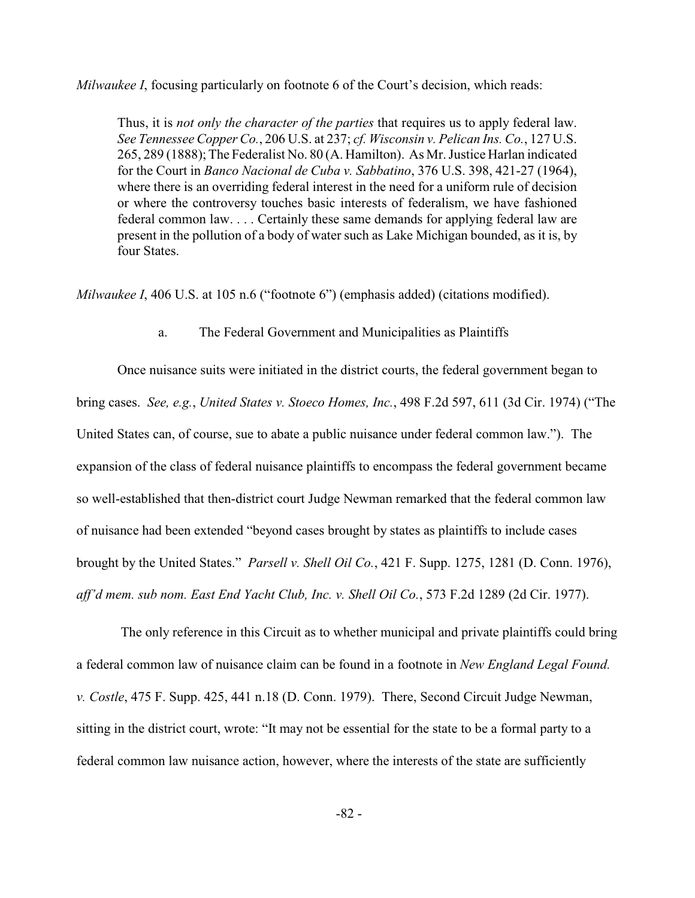#### *Milwaukee I*, focusing particularly on footnote 6 of the Court's decision, which reads:

Thus, it is *not only the character of the parties* that requires us to apply federal law. *See Tennessee Copper Co.*, 206 U.S. at 237; *cf. Wisconsin v. Pelican Ins. Co.*, 127 U.S. 265, 289 (1888); The Federalist No. 80 (A. Hamilton). As Mr. Justice Harlan indicated for the Court in *Banco Nacional de Cuba v. Sabbatino*, 376 U.S. 398, 421-27 (1964), where there is an overriding federal interest in the need for a uniform rule of decision or where the controversy touches basic interests of federalism, we have fashioned federal common law. . . . Certainly these same demands for applying federal law are present in the pollution of a body of water such as Lake Michigan bounded, as it is, by four States.

*Milwaukee I*, 406 U.S. at 105 n.6 ("footnote 6") (emphasis added) (citations modified).

a. The Federal Government and Municipalities as Plaintiffs

Once nuisance suits were initiated in the district courts, the federal government began to bring cases. *See, e.g.*, *United States v. Stoeco Homes, Inc.*, 498 F.2d 597, 611 (3d Cir. 1974) ("The United States can, of course, sue to abate a public nuisance under federal common law."). The expansion of the class of federal nuisance plaintiffs to encompass the federal government became so well-established that then-district court Judge Newman remarked that the federal common law of nuisance had been extended "beyond cases brought by states as plaintiffs to include cases brought by the United States." *Parsell v. Shell Oil Co.*, 421 F. Supp. 1275, 1281 (D. Conn. 1976), *aff'd mem. sub nom. East End Yacht Club, Inc. v. Shell Oil Co.*, 573 F.2d 1289 (2d Cir. 1977).

 The only reference in this Circuit as to whether municipal and private plaintiffs could bring a federal common law of nuisance claim can be found in a footnote in *New England Legal Found. v. Costle*, 475 F. Supp. 425, 441 n.18 (D. Conn. 1979). There, Second Circuit Judge Newman, sitting in the district court, wrote: "It may not be essential for the state to be a formal party to a federal common law nuisance action, however, where the interests of the state are sufficiently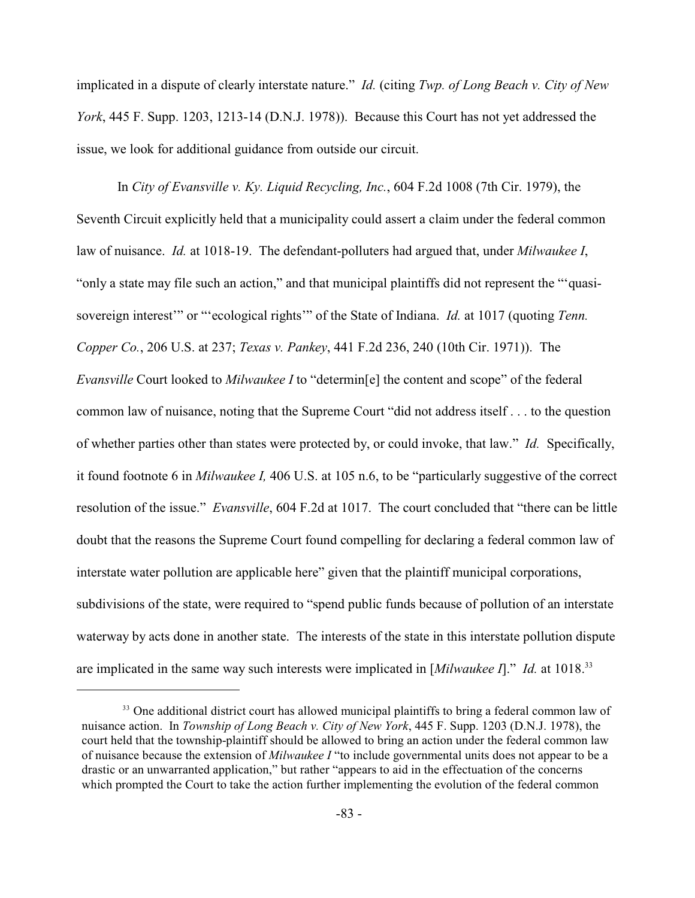implicated in a dispute of clearly interstate nature." *Id.* (citing *Twp. of Long Beach v. City of New York*, 445 F. Supp. 1203, 1213-14 (D.N.J. 1978)). Because this Court has not yet addressed the issue, we look for additional guidance from outside our circuit.

In *City of Evansville v. Ky. Liquid Recycling, Inc.*, 604 F.2d 1008 (7th Cir. 1979), the Seventh Circuit explicitly held that a municipality could assert a claim under the federal common law of nuisance. *Id.* at 1018-19. The defendant-polluters had argued that, under *Milwaukee I*, "only a state may file such an action," and that municipal plaintiffs did not represent the "'quasisovereign interest'" or "'ecological rights'" of the State of Indiana. *Id.* at 1017 (quoting *Tenn. Copper Co.*, 206 U.S. at 237; *Texas v. Pankey*, 441 F.2d 236, 240 (10th Cir. 1971)). The *Evansville* Court looked to *Milwaukee I* to "determin[e] the content and scope" of the federal common law of nuisance, noting that the Supreme Court "did not address itself . . . to the question of whether parties other than states were protected by, or could invoke, that law." *Id.* Specifically, it found footnote 6 in *Milwaukee I,* 406 U.S. at 105 n.6, to be "particularly suggestive of the correct resolution of the issue." *Evansville*, 604 F.2d at 1017. The court concluded that "there can be little doubt that the reasons the Supreme Court found compelling for declaring a federal common law of interstate water pollution are applicable here" given that the plaintiff municipal corporations, subdivisions of the state, were required to "spend public funds because of pollution of an interstate waterway by acts done in another state. The interests of the state in this interstate pollution dispute are implicated in the same way such interests were implicated in [*Milwaukee I*]." *Id.* at 1018.33

<sup>&</sup>lt;sup>33</sup> One additional district court has allowed municipal plaintiffs to bring a federal common law of nuisance action. In *Township of Long Beach v. City of New York*, 445 F. Supp. 1203 (D.N.J. 1978), the court held that the township-plaintiff should be allowed to bring an action under the federal common law of nuisance because the extension of *Milwaukee I* "to include governmental units does not appear to be a drastic or an unwarranted application," but rather "appears to aid in the effectuation of the concerns which prompted the Court to take the action further implementing the evolution of the federal common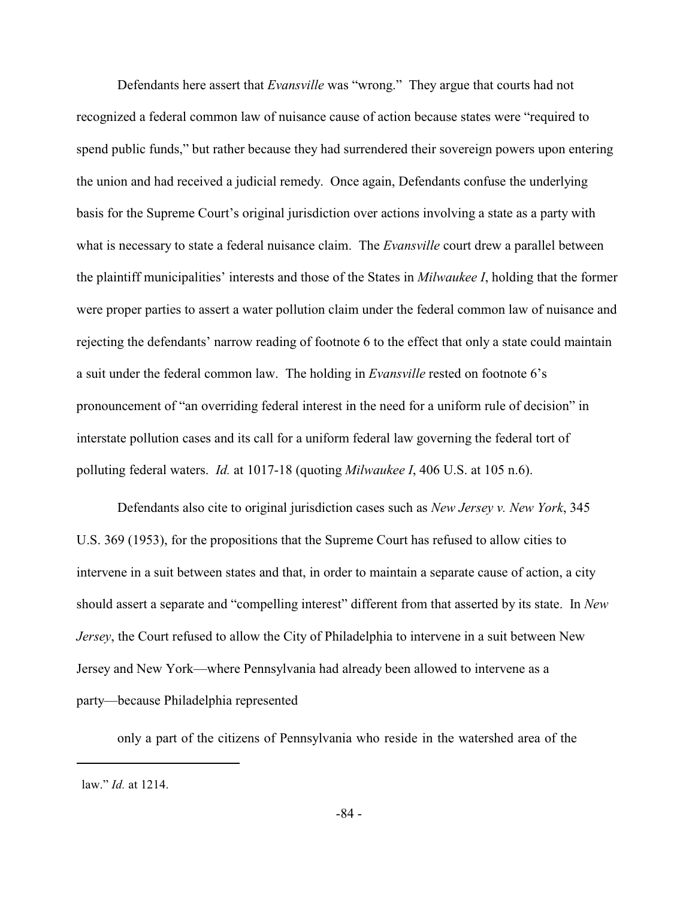Defendants here assert that *Evansville* was "wrong." They argue that courts had not recognized a federal common law of nuisance cause of action because states were "required to spend public funds," but rather because they had surrendered their sovereign powers upon entering the union and had received a judicial remedy. Once again, Defendants confuse the underlying basis for the Supreme Court's original jurisdiction over actions involving a state as a party with what is necessary to state a federal nuisance claim. The *Evansville* court drew a parallel between the plaintiff municipalities' interests and those of the States in *Milwaukee I*, holding that the former were proper parties to assert a water pollution claim under the federal common law of nuisance and rejecting the defendants' narrow reading of footnote 6 to the effect that only a state could maintain a suit under the federal common law. The holding in *Evansville* rested on footnote 6's pronouncement of "an overriding federal interest in the need for a uniform rule of decision" in interstate pollution cases and its call for a uniform federal law governing the federal tort of polluting federal waters. *Id.* at 1017-18 (quoting *Milwaukee I*, 406 U.S. at 105 n.6).

Defendants also cite to original jurisdiction cases such as *New Jersey v. New York*, 345 U.S. 369 (1953), for the propositions that the Supreme Court has refused to allow cities to intervene in a suit between states and that, in order to maintain a separate cause of action, a city should assert a separate and "compelling interest" different from that asserted by its state. In *New Jersey*, the Court refused to allow the City of Philadelphia to intervene in a suit between New Jersey and New York—where Pennsylvania had already been allowed to intervene as a party—because Philadelphia represented

only a part of the citizens of Pennsylvania who reside in the watershed area of the

law." *Id.* at 1214.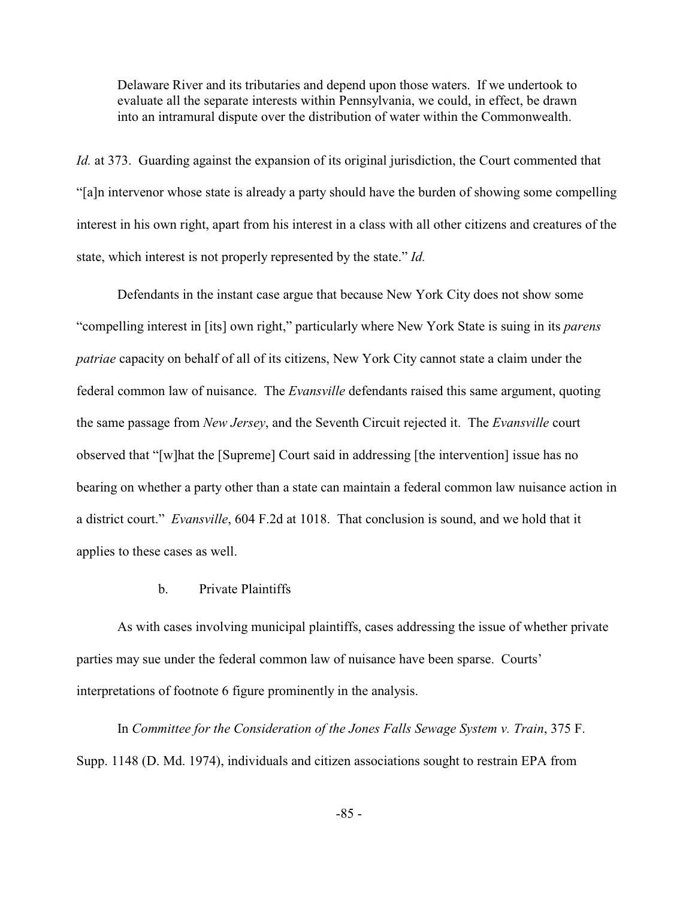Delaware River and its tributaries and depend upon those waters. If we undertook to evaluate all the separate interests within Pennsylvania, we could, in effect, be drawn into an intramural dispute over the distribution of water within the Commonwealth.

*Id.* at 373. Guarding against the expansion of its original jurisdiction, the Court commented that "[a]n intervenor whose state is already a party should have the burden of showing some compelling interest in his own right, apart from his interest in a class with all other citizens and creatures of the state, which interest is not properly represented by the state." *Id.* 

Defendants in the instant case argue that because New York City does not show some "compelling interest in [its] own right," particularly where New York State is suing in its *parens patriae* capacity on behalf of all of its citizens, New York City cannot state a claim under the federal common law of nuisance. The *Evansville* defendants raised this same argument, quoting the same passage from *New Jersey*, and the Seventh Circuit rejected it. The *Evansville* court observed that "[w]hat the [Supreme] Court said in addressing [the intervention] issue has no bearing on whether a party other than a state can maintain a federal common law nuisance action in a district court." *Evansville*, 604 F.2d at 1018. That conclusion is sound, and we hold that it applies to these cases as well.

## b. Private Plaintiffs

As with cases involving municipal plaintiffs, cases addressing the issue of whether private parties may sue under the federal common law of nuisance have been sparse. Courts' interpretations of footnote 6 figure prominently in the analysis.

In *Committee for the Consideration of the Jones Falls Sewage System v. Train*, 375 F. Supp. 1148 (D. Md. 1974), individuals and citizen associations sought to restrain EPA from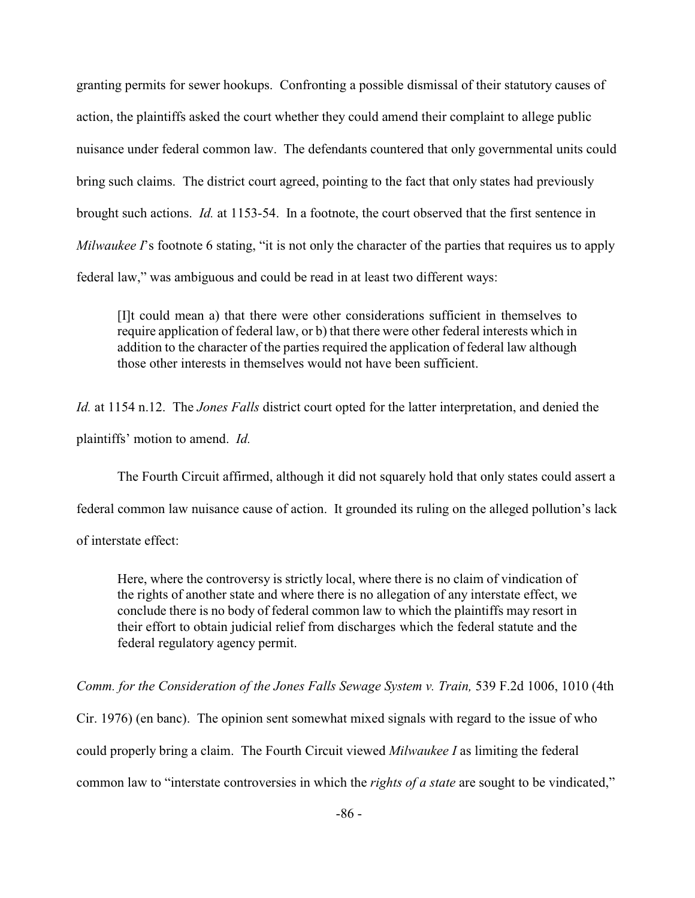granting permits for sewer hookups. Confronting a possible dismissal of their statutory causes of action, the plaintiffs asked the court whether they could amend their complaint to allege public nuisance under federal common law. The defendants countered that only governmental units could bring such claims. The district court agreed, pointing to the fact that only states had previously brought such actions. *Id.* at 1153-54. In a footnote, the court observed that the first sentence in *Milwaukee I*'s footnote 6 stating, "it is not only the character of the parties that requires us to apply federal law," was ambiguous and could be read in at least two different ways:

[I]t could mean a) that there were other considerations sufficient in themselves to require application of federal law, or b) that there were other federal interests which in addition to the character of the parties required the application of federal law although those other interests in themselves would not have been sufficient.

*Id.* at 1154 n.12. The *Jones Falls* district court opted for the latter interpretation, and denied the plaintiffs' motion to amend. *Id.*

The Fourth Circuit affirmed, although it did not squarely hold that only states could assert a federal common law nuisance cause of action. It grounded its ruling on the alleged pollution's lack of interstate effect:

Here, where the controversy is strictly local, where there is no claim of vindication of the rights of another state and where there is no allegation of any interstate effect, we conclude there is no body of federal common law to which the plaintiffs may resort in their effort to obtain judicial relief from discharges which the federal statute and the federal regulatory agency permit.

*Comm. for the Consideration of the Jones Falls Sewage System v. Train,* 539 F.2d 1006, 1010 (4th

Cir. 1976) (en banc). The opinion sent somewhat mixed signals with regard to the issue of who could properly bring a claim. The Fourth Circuit viewed *Milwaukee I* as limiting the federal common law to "interstate controversies in which the *rights of a state* are sought to be vindicated,"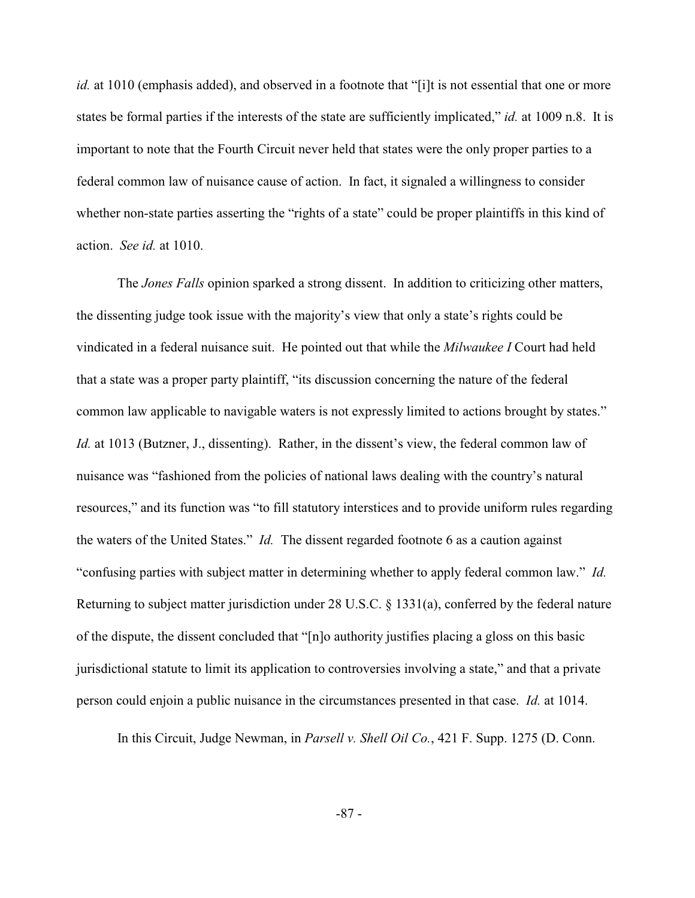*id.* at 1010 (emphasis added), and observed in a footnote that "[i]t is not essential that one or more states be formal parties if the interests of the state are sufficiently implicated," *id.* at 1009 n.8. It is important to note that the Fourth Circuit never held that states were the only proper parties to a federal common law of nuisance cause of action. In fact, it signaled a willingness to consider whether non-state parties asserting the "rights of a state" could be proper plaintiffs in this kind of action. *See id.* at 1010.

The *Jones Falls* opinion sparked a strong dissent. In addition to criticizing other matters, the dissenting judge took issue with the majority's view that only a state's rights could be vindicated in a federal nuisance suit. He pointed out that while the *Milwaukee I* Court had held that a state was a proper party plaintiff, "its discussion concerning the nature of the federal common law applicable to navigable waters is not expressly limited to actions brought by states." *Id.* at 1013 (Butzner, J., dissenting). Rather, in the dissent's view, the federal common law of nuisance was "fashioned from the policies of national laws dealing with the country's natural resources," and its function was "to fill statutory interstices and to provide uniform rules regarding the waters of the United States." *Id.* The dissent regarded footnote 6 as a caution against "confusing parties with subject matter in determining whether to apply federal common law." *Id.*  Returning to subject matter jurisdiction under 28 U.S.C. § 1331(a), conferred by the federal nature of the dispute, the dissent concluded that "[n]o authority justifies placing a gloss on this basic jurisdictional statute to limit its application to controversies involving a state," and that a private person could enjoin a public nuisance in the circumstances presented in that case. *Id.* at 1014.

In this Circuit, Judge Newman, in *Parsell v. Shell Oil Co.*, 421 F. Supp. 1275 (D. Conn.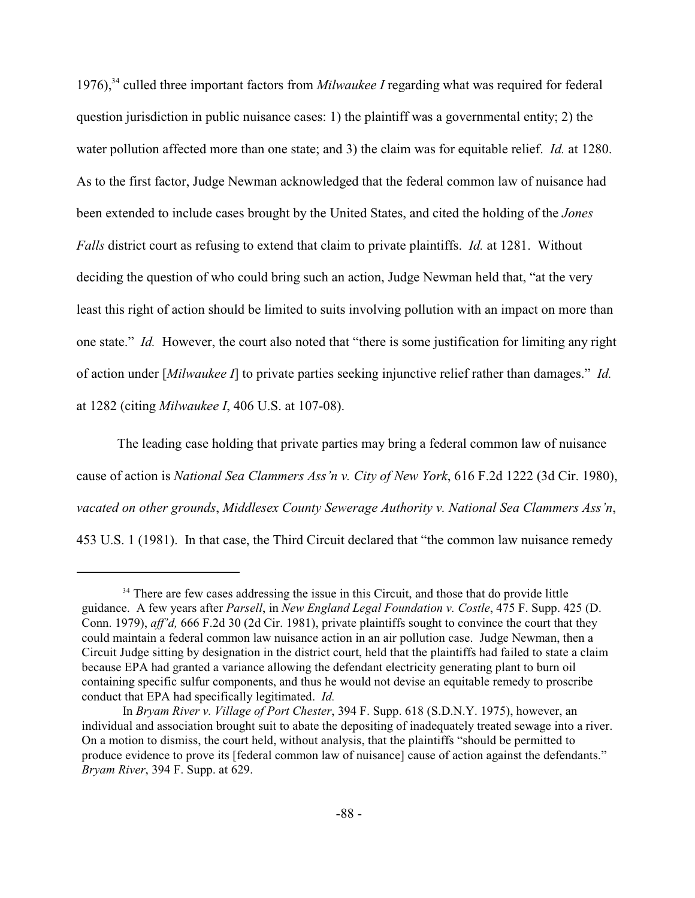1976),<sup>34</sup> culled three important factors from *Milwaukee I* regarding what was required for federal question jurisdiction in public nuisance cases: 1) the plaintiff was a governmental entity; 2) the water pollution affected more than one state; and 3) the claim was for equitable relief. *Id.* at 1280. As to the first factor, Judge Newman acknowledged that the federal common law of nuisance had been extended to include cases brought by the United States, and cited the holding of the *Jones Falls* district court as refusing to extend that claim to private plaintiffs. *Id.* at 1281. Without deciding the question of who could bring such an action, Judge Newman held that, "at the very least this right of action should be limited to suits involving pollution with an impact on more than one state." *Id.* However, the court also noted that "there is some justification for limiting any right of action under [*Milwaukee I*] to private parties seeking injunctive relief rather than damages." *Id.* at 1282 (citing *Milwaukee I*, 406 U.S. at 107-08).

The leading case holding that private parties may bring a federal common law of nuisance cause of action is *National Sea Clammers Ass'n v. City of New York*, 616 F.2d 1222 (3d Cir. 1980), *vacated on other grounds*, *Middlesex County Sewerage Authority v. National Sea Clammers Ass'n*, 453 U.S. 1 (1981). In that case, the Third Circuit declared that "the common law nuisance remedy

 $34$  There are few cases addressing the issue in this Circuit, and those that do provide little guidance. A few years after *Parsell*, in *New England Legal Foundation v. Costle*, 475 F. Supp. 425 (D. Conn. 1979), *aff'd,* 666 F.2d 30 (2d Cir. 1981), private plaintiffs sought to convince the court that they could maintain a federal common law nuisance action in an air pollution case. Judge Newman, then a Circuit Judge sitting by designation in the district court, held that the plaintiffs had failed to state a claim because EPA had granted a variance allowing the defendant electricity generating plant to burn oil containing specific sulfur components, and thus he would not devise an equitable remedy to proscribe conduct that EPA had specifically legitimated. *Id.*

In *Bryam River v. Village of Port Chester*, 394 F. Supp. 618 (S.D.N.Y. 1975), however, an individual and association brought suit to abate the depositing of inadequately treated sewage into a river. On a motion to dismiss, the court held, without analysis, that the plaintiffs "should be permitted to produce evidence to prove its [federal common law of nuisance] cause of action against the defendants." *Bryam River*, 394 F. Supp. at 629.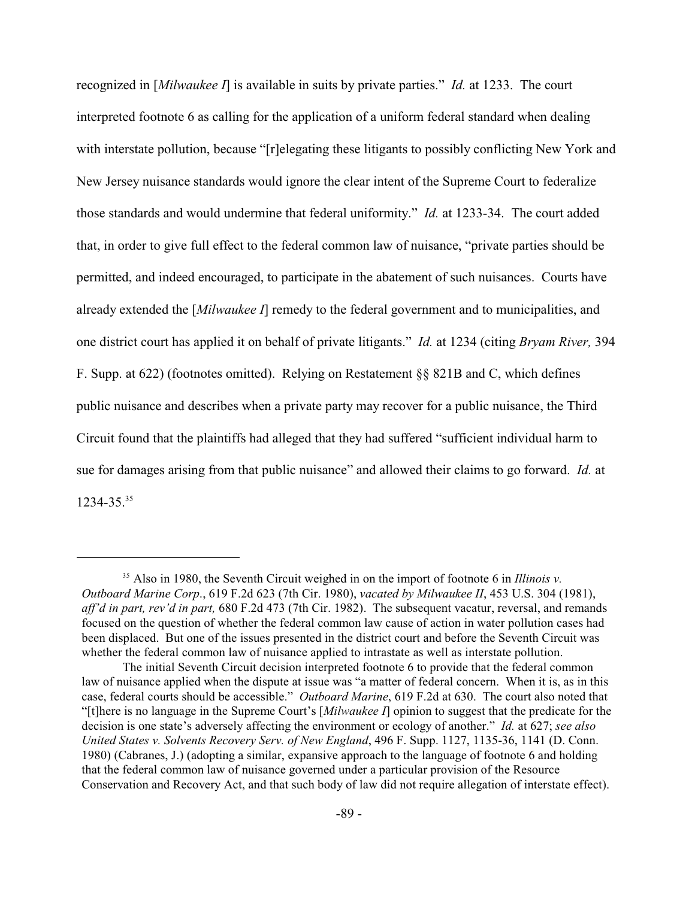recognized in [*Milwaukee I*] is available in suits by private parties." *Id.* at 1233. The court interpreted footnote 6 as calling for the application of a uniform federal standard when dealing with interstate pollution, because "[r]elegating these litigants to possibly conflicting New York and New Jersey nuisance standards would ignore the clear intent of the Supreme Court to federalize those standards and would undermine that federal uniformity." *Id.* at 1233-34. The court added that, in order to give full effect to the federal common law of nuisance, "private parties should be permitted, and indeed encouraged, to participate in the abatement of such nuisances. Courts have already extended the [*Milwaukee I*] remedy to the federal government and to municipalities, and one district court has applied it on behalf of private litigants." *Id.* at 1234 (citing *Bryam River,* 394 F. Supp. at 622) (footnotes omitted). Relying on Restatement §§ 821B and C, which defines public nuisance and describes when a private party may recover for a public nuisance, the Third Circuit found that the plaintiffs had alleged that they had suffered "sufficient individual harm to sue for damages arising from that public nuisance" and allowed their claims to go forward. *Id.* at  $1234 - 35^{35}$ 

<sup>&</sup>lt;sup>35</sup> Also in 1980, the Seventh Circuit weighed in on the import of footnote 6 in *Illinois v*. *Outboard Marine Corp*., 619 F.2d 623 (7th Cir. 1980), *vacated by Milwaukee II*, 453 U.S. 304 (1981), *aff'd in part, rev'd in part,* 680 F.2d 473 (7th Cir. 1982). The subsequent vacatur, reversal, and remands focused on the question of whether the federal common law cause of action in water pollution cases had been displaced. But one of the issues presented in the district court and before the Seventh Circuit was whether the federal common law of nuisance applied to intrastate as well as interstate pollution.

The initial Seventh Circuit decision interpreted footnote 6 to provide that the federal common law of nuisance applied when the dispute at issue was "a matter of federal concern. When it is, as in this case, federal courts should be accessible." *Outboard Marine*, 619 F.2d at 630. The court also noted that "[t]here is no language in the Supreme Court's [*Milwaukee I*] opinion to suggest that the predicate for the decision is one state's adversely affecting the environment or ecology of another." *Id.* at 627; *see also United States v. Solvents Recovery Serv. of New England*, 496 F. Supp. 1127, 1135-36, 1141 (D. Conn. 1980) (Cabranes, J.) (adopting a similar, expansive approach to the language of footnote 6 and holding that the federal common law of nuisance governed under a particular provision of the Resource Conservation and Recovery Act, and that such body of law did not require allegation of interstate effect).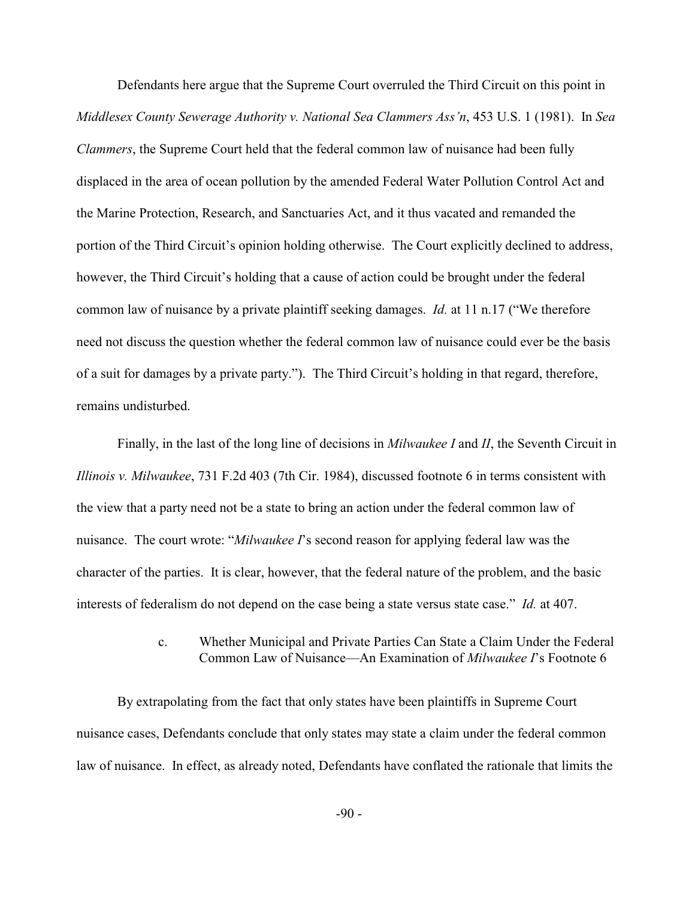Defendants here argue that the Supreme Court overruled the Third Circuit on this point in *Middlesex County Sewerage Authority v. National Sea Clammers Ass'n*, 453 U.S. 1 (1981). In *Sea Clammers*, the Supreme Court held that the federal common law of nuisance had been fully displaced in the area of ocean pollution by the amended Federal Water Pollution Control Act and the Marine Protection, Research, and Sanctuaries Act, and it thus vacated and remanded the portion of the Third Circuit's opinion holding otherwise. The Court explicitly declined to address, however, the Third Circuit's holding that a cause of action could be brought under the federal common law of nuisance by a private plaintiff seeking damages. *Id.* at 11 n.17 ("We therefore need not discuss the question whether the federal common law of nuisance could ever be the basis of a suit for damages by a private party."). The Third Circuit's holding in that regard, therefore, remains undisturbed.

Finally, in the last of the long line of decisions in *Milwaukee I* and *II*, the Seventh Circuit in *Illinois v. Milwaukee*, 731 F.2d 403 (7th Cir. 1984), discussed footnote 6 in terms consistent with the view that a party need not be a state to bring an action under the federal common law of nuisance. The court wrote: "*Milwaukee I*'s second reason for applying federal law was the character of the parties. It is clear, however, that the federal nature of the problem, and the basic interests of federalism do not depend on the case being a state versus state case." *Id.* at 407.

# c. Whether Municipal and Private Parties Can State a Claim Under the Federal Common Law of Nuisance—An Examination of *Milwaukee I*'s Footnote 6

By extrapolating from the fact that only states have been plaintiffs in Supreme Court nuisance cases, Defendants conclude that only states may state a claim under the federal common law of nuisance. In effect, as already noted, Defendants have conflated the rationale that limits the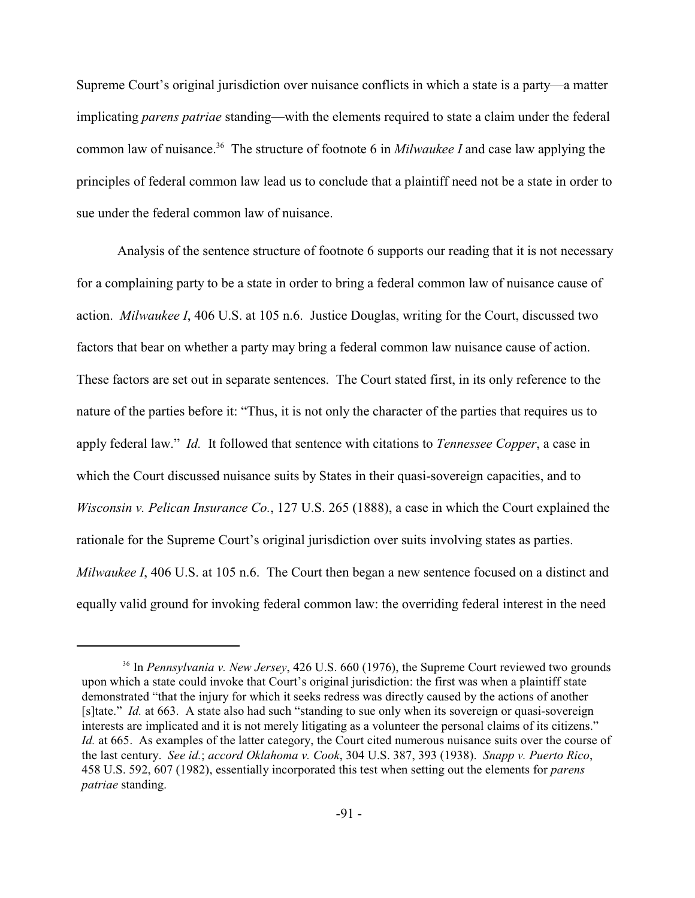Supreme Court's original jurisdiction over nuisance conflicts in which a state is a party—a matter implicating *parens patriae* standing—with the elements required to state a claim under the federal common law of nuisance.<sup>36</sup> The structure of footnote 6 in *Milwaukee I* and case law applying the principles of federal common law lead us to conclude that a plaintiff need not be a state in order to sue under the federal common law of nuisance.

Analysis of the sentence structure of footnote 6 supports our reading that it is not necessary for a complaining party to be a state in order to bring a federal common law of nuisance cause of action. *Milwaukee I*, 406 U.S. at 105 n.6. Justice Douglas, writing for the Court, discussed two factors that bear on whether a party may bring a federal common law nuisance cause of action. These factors are set out in separate sentences. The Court stated first, in its only reference to the nature of the parties before it: "Thus, it is not only the character of the parties that requires us to apply federal law." *Id.* It followed that sentence with citations to *Tennessee Copper*, a case in which the Court discussed nuisance suits by States in their quasi-sovereign capacities, and to *Wisconsin v. Pelican Insurance Co.*, 127 U.S. 265 (1888), a case in which the Court explained the rationale for the Supreme Court's original jurisdiction over suits involving states as parties. *Milwaukee I*, 406 U.S. at 105 n.6. The Court then began a new sentence focused on a distinct and equally valid ground for invoking federal common law: the overriding federal interest in the need

<sup>&</sup>lt;sup>36</sup> In *Pennsylvania v. New Jersey*, 426 U.S. 660 (1976), the Supreme Court reviewed two grounds upon which a state could invoke that Court's original jurisdiction: the first was when a plaintiff state demonstrated "that the injury for which it seeks redress was directly caused by the actions of another [s]tate." *Id.* at 663. A state also had such "standing to sue only when its sovereign or quasi-sovereign interests are implicated and it is not merely litigating as a volunteer the personal claims of its citizens." *Id.* at 665. As examples of the latter category, the Court cited numerous nuisance suits over the course of the last century. *See id.*; *accord Oklahoma v. Cook*, 304 U.S. 387, 393 (1938). *Snapp v. Puerto Rico*, 458 U.S. 592, 607 (1982), essentially incorporated this test when setting out the elements for *parens patriae* standing.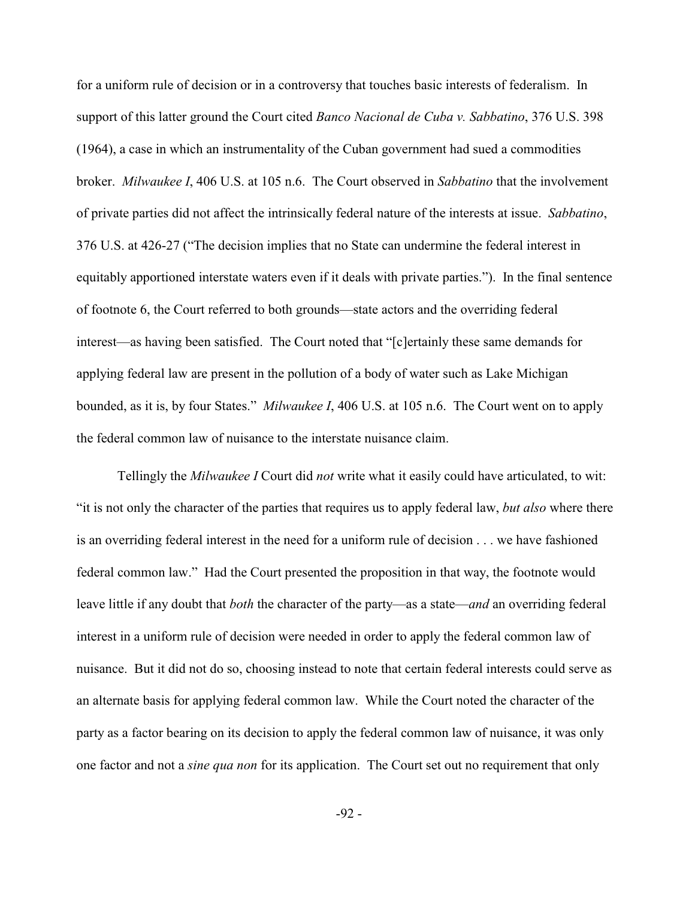for a uniform rule of decision or in a controversy that touches basic interests of federalism. In support of this latter ground the Court cited *Banco Nacional de Cuba v. Sabbatino*, 376 U.S. 398 (1964), a case in which an instrumentality of the Cuban government had sued a commodities broker. *Milwaukee I*, 406 U.S. at 105 n.6. The Court observed in *Sabbatino* that the involvement of private parties did not affect the intrinsically federal nature of the interests at issue. *Sabbatino*, 376 U.S. at 426-27 ("The decision implies that no State can undermine the federal interest in equitably apportioned interstate waters even if it deals with private parties."). In the final sentence of footnote 6, the Court referred to both grounds—state actors and the overriding federal interest—as having been satisfied. The Court noted that "[c]ertainly these same demands for applying federal law are present in the pollution of a body of water such as Lake Michigan bounded, as it is, by four States." *Milwaukee I*, 406 U.S. at 105 n.6. The Court went on to apply the federal common law of nuisance to the interstate nuisance claim.

Tellingly the *Milwaukee I* Court did *not* write what it easily could have articulated, to wit: "it is not only the character of the parties that requires us to apply federal law, *but also* where there is an overriding federal interest in the need for a uniform rule of decision . . . we have fashioned federal common law." Had the Court presented the proposition in that way, the footnote would leave little if any doubt that *both* the character of the party—as a state—*and* an overriding federal interest in a uniform rule of decision were needed in order to apply the federal common law of nuisance. But it did not do so, choosing instead to note that certain federal interests could serve as an alternate basis for applying federal common law. While the Court noted the character of the party as a factor bearing on its decision to apply the federal common law of nuisance, it was only one factor and not a *sine qua non* for its application. The Court set out no requirement that only

-92 -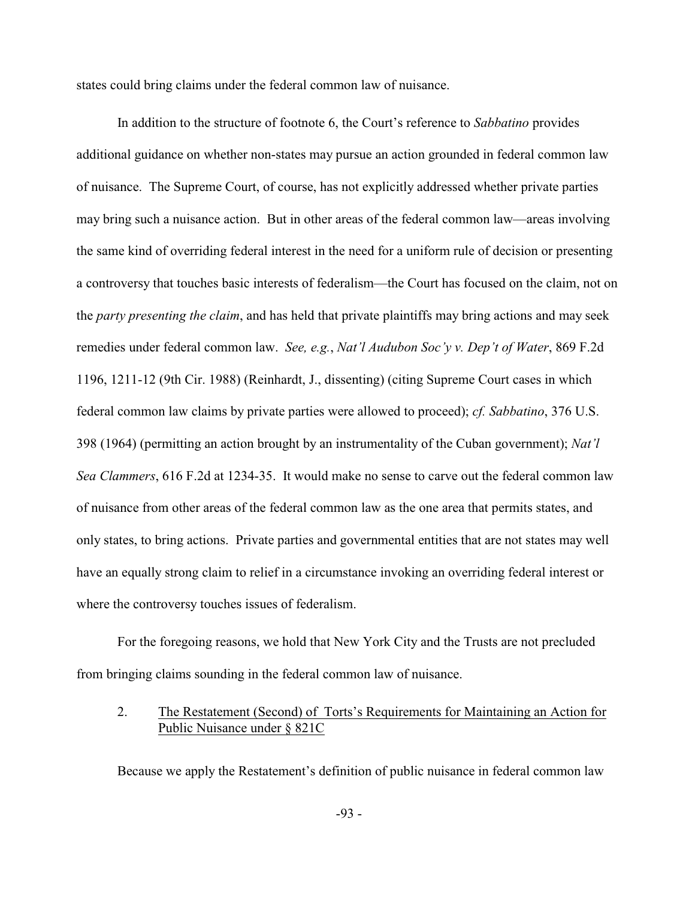states could bring claims under the federal common law of nuisance.

In addition to the structure of footnote 6, the Court's reference to *Sabbatino* provides additional guidance on whether non-states may pursue an action grounded in federal common law of nuisance. The Supreme Court, of course, has not explicitly addressed whether private parties may bring such a nuisance action. But in other areas of the federal common law—areas involving the same kind of overriding federal interest in the need for a uniform rule of decision or presenting a controversy that touches basic interests of federalism—the Court has focused on the claim, not on the *party presenting the claim*, and has held that private plaintiffs may bring actions and may seek remedies under federal common law. *See, e.g.*, *Nat'l Audubon Soc'y v. Dep't of Water*, 869 F.2d 1196, 1211-12 (9th Cir. 1988) (Reinhardt, J., dissenting) (citing Supreme Court cases in which federal common law claims by private parties were allowed to proceed); *cf. Sabbatino*, 376 U.S. 398 (1964) (permitting an action brought by an instrumentality of the Cuban government); *Nat'l Sea Clammers*, 616 F.2d at 1234-35. It would make no sense to carve out the federal common law of nuisance from other areas of the federal common law as the one area that permits states, and only states, to bring actions. Private parties and governmental entities that are not states may well have an equally strong claim to relief in a circumstance invoking an overriding federal interest or where the controversy touches issues of federalism.

For the foregoing reasons, we hold that New York City and the Trusts are not precluded from bringing claims sounding in the federal common law of nuisance.

# 2. The Restatement (Second) of Torts's Requirements for Maintaining an Action for Public Nuisance under § 821C

Because we apply the Restatement's definition of public nuisance in federal common law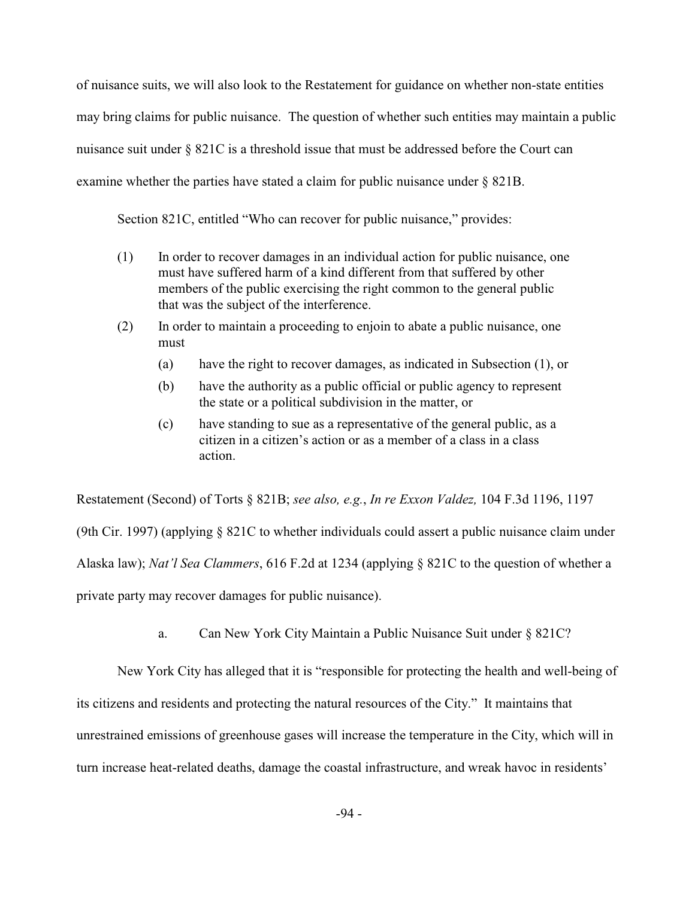of nuisance suits, we will also look to the Restatement for guidance on whether non-state entities may bring claims for public nuisance. The question of whether such entities may maintain a public nuisance suit under § 821C is a threshold issue that must be addressed before the Court can examine whether the parties have stated a claim for public nuisance under § 821B.

Section 821C, entitled "Who can recover for public nuisance," provides:

- (1) In order to recover damages in an individual action for public nuisance, one must have suffered harm of a kind different from that suffered by other members of the public exercising the right common to the general public that was the subject of the interference.
- (2) In order to maintain a proceeding to enjoin to abate a public nuisance, one must
	- (a) have the right to recover damages, as indicated in Subsection (1), or
	- (b) have the authority as a public official or public agency to represent the state or a political subdivision in the matter, or
	- (c) have standing to sue as a representative of the general public, as a citizen in a citizen's action or as a member of a class in a class action.

Restatement (Second) of Torts § 821B; *see also, e.g.*, *In re Exxon Valdez,* 104 F.3d 1196, 1197

(9th Cir. 1997) (applying § 821C to whether individuals could assert a public nuisance claim under

Alaska law); *Nat'l Sea Clammers*, 616 F.2d at 1234 (applying § 821C to the question of whether a

private party may recover damages for public nuisance).

a. Can New York City Maintain a Public Nuisance Suit under § 821C?

New York City has alleged that it is "responsible for protecting the health and well-being of

its citizens and residents and protecting the natural resources of the City." It maintains that

unrestrained emissions of greenhouse gases will increase the temperature in the City, which will in

turn increase heat-related deaths, damage the coastal infrastructure, and wreak havoc in residents'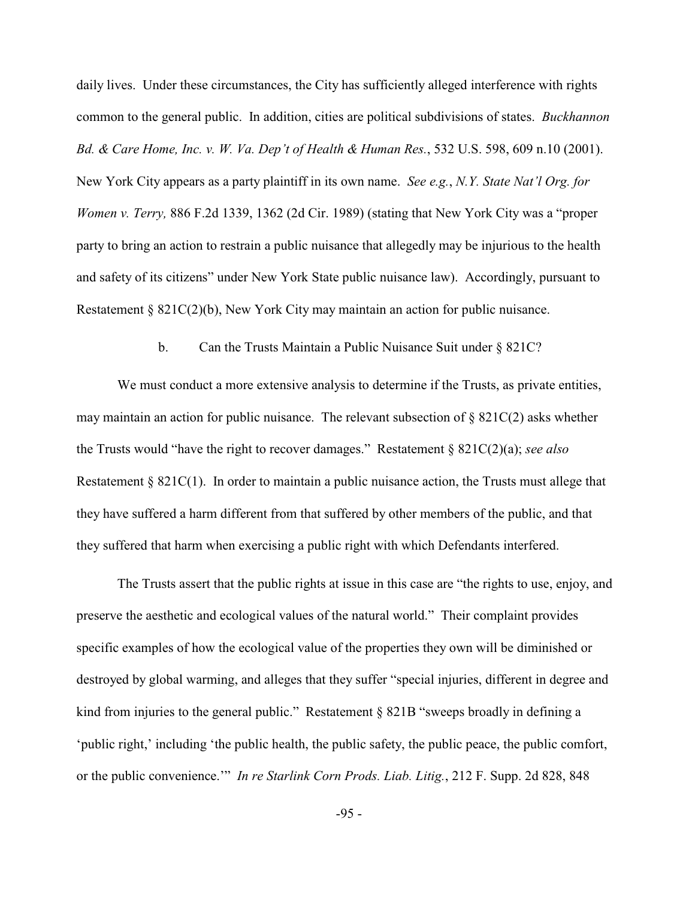daily lives. Under these circumstances, the City has sufficiently alleged interference with rights common to the general public. In addition, cities are political subdivisions of states. *Buckhannon Bd. & Care Home, Inc. v. W. Va. Dep't of Health & Human Res.*, 532 U.S. 598, 609 n.10 (2001). New York City appears as a party plaintiff in its own name. *See e.g.*, *N.Y. State Nat'l Org. for Women v. Terry,* 886 F.2d 1339, 1362 (2d Cir. 1989) (stating that New York City was a "proper party to bring an action to restrain a public nuisance that allegedly may be injurious to the health and safety of its citizens" under New York State public nuisance law). Accordingly, pursuant to Restatement § 821C(2)(b), New York City may maintain an action for public nuisance.

## b. Can the Trusts Maintain a Public Nuisance Suit under § 821C?

We must conduct a more extensive analysis to determine if the Trusts, as private entities, may maintain an action for public nuisance. The relevant subsection of  $\S 821C(2)$  asks whether the Trusts would "have the right to recover damages." Restatement § 821C(2)(a); *see also* Restatement  $\S 821C(1)$ . In order to maintain a public nuisance action, the Trusts must allege that they have suffered a harm different from that suffered by other members of the public, and that they suffered that harm when exercising a public right with which Defendants interfered.

The Trusts assert that the public rights at issue in this case are "the rights to use, enjoy, and preserve the aesthetic and ecological values of the natural world." Their complaint provides specific examples of how the ecological value of the properties they own will be diminished or destroyed by global warming, and alleges that they suffer "special injuries, different in degree and kind from injuries to the general public." Restatement § 821B "sweeps broadly in defining a 'public right,' including 'the public health, the public safety, the public peace, the public comfort, or the public convenience.'" *In re Starlink Corn Prods. Liab. Litig.*, 212 F. Supp. 2d 828, 848

 $-95 -$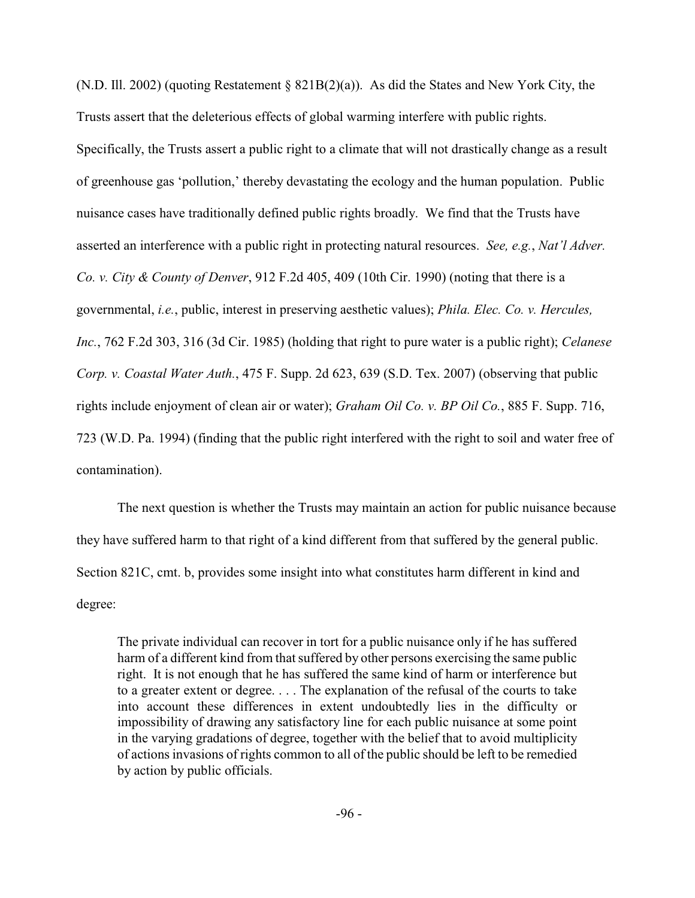(N.D. Ill. 2002) (quoting Restatement § 821B(2)(a)). As did the States and New York City, the Trusts assert that the deleterious effects of global warming interfere with public rights. Specifically, the Trusts assert a public right to a climate that will not drastically change as a result of greenhouse gas 'pollution,' thereby devastating the ecology and the human population. Public nuisance cases have traditionally defined public rights broadly. We find that the Trusts have asserted an interference with a public right in protecting natural resources. *See, e.g.*, *Nat'l Adver. Co. v. City & County of Denver*, 912 F.2d 405, 409 (10th Cir. 1990) (noting that there is a governmental, *i.e.*, public, interest in preserving aesthetic values); *Phila. Elec. Co. v. Hercules, Inc.*, 762 F.2d 303, 316 (3d Cir. 1985) (holding that right to pure water is a public right); *Celanese Corp. v. Coastal Water Auth.*, 475 F. Supp. 2d 623, 639 (S.D. Tex. 2007) (observing that public rights include enjoyment of clean air or water); *Graham Oil Co. v. BP Oil Co.*, 885 F. Supp. 716, 723 (W.D. Pa. 1994) (finding that the public right interfered with the right to soil and water free of contamination).

The next question is whether the Trusts may maintain an action for public nuisance because they have suffered harm to that right of a kind different from that suffered by the general public. Section 821C, cmt. b, provides some insight into what constitutes harm different in kind and degree:

The private individual can recover in tort for a public nuisance only if he has suffered harm of a different kind from that suffered by other persons exercising the same public right. It is not enough that he has suffered the same kind of harm or interference but to a greater extent or degree. . . . The explanation of the refusal of the courts to take into account these differences in extent undoubtedly lies in the difficulty or impossibility of drawing any satisfactory line for each public nuisance at some point in the varying gradations of degree, together with the belief that to avoid multiplicity of actions invasions of rights common to all of the public should be left to be remedied by action by public officials.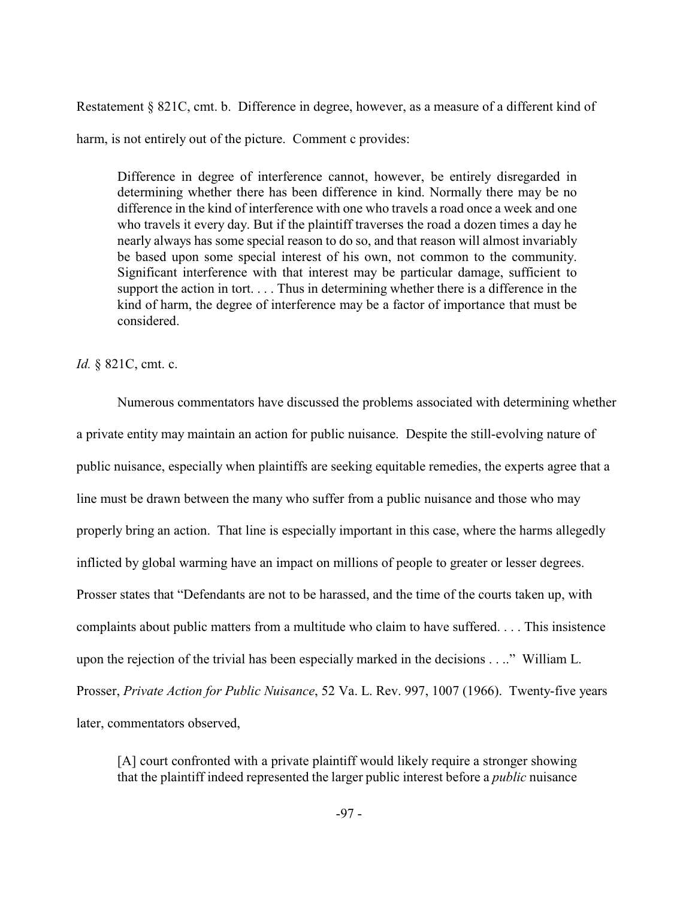Restatement § 821C, cmt. b. Difference in degree, however, as a measure of a different kind of

harm, is not entirely out of the picture. Comment c provides:

Difference in degree of interference cannot, however, be entirely disregarded in determining whether there has been difference in kind. Normally there may be no difference in the kind of interference with one who travels a road once a week and one who travels it every day. But if the plaintiff traverses the road a dozen times a day he nearly always has some special reason to do so, and that reason will almost invariably be based upon some special interest of his own, not common to the community. Significant interference with that interest may be particular damage, sufficient to support the action in tort. . . . Thus in determining whether there is a difference in the kind of harm, the degree of interference may be a factor of importance that must be considered.

*Id.* § 821C, cmt. c.

Numerous commentators have discussed the problems associated with determining whether a private entity may maintain an action for public nuisance. Despite the still-evolving nature of public nuisance, especially when plaintiffs are seeking equitable remedies, the experts agree that a line must be drawn between the many who suffer from a public nuisance and those who may properly bring an action. That line is especially important in this case, where the harms allegedly inflicted by global warming have an impact on millions of people to greater or lesser degrees. Prosser states that "Defendants are not to be harassed, and the time of the courts taken up, with complaints about public matters from a multitude who claim to have suffered. . . . This insistence upon the rejection of the trivial has been especially marked in the decisions . . .." William L. Prosser, *Private Action for Public Nuisance*, 52 Va. L. Rev. 997, 1007 (1966). Twenty-five years later, commentators observed,

[A] court confronted with a private plaintiff would likely require a stronger showing that the plaintiff indeed represented the larger public interest before a *public* nuisance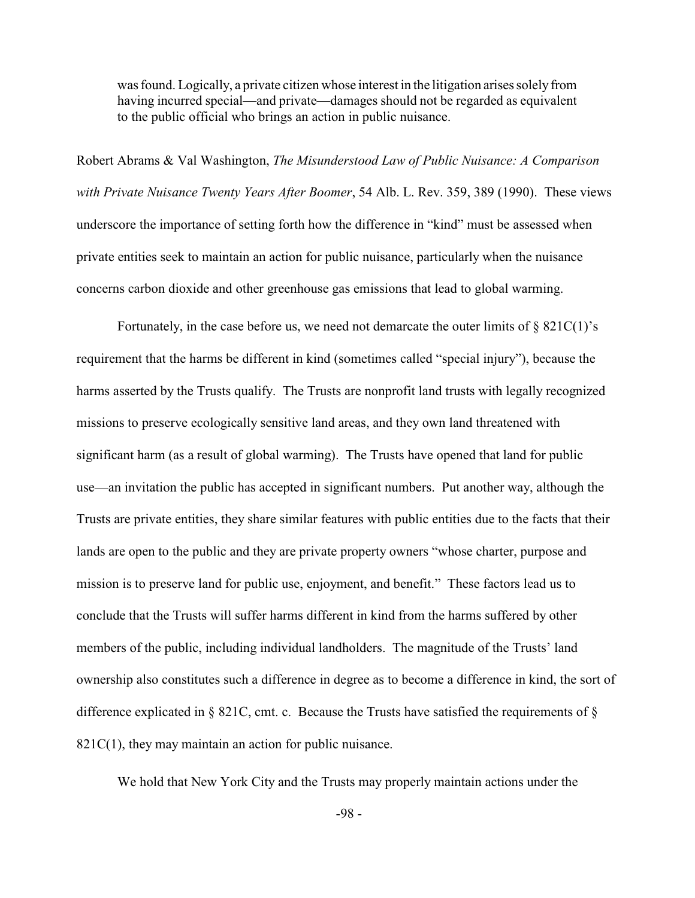was found. Logically, a private citizen whose interest in the litigation arises solely from having incurred special—and private—damages should not be regarded as equivalent to the public official who brings an action in public nuisance.

Robert Abrams & Val Washington, *The Misunderstood Law of Public Nuisance: A Comparison with Private Nuisance Twenty Years After Boomer*, 54 Alb. L. Rev. 359, 389 (1990). These views underscore the importance of setting forth how the difference in "kind" must be assessed when private entities seek to maintain an action for public nuisance, particularly when the nuisance concerns carbon dioxide and other greenhouse gas emissions that lead to global warming.

Fortunately, in the case before us, we need not demarcate the outer limits of  $\S 821C(1)$ 's requirement that the harms be different in kind (sometimes called "special injury"), because the harms asserted by the Trusts qualify. The Trusts are nonprofit land trusts with legally recognized missions to preserve ecologically sensitive land areas, and they own land threatened with significant harm (as a result of global warming). The Trusts have opened that land for public use—an invitation the public has accepted in significant numbers. Put another way, although the Trusts are private entities, they share similar features with public entities due to the facts that their lands are open to the public and they are private property owners "whose charter, purpose and mission is to preserve land for public use, enjoyment, and benefit." These factors lead us to conclude that the Trusts will suffer harms different in kind from the harms suffered by other members of the public, including individual landholders. The magnitude of the Trusts' land ownership also constitutes such a difference in degree as to become a difference in kind, the sort of difference explicated in  $\S 821C$ , cmt. c. Because the Trusts have satisfied the requirements of  $\S$  $821C(1)$ , they may maintain an action for public nuisance.

We hold that New York City and the Trusts may properly maintain actions under the

-98 -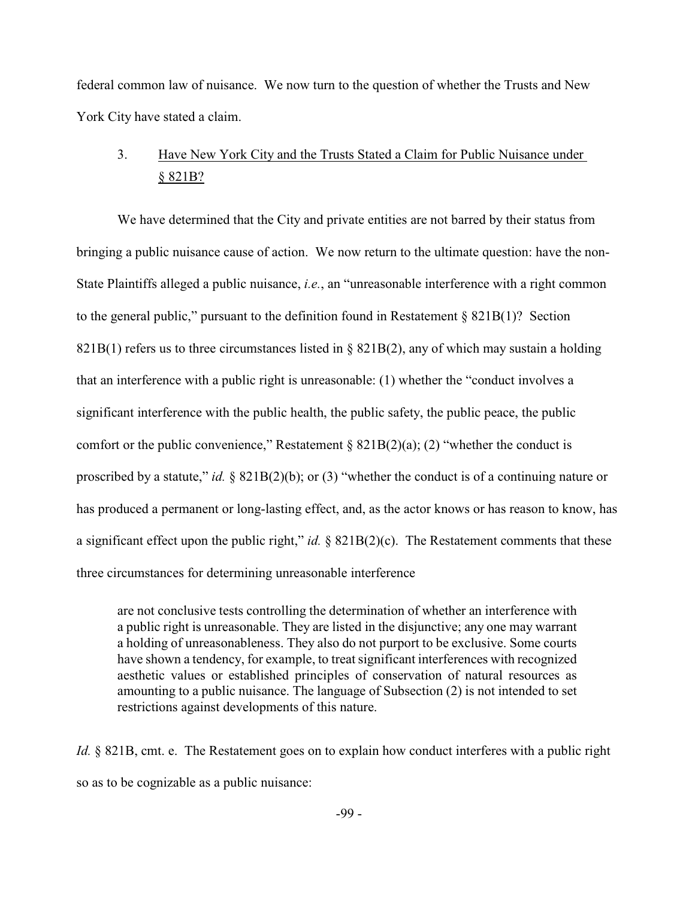federal common law of nuisance. We now turn to the question of whether the Trusts and New York City have stated a claim.

# 3. Have New York City and the Trusts Stated a Claim for Public Nuisance under § 821B?

We have determined that the City and private entities are not barred by their status from bringing a public nuisance cause of action. We now return to the ultimate question: have the non-State Plaintiffs alleged a public nuisance, *i.e.*, an "unreasonable interference with a right common to the general public," pursuant to the definition found in Restatement  $\S 821B(1)$ ? Section  $821B(1)$  refers us to three circumstances listed in §  $821B(2)$ , any of which may sustain a holding that an interference with a public right is unreasonable: (1) whether the "conduct involves a significant interference with the public health, the public safety, the public peace, the public comfort or the public convenience," Restatement  $\S 821B(2)(a)$ ; (2) "whether the conduct is proscribed by a statute," *id.* § 821B(2)(b); or (3) "whether the conduct is of a continuing nature or has produced a permanent or long-lasting effect, and, as the actor knows or has reason to know, has a significant effect upon the public right," *id.*  $\S$  821B(2)(c). The Restatement comments that these three circumstances for determining unreasonable interference

are not conclusive tests controlling the determination of whether an interference with a public right is unreasonable. They are listed in the disjunctive; any one may warrant a holding of unreasonableness. They also do not purport to be exclusive. Some courts have shown a tendency, for example, to treat significant interferences with recognized aesthetic values or established principles of conservation of natural resources as amounting to a public nuisance. The language of Subsection (2) is not intended to set restrictions against developments of this nature.

*Id.* § 821B, cmt. e. The Restatement goes on to explain how conduct interferes with a public right so as to be cognizable as a public nuisance: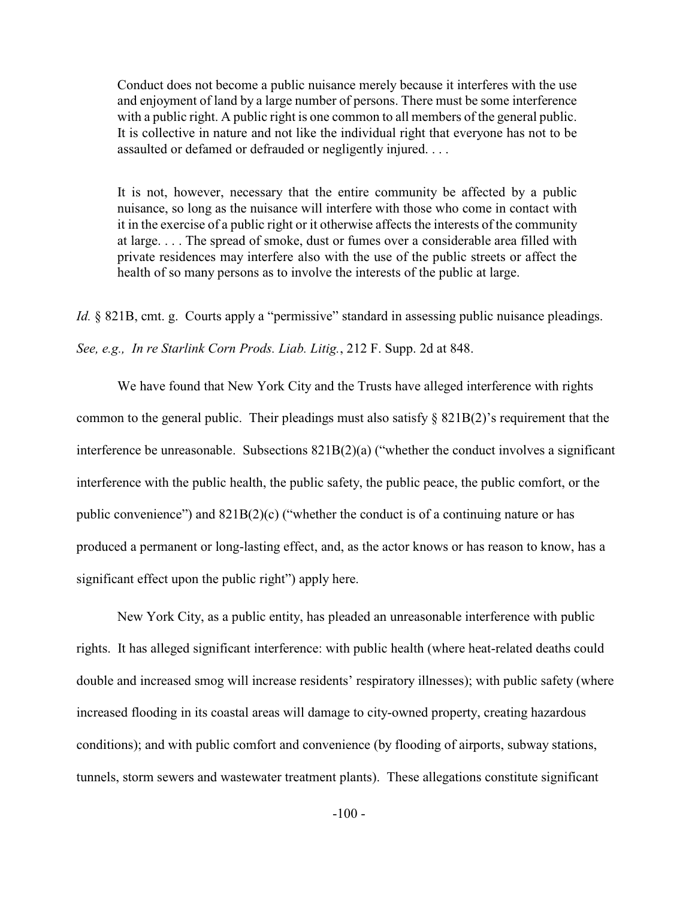Conduct does not become a public nuisance merely because it interferes with the use and enjoyment of land by a large number of persons. There must be some interference with a public right. A public right is one common to all members of the general public. It is collective in nature and not like the individual right that everyone has not to be assaulted or defamed or defrauded or negligently injured. . . .

It is not, however, necessary that the entire community be affected by a public nuisance, so long as the nuisance will interfere with those who come in contact with it in the exercise of a public right or it otherwise affects the interests of the community at large. . . . The spread of smoke, dust or fumes over a considerable area filled with private residences may interfere also with the use of the public streets or affect the health of so many persons as to involve the interests of the public at large.

*Id.* § 821B, cmt. g. Courts apply a "permissive" standard in assessing public nuisance pleadings. *See, e.g., In re Starlink Corn Prods. Liab. Litig.*, 212 F. Supp. 2d at 848.

We have found that New York City and the Trusts have alleged interference with rights common to the general public. Their pleadings must also satisfy § 821B(2)'s requirement that the interference be unreasonable. Subsections 821B(2)(a) ("whether the conduct involves a significant interference with the public health, the public safety, the public peace, the public comfort, or the public convenience") and 821B(2)(c) ("whether the conduct is of a continuing nature or has produced a permanent or long-lasting effect, and, as the actor knows or has reason to know, has a significant effect upon the public right") apply here.

New York City, as a public entity, has pleaded an unreasonable interference with public rights. It has alleged significant interference: with public health (where heat-related deaths could double and increased smog will increase residents' respiratory illnesses); with public safety (where increased flooding in its coastal areas will damage to city-owned property, creating hazardous conditions); and with public comfort and convenience (by flooding of airports, subway stations, tunnels, storm sewers and wastewater treatment plants). These allegations constitute significant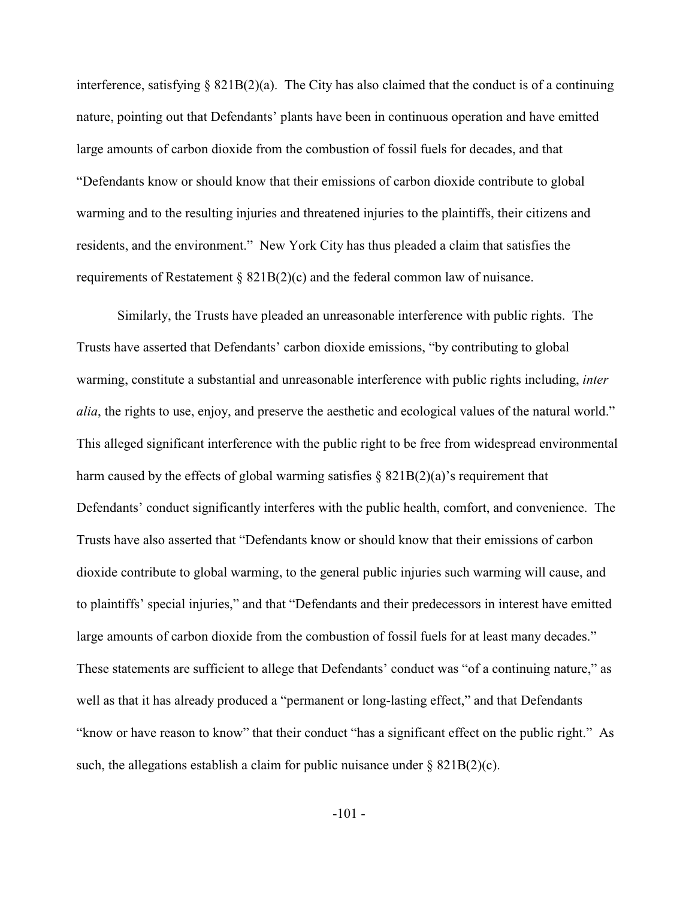interference, satisfying § 821B(2)(a). The City has also claimed that the conduct is of a continuing nature, pointing out that Defendants' plants have been in continuous operation and have emitted large amounts of carbon dioxide from the combustion of fossil fuels for decades, and that "Defendants know or should know that their emissions of carbon dioxide contribute to global warming and to the resulting injuries and threatened injuries to the plaintiffs, their citizens and residents, and the environment." New York City has thus pleaded a claim that satisfies the requirements of Restatement  $\S 821B(2)(c)$  and the federal common law of nuisance.

Similarly, the Trusts have pleaded an unreasonable interference with public rights. The Trusts have asserted that Defendants' carbon dioxide emissions, "by contributing to global warming, constitute a substantial and unreasonable interference with public rights including, *inter alia*, the rights to use, enjoy, and preserve the aesthetic and ecological values of the natural world." This alleged significant interference with the public right to be free from widespread environmental harm caused by the effects of global warming satisfies  $\S 821B(2)(a)$ 's requirement that Defendants' conduct significantly interferes with the public health, comfort, and convenience. The Trusts have also asserted that "Defendants know or should know that their emissions of carbon dioxide contribute to global warming, to the general public injuries such warming will cause, and to plaintiffs' special injuries," and that "Defendants and their predecessors in interest have emitted large amounts of carbon dioxide from the combustion of fossil fuels for at least many decades." These statements are sufficient to allege that Defendants' conduct was "of a continuing nature," as well as that it has already produced a "permanent or long-lasting effect," and that Defendants "know or have reason to know" that their conduct "has a significant effect on the public right." As such, the allegations establish a claim for public nuisance under  $\S 821B(2)(c)$ .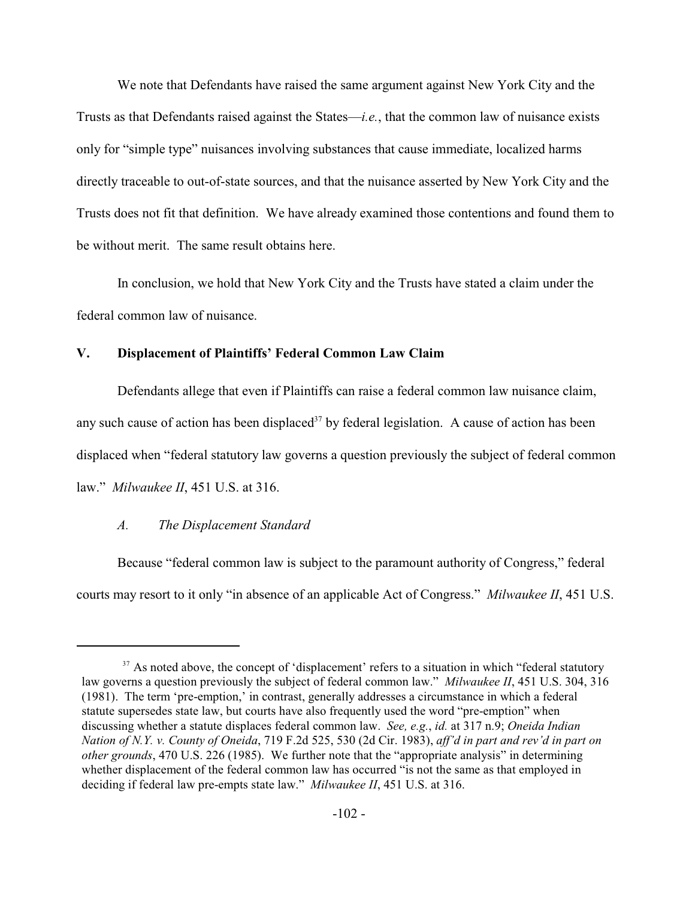We note that Defendants have raised the same argument against New York City and the Trusts as that Defendants raised against the States—*i.e.*, that the common law of nuisance exists only for "simple type" nuisances involving substances that cause immediate, localized harms directly traceable to out-of-state sources, and that the nuisance asserted by New York City and the Trusts does not fit that definition. We have already examined those contentions and found them to be without merit. The same result obtains here.

In conclusion, we hold that New York City and the Trusts have stated a claim under the federal common law of nuisance.

## **V. Displacement of Plaintiffs' Federal Common Law Claim**

Defendants allege that even if Plaintiffs can raise a federal common law nuisance claim, any such cause of action has been displaced<sup>37</sup> by federal legislation. A cause of action has been displaced when "federal statutory law governs a question previously the subject of federal common law." *Milwaukee II*, 451 U.S. at 316.

## *A. The Displacement Standard*

Because "federal common law is subject to the paramount authority of Congress," federal courts may resort to it only "in absence of an applicable Act of Congress." *Milwaukee II*, 451 U.S.

<sup>&</sup>lt;sup>37</sup> As noted above, the concept of 'displacement' refers to a situation in which "federal statutory law governs a question previously the subject of federal common law." *Milwaukee II*, 451 U.S. 304, 316 (1981). The term 'pre-emption,' in contrast, generally addresses a circumstance in which a federal statute supersedes state law, but courts have also frequently used the word "pre-emption" when discussing whether a statute displaces federal common law. *See, e.g.*, *id.* at 317 n.9; *Oneida Indian Nation of N.Y. v. County of Oneida*, 719 F.2d 525, 530 (2d Cir. 1983), *aff'd in part and rev'd in part on other grounds*, 470 U.S. 226 (1985). We further note that the "appropriate analysis" in determining whether displacement of the federal common law has occurred "is not the same as that employed in deciding if federal law pre-empts state law." *Milwaukee II*, 451 U.S. at 316.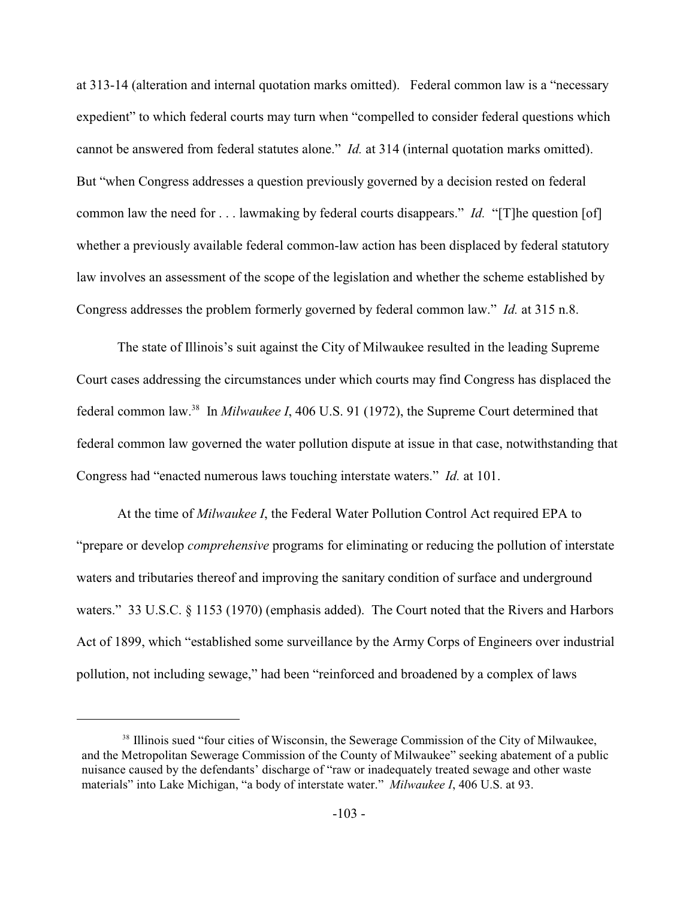at 313-14 (alteration and internal quotation marks omitted). Federal common law is a "necessary expedient" to which federal courts may turn when "compelled to consider federal questions which cannot be answered from federal statutes alone." *Id.* at 314 (internal quotation marks omitted). But "when Congress addresses a question previously governed by a decision rested on federal common law the need for . . . lawmaking by federal courts disappears." *Id.* "[T]he question [of] whether a previously available federal common-law action has been displaced by federal statutory law involves an assessment of the scope of the legislation and whether the scheme established by Congress addresses the problem formerly governed by federal common law." *Id.* at 315 n.8.

The state of Illinois's suit against the City of Milwaukee resulted in the leading Supreme Court cases addressing the circumstances under which courts may find Congress has displaced the federal common law.<sup>38</sup> In *Milwaukee I*, 406 U.S. 91 (1972), the Supreme Court determined that federal common law governed the water pollution dispute at issue in that case, notwithstanding that Congress had "enacted numerous laws touching interstate waters." *Id.* at 101.

At the time of *Milwaukee I*, the Federal Water Pollution Control Act required EPA to "prepare or develop *comprehensive* programs for eliminating or reducing the pollution of interstate waters and tributaries thereof and improving the sanitary condition of surface and underground waters." 33 U.S.C. § 1153 (1970) (emphasis added). The Court noted that the Rivers and Harbors Act of 1899, which "established some surveillance by the Army Corps of Engineers over industrial pollution, not including sewage," had been "reinforced and broadened by a complex of laws

<sup>&</sup>lt;sup>38</sup> Illinois sued "four cities of Wisconsin, the Sewerage Commission of the City of Milwaukee, and the Metropolitan Sewerage Commission of the County of Milwaukee" seeking abatement of a public nuisance caused by the defendants' discharge of "raw or inadequately treated sewage and other waste materials" into Lake Michigan, "a body of interstate water." *Milwaukee I*, 406 U.S. at 93.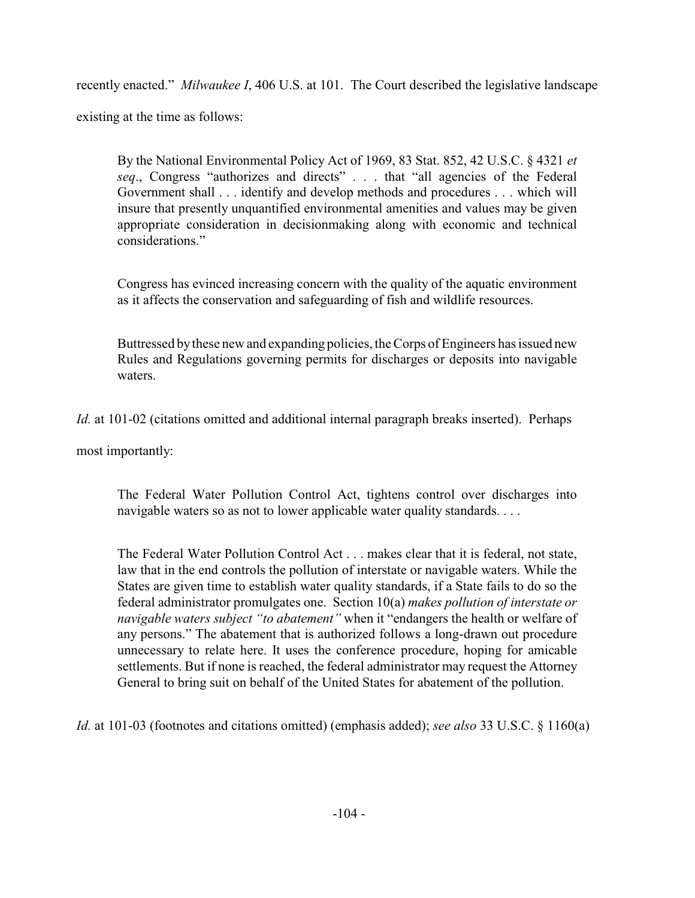recently enacted." *Milwaukee I*, 406 U.S. at 101. The Court described the legislative landscape existing at the time as follows:

By the National Environmental Policy Act of 1969, 83 Stat. 852, 42 U.S.C. § 4321 *et seq*., Congress "authorizes and directs" . . . that "all agencies of the Federal Government shall . . . identify and develop methods and procedures . . . which will insure that presently unquantified environmental amenities and values may be given appropriate consideration in decisionmaking along with economic and technical considerations."

Congress has evinced increasing concern with the quality of the aquatic environment as it affects the conservation and safeguarding of fish and wildlife resources.

Buttressed by these new and expanding policies, the Corps of Engineers has issued new Rules and Regulations governing permits for discharges or deposits into navigable waters.

*Id.* at 101-02 (citations omitted and additional internal paragraph breaks inserted). Perhaps

most importantly:

The Federal Water Pollution Control Act, tightens control over discharges into navigable waters so as not to lower applicable water quality standards. . . .

The Federal Water Pollution Control Act . . . makes clear that it is federal, not state, law that in the end controls the pollution of interstate or navigable waters. While the States are given time to establish water quality standards, if a State fails to do so the federal administrator promulgates one. Section 10(a) *makes pollution of interstate or navigable waters subject "to abatement"* when it "endangers the health or welfare of any persons." The abatement that is authorized follows a long-drawn out procedure unnecessary to relate here. It uses the conference procedure, hoping for amicable settlements. But if none is reached, the federal administrator may request the Attorney General to bring suit on behalf of the United States for abatement of the pollution.

*Id.* at 101-03 (footnotes and citations omitted) (emphasis added); *see also* 33 U.S.C. § 1160(a)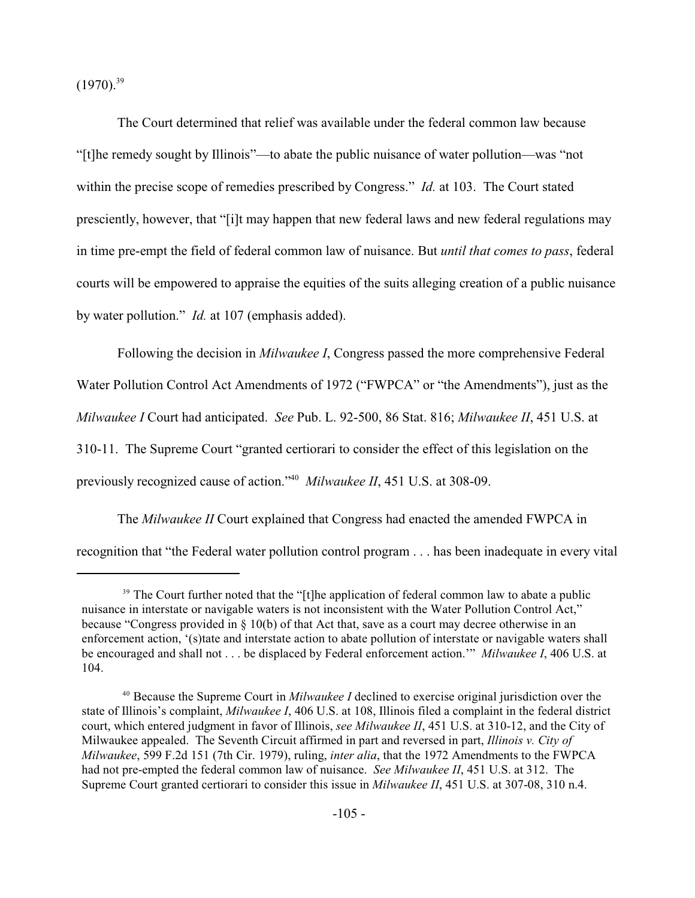$(1970)^{39}$ 

The Court determined that relief was available under the federal common law because "[t]he remedy sought by Illinois"—to abate the public nuisance of water pollution—was "not within the precise scope of remedies prescribed by Congress." *Id.* at 103. The Court stated presciently, however, that "[i]t may happen that new federal laws and new federal regulations may in time pre-empt the field of federal common law of nuisance. But *until that comes to pass*, federal courts will be empowered to appraise the equities of the suits alleging creation of a public nuisance by water pollution." *Id.* at 107 (emphasis added).

Following the decision in *Milwaukee I*, Congress passed the more comprehensive Federal Water Pollution Control Act Amendments of 1972 ("FWPCA" or "the Amendments"), just as the *Milwaukee I* Court had anticipated. *See* Pub. L. 92-500, 86 Stat. 816; *Milwaukee II*, 451 U.S. at 310-11. The Supreme Court "granted certiorari to consider the effect of this legislation on the previously recognized cause of action."<sup>40</sup> Milwaukee II, 451 U.S. at 308-09.

The *Milwaukee II* Court explained that Congress had enacted the amended FWPCA in recognition that "the Federal water pollution control program . . . has been inadequate in every vital

<sup>&</sup>lt;sup>39</sup> The Court further noted that the "[t]he application of federal common law to abate a public nuisance in interstate or navigable waters is not inconsistent with the Water Pollution Control Act," because "Congress provided in § 10(b) of that Act that, save as a court may decree otherwise in an enforcement action, '(s)tate and interstate action to abate pollution of interstate or navigable waters shall be encouraged and shall not . . . be displaced by Federal enforcement action.'" *Milwaukee I*, 406 U.S. at 104.

<sup>&</sup>lt;sup>40</sup> Because the Supreme Court in *Milwaukee I* declined to exercise original jurisdiction over the state of Illinois's complaint, *Milwaukee I*, 406 U.S. at 108, Illinois filed a complaint in the federal district court, which entered judgment in favor of Illinois, *see Milwaukee II*, 451 U.S. at 310-12, and the City of Milwaukee appealed. The Seventh Circuit affirmed in part and reversed in part, *Illinois v. City of Milwaukee*, 599 F.2d 151 (7th Cir. 1979), ruling, *inter alia*, that the 1972 Amendments to the FWPCA had not pre-empted the federal common law of nuisance. *See Milwaukee II*, 451 U.S. at 312. The Supreme Court granted certiorari to consider this issue in *Milwaukee II*, 451 U.S. at 307-08, 310 n.4.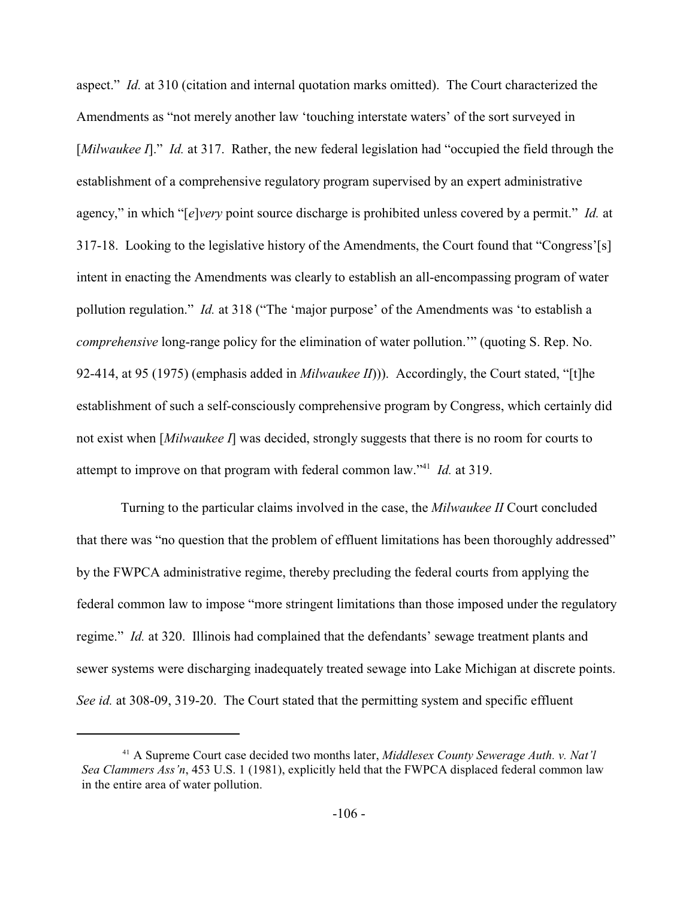aspect." *Id.* at 310 (citation and internal quotation marks omitted). The Court characterized the Amendments as "not merely another law 'touching interstate waters' of the sort surveyed in [*Milwaukee I*]." *Id.* at 317. Rather, the new federal legislation had "occupied the field through the establishment of a comprehensive regulatory program supervised by an expert administrative agency," in which "[*e*]*very* point source discharge is prohibited unless covered by a permit." *Id.* at 317-18. Looking to the legislative history of the Amendments, the Court found that "Congress'[s] intent in enacting the Amendments was clearly to establish an all-encompassing program of water pollution regulation." *Id.* at 318 ("The 'major purpose' of the Amendments was 'to establish a *comprehensive* long-range policy for the elimination of water pollution.'" (quoting S. Rep. No. 92-414, at 95 (1975) (emphasis added in *Milwaukee II*))). Accordingly, the Court stated, "[t]he establishment of such a self-consciously comprehensive program by Congress, which certainly did not exist when [*Milwaukee I*] was decided, strongly suggests that there is no room for courts to attempt to improve on that program with federal common law.<sup> $31$ </sup>. *Id.* at 319.

 Turning to the particular claims involved in the case, the *Milwaukee II* Court concluded that there was "no question that the problem of effluent limitations has been thoroughly addressed" by the FWPCA administrative regime, thereby precluding the federal courts from applying the federal common law to impose "more stringent limitations than those imposed under the regulatory regime." *Id.* at 320. Illinois had complained that the defendants' sewage treatment plants and sewer systems were discharging inadequately treated sewage into Lake Michigan at discrete points. *See id.* at 308-09, 319-20. The Court stated that the permitting system and specific effluent

<sup>&</sup>lt;sup>41</sup> A Supreme Court case decided two months later, *Middlesex County Sewerage Auth. v. Nat'l Sea Clammers Ass'n*, 453 U.S. 1 (1981), explicitly held that the FWPCA displaced federal common law in the entire area of water pollution.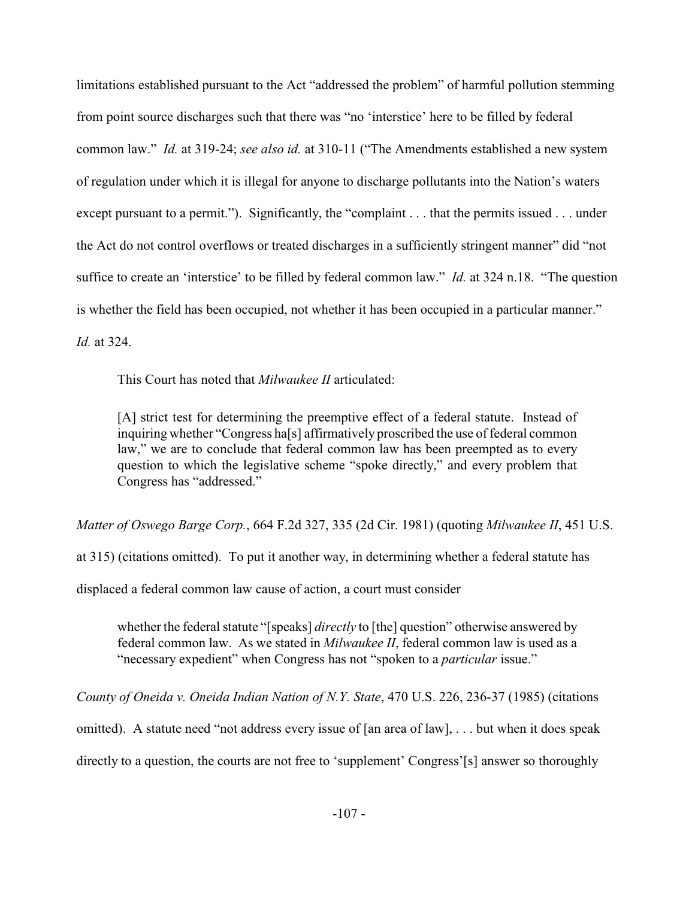limitations established pursuant to the Act "addressed the problem" of harmful pollution stemming from point source discharges such that there was "no 'interstice' here to be filled by federal common law." *Id.* at 319-24; *see also id.* at 310-11 ("The Amendments established a new system of regulation under which it is illegal for anyone to discharge pollutants into the Nation's waters except pursuant to a permit."). Significantly, the "complaint . . . that the permits issued . . . under the Act do not control overflows or treated discharges in a sufficiently stringent manner" did "not suffice to create an 'interstice' to be filled by federal common law." *Id.* at 324 n.18. "The question is whether the field has been occupied, not whether it has been occupied in a particular manner." *Id.* at 324.

This Court has noted that *Milwaukee II* articulated:

[A] strict test for determining the preemptive effect of a federal statute. Instead of inquiring whether "Congress ha[s] affirmatively proscribed the use of federal common law," we are to conclude that federal common law has been preempted as to every question to which the legislative scheme "spoke directly," and every problem that Congress has "addressed."

*Matter of Oswego Barge Corp.*, 664 F.2d 327, 335 (2d Cir. 1981) (quoting *Milwaukee II*, 451 U.S.

at 315) (citations omitted). To put it another way, in determining whether a federal statute has

displaced a federal common law cause of action, a court must consider

whether the federal statute "[speaks] *directly* to [the] question" otherwise answered by federal common law. As we stated in *Milwaukee II*, federal common law is used as a "necessary expedient" when Congress has not "spoken to a *particular* issue."

*County of Oneida v. Oneida Indian Nation of N.Y. State*, 470 U.S. 226, 236-37 (1985) (citations

omitted). A statute need "not address every issue of [an area of law], . . . but when it does speak

directly to a question, the courts are not free to 'supplement' Congress'[s] answer so thoroughly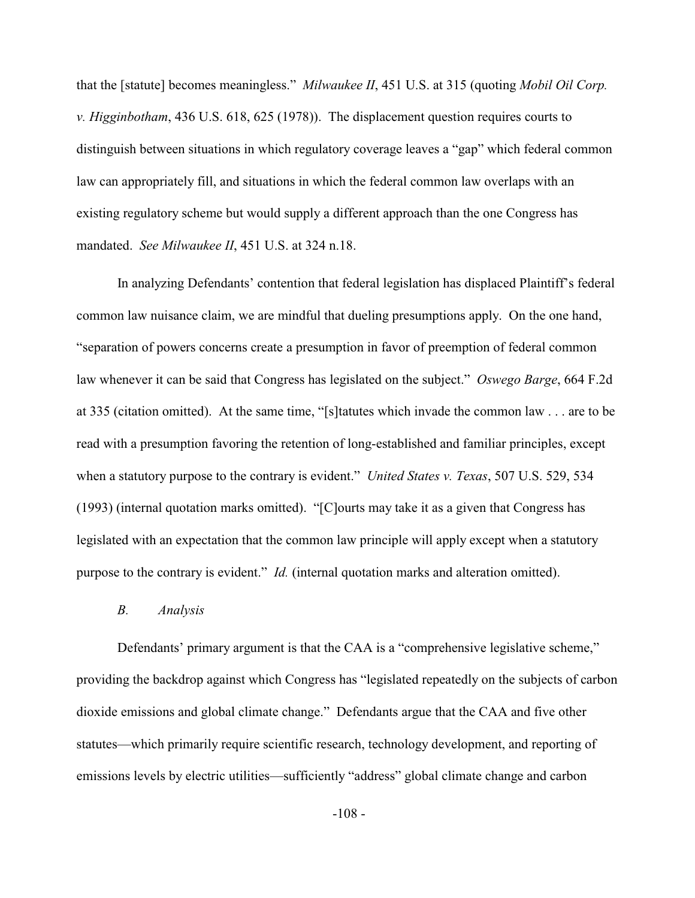that the [statute] becomes meaningless." *Milwaukee II*, 451 U.S. at 315 (quoting *Mobil Oil Corp. v. Higginbotham*, 436 U.S. 618, 625 (1978)). The displacement question requires courts to distinguish between situations in which regulatory coverage leaves a "gap" which federal common law can appropriately fill, and situations in which the federal common law overlaps with an existing regulatory scheme but would supply a different approach than the one Congress has mandated. *See Milwaukee II*, 451 U.S. at 324 n.18.

In analyzing Defendants' contention that federal legislation has displaced Plaintiff's federal common law nuisance claim, we are mindful that dueling presumptions apply. On the one hand, "separation of powers concerns create a presumption in favor of preemption of federal common law whenever it can be said that Congress has legislated on the subject." *Oswego Barge*, 664 F.2d at 335 (citation omitted). At the same time, "[s]tatutes which invade the common law . . . are to be read with a presumption favoring the retention of long-established and familiar principles, except when a statutory purpose to the contrary is evident." *United States v. Texas*, 507 U.S. 529, 534 (1993) (internal quotation marks omitted). "[C]ourts may take it as a given that Congress has legislated with an expectation that the common law principle will apply except when a statutory purpose to the contrary is evident." *Id.* (internal quotation marks and alteration omitted).

### *B. Analysis*

Defendants' primary argument is that the CAA is a "comprehensive legislative scheme," providing the backdrop against which Congress has "legislated repeatedly on the subjects of carbon dioxide emissions and global climate change." Defendants argue that the CAA and five other statutes—which primarily require scientific research, technology development, and reporting of emissions levels by electric utilities—sufficiently "address" global climate change and carbon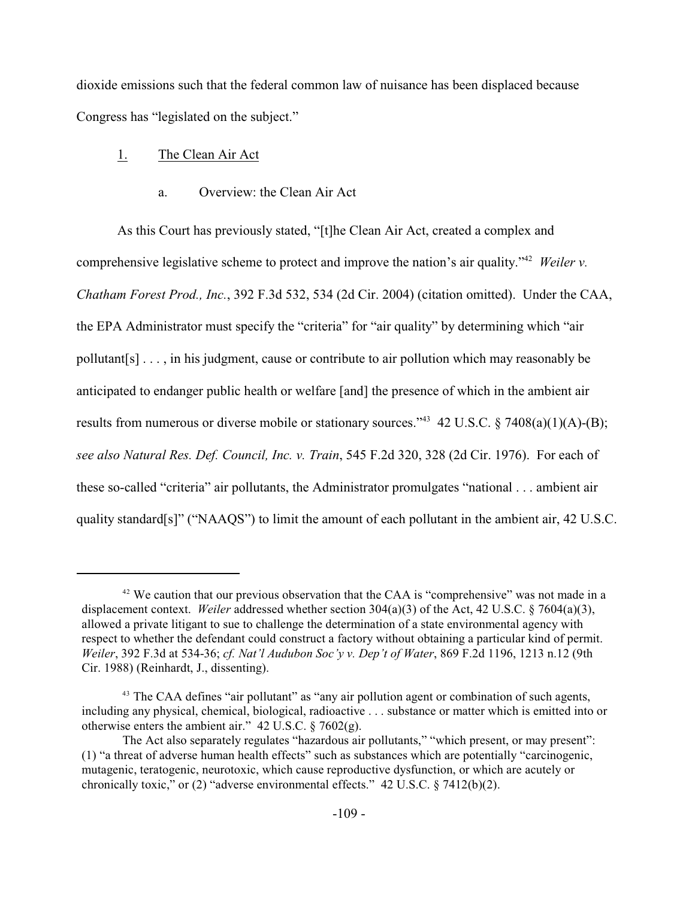dioxide emissions such that the federal common law of nuisance has been displaced because Congress has "legislated on the subject."

### 1. The Clean Air Act

## a. Overview: the Clean Air Act

As this Court has previously stated, "[t]he Clean Air Act, created a complex and comprehensive legislative scheme to protect and improve the nation's air quality."<sup>42</sup> Weiler v. *Chatham Forest Prod., Inc.*, 392 F.3d 532, 534 (2d Cir. 2004) (citation omitted). Under the CAA, the EPA Administrator must specify the "criteria" for "air quality" by determining which "air pollutant[s] . . . , in his judgment, cause or contribute to air pollution which may reasonably be anticipated to endanger public health or welfare [and] the presence of which in the ambient air results from numerous or diverse mobile or stationary sources."<sup>43</sup> 42 U.S.C. § 7408(a)(1)(A)-(B); *see also Natural Res. Def. Council, Inc. v. Train*, 545 F.2d 320, 328 (2d Cir. 1976). For each of these so-called "criteria" air pollutants, the Administrator promulgates "national . . . ambient air quality standard[s]" ("NAAQS") to limit the amount of each pollutant in the ambient air, 42 U.S.C.

 $42$  We caution that our previous observation that the CAA is "comprehensive" was not made in a displacement context. *Weiler* addressed whether section 304(a)(3) of the Act, 42 U.S.C. § 7604(a)(3), allowed a private litigant to sue to challenge the determination of a state environmental agency with respect to whether the defendant could construct a factory without obtaining a particular kind of permit. *Weiler*, 392 F.3d at 534-36; *cf. Nat'l Audubon Soc'y v. Dep't of Water*, 869 F.2d 1196, 1213 n.12 (9th Cir. 1988) (Reinhardt, J., dissenting).

<sup>&</sup>lt;sup>43</sup> The CAA defines "air pollutant" as "any air pollution agent or combination of such agents, including any physical, chemical, biological, radioactive . . . substance or matter which is emitted into or otherwise enters the ambient air." 42 U.S.C. § 7602(g).

The Act also separately regulates "hazardous air pollutants," "which present, or may present": (1) "a threat of adverse human health effects" such as substances which are potentially "carcinogenic, mutagenic, teratogenic, neurotoxic, which cause reproductive dysfunction, or which are acutely or chronically toxic," or (2) "adverse environmental effects." 42 U.S.C. § 7412(b)(2).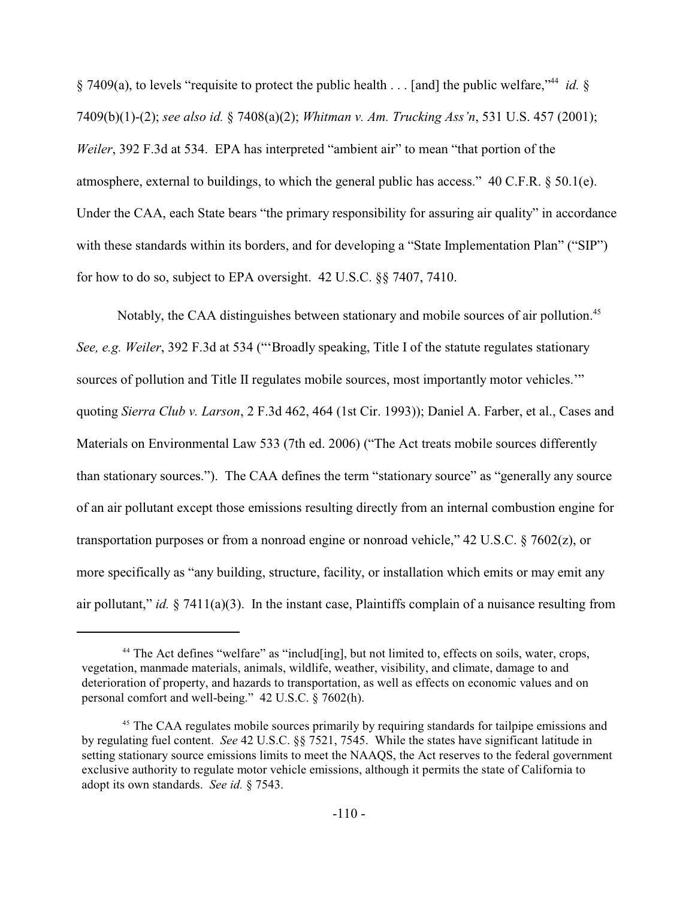§ 7409(a), to levels "requisite to protect the public health . . . [and] the public welfare,<sup> $344$ </sup> id. § 7409(b)(1)-(2); *see also id.* § 7408(a)(2); *Whitman v. Am. Trucking Ass'n*, 531 U.S. 457 (2001); *Weiler*, 392 F.3d at 534. EPA has interpreted "ambient air" to mean "that portion of the atmosphere, external to buildings, to which the general public has access." 40 C.F.R. § 50.1(e). Under the CAA, each State bears "the primary responsibility for assuring air quality" in accordance with these standards within its borders, and for developing a "State Implementation Plan" ("SIP") for how to do so, subject to EPA oversight. 42 U.S.C. §§ 7407, 7410.

Notably, the CAA distinguishes between stationary and mobile sources of air pollution.<sup>45</sup> *See, e.g. Weiler*, 392 F.3d at 534 ("'Broadly speaking, Title I of the statute regulates stationary sources of pollution and Title II regulates mobile sources, most importantly motor vehicles.'" quoting *Sierra Club v. Larson*, 2 F.3d 462, 464 (1st Cir. 1993)); Daniel A. Farber, et al., Cases and Materials on Environmental Law 533 (7th ed. 2006) ("The Act treats mobile sources differently than stationary sources."). The CAA defines the term "stationary source" as "generally any source of an air pollutant except those emissions resulting directly from an internal combustion engine for transportation purposes or from a nonroad engine or nonroad vehicle," 42 U.S.C. § 7602(z), or more specifically as "any building, structure, facility, or installation which emits or may emit any air pollutant," *id.* § 7411(a)(3). In the instant case, Plaintiffs complain of a nuisance resulting from

<sup>&</sup>lt;sup>44</sup> The Act defines "welfare" as "includ[ing], but not limited to, effects on soils, water, crops, vegetation, manmade materials, animals, wildlife, weather, visibility, and climate, damage to and deterioration of property, and hazards to transportation, as well as effects on economic values and on personal comfort and well-being." 42 U.S.C. § 7602(h).

<sup>&</sup>lt;sup>45</sup> The CAA regulates mobile sources primarily by requiring standards for tailpipe emissions and by regulating fuel content. *See* 42 U.S.C. §§ 7521, 7545. While the states have significant latitude in setting stationary source emissions limits to meet the NAAQS, the Act reserves to the federal government exclusive authority to regulate motor vehicle emissions, although it permits the state of California to adopt its own standards. *See id.* § 7543.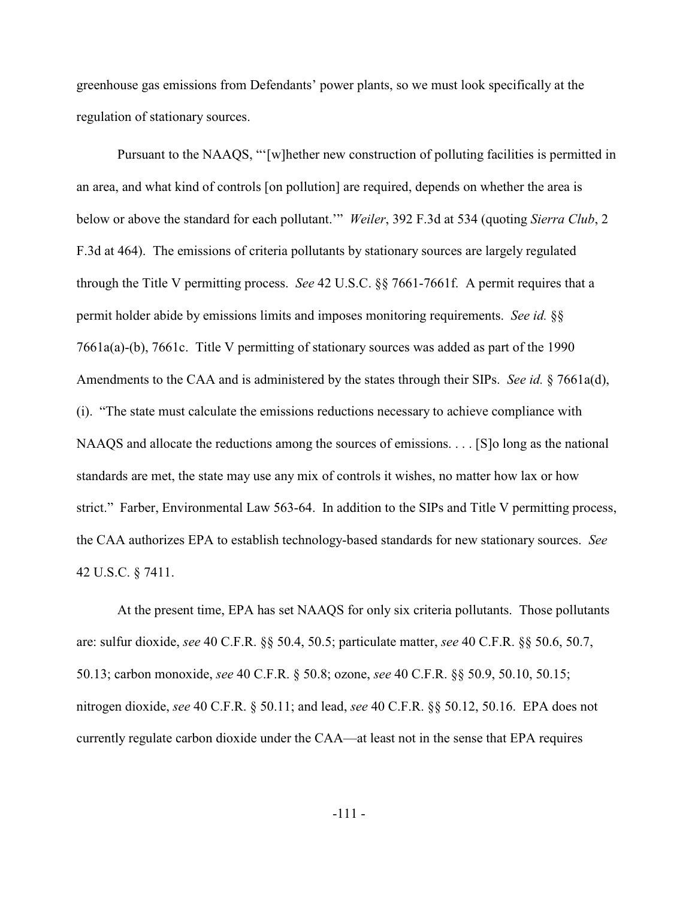greenhouse gas emissions from Defendants' power plants, so we must look specifically at the regulation of stationary sources.

Pursuant to the NAAQS, "'[w]hether new construction of polluting facilities is permitted in an area, and what kind of controls [on pollution] are required, depends on whether the area is below or above the standard for each pollutant.'" *Weiler*, 392 F.3d at 534 (quoting *Sierra Club*, 2 F.3d at 464). The emissions of criteria pollutants by stationary sources are largely regulated through the Title V permitting process. *See* 42 U.S.C. §§ 7661-7661f. A permit requires that a permit holder abide by emissions limits and imposes monitoring requirements. *See id.* §§ 7661a(a)-(b), 7661c. Title V permitting of stationary sources was added as part of the 1990 Amendments to the CAA and is administered by the states through their SIPs. *See id.* § 7661a(d), (i). "The state must calculate the emissions reductions necessary to achieve compliance with NAAQS and allocate the reductions among the sources of emissions. . . . [S]o long as the national standards are met, the state may use any mix of controls it wishes, no matter how lax or how strict." Farber, Environmental Law 563-64. In addition to the SIPs and Title V permitting process, the CAA authorizes EPA to establish technology-based standards for new stationary sources. *See* 42 U.S.C. § 7411.

At the present time, EPA has set NAAQS for only six criteria pollutants. Those pollutants are: sulfur dioxide, *see* 40 C.F.R. §§ 50.4, 50.5; particulate matter, *see* 40 C.F.R. §§ 50.6, 50.7, 50.13; carbon monoxide, *see* 40 C.F.R. § 50.8; ozone, *see* 40 C.F.R. §§ 50.9, 50.10, 50.15; nitrogen dioxide, *see* 40 C.F.R. § 50.11; and lead, *see* 40 C.F.R. §§ 50.12, 50.16. EPA does not currently regulate carbon dioxide under the CAA—at least not in the sense that EPA requires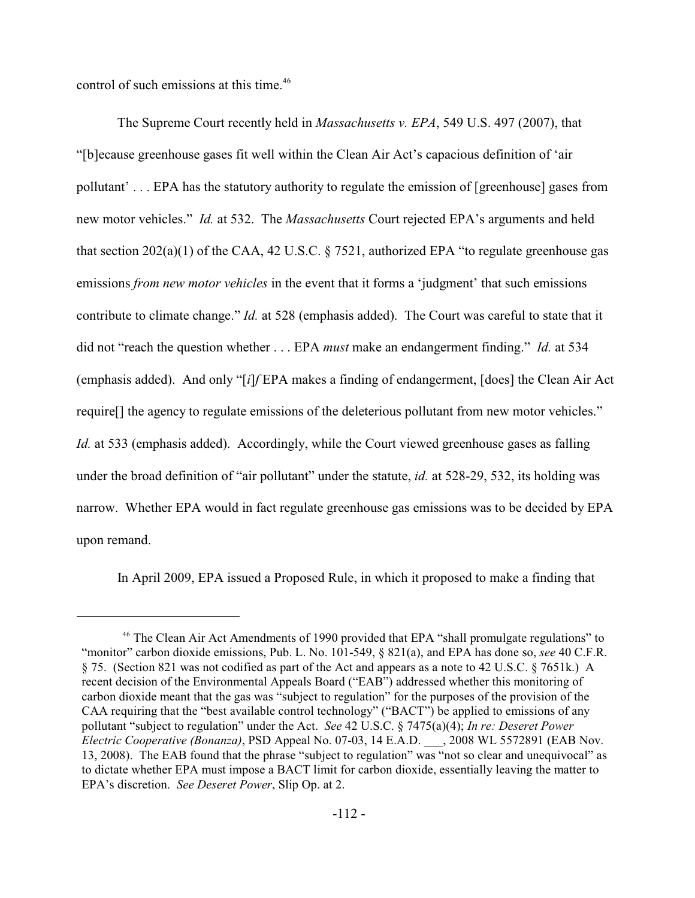control of such emissions at this time.<sup>46</sup>

The Supreme Court recently held in *Massachusetts v. EPA*, 549 U.S. 497 (2007), that "[b]ecause greenhouse gases fit well within the Clean Air Act's capacious definition of 'air pollutant' . . . EPA has the statutory authority to regulate the emission of [greenhouse] gases from new motor vehicles." *Id.* at 532. The *Massachusetts* Court rejected EPA's arguments and held that section 202(a)(1) of the CAA, 42 U.S.C. § 7521, authorized EPA "to regulate greenhouse gas emissions *from new motor vehicles* in the event that it forms a 'judgment' that such emissions contribute to climate change." *Id.* at 528 (emphasis added). The Court was careful to state that it did not "reach the question whether . . . EPA *must* make an endangerment finding." *Id.* at 534 (emphasis added). And only "[*i*]*f* EPA makes a finding of endangerment, [does] the Clean Air Act require[] the agency to regulate emissions of the deleterious pollutant from new motor vehicles." *Id.* at 533 (emphasis added). Accordingly, while the Court viewed greenhouse gases as falling under the broad definition of "air pollutant" under the statute, *id.* at 528-29, 532, its holding was narrow. Whether EPA would in fact regulate greenhouse gas emissions was to be decided by EPA upon remand.

In April 2009, EPA issued a Proposed Rule, in which it proposed to make a finding that

<sup>&</sup>lt;sup>46</sup> The Clean Air Act Amendments of 1990 provided that EPA "shall promulgate regulations" to "monitor" carbon dioxide emissions, Pub. L. No. 101-549, § 821(a), and EPA has done so, *see* 40 C.F.R. § 75. (Section 821 was not codified as part of the Act and appears as a note to 42 U.S.C. § 7651k.) A recent decision of the Environmental Appeals Board ("EAB") addressed whether this monitoring of carbon dioxide meant that the gas was "subject to regulation" for the purposes of the provision of the CAA requiring that the "best available control technology" ("BACT") be applied to emissions of any pollutant "subject to regulation" under the Act. *See* 42 U.S.C. § 7475(a)(4); *In re: Deseret Power Electric Cooperative (Bonanza)*, PSD Appeal No. 07-03, 14 E.A.D. \_\_\_, 2008 WL 5572891 (EAB Nov. 13, 2008). The EAB found that the phrase "subject to regulation" was "not so clear and unequivocal" as to dictate whether EPA must impose a BACT limit for carbon dioxide, essentially leaving the matter to EPA's discretion. *See Deseret Power*, Slip Op. at 2.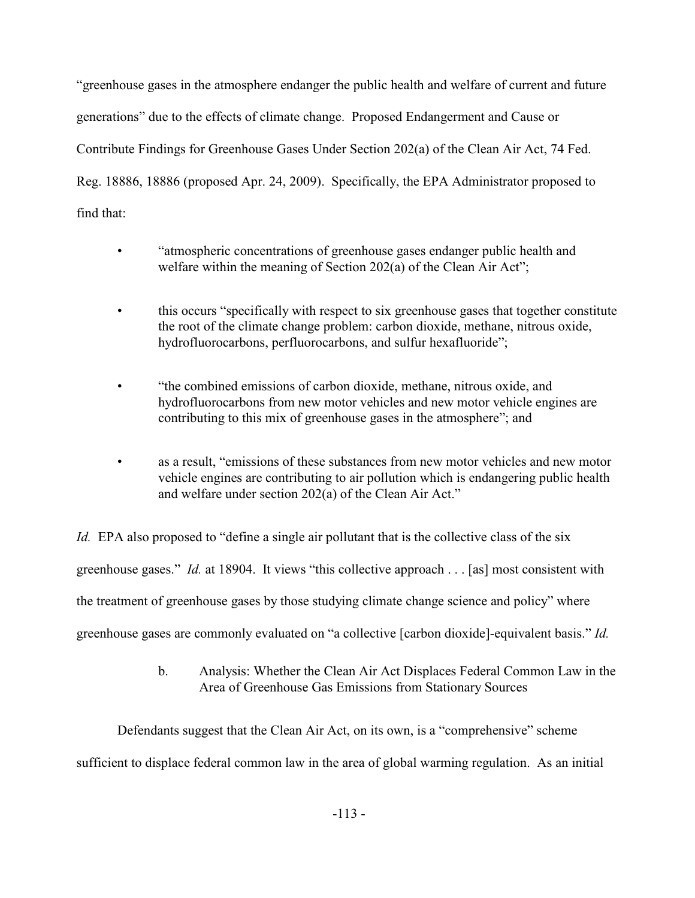"greenhouse gases in the atmosphere endanger the public health and welfare of current and future generations" due to the effects of climate change. Proposed Endangerment and Cause or Contribute Findings for Greenhouse Gases Under Section 202(a) of the Clean Air Act, 74 Fed. Reg. 18886, 18886 (proposed Apr. 24, 2009). Specifically, the EPA Administrator proposed to find that:

- "atmospheric concentrations of greenhouse gases endanger public health and welfare within the meaning of Section 202(a) of the Clean Air Act";
- this occurs "specifically with respect to six greenhouse gases that together constitute the root of the climate change problem: carbon dioxide, methane, nitrous oxide, hydrofluorocarbons, perfluorocarbons, and sulfur hexafluoride";
- "the combined emissions of carbon dioxide, methane, nitrous oxide, and hydrofluorocarbons from new motor vehicles and new motor vehicle engines are contributing to this mix of greenhouse gases in the atmosphere"; and
- as a result, "emissions of these substances from new motor vehicles and new motor vehicle engines are contributing to air pollution which is endangering public health and welfare under section 202(a) of the Clean Air Act."

*Id.* EPA also proposed to "define a single air pollutant that is the collective class of the six greenhouse gases." *Id.* at 18904. It views "this collective approach . . . [as] most consistent with the treatment of greenhouse gases by those studying climate change science and policy" where greenhouse gases are commonly evaluated on "a collective [carbon dioxide]-equivalent basis." *Id.*

> b. Analysis: Whether the Clean Air Act Displaces Federal Common Law in the Area of Greenhouse Gas Emissions from Stationary Sources

Defendants suggest that the Clean Air Act, on its own, is a "comprehensive" scheme sufficient to displace federal common law in the area of global warming regulation. As an initial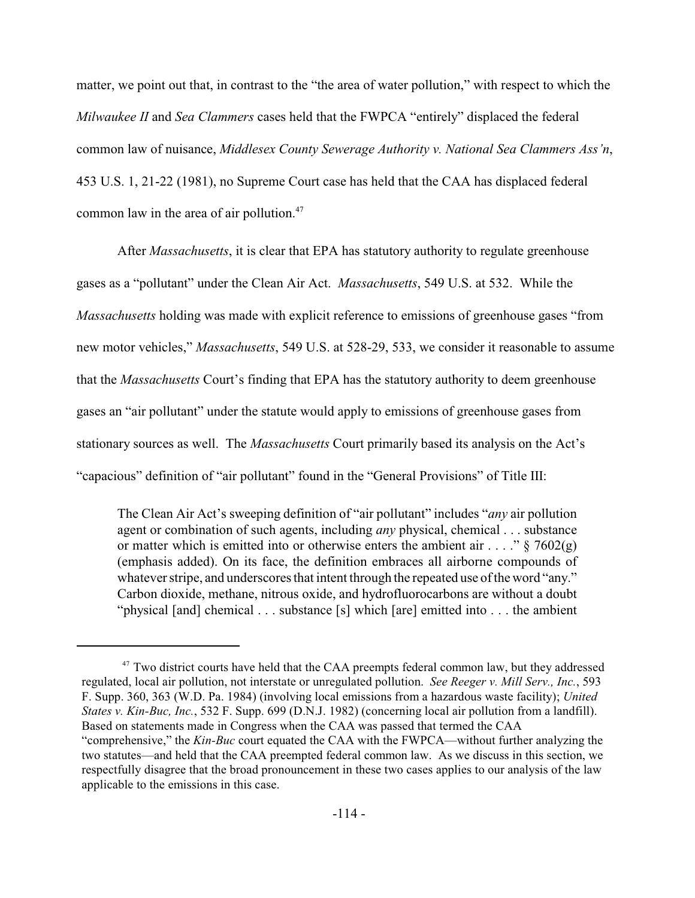matter, we point out that, in contrast to the "the area of water pollution," with respect to which the *Milwaukee II* and *Sea Clammers* cases held that the FWPCA "entirely" displaced the federal common law of nuisance, *Middlesex County Sewerage Authority v. National Sea Clammers Ass'n*, 453 U.S. 1, 21-22 (1981), no Supreme Court case has held that the CAA has displaced federal common law in the area of air pollution.<sup>47</sup>

After *Massachusetts*, it is clear that EPA has statutory authority to regulate greenhouse gases as a "pollutant" under the Clean Air Act. *Massachusetts*, 549 U.S. at 532. While the *Massachusetts* holding was made with explicit reference to emissions of greenhouse gases "from new motor vehicles," *Massachusetts*, 549 U.S. at 528-29, 533, we consider it reasonable to assume that the *Massachusetts* Court's finding that EPA has the statutory authority to deem greenhouse gases an "air pollutant" under the statute would apply to emissions of greenhouse gases from stationary sources as well. The *Massachusetts* Court primarily based its analysis on the Act's "capacious" definition of "air pollutant" found in the "General Provisions" of Title III:

The Clean Air Act's sweeping definition of "air pollutant" includes "*any* air pollution agent or combination of such agents, including *any* physical, chemical . . . substance or matter which is emitted into or otherwise enters the ambient air . . . . "  $\S$  7602(g) (emphasis added). On its face, the definition embraces all airborne compounds of whatever stripe, and underscores that intent through the repeated use of the word "any." Carbon dioxide, methane, nitrous oxide, and hydrofluorocarbons are without a doubt "physical [and] chemical . . . substance [s] which [are] emitted into . . . the ambient

 $47$  Two district courts have held that the CAA preempts federal common law, but they addressed regulated, local air pollution, not interstate or unregulated pollution. *See Reeger v. Mill Serv., Inc.*, 593 F. Supp. 360, 363 (W.D. Pa. 1984) (involving local emissions from a hazardous waste facility); *United States v. Kin-Buc, Inc.*, 532 F. Supp. 699 (D.N.J. 1982) (concerning local air pollution from a landfill). Based on statements made in Congress when the CAA was passed that termed the CAA "comprehensive," the *Kin-Buc* court equated the CAA with the FWPCA—without further analyzing the two statutes—and held that the CAA preempted federal common law. As we discuss in this section, we respectfully disagree that the broad pronouncement in these two cases applies to our analysis of the law applicable to the emissions in this case.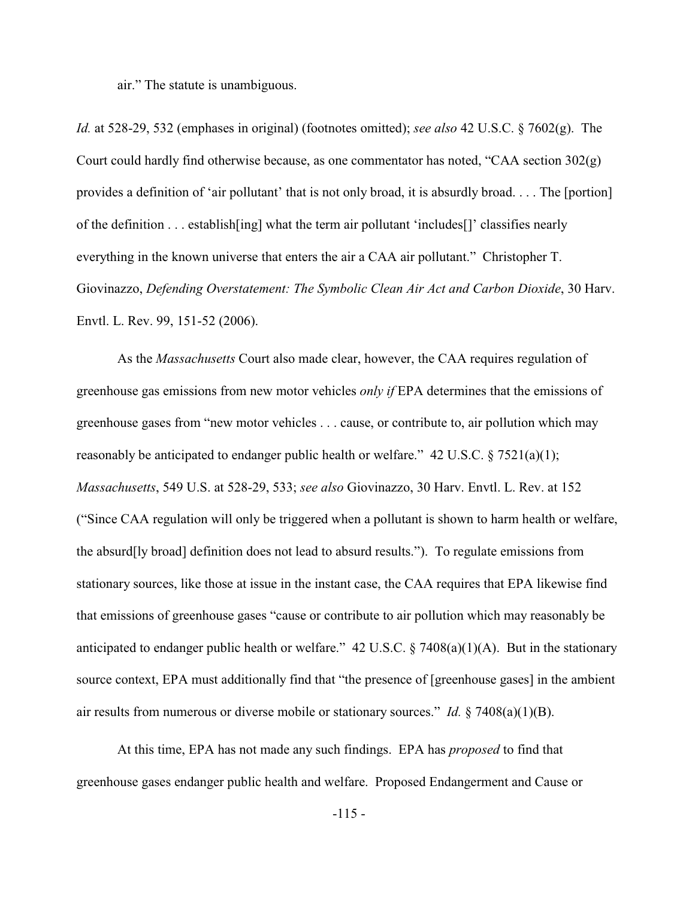air." The statute is unambiguous.

*Id.* at 528-29, 532 (emphases in original) (footnotes omitted); *see also* 42 U.S.C. § 7602(g). The Court could hardly find otherwise because, as one commentator has noted, "CAA section  $302(g)$ " provides a definition of 'air pollutant' that is not only broad, it is absurdly broad. . . . The [portion] of the definition . . . establish[ing] what the term air pollutant 'includes[]' classifies nearly everything in the known universe that enters the air a CAA air pollutant." Christopher T. Giovinazzo, *Defending Overstatement: The Symbolic Clean Air Act and Carbon Dioxide*, 30 Harv. Envtl. L. Rev. 99, 151-52 (2006).

As the *Massachusetts* Court also made clear, however, the CAA requires regulation of greenhouse gas emissions from new motor vehicles *only if* EPA determines that the emissions of greenhouse gases from "new motor vehicles . . . cause, or contribute to, air pollution which may reasonably be anticipated to endanger public health or welfare."  $42 \text{ U.S.C.} \$   $7521(a)(1)$ ; *Massachusetts*, 549 U.S. at 528-29, 533; *see also* Giovinazzo, 30 Harv. Envtl. L. Rev. at 152 ("Since CAA regulation will only be triggered when a pollutant is shown to harm health or welfare, the absurd[ly broad] definition does not lead to absurd results."). To regulate emissions from stationary sources, like those at issue in the instant case, the CAA requires that EPA likewise find that emissions of greenhouse gases "cause or contribute to air pollution which may reasonably be anticipated to endanger public health or welfare." 42 U.S.C.  $\S$  7408(a)(1)(A). But in the stationary source context, EPA must additionally find that "the presence of [greenhouse gases] in the ambient air results from numerous or diverse mobile or stationary sources." *Id.* § 7408(a)(1)(B).

At this time, EPA has not made any such findings. EPA has *proposed* to find that greenhouse gases endanger public health and welfare. Proposed Endangerment and Cause or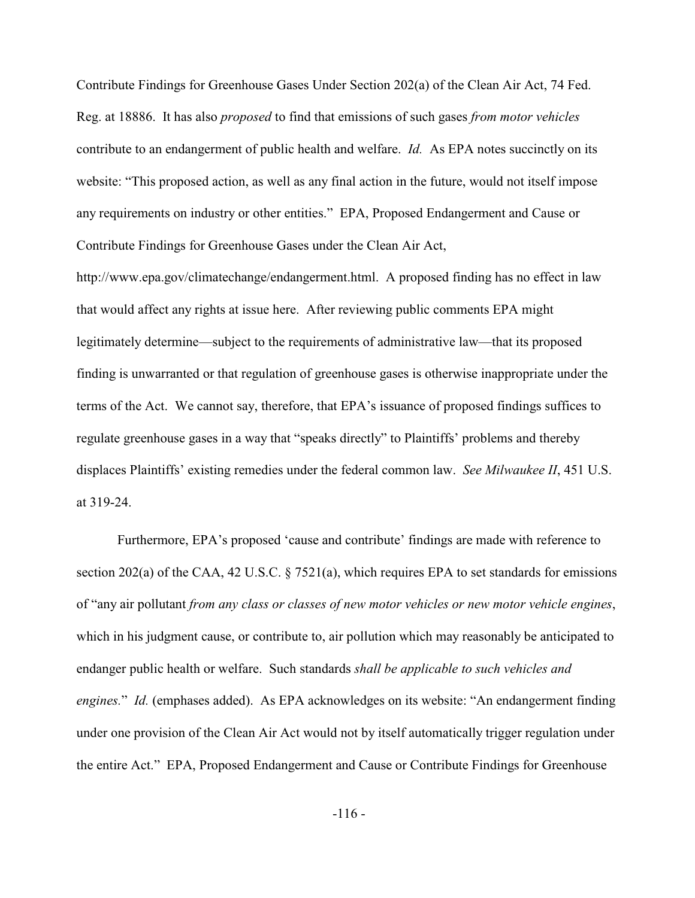Contribute Findings for Greenhouse Gases Under Section 202(a) of the Clean Air Act, 74 Fed. Reg. at 18886. It has also *proposed* to find that emissions of such gases *from motor vehicles* contribute to an endangerment of public health and welfare. *Id.* As EPA notes succinctly on its website: "This proposed action, as well as any final action in the future, would not itself impose any requirements on industry or other entities." EPA, Proposed Endangerment and Cause or Contribute Findings for Greenhouse Gases under the Clean Air Act,

[http://www.epa.gov/climatechange/endangerment.html.](http://www.epa.gov/climatechange/endangerment.html) A proposed finding has no effect in law that would affect any rights at issue here. After reviewing public comments EPA might legitimately determine—subject to the requirements of administrative law—that its proposed finding is unwarranted or that regulation of greenhouse gases is otherwise inappropriate under the terms of the Act. We cannot say, therefore, that EPA's issuance of proposed findings suffices to regulate greenhouse gases in a way that "speaks directly" to Plaintiffs' problems and thereby displaces Plaintiffs' existing remedies under the federal common law. *See Milwaukee II*, 451 U.S. at 319-24.

Furthermore, EPA's proposed 'cause and contribute' findings are made with reference to section 202(a) of the CAA, 42 U.S.C. § 7521(a), which requires EPA to set standards for emissions of "any air pollutant *from any class or classes of new motor vehicles or new motor vehicle engines*, which in his judgment cause, or contribute to, air pollution which may reasonably be anticipated to endanger public health or welfare. Such standards *shall be applicable to such vehicles and engines.*" *Id.* (emphases added). As EPA acknowledges on its website: "An endangerment finding under one provision of the Clean Air Act would not by itself automatically trigger regulation under the entire Act." EPA, Proposed Endangerment and Cause or Contribute Findings for Greenhouse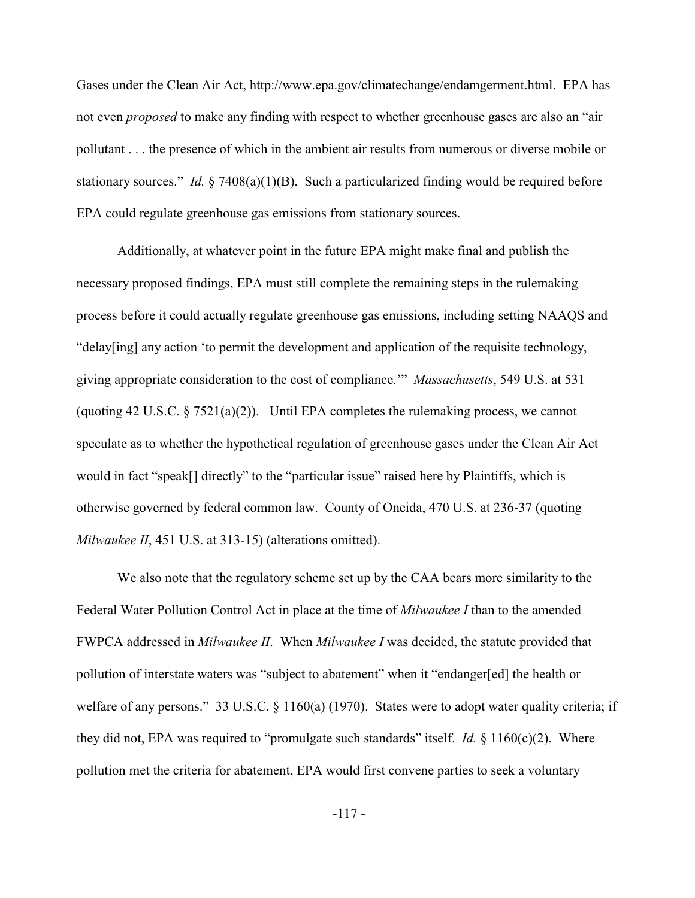Gases under the Clean Air Act, http://www.epa.gov/climatechange/endamgerment.html. EPA has not even *proposed* to make any finding with respect to whether greenhouse gases are also an "air pollutant . . . the presence of which in the ambient air results from numerous or diverse mobile or stationary sources." *Id.* § 7408(a)(1)(B). Such a particularized finding would be required before EPA could regulate greenhouse gas emissions from stationary sources.

Additionally, at whatever point in the future EPA might make final and publish the necessary proposed findings, EPA must still complete the remaining steps in the rulemaking process before it could actually regulate greenhouse gas emissions, including setting NAAQS and "delay[ing] any action 'to permit the development and application of the requisite technology, giving appropriate consideration to the cost of compliance.'" *Massachusetts*, 549 U.S. at 531 (quoting 42 U.S.C.  $\S 7521(a)(2)$ ). Until EPA completes the rulemaking process, we cannot speculate as to whether the hypothetical regulation of greenhouse gases under the Clean Air Act would in fact "speak[] directly" to the "particular issue" raised here by Plaintiffs, which is otherwise governed by federal common law. County of Oneida, 470 U.S. at 236-37 (quoting *Milwaukee II*, 451 U.S. at 313-15) (alterations omitted).

We also note that the regulatory scheme set up by the CAA bears more similarity to the Federal Water Pollution Control Act in place at the time of *Milwaukee I* than to the amended FWPCA addressed in *Milwaukee II*. When *Milwaukee I* was decided, the statute provided that pollution of interstate waters was "subject to abatement" when it "endanger[ed] the health or welfare of any persons." 33 U.S.C. § 1160(a) (1970). States were to adopt water quality criteria; if they did not, EPA was required to "promulgate such standards" itself. *Id.* § 1160(c)(2). Where pollution met the criteria for abatement, EPA would first convene parties to seek a voluntary

-117 -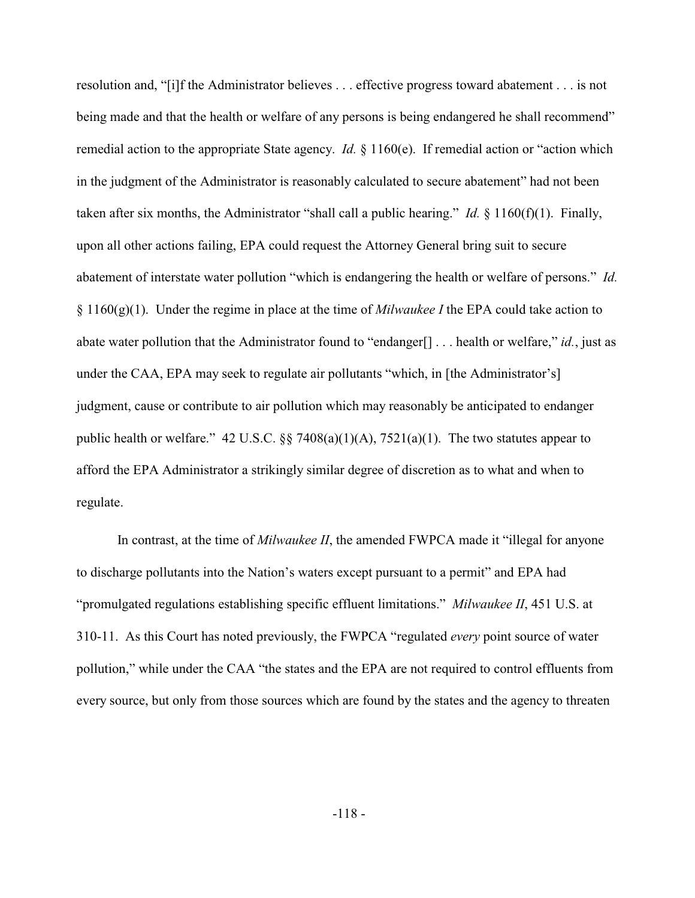resolution and, "[i]f the Administrator believes . . . effective progress toward abatement . . . is not being made and that the health or welfare of any persons is being endangered he shall recommend" remedial action to the appropriate State agency. *Id.* § 1160(e). If remedial action or "action which in the judgment of the Administrator is reasonably calculated to secure abatement" had not been taken after six months, the Administrator "shall call a public hearing." *Id.*  $\S 1160(f)(1)$ . Finally, upon all other actions failing, EPA could request the Attorney General bring suit to secure abatement of interstate water pollution "which is endangering the health or welfare of persons." *Id.* § 1160(g)(1). Under the regime in place at the time of *Milwaukee I* the EPA could take action to abate water pollution that the Administrator found to "endanger[] . . . health or welfare," *id.*, just as under the CAA, EPA may seek to regulate air pollutants "which, in [the Administrator's] judgment, cause or contribute to air pollution which may reasonably be anticipated to endanger public health or welfare." 42 U.S.C. §§ 7408(a)(1)(A), 7521(a)(1). The two statutes appear to afford the EPA Administrator a strikingly similar degree of discretion as to what and when to regulate.

In contrast, at the time of *Milwaukee II*, the amended FWPCA made it "illegal for anyone to discharge pollutants into the Nation's waters except pursuant to a permit" and EPA had "promulgated regulations establishing specific effluent limitations." *Milwaukee II*, 451 U.S. at 310-11. As this Court has noted previously, the FWPCA "regulated *every* point source of water pollution," while under the CAA "the states and the EPA are not required to control effluents from every source, but only from those sources which are found by the states and the agency to threaten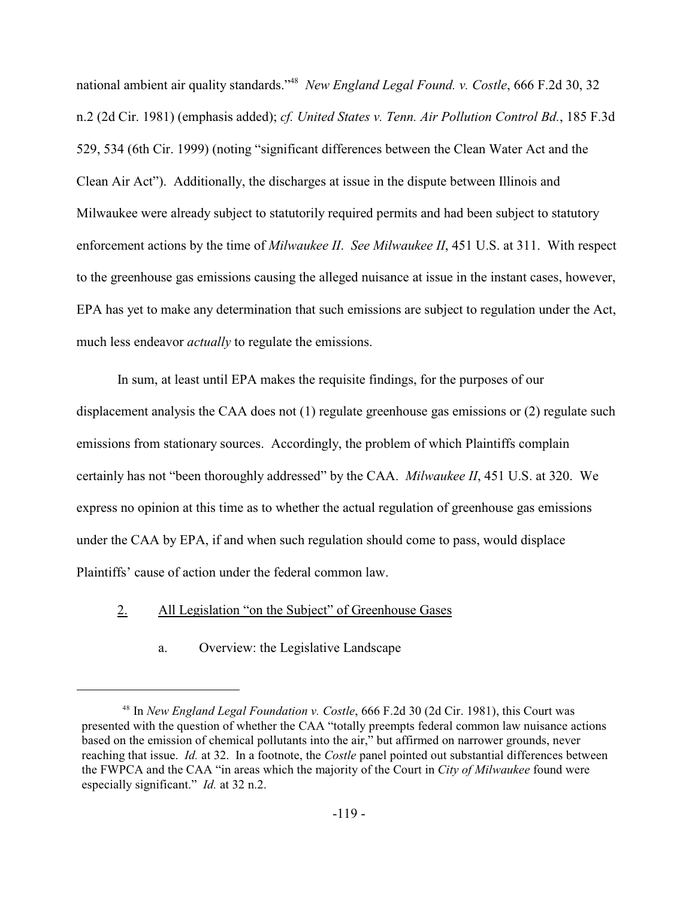national ambient air quality standards."<sup>48</sup> New England Legal Found. v. Costle, 666 F.2d 30, 32 n.2 (2d Cir. 1981) (emphasis added); *cf. United States v. Tenn. Air Pollution Control Bd.*, 185 F.3d 529, 534 (6th Cir. 1999) (noting "significant differences between the Clean Water Act and the Clean Air Act"). Additionally, the discharges at issue in the dispute between Illinois and Milwaukee were already subject to statutorily required permits and had been subject to statutory enforcement actions by the time of *Milwaukee II*. *See Milwaukee II*, 451 U.S. at 311. With respect to the greenhouse gas emissions causing the alleged nuisance at issue in the instant cases, however, EPA has yet to make any determination that such emissions are subject to regulation under the Act, much less endeavor *actually* to regulate the emissions.

In sum, at least until EPA makes the requisite findings, for the purposes of our displacement analysis the CAA does not (1) regulate greenhouse gas emissions or (2) regulate such emissions from stationary sources. Accordingly, the problem of which Plaintiffs complain certainly has not "been thoroughly addressed" by the CAA. *Milwaukee II*, 451 U.S. at 320. We express no opinion at this time as to whether the actual regulation of greenhouse gas emissions under the CAA by EPA, if and when such regulation should come to pass, would displace Plaintiffs' cause of action under the federal common law.

## 2. All Legislation "on the Subject" of Greenhouse Gases

a. Overview: the Legislative Landscape

<sup>&</sup>lt;sup>48</sup> In New England Legal Foundation v. Costle, 666 F.2d 30 (2d Cir. 1981), this Court was presented with the question of whether the CAA "totally preempts federal common law nuisance actions based on the emission of chemical pollutants into the air," but affirmed on narrower grounds, never reaching that issue. *Id.* at 32. In a footnote, the *Costle* panel pointed out substantial differences between the FWPCA and the CAA "in areas which the majority of the Court in *City of Milwaukee* found were especially significant." *Id.* at 32 n.2.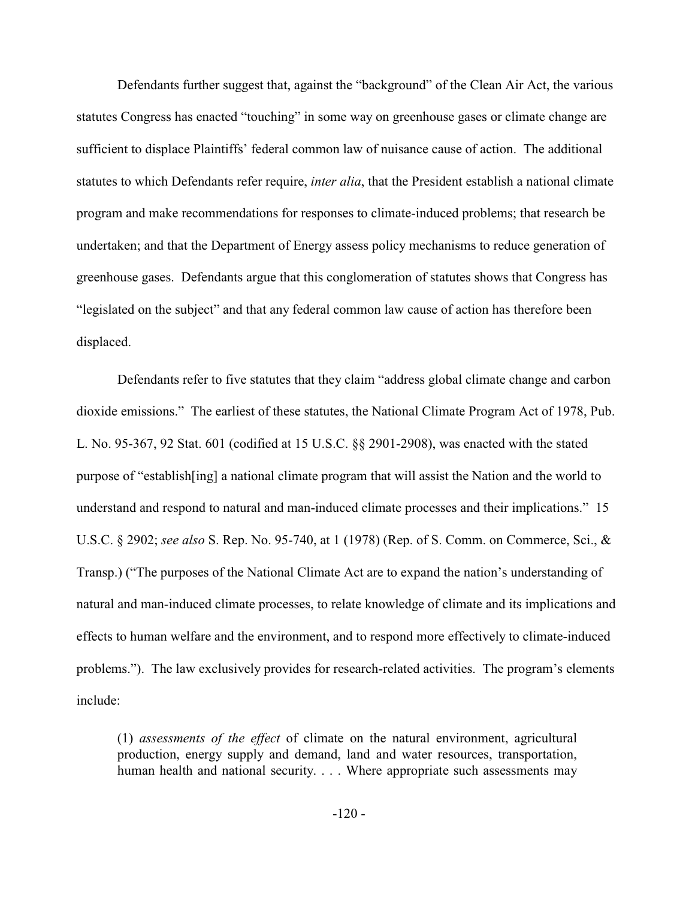Defendants further suggest that, against the "background" of the Clean Air Act, the various statutes Congress has enacted "touching" in some way on greenhouse gases or climate change are sufficient to displace Plaintiffs' federal common law of nuisance cause of action. The additional statutes to which Defendants refer require, *inter alia*, that the President establish a national climate program and make recommendations for responses to climate-induced problems; that research be undertaken; and that the Department of Energy assess policy mechanisms to reduce generation of greenhouse gases. Defendants argue that this conglomeration of statutes shows that Congress has "legislated on the subject" and that any federal common law cause of action has therefore been displaced.

Defendants refer to five statutes that they claim "address global climate change and carbon dioxide emissions." The earliest of these statutes, the National Climate Program Act of 1978, Pub. L. No. 95-367, 92 Stat. 601 (codified at 15 U.S.C. §§ 2901-2908), was enacted with the stated purpose of "establish[ing] a national climate program that will assist the Nation and the world to understand and respond to natural and man-induced climate processes and their implications." 15 U.S.C. § 2902; *see also* S. Rep. No. 95-740, at 1 (1978) (Rep. of S. Comm. on Commerce, Sci., & Transp.) ("The purposes of the National Climate Act are to expand the nation's understanding of natural and man-induced climate processes, to relate knowledge of climate and its implications and effects to human welfare and the environment, and to respond more effectively to climate-induced problems."). The law exclusively provides for research-related activities. The program's elements include:

(1) *assessments of the effect* of climate on the natural environment, agricultural production, energy supply and demand, land and water resources, transportation, human health and national security. . . . Where appropriate such assessments may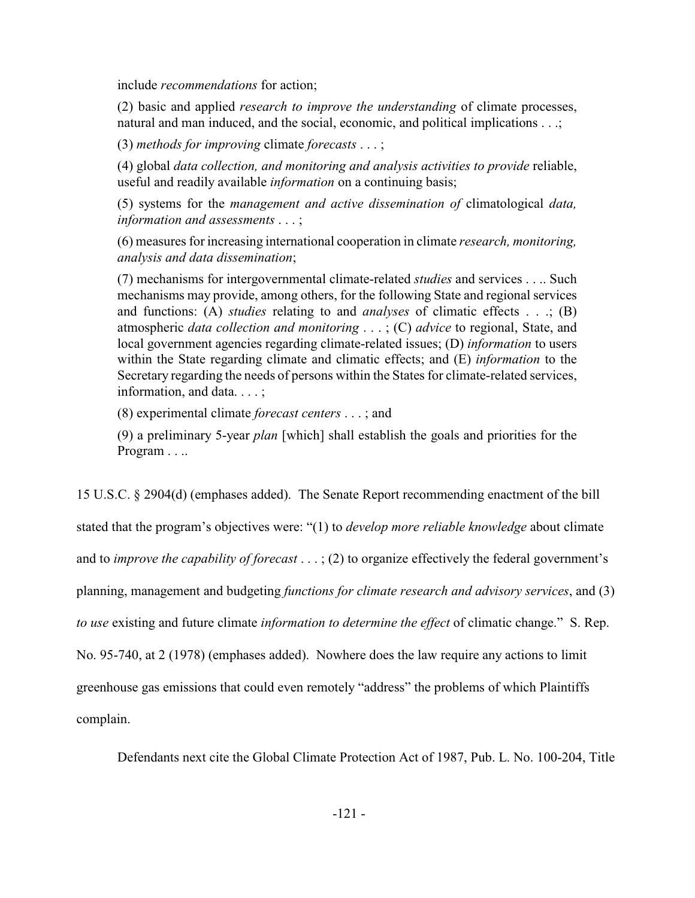include *recommendations* for action;

(2) basic and applied *research to improve the understanding* of climate processes, natural and man induced, and the social, economic, and political implications . . .;

(3) *methods for improving* climate *forecasts* . . . ;

(4) global *data collection, and monitoring and analysis activities to provide* reliable, useful and readily available *information* on a continuing basis;

(5) systems for the *management and active dissemination of* climatological *data, information and assessments* . . . ;

(6) measures for increasing international cooperation in climate *research, monitoring, analysis and data dissemination*;

(7) mechanisms for intergovernmental climate-related *studies* and services . . .. Such mechanisms may provide, among others, for the following State and regional services and functions: (A) *studies* relating to and *analyses* of climatic effects . . .; (B) atmospheric *data collection and monitoring* . . . ; (C) *advice* to regional, State, and local government agencies regarding climate-related issues; (D) *information* to users within the State regarding climate and climatic effects; and (E) *information* to the Secretary regarding the needs of persons within the States for climate-related services, information, and data. . . . ;

(8) experimental climate *forecast centers* . . . ; and

(9) a preliminary 5-year *plan* [which] shall establish the goals and priorities for the Program . . ..

15 U.S.C. § 2904(d) (emphases added). The Senate Report recommending enactment of the bill stated that the program's objectives were: "(1) to *develop more reliable knowledge* about climate and to *improve the capability of forecast* . . . ; (2) to organize effectively the federal government's planning, management and budgeting *functions for climate research and advisory services*, and (3) *to use* existing and future climate *information to determine the effect* of climatic change." S. Rep. No. 95-740, at 2 (1978) (emphases added). Nowhere does the law require any actions to limit greenhouse gas emissions that could even remotely "address" the problems of which Plaintiffs complain.

Defendants next cite the Global Climate Protection Act of 1987, Pub. L. No. 100-204, Title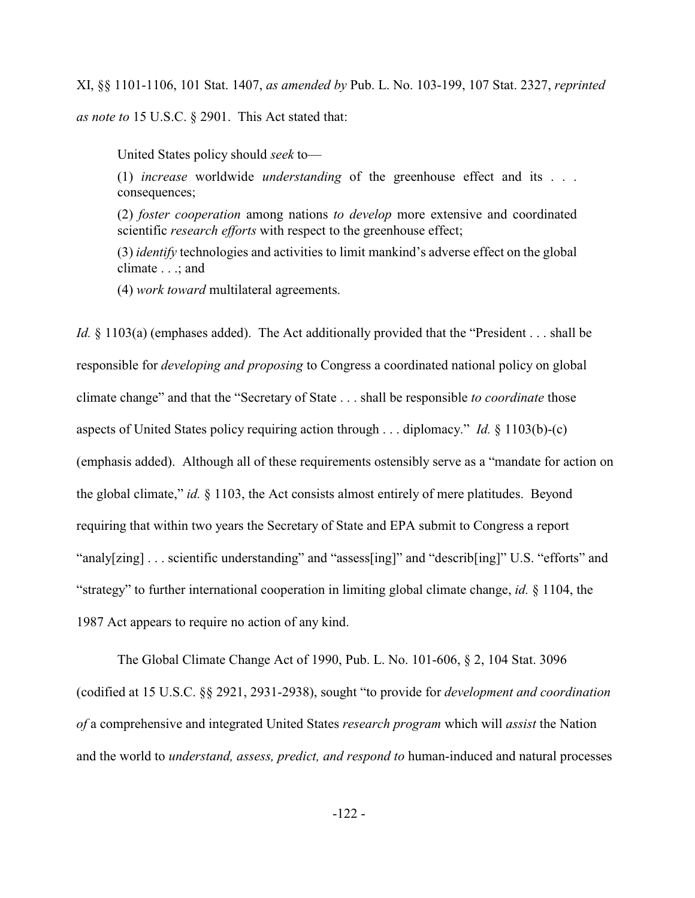XI, §§ 1101-1106, 101 Stat. 1407, *as amended by* Pub. L. No. 103-199, 107 Stat. 2327, *reprinted as note to* 15 U.S.C. § 2901. This Act stated that:

United States policy should *seek* to—

(1) *increase* worldwide *understanding* of the greenhouse effect and its . . . consequences;

(2) *foster cooperation* among nations *to develop* more extensive and coordinated scientific *research efforts* with respect to the greenhouse effect;

(3) *identify* technologies and activities to limit mankind's adverse effect on the global climate . . .; and

(4) *work toward* multilateral agreements.

*Id.* § 1103(a) (emphases added). The Act additionally provided that the "President . . . shall be responsible for *developing and proposing* to Congress a coordinated national policy on global climate change" and that the "Secretary of State . . . shall be responsible *to coordinate* those aspects of United States policy requiring action through . . . diplomacy." *Id.* § 1103(b)-(c) (emphasis added). Although all of these requirements ostensibly serve as a "mandate for action on the global climate," *id.*  $\S$  1103, the Act consists almost entirely of mere platitudes. Beyond requiring that within two years the Secretary of State and EPA submit to Congress a report "analy[zing] . . . scientific understanding" and "assess[ing]" and "describ[ing]" U.S. "efforts" and "strategy" to further international cooperation in limiting global climate change, *id.* § 1104, the 1987 Act appears to require no action of any kind.

The Global Climate Change Act of 1990, Pub. L. No. 101-606, § 2, 104 Stat. 3096 (codified at 15 U.S.C. §§ 2921, 2931-2938), sought "to provide for *development and coordination of* a comprehensive and integrated United States *research program* which will *assist* the Nation and the world to *understand, assess, predict, and respond to* human-induced and natural processes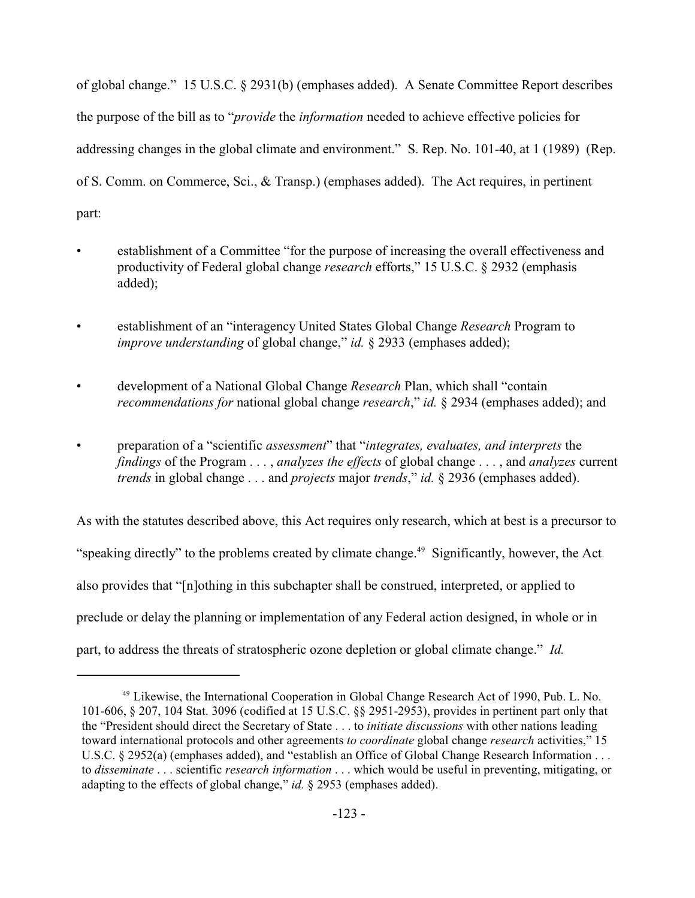of global change." 15 U.S.C. § 2931(b) (emphases added). A Senate Committee Report describes the purpose of the bill as to "*provide* the *information* needed to achieve effective policies for addressing changes in the global climate and environment." S. Rep. No. 101-40, at 1 (1989) (Rep. of S. Comm. on Commerce, Sci., & Transp.) (emphases added). The Act requires, in pertinent part:

- establishment of a Committee "for the purpose of increasing the overall effectiveness and productivity of Federal global change *research* efforts," 15 U.S.C. § 2932 (emphasis added);
- establishment of an "interagency United States Global Change *Research* Program to *improve understanding* of global change," *id.* § 2933 (emphases added);
- development of a National Global Change *Research* Plan, which shall "contain *recommendations for* national global change *research*," *id.* § 2934 (emphases added); and
- preparation of a "scientific *assessment*" that "*integrates, evaluates, and interprets* the *findings* of the Program . . . , *analyzes the effects* of global change . . . , and *analyzes* current *trends* in global change . . . and *projects* major *trends*," *id.* § 2936 (emphases added).

As with the statutes described above, this Act requires only research, which at best is a precursor to "speaking directly" to the problems created by climate change.<sup>49</sup> Significantly, however, the Act also provides that "[n]othing in this subchapter shall be construed, interpreted, or applied to preclude or delay the planning or implementation of any Federal action designed, in whole or in part, to address the threats of stratospheric ozone depletion or global climate change." *Id.*

 $49$  Likewise, the International Cooperation in Global Change Research Act of 1990, Pub. L. No. 101-606, § 207, 104 Stat. 3096 (codified at 15 U.S.C. §§ 2951-2953), provides in pertinent part only that the "President should direct the Secretary of State . . . to *initiate discussions* with other nations leading toward international protocols and other agreements *to coordinate* global change *research* activities," 15 U.S.C. § 2952(a) (emphases added), and "establish an Office of Global Change Research Information . . . to *disseminate* . . . scientific *research information* . . . which would be useful in preventing, mitigating, or adapting to the effects of global change," *id.* § 2953 (emphases added).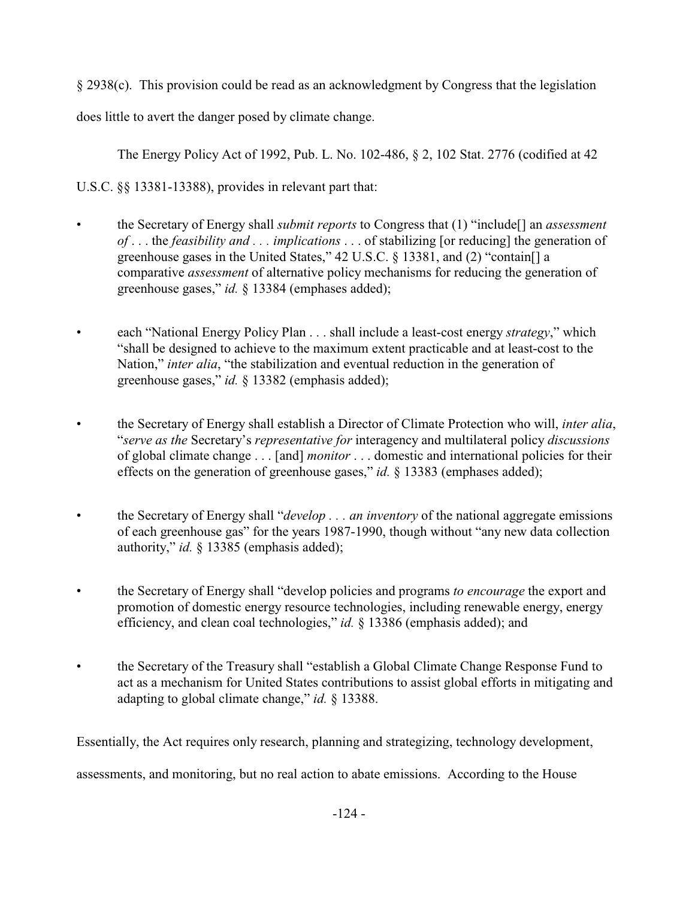§ 2938(c). This provision could be read as an acknowledgment by Congress that the legislation

does little to avert the danger posed by climate change.

The Energy Policy Act of 1992, Pub. L. No. 102-486, § 2, 102 Stat. 2776 (codified at 42

U.S.C. §§ 13381-13388), provides in relevant part that:

- the Secretary of Energy shall *submit reports* to Congress that (1) "include[] an *assessment of* . . . the *feasibility and . . . implications* . . . of stabilizing [or reducing] the generation of greenhouse gases in the United States," 42 U.S.C. § 13381, and (2) "contain[] a comparative *assessment* of alternative policy mechanisms for reducing the generation of greenhouse gases," *id.* § 13384 (emphases added);
- each "National Energy Policy Plan . . . shall include a least-cost energy *strategy*," which "shall be designed to achieve to the maximum extent practicable and at least-cost to the Nation," *inter alia*, "the stabilization and eventual reduction in the generation of greenhouse gases," *id.* § 13382 (emphasis added);
- the Secretary of Energy shall establish a Director of Climate Protection who will, *inter alia*, "*serve as the* Secretary's *representative for* interagency and multilateral policy *discussions* of global climate change . . . [and] *monitor* . . . domestic and international policies for their effects on the generation of greenhouse gases," *id.* § 13383 (emphases added);
- the Secretary of Energy shall "*develop . . . an inventory* of the national aggregate emissions of each greenhouse gas" for the years 1987-1990, though without "any new data collection authority," *id.* § 13385 (emphasis added);
- the Secretary of Energy shall "develop policies and programs *to encourage* the export and promotion of domestic energy resource technologies, including renewable energy, energy efficiency, and clean coal technologies," *id.* § 13386 (emphasis added); and
- the Secretary of the Treasury shall "establish a Global Climate Change Response Fund to act as a mechanism for United States contributions to assist global efforts in mitigating and adapting to global climate change," *id.* § 13388.

Essentially, the Act requires only research, planning and strategizing, technology development, assessments, and monitoring, but no real action to abate emissions. According to the House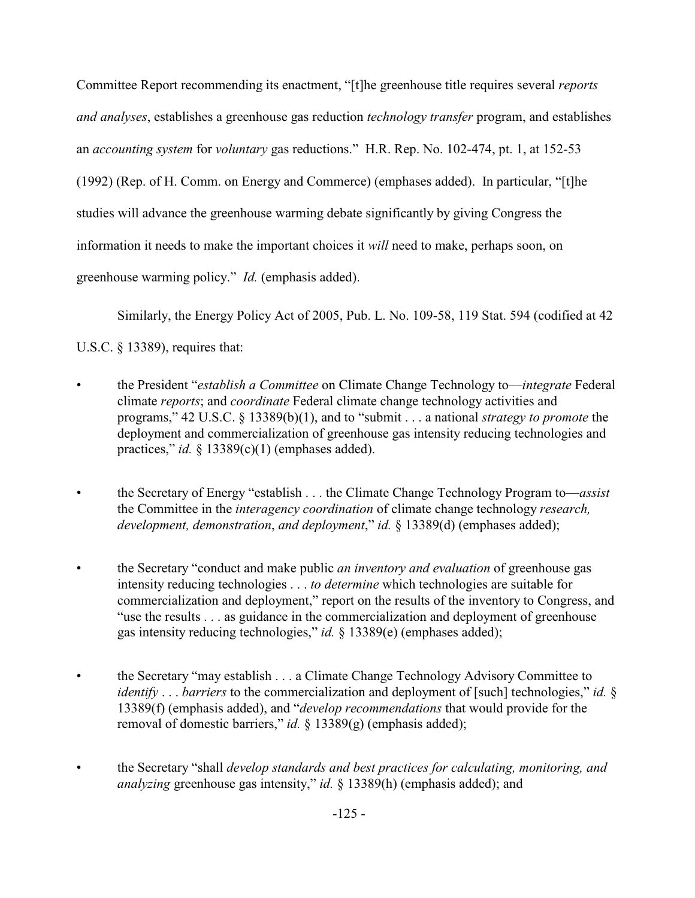Committee Report recommending its enactment, "[t]he greenhouse title requires several *reports and analyses*, establishes a greenhouse gas reduction *technology transfer* program, and establishes an *accounting system* for *voluntary* gas reductions." H.R. Rep. No. 102-474, pt. 1, at 152-53 (1992) (Rep. of H. Comm. on Energy and Commerce) (emphases added). In particular, "[t]he studies will advance the greenhouse warming debate significantly by giving Congress the information it needs to make the important choices it *will* need to make, perhaps soon, on greenhouse warming policy." *Id.* (emphasis added).

Similarly, the Energy Policy Act of 2005, Pub. L. No. 109-58, 119 Stat. 594 (codified at 42

U.S.C. § 13389), requires that:

- the President "*establish a Committee* on Climate Change Technology to—*integrate* Federal climate *reports*; and *coordinate* Federal climate change technology activities and programs," 42 U.S.C. § 13389(b)(1), and to "submit . . . a national *strategy to promote* the deployment and commercialization of greenhouse gas intensity reducing technologies and practices," *id.* § 13389(c)(1) (emphases added).
- the Secretary of Energy "establish . . . the Climate Change Technology Program to—*assist* the Committee in the *interagency coordination* of climate change technology *research, development, demonstration*, *and deployment*," *id.* § 13389(d) (emphases added);
- the Secretary "conduct and make public *an inventory and evaluation* of greenhouse gas intensity reducing technologies . . . *to determine* which technologies are suitable for commercialization and deployment," report on the results of the inventory to Congress, and "use the results . . . as guidance in the commercialization and deployment of greenhouse gas intensity reducing technologies," *id.* § 13389(e) (emphases added);
- the Secretary "may establish . . . a Climate Change Technology Advisory Committee to *identify* . . . *barriers* to the commercialization and deployment of [such] technologies," *id.* § 13389(f) (emphasis added), and "*develop recommendations* that would provide for the removal of domestic barriers," *id.* § 13389(g) (emphasis added);
- the Secretary "shall *develop standards and best practices for calculating, monitoring, and analyzing* greenhouse gas intensity," *id.* § 13389(h) (emphasis added); and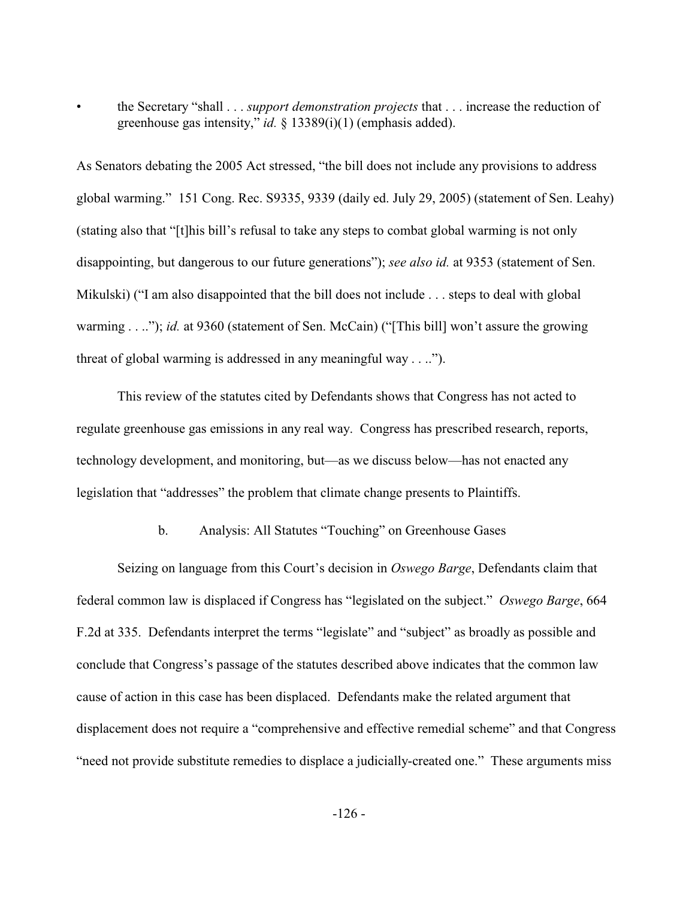• the Secretary "shall . . . *support demonstration projects* that . . . increase the reduction of greenhouse gas intensity," *id.* § 13389(i)(1) (emphasis added).

As Senators debating the 2005 Act stressed, "the bill does not include any provisions to address global warming." 151 Cong. Rec. S9335, 9339 (daily ed. July 29, 2005) (statement of Sen. Leahy) (stating also that "[t]his bill's refusal to take any steps to combat global warming is not only disappointing, but dangerous to our future generations"); *see also id.* at 9353 (statement of Sen. Mikulski) ("I am also disappointed that the bill does not include . . . steps to deal with global warming . . .."); *id.* at 9360 (statement of Sen. McCain) ("[This bill] won't assure the growing threat of global warming is addressed in any meaningful way . . ..").

This review of the statutes cited by Defendants shows that Congress has not acted to regulate greenhouse gas emissions in any real way. Congress has prescribed research, reports, technology development, and monitoring, but—as we discuss below—has not enacted any legislation that "addresses" the problem that climate change presents to Plaintiffs.

b. Analysis: All Statutes "Touching" on Greenhouse Gases

Seizing on language from this Court's decision in *Oswego Barge*, Defendants claim that federal common law is displaced if Congress has "legislated on the subject." *Oswego Barge*, 664 F.2d at 335. Defendants interpret the terms "legislate" and "subject" as broadly as possible and conclude that Congress's passage of the statutes described above indicates that the common law cause of action in this case has been displaced. Defendants make the related argument that displacement does not require a "comprehensive and effective remedial scheme" and that Congress "need not provide substitute remedies to displace a judicially-created one." These arguments miss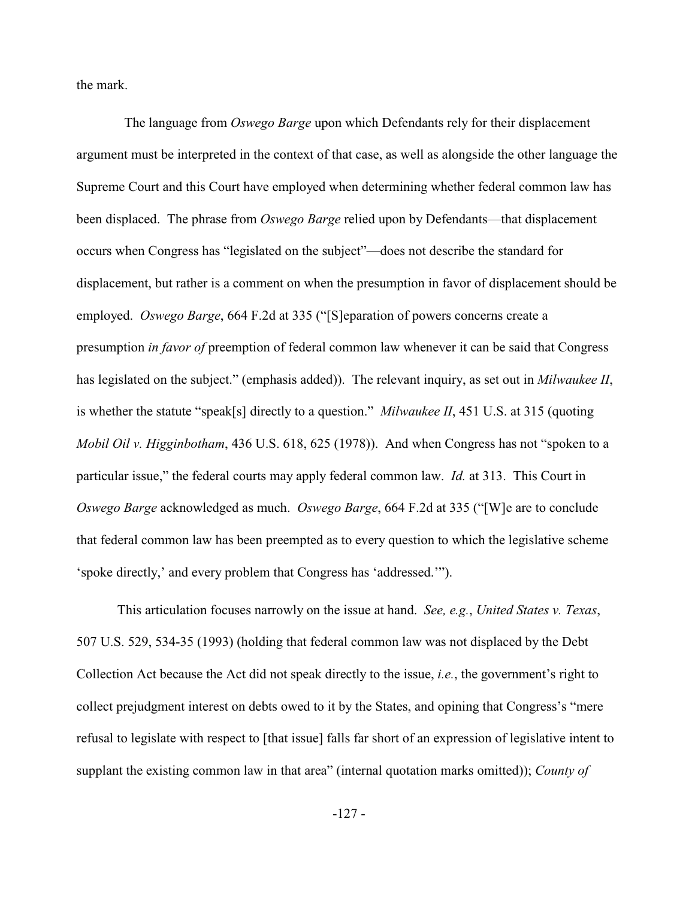the mark.

 The language from *Oswego Barge* upon which Defendants rely for their displacement argument must be interpreted in the context of that case, as well as alongside the other language the Supreme Court and this Court have employed when determining whether federal common law has been displaced. The phrase from *Oswego Barge* relied upon by Defendants—that displacement occurs when Congress has "legislated on the subject"—does not describe the standard for displacement, but rather is a comment on when the presumption in favor of displacement should be employed. *Oswego Barge*, 664 F.2d at 335 ("[S]eparation of powers concerns create a presumption *in favor of* preemption of federal common law whenever it can be said that Congress has legislated on the subject." (emphasis added)). The relevant inquiry, as set out in *Milwaukee II*, is whether the statute "speak[s] directly to a question." *Milwaukee II*, 451 U.S. at 315 (quoting *Mobil Oil v. Higginbotham*, 436 U.S. 618, 625 (1978)). And when Congress has not "spoken to a particular issue," the federal courts may apply federal common law. *Id.* at 313. This Court in *Oswego Barge* acknowledged as much. *Oswego Barge*, 664 F.2d at 335 ("[W]e are to conclude that federal common law has been preempted as to every question to which the legislative scheme 'spoke directly,' and every problem that Congress has 'addressed.'").

This articulation focuses narrowly on the issue at hand. *See, e.g.*, *United States v. Texas*, 507 U.S. 529, 534-35 (1993) (holding that federal common law was not displaced by the Debt Collection Act because the Act did not speak directly to the issue, *i.e.*, the government's right to collect prejudgment interest on debts owed to it by the States, and opining that Congress's "mere refusal to legislate with respect to [that issue] falls far short of an expression of legislative intent to supplant the existing common law in that area" (internal quotation marks omitted)); *County of*

-127 -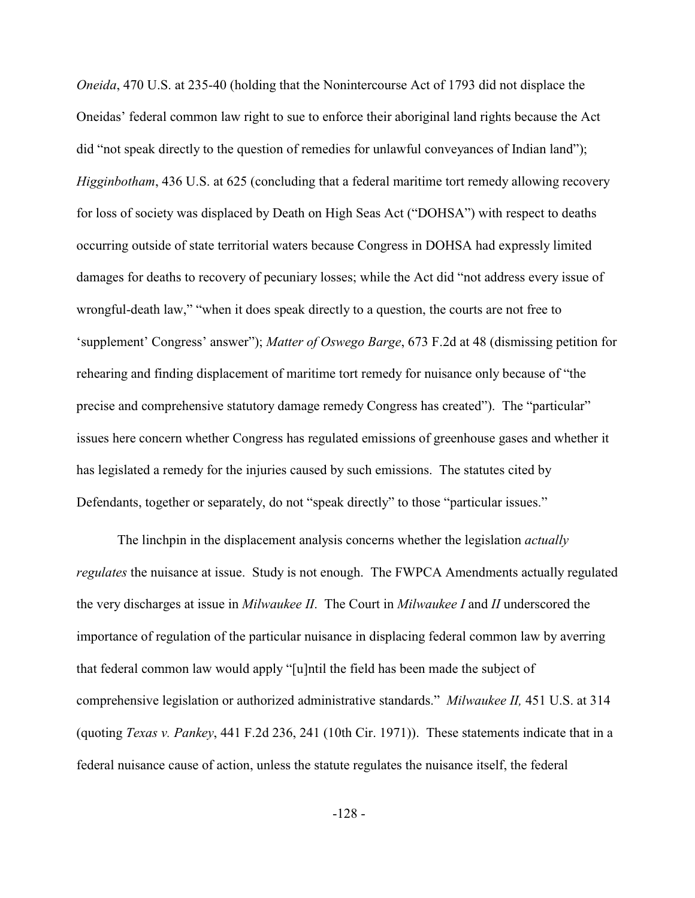*Oneida*, 470 U.S. at 235-40 (holding that the Nonintercourse Act of 1793 did not displace the Oneidas' federal common law right to sue to enforce their aboriginal land rights because the Act did "not speak directly to the question of remedies for unlawful conveyances of Indian land"); *Higginbotham*, 436 U.S. at 625 (concluding that a federal maritime tort remedy allowing recovery for loss of society was displaced by Death on High Seas Act ("DOHSA") with respect to deaths occurring outside of state territorial waters because Congress in DOHSA had expressly limited damages for deaths to recovery of pecuniary losses; while the Act did "not address every issue of wrongful-death law," "when it does speak directly to a question, the courts are not free to 'supplement' Congress' answer"); *Matter of Oswego Barge*, 673 F.2d at 48 (dismissing petition for rehearing and finding displacement of maritime tort remedy for nuisance only because of "the precise and comprehensive statutory damage remedy Congress has created"). The "particular" issues here concern whether Congress has regulated emissions of greenhouse gases and whether it has legislated a remedy for the injuries caused by such emissions. The statutes cited by Defendants, together or separately, do not "speak directly" to those "particular issues."

The linchpin in the displacement analysis concerns whether the legislation *actually regulates* the nuisance at issue. Study is not enough. The FWPCA Amendments actually regulated the very discharges at issue in *Milwaukee II*. The Court in *Milwaukee I* and *II* underscored the importance of regulation of the particular nuisance in displacing federal common law by averring that federal common law would apply "[u]ntil the field has been made the subject of comprehensive legislation or authorized administrative standards." *Milwaukee II,* 451 U.S. at 314 (quoting *Texas v. Pankey*, 441 F.2d 236, 241 (10th Cir. 1971)). These statements indicate that in a federal nuisance cause of action, unless the statute regulates the nuisance itself, the federal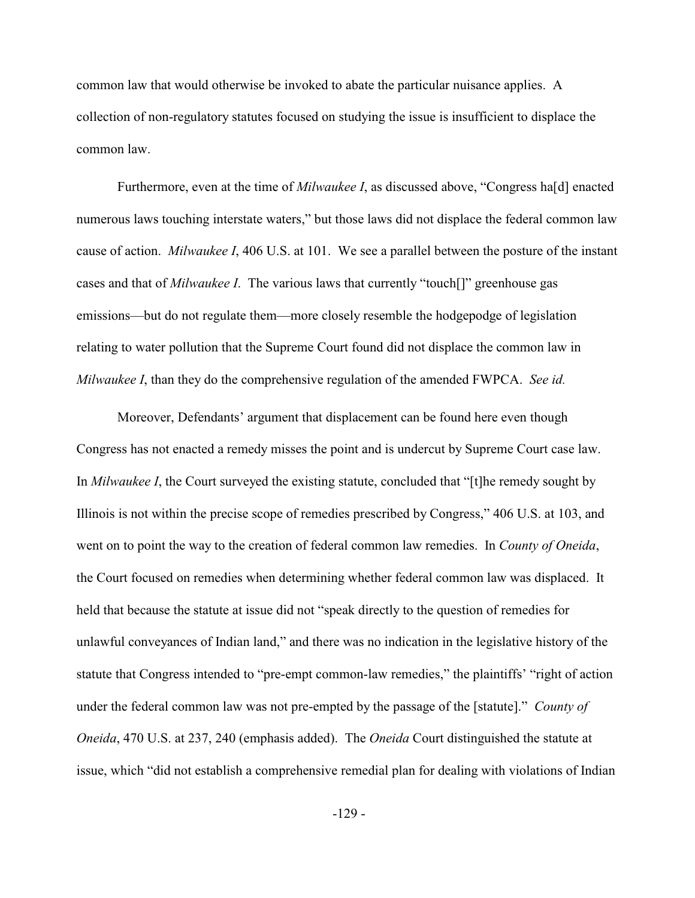common law that would otherwise be invoked to abate the particular nuisance applies. A collection of non-regulatory statutes focused on studying the issue is insufficient to displace the common law.

Furthermore, even at the time of *Milwaukee I*, as discussed above, "Congress ha[d] enacted numerous laws touching interstate waters," but those laws did not displace the federal common law cause of action. *Milwaukee I*, 406 U.S. at 101. We see a parallel between the posture of the instant cases and that of *Milwaukee I*. The various laws that currently "touch[]" greenhouse gas emissions—but do not regulate them—more closely resemble the hodgepodge of legislation relating to water pollution that the Supreme Court found did not displace the common law in *Milwaukee I*, than they do the comprehensive regulation of the amended FWPCA. *See id.*

Moreover, Defendants' argument that displacement can be found here even though Congress has not enacted a remedy misses the point and is undercut by Supreme Court case law. In *Milwaukee I*, the Court surveyed the existing statute, concluded that "[t]he remedy sought by Illinois is not within the precise scope of remedies prescribed by Congress," 406 U.S. at 103, and went on to point the way to the creation of federal common law remedies. In *County of Oneida*, the Court focused on remedies when determining whether federal common law was displaced. It held that because the statute at issue did not "speak directly to the question of remedies for unlawful conveyances of Indian land," and there was no indication in the legislative history of the statute that Congress intended to "pre-empt common-law remedies," the plaintiffs' "right of action under the federal common law was not pre-empted by the passage of the [statute]." *County of Oneida*, 470 U.S. at 237, 240 (emphasis added). The *Oneida* Court distinguished the statute at issue, which "did not establish a comprehensive remedial plan for dealing with violations of Indian

-129 -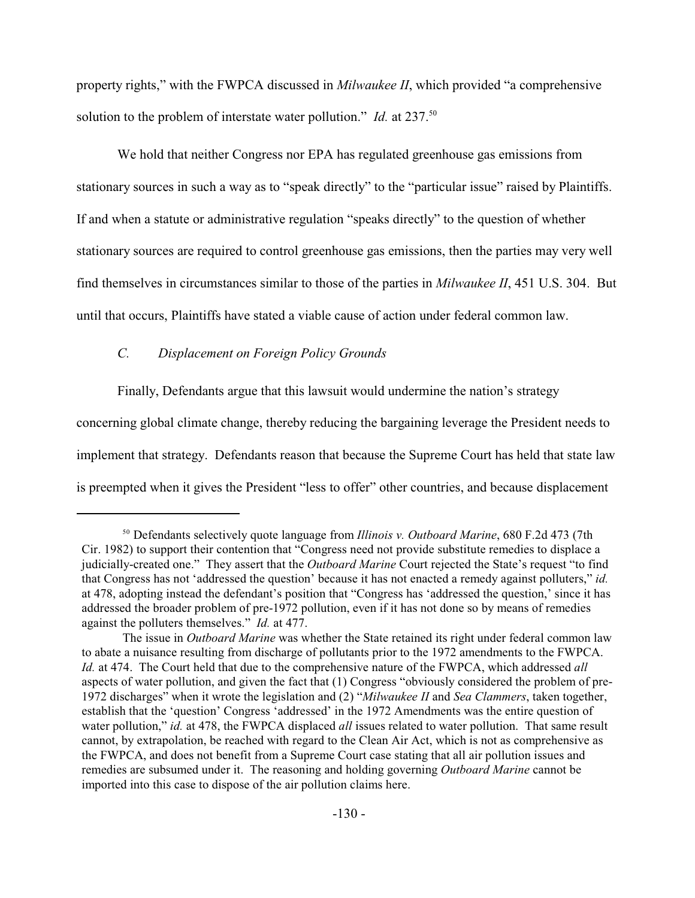property rights," with the FWPCA discussed in *Milwaukee II*, which provided "a comprehensive solution to the problem of interstate water pollution." *Id.* at 237.<sup>50</sup>

We hold that neither Congress nor EPA has regulated greenhouse gas emissions from stationary sources in such a way as to "speak directly" to the "particular issue" raised by Plaintiffs. If and when a statute or administrative regulation "speaks directly" to the question of whether stationary sources are required to control greenhouse gas emissions, then the parties may very well find themselves in circumstances similar to those of the parties in *Milwaukee II*, 451 U.S. 304. But until that occurs, Plaintiffs have stated a viable cause of action under federal common law.

# *C. Displacement on Foreign Policy Grounds*

Finally, Defendants argue that this lawsuit would undermine the nation's strategy concerning global climate change, thereby reducing the bargaining leverage the President needs to implement that strategy. Defendants reason that because the Supreme Court has held that state law is preempted when it gives the President "less to offer" other countries, and because displacement

<sup>&</sup>lt;sup>50</sup> Defendants selectively quote language from *Illinois v. Outboard Marine*, 680 F.2d 473 (7th Cir. 1982) to support their contention that "Congress need not provide substitute remedies to displace a judicially-created one." They assert that the *Outboard Marine* Court rejected the State's request "to find that Congress has not 'addressed the question' because it has not enacted a remedy against polluters," *id.* at 478, adopting instead the defendant's position that "Congress has 'addressed the question,' since it has addressed the broader problem of pre-1972 pollution, even if it has not done so by means of remedies against the polluters themselves." *Id.* at 477.

The issue in *Outboard Marine* was whether the State retained its right under federal common law to abate a nuisance resulting from discharge of pollutants prior to the 1972 amendments to the FWPCA. *Id.* at 474. The Court held that due to the comprehensive nature of the FWPCA, which addressed *all* aspects of water pollution, and given the fact that (1) Congress "obviously considered the problem of pre-1972 discharges" when it wrote the legislation and (2) "*Milwaukee II* and *Sea Clammers*, taken together, establish that the 'question' Congress 'addressed' in the 1972 Amendments was the entire question of water pollution," *id.* at 478, the FWPCA displaced *all* issues related to water pollution. That same result cannot, by extrapolation, be reached with regard to the Clean Air Act, which is not as comprehensive as the FWPCA, and does not benefit from a Supreme Court case stating that all air pollution issues and remedies are subsumed under it. The reasoning and holding governing *Outboard Marine* cannot be imported into this case to dispose of the air pollution claims here.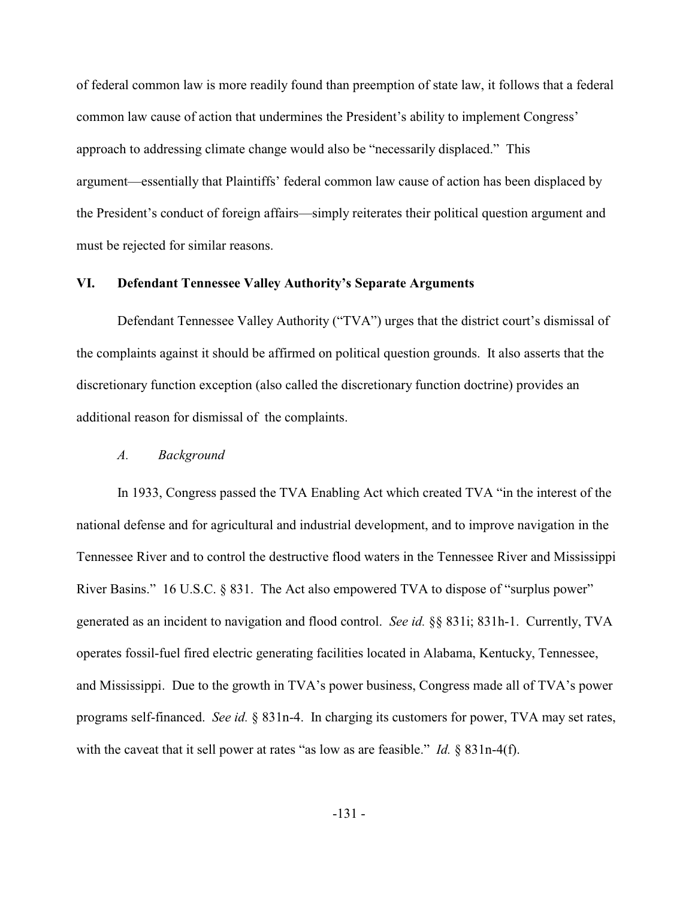of federal common law is more readily found than preemption of state law, it follows that a federal common law cause of action that undermines the President's ability to implement Congress' approach to addressing climate change would also be "necessarily displaced." This argument—essentially that Plaintiffs' federal common law cause of action has been displaced by the President's conduct of foreign affairs—simply reiterates their political question argument and must be rejected for similar reasons.

## **VI. Defendant Tennessee Valley Authority's Separate Arguments**

Defendant Tennessee Valley Authority ("TVA") urges that the district court's dismissal of the complaints against it should be affirmed on political question grounds. It also asserts that the discretionary function exception (also called the discretionary function doctrine) provides an additional reason for dismissal of the complaints.

### *A. Background*

In 1933, Congress passed the TVA Enabling Act which created TVA "in the interest of the national defense and for agricultural and industrial development, and to improve navigation in the Tennessee River and to control the destructive flood waters in the Tennessee River and Mississippi River Basins." 16 U.S.C. § 831. The Act also empowered TVA to dispose of "surplus power" generated as an incident to navigation and flood control. *See id.* §§ 831i; 831h-1. Currently, TVA operates fossil-fuel fired electric generating facilities located in Alabama, Kentucky, Tennessee, and Mississippi. Due to the growth in TVA's power business, Congress made all of TVA's power programs self-financed. *See id.* § 831n-4. In charging its customers for power, TVA may set rates, with the caveat that it sell power at rates "as low as are feasible." *Id.* § 831n-4(f).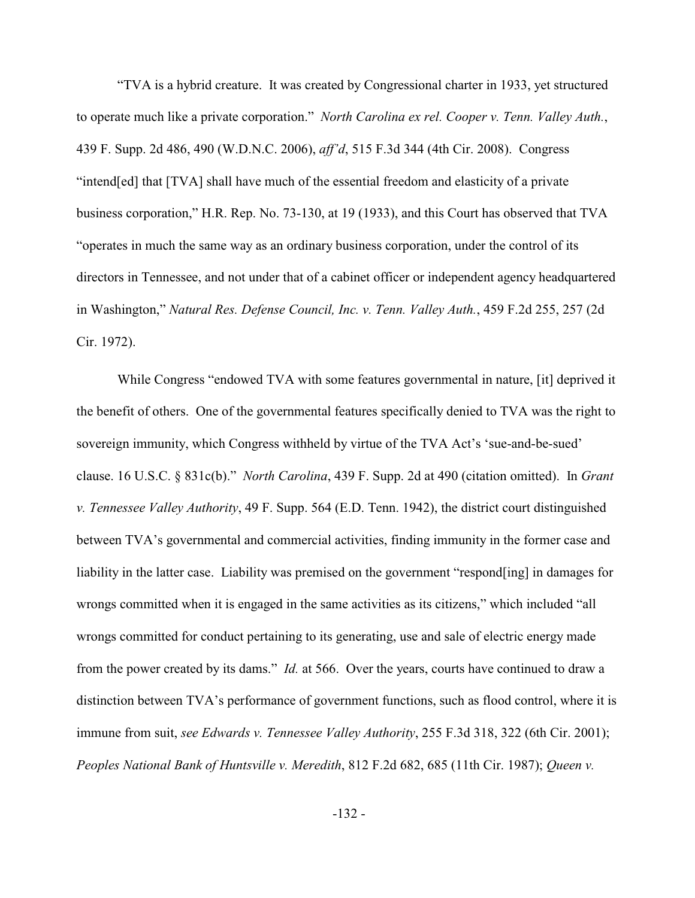"TVA is a hybrid creature. It was created by Congressional charter in 1933, yet structured to operate much like a private corporation." *North Carolina ex rel. Cooper v. Tenn. Valley Auth.*, 439 F. Supp. 2d 486, 490 (W.D.N.C. 2006), *aff'd*, 515 F.3d 344 (4th Cir. 2008). Congress "intend[ed] that [TVA] shall have much of the essential freedom and elasticity of a private business corporation," H.R. Rep. No. 73-130, at 19 (1933), and this Court has observed that TVA "operates in much the same way as an ordinary business corporation, under the control of its directors in Tennessee, and not under that of a cabinet officer or independent agency headquartered in Washington," *Natural Res. Defense Council, Inc. v. Tenn. Valley Auth.*, 459 F.2d 255, 257 (2d Cir. 1972).

While Congress "endowed TVA with some features governmental in nature, [it] deprived it the benefit of others. One of the governmental features specifically denied to TVA was the right to sovereign immunity, which Congress withheld by virtue of the TVA Act's 'sue-and-be-sued' clause. 16 U.S.C. § 831c(b)." *North Carolina*, 439 F. Supp. 2d at 490 (citation omitted). In *Grant v. Tennessee Valley Authority*, 49 F. Supp. 564 (E.D. Tenn. 1942), the district court distinguished between TVA's governmental and commercial activities, finding immunity in the former case and liability in the latter case. Liability was premised on the government "respond[ing] in damages for wrongs committed when it is engaged in the same activities as its citizens," which included "all wrongs committed for conduct pertaining to its generating, use and sale of electric energy made from the power created by its dams." *Id.* at 566. Over the years, courts have continued to draw a distinction between TVA's performance of government functions, such as flood control, where it is immune from suit, *see Edwards v. Tennessee Valley Authority*, 255 F.3d 318, 322 (6th Cir. 2001); *Peoples National Bank of Huntsville v. Meredith*, 812 F.2d 682, 685 (11th Cir. 1987); *Queen v.*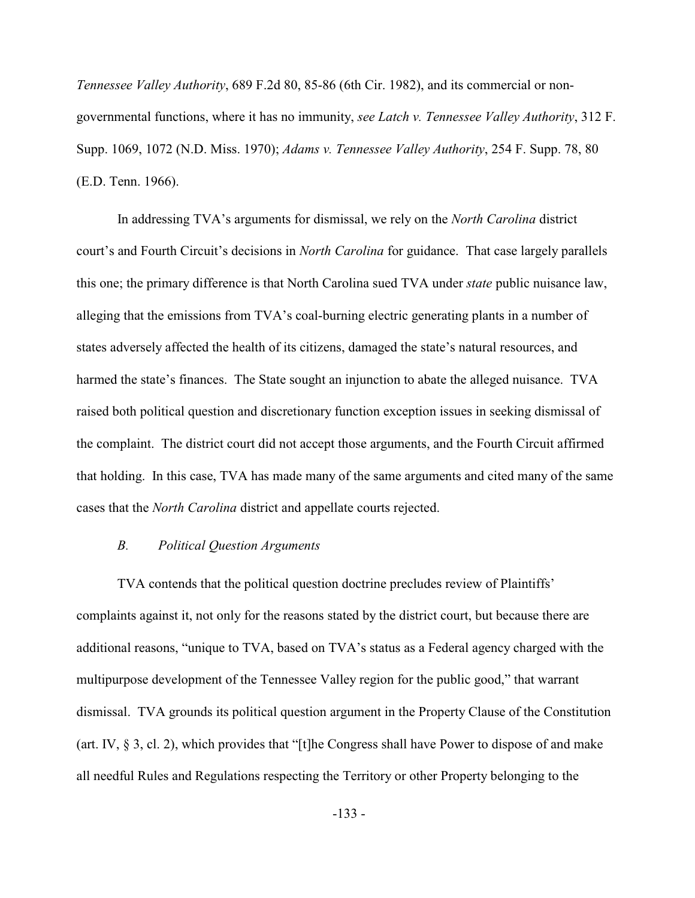*Tennessee Valley Authority*, 689 F.2d 80, 85-86 (6th Cir. 1982), and its commercial or nongovernmental functions, where it has no immunity, *see Latch v. Tennessee Valley Authority*, 312 F. Supp. 1069, 1072 (N.D. Miss. 1970); *Adams v. Tennessee Valley Authority*, 254 F. Supp. 78, 80 (E.D. Tenn. 1966).

In addressing TVA's arguments for dismissal, we rely on the *North Carolina* district court's and Fourth Circuit's decisions in *North Carolina* for guidance. That case largely parallels this one; the primary difference is that North Carolina sued TVA under *state* public nuisance law, alleging that the emissions from TVA's coal-burning electric generating plants in a number of states adversely affected the health of its citizens, damaged the state's natural resources, and harmed the state's finances. The State sought an injunction to abate the alleged nuisance. TVA raised both political question and discretionary function exception issues in seeking dismissal of the complaint. The district court did not accept those arguments, and the Fourth Circuit affirmed that holding. In this case, TVA has made many of the same arguments and cited many of the same cases that the *North Carolina* district and appellate courts rejected.

## *B. Political Question Arguments*

TVA contends that the political question doctrine precludes review of Plaintiffs' complaints against it, not only for the reasons stated by the district court, but because there are additional reasons, "unique to TVA, based on TVA's status as a Federal agency charged with the multipurpose development of the Tennessee Valley region for the public good," that warrant dismissal. TVA grounds its political question argument in the Property Clause of the Constitution (art. IV, § 3, cl. 2), which provides that "[t]he Congress shall have Power to dispose of and make all needful Rules and Regulations respecting the Territory or other Property belonging to the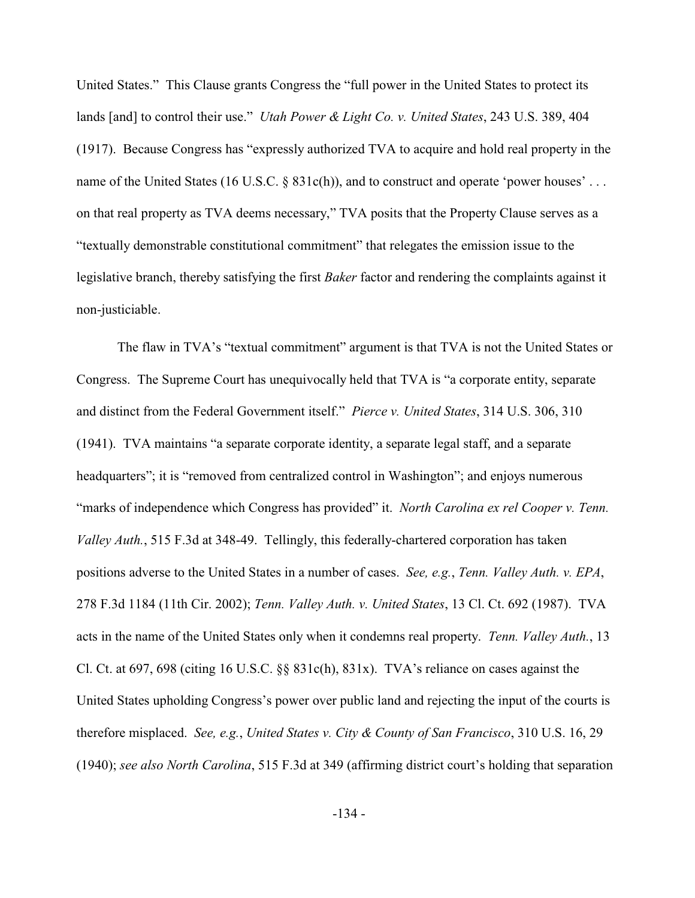United States." This Clause grants Congress the "full power in the United States to protect its lands [and] to control their use." *Utah Power & Light Co. v. United States*, 243 U.S. 389, 404 (1917). Because Congress has "expressly authorized TVA to acquire and hold real property in the name of the United States (16 U.S.C. § 831c(h)), and to construct and operate 'power houses'... on that real property as TVA deems necessary," TVA posits that the Property Clause serves as a "textually demonstrable constitutional commitment" that relegates the emission issue to the legislative branch, thereby satisfying the first *Baker* factor and rendering the complaints against it non-justiciable.

The flaw in TVA's "textual commitment" argument is that TVA is not the United States or Congress. The Supreme Court has unequivocally held that TVA is "a corporate entity, separate and distinct from the Federal Government itself." *Pierce v. United States*, 314 U.S. 306, 310 (1941). TVA maintains "a separate corporate identity, a separate legal staff, and a separate headquarters"; it is "removed from centralized control in Washington"; and enjoys numerous "marks of independence which Congress has provided" it. *North Carolina ex rel Cooper v. Tenn. Valley Auth.*, 515 F.3d at 348-49. Tellingly, this federally-chartered corporation has taken positions adverse to the United States in a number of cases. *See, e.g.*, *Tenn. Valley Auth. v. EPA*, 278 F.3d 1184 (11th Cir. 2002); *Tenn. Valley Auth. v. United States*, 13 Cl. Ct. 692 (1987). TVA acts in the name of the United States only when it condemns real property. *Tenn. Valley Auth.*, 13 Cl. Ct. at 697, 698 (citing 16 U.S.C. §§ 831c(h), 831x). TVA's reliance on cases against the United States upholding Congress's power over public land and rejecting the input of the courts is therefore misplaced. *See, e.g.*, *United States v. City & County of San Francisco*, 310 U.S. 16, 29 (1940); *see also North Carolina*, 515 F.3d at 349 (affirming district court's holding that separation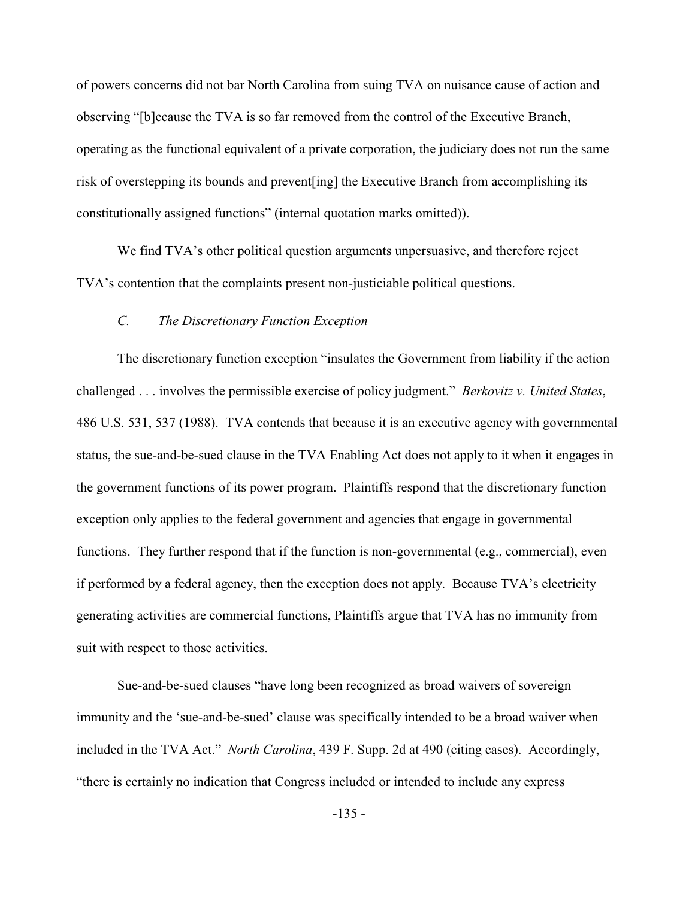of powers concerns did not bar North Carolina from suing TVA on nuisance cause of action and observing "[b]ecause the TVA is so far removed from the control of the Executive Branch, operating as the functional equivalent of a private corporation, the judiciary does not run the same risk of overstepping its bounds and prevent[ing] the Executive Branch from accomplishing its constitutionally assigned functions" (internal quotation marks omitted)).

We find TVA's other political question arguments unpersuasive, and therefore reject TVA's contention that the complaints present non-justiciable political questions.

# *C. The Discretionary Function Exception*

The discretionary function exception "insulates the Government from liability if the action challenged . . . involves the permissible exercise of policy judgment." *Berkovitz v. United States*, 486 U.S. 531, 537 (1988). TVA contends that because it is an executive agency with governmental status, the sue-and-be-sued clause in the TVA Enabling Act does not apply to it when it engages in the government functions of its power program. Plaintiffs respond that the discretionary function exception only applies to the federal government and agencies that engage in governmental functions. They further respond that if the function is non-governmental (e.g., commercial), even if performed by a federal agency, then the exception does not apply. Because TVA's electricity generating activities are commercial functions, Plaintiffs argue that TVA has no immunity from suit with respect to those activities.

Sue-and-be-sued clauses "have long been recognized as broad waivers of sovereign immunity and the 'sue-and-be-sued' clause was specifically intended to be a broad waiver when included in the TVA Act." *North Carolina*, 439 F. Supp. 2d at 490 (citing cases). Accordingly, "there is certainly no indication that Congress included or intended to include any express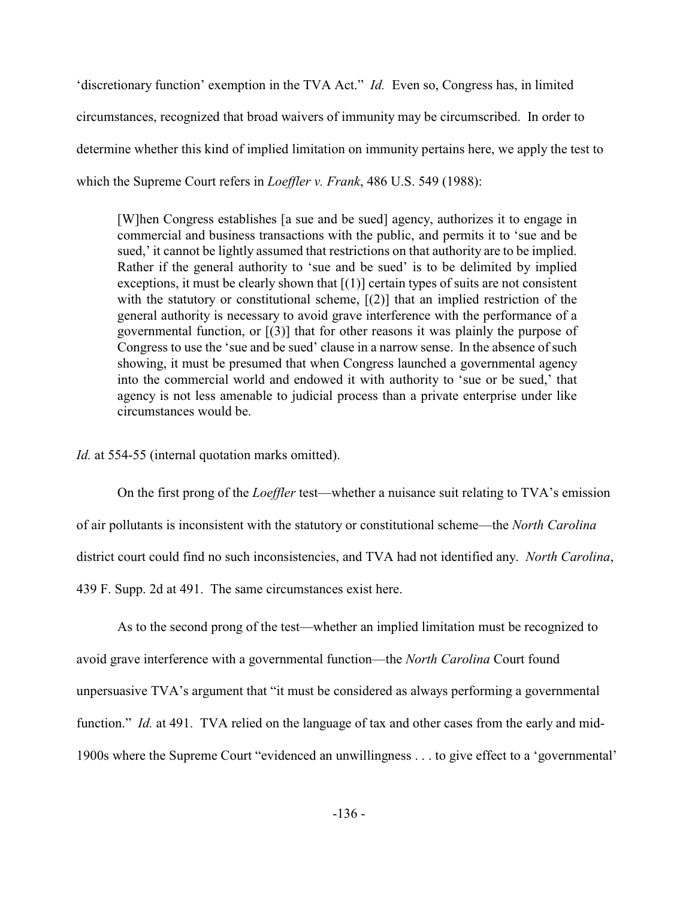'discretionary function' exemption in the TVA Act." *Id.* Even so, Congress has, in limited circumstances, recognized that broad waivers of immunity may be circumscribed. In order to determine whether this kind of implied limitation on immunity pertains here, we apply the test to which the Supreme Court refers in *Loeffler v. Frank*, 486 U.S. 549 (1988):

[W]hen Congress establishes [a sue and be sued] agency, authorizes it to engage in commercial and business transactions with the public, and permits it to 'sue and be sued,' it cannot be lightly assumed that restrictions on that authority are to be implied. Rather if the general authority to 'sue and be sued' is to be delimited by implied exceptions, it must be clearly shown that  $[(1)]$  certain types of suits are not consistent with the statutory or constitutional scheme,  $[(2)]$  that an implied restriction of the general authority is necessary to avoid grave interference with the performance of a governmental function, or [(3)] that for other reasons it was plainly the purpose of Congress to use the 'sue and be sued' clause in a narrow sense. In the absence of such showing, it must be presumed that when Congress launched a governmental agency into the commercial world and endowed it with authority to 'sue or be sued,' that agency is not less amenable to judicial process than a private enterprise under like circumstances would be.

*Id.* at 554-55 (internal quotation marks omitted).

On the first prong of the *Loeffler* test—whether a nuisance suit relating to TVA's emission of air pollutants is inconsistent with the statutory or constitutional scheme—the *North Carolina* district court could find no such inconsistencies, and TVA had not identified any. *North Carolina*, 439 F. Supp. 2d at 491. The same circumstances exist here.

As to the second prong of the test—whether an implied limitation must be recognized to avoid grave interference with a governmental function—the *North Carolina* Court found unpersuasive TVA's argument that "it must be considered as always performing a governmental function." *Id.* at 491. TVA relied on the language of tax and other cases from the early and mid-1900s where the Supreme Court "evidenced an unwillingness . . . to give effect to a 'governmental'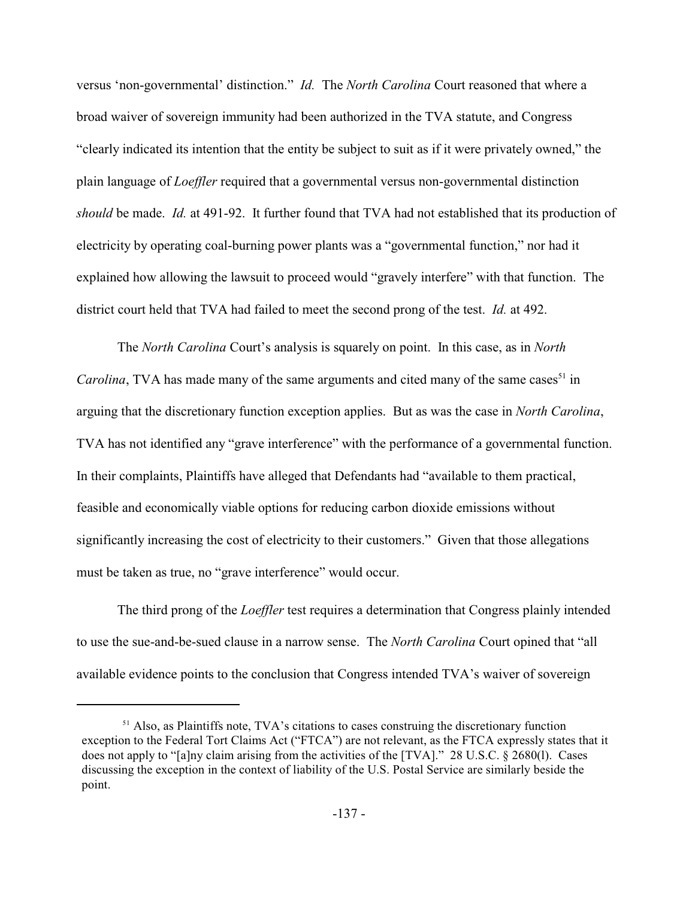versus 'non-governmental' distinction." *Id.* The *North Carolina* Court reasoned that where a broad waiver of sovereign immunity had been authorized in the TVA statute, and Congress "clearly indicated its intention that the entity be subject to suit as if it were privately owned," the plain language of *Loeffler* required that a governmental versus non-governmental distinction *should* be made. *Id.* at 491-92. It further found that TVA had not established that its production of electricity by operating coal-burning power plants was a "governmental function," nor had it explained how allowing the lawsuit to proceed would "gravely interfere" with that function. The district court held that TVA had failed to meet the second prong of the test. *Id.* at 492.

The *North Carolina* Court's analysis is squarely on point. In this case, as in *North Carolina*, TVA has made many of the same arguments and cited many of the same cases<sup>51</sup> in arguing that the discretionary function exception applies. But as was the case in *North Carolina*, TVA has not identified any "grave interference" with the performance of a governmental function. In their complaints, Plaintiffs have alleged that Defendants had "available to them practical, feasible and economically viable options for reducing carbon dioxide emissions without significantly increasing the cost of electricity to their customers." Given that those allegations must be taken as true, no "grave interference" would occur.

The third prong of the *Loeffler* test requires a determination that Congress plainly intended to use the sue-and-be-sued clause in a narrow sense. The *North Carolina* Court opined that "all available evidence points to the conclusion that Congress intended TVA's waiver of sovereign

 $<sup>51</sup>$  Also, as Plaintiffs note, TVA's citations to cases construing the discretionary function</sup> exception to the Federal Tort Claims Act ("FTCA") are not relevant, as the FTCA expressly states that it does not apply to "[a]ny claim arising from the activities of the [TVA]." 28 U.S.C. § 2680(l). Cases discussing the exception in the context of liability of the U.S. Postal Service are similarly beside the point.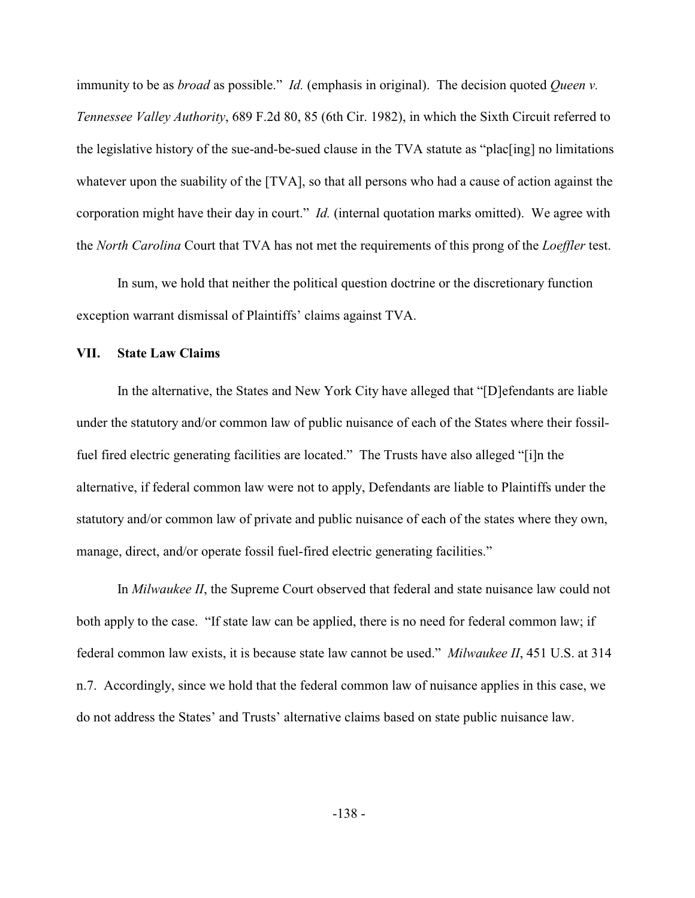immunity to be as *broad* as possible." *Id.* (emphasis in original). The decision quoted *Queen v. Tennessee Valley Authority*, 689 F.2d 80, 85 (6th Cir. 1982), in which the Sixth Circuit referred to the legislative history of the sue-and-be-sued clause in the TVA statute as "plac[ing] no limitations whatever upon the suability of the [TVA], so that all persons who had a cause of action against the corporation might have their day in court." *Id.* (internal quotation marks omitted). We agree with the *North Carolina* Court that TVA has not met the requirements of this prong of the *Loeffler* test.

In sum, we hold that neither the political question doctrine or the discretionary function exception warrant dismissal of Plaintiffs' claims against TVA.

## **VII. State Law Claims**

In the alternative, the States and New York City have alleged that "[D]efendants are liable under the statutory and/or common law of public nuisance of each of the States where their fossilfuel fired electric generating facilities are located." The Trusts have also alleged "[i]n the alternative, if federal common law were not to apply, Defendants are liable to Plaintiffs under the statutory and/or common law of private and public nuisance of each of the states where they own, manage, direct, and/or operate fossil fuel-fired electric generating facilities."

In *Milwaukee II*, the Supreme Court observed that federal and state nuisance law could not both apply to the case. "If state law can be applied, there is no need for federal common law; if federal common law exists, it is because state law cannot be used." *Milwaukee II*, 451 U.S. at 314 n.7. Accordingly, since we hold that the federal common law of nuisance applies in this case, we do not address the States' and Trusts' alternative claims based on state public nuisance law.